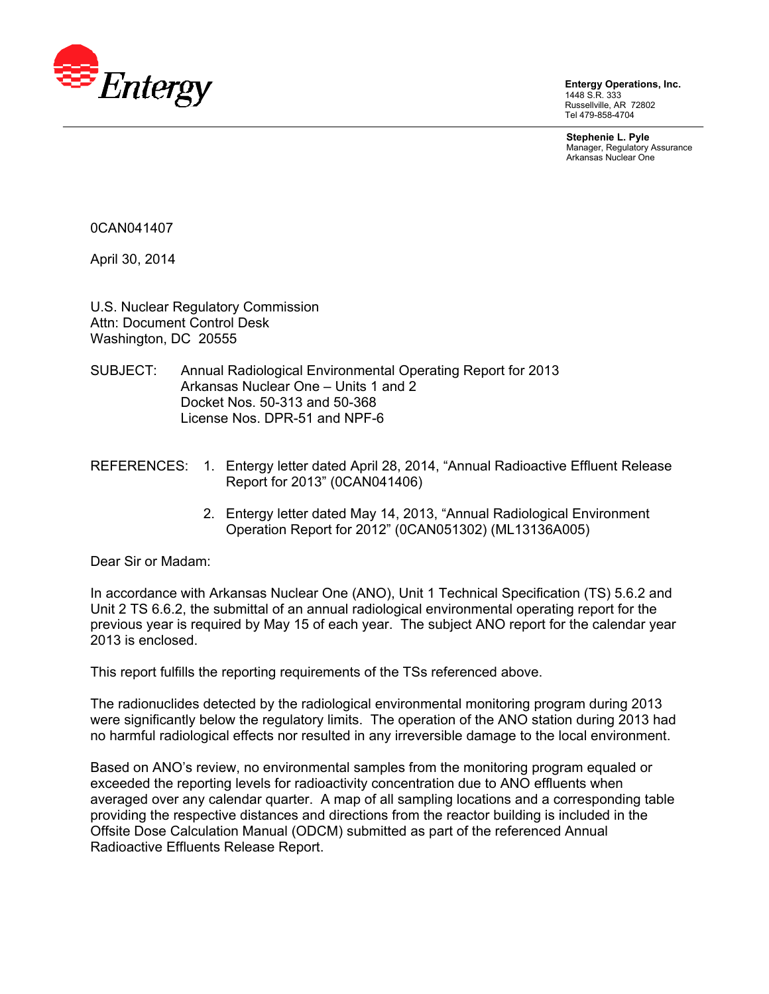

**Entergy Operations, Inc.**  1448 S.R. 333 Russellville, AR 72802 Tel 479-858-4704

**Stephenie L. Pyle**  Manager, Regulatory Assurance Arkansas Nuclear One

0CAN041407

April 30, 2014

U.S. Nuclear Regulatory Commission Attn: Document Control Desk Washington, DC 20555

- SUBJECT: Annual Radiological Environmental Operating Report for 2013 Arkansas Nuclear One – Units 1 and 2 Docket Nos. 50-313 and 50-368 License Nos. DPR-51 and NPF-6
- REFERENCES: 1. Entergy letter dated April 28, 2014, "Annual Radioactive Effluent Release Report for 2013" (0CAN041406)
	- 2. Entergy letter dated May 14, 2013, "Annual Radiological Environment Operation Report for 2012" (0CAN051302) (ML13136A005)

Dear Sir or Madam:

In accordance with Arkansas Nuclear One (ANO), Unit 1 Technical Specification (TS) 5.6.2 and Unit 2 TS 6.6.2, the submittal of an annual radiological environmental operating report for the previous year is required by May 15 of each year. The subject ANO report for the calendar year 2013 is enclosed.

This report fulfills the reporting requirements of the TSs referenced above.

The radionuclides detected by the radiological environmental monitoring program during 2013 were significantly below the regulatory limits. The operation of the ANO station during 2013 had no harmful radiological effects nor resulted in any irreversible damage to the local environment.

Based on ANO's review, no environmental samples from the monitoring program equaled or exceeded the reporting levels for radioactivity concentration due to ANO effluents when averaged over any calendar quarter. A map of all sampling locations and a corresponding table providing the respective distances and directions from the reactor building is included in the Offsite Dose Calculation Manual (ODCM) submitted as part of the referenced Annual Radioactive Effluents Release Report.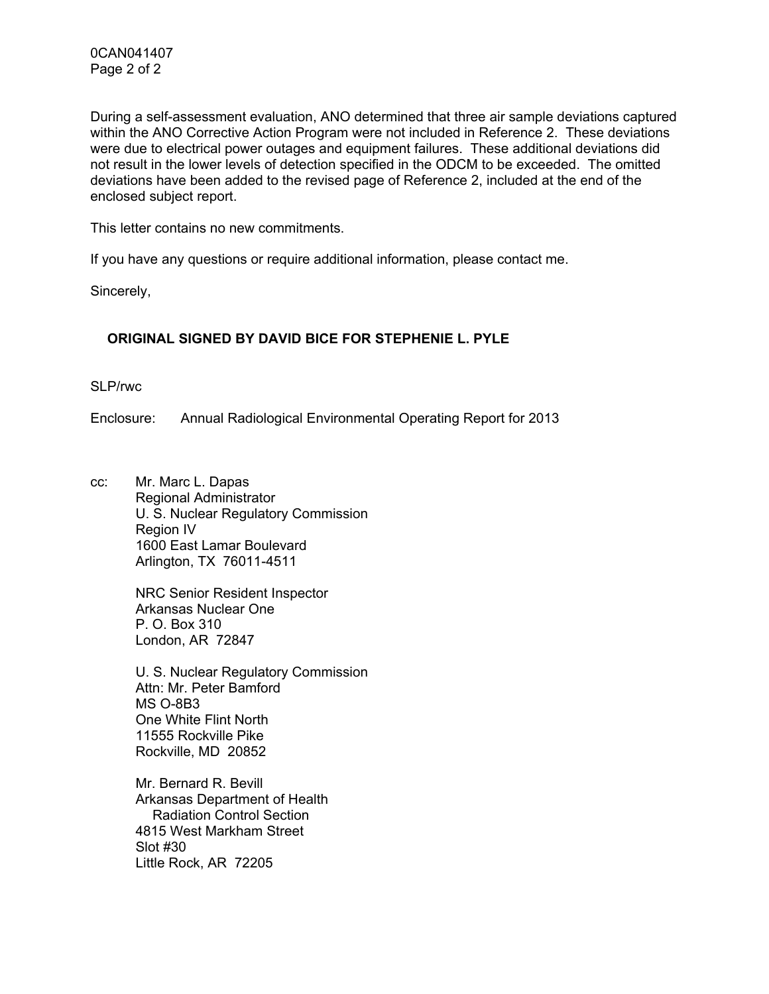During a self-assessment evaluation, ANO determined that three air sample deviations captured within the ANO Corrective Action Program were not included in Reference 2. These deviations were due to electrical power outages and equipment failures. These additional deviations did not result in the lower levels of detection specified in the ODCM to be exceeded. The omitted deviations have been added to the revised page of Reference 2, included at the end of the enclosed subject report.

This letter contains no new commitments.

If you have any questions or require additional information, please contact me.

Sincerely,

## **ORIGINAL SIGNED BY DAVID BICE FOR STEPHENIE L. PYLE**

SLP/rwc

Enclosure: Annual Radiological Environmental Operating Report for 2013

cc: Mr. Marc L. Dapas Regional Administrator U. S. Nuclear Regulatory Commission Region IV 1600 East Lamar Boulevard Arlington, TX 76011-4511

> NRC Senior Resident Inspector Arkansas Nuclear One P. O. Box 310 London, AR 72847

U. S. Nuclear Regulatory Commission Attn: Mr. Peter Bamford MS O-8B3 One White Flint North 11555 Rockville Pike Rockville, MD 20852

Mr. Bernard R. Bevill Arkansas Department of Health Radiation Control Section 4815 West Markham Street Slot #30 Little Rock, AR 72205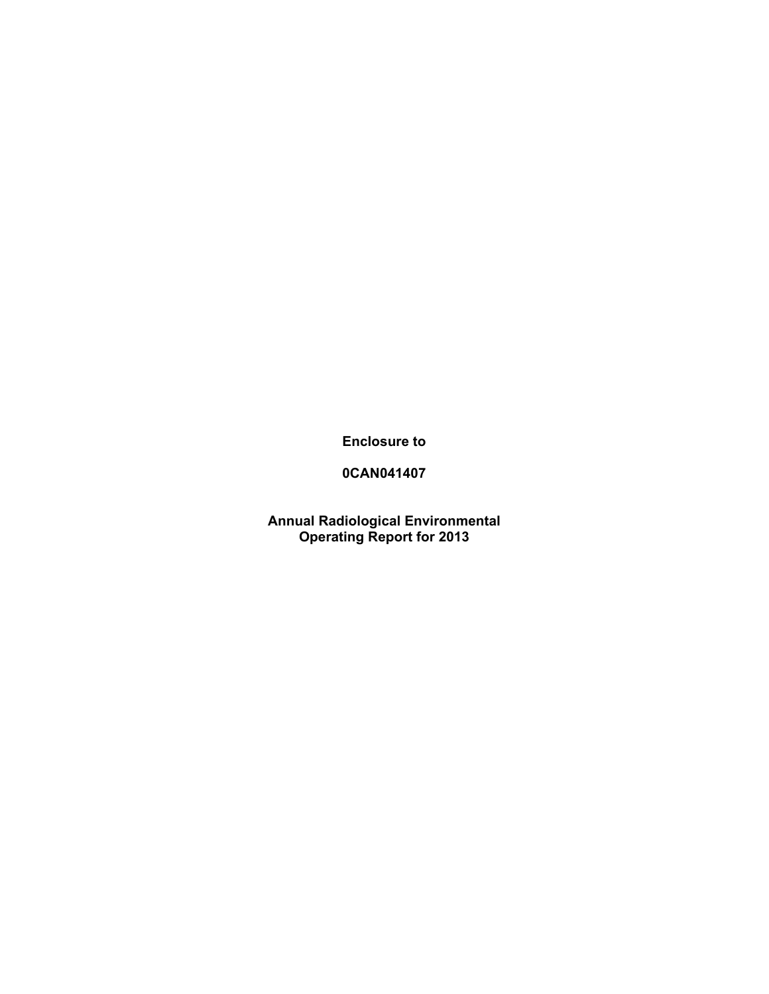**Enclosure to** 

## **0CAN041407**

**Annual Radiological Environmental Operating Report for 2013**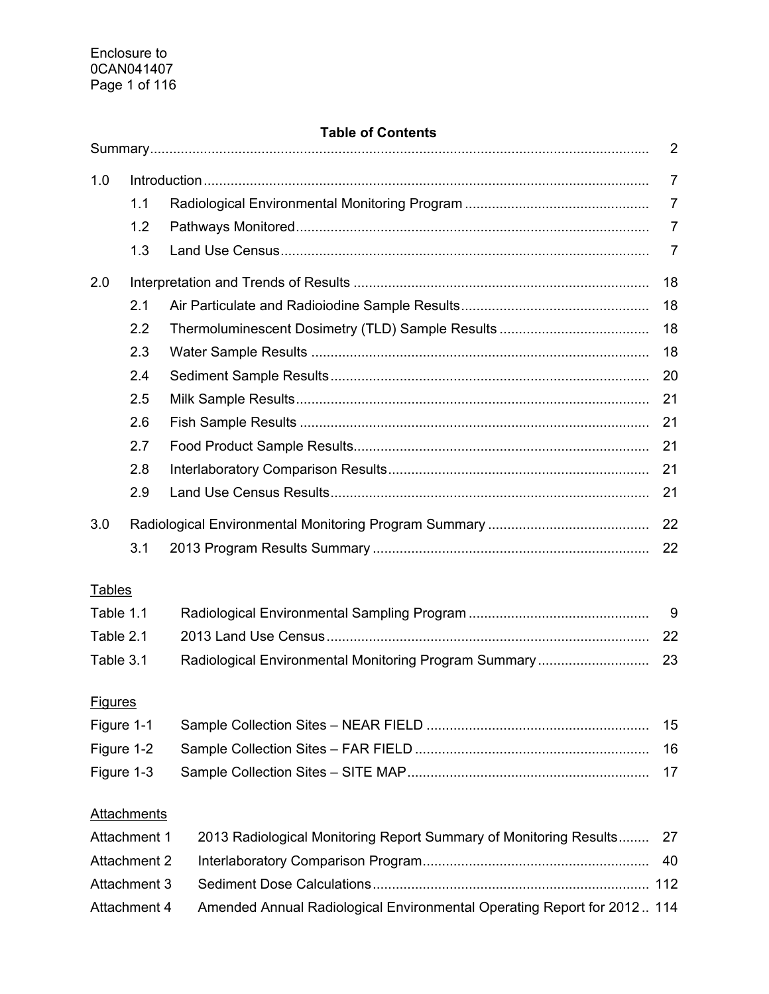## **Table of Contents**

| 1.0            |                     |                                                                         | $\overline{7}$ |
|----------------|---------------------|-------------------------------------------------------------------------|----------------|
|                | 1.1                 |                                                                         | 7              |
|                | 1.2                 |                                                                         | 7              |
|                | 1.3                 |                                                                         | 7              |
| 2.0            |                     |                                                                         | 18             |
|                | 2.1                 |                                                                         | 18             |
|                | 2.2                 |                                                                         | 18             |
|                | 2.3                 |                                                                         | 18             |
|                | 2.4                 |                                                                         | 20             |
|                | 2.5                 |                                                                         | 21             |
|                | 2.6                 |                                                                         | 21             |
|                | 2.7                 |                                                                         | 21             |
|                | 2.8                 |                                                                         | 21             |
|                | 2.9                 |                                                                         | 21             |
| 3.0            |                     |                                                                         | 22             |
|                | 3.1                 |                                                                         | 22             |
| <b>Tables</b>  |                     |                                                                         |                |
| Table 1.1      |                     |                                                                         | 9              |
| Table 2.1      |                     |                                                                         | 22             |
| Table 3.1      |                     | Radiological Environmental Monitoring Program Summary                   | 23             |
|                |                     |                                                                         |                |
| <b>Figures</b> |                     |                                                                         |                |
| Figure 1-1     |                     |                                                                         | 15             |
| Figure 1-2     |                     |                                                                         | 16             |
| Figure 1-3     |                     |                                                                         | 17             |
|                | <b>Attachments</b>  |                                                                         |                |
| Attachment 1   |                     | 2013 Radiological Monitoring Report Summary of Monitoring Results       | 27             |
|                | <b>Attachment 2</b> |                                                                         | 40             |
| Attachment 3   |                     |                                                                         |                |
| Attachment 4   |                     | Amended Annual Radiological Environmental Operating Report for 2012 114 |                |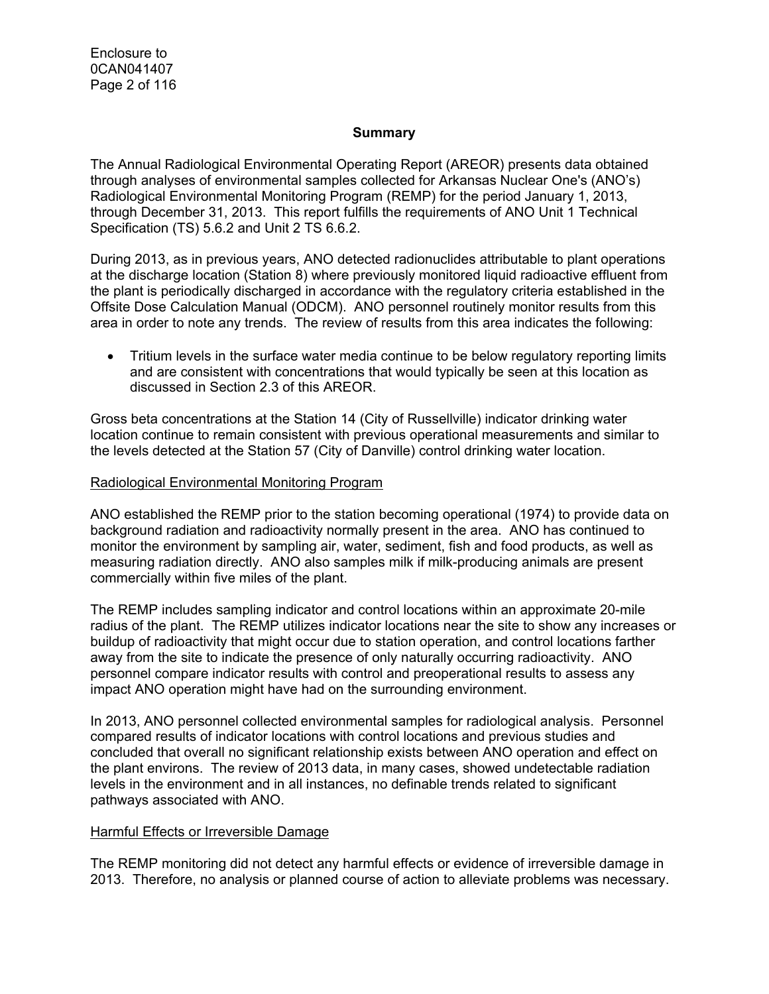Enclosure to 0CAN041407 Page 2 of 116

#### **Summary**

The Annual Radiological Environmental Operating Report (AREOR) presents data obtained through analyses of environmental samples collected for Arkansas Nuclear One's (ANO's) Radiological Environmental Monitoring Program (REMP) for the period January 1, 2013, through December 31, 2013. This report fulfills the requirements of ANO Unit 1 Technical Specification (TS) 5.6.2 and Unit 2 TS 6.6.2.

During 2013, as in previous years, ANO detected radionuclides attributable to plant operations at the discharge location (Station 8) where previously monitored liquid radioactive effluent from the plant is periodically discharged in accordance with the regulatory criteria established in the Offsite Dose Calculation Manual (ODCM). ANO personnel routinely monitor results from this area in order to note any trends. The review of results from this area indicates the following:

• Tritium levels in the surface water media continue to be below regulatory reporting limits and are consistent with concentrations that would typically be seen at this location as discussed in Section 2.3 of this AREOR.

Gross beta concentrations at the Station 14 (City of Russellville) indicator drinking water location continue to remain consistent with previous operational measurements and similar to the levels detected at the Station 57 (City of Danville) control drinking water location.

#### Radiological Environmental Monitoring Program

ANO established the REMP prior to the station becoming operational (1974) to provide data on background radiation and radioactivity normally present in the area. ANO has continued to monitor the environment by sampling air, water, sediment, fish and food products, as well as measuring radiation directly. ANO also samples milk if milk-producing animals are present commercially within five miles of the plant.

The REMP includes sampling indicator and control locations within an approximate 20-mile radius of the plant. The REMP utilizes indicator locations near the site to show any increases or buildup of radioactivity that might occur due to station operation, and control locations farther away from the site to indicate the presence of only naturally occurring radioactivity. ANO personnel compare indicator results with control and preoperational results to assess any impact ANO operation might have had on the surrounding environment.

In 2013, ANO personnel collected environmental samples for radiological analysis. Personnel compared results of indicator locations with control locations and previous studies and concluded that overall no significant relationship exists between ANO operation and effect on the plant environs. The review of 2013 data, in many cases, showed undetectable radiation levels in the environment and in all instances, no definable trends related to significant pathways associated with ANO.

#### Harmful Effects or Irreversible Damage

The REMP monitoring did not detect any harmful effects or evidence of irreversible damage in 2013. Therefore, no analysis or planned course of action to alleviate problems was necessary.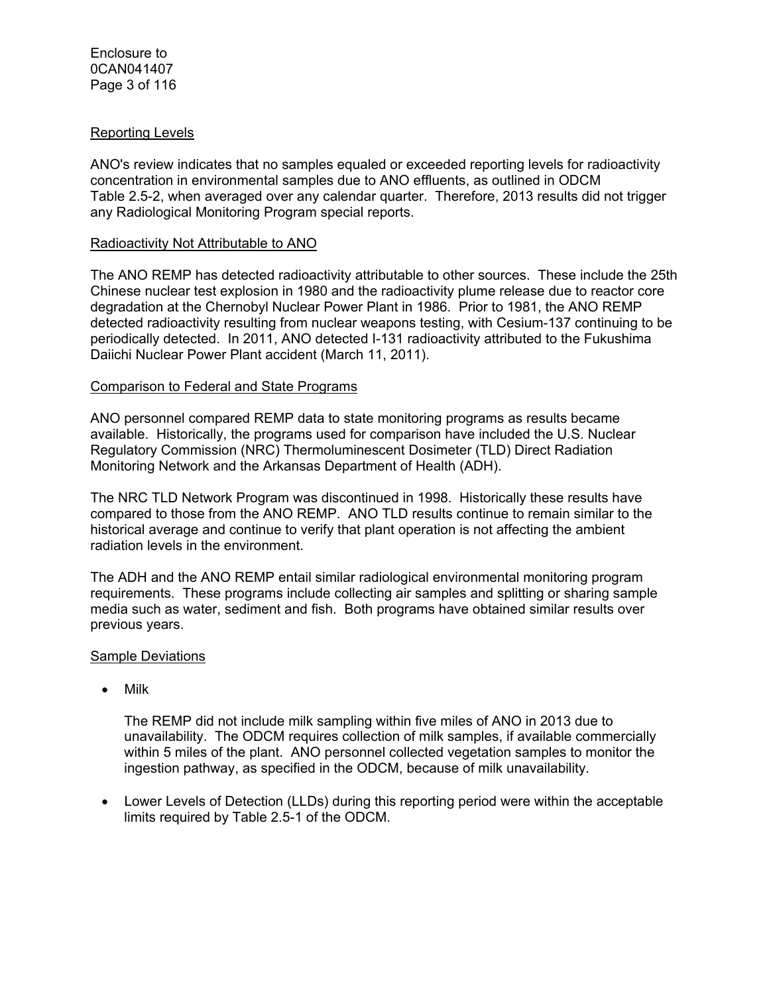#### Reporting Levels

ANO's review indicates that no samples equaled or exceeded reporting levels for radioactivity concentration in environmental samples due to ANO effluents, as outlined in ODCM Table 2.5-2, when averaged over any calendar quarter. Therefore, 2013 results did not trigger any Radiological Monitoring Program special reports.

#### Radioactivity Not Attributable to ANO

The ANO REMP has detected radioactivity attributable to other sources. These include the 25th Chinese nuclear test explosion in 1980 and the radioactivity plume release due to reactor core degradation at the Chernobyl Nuclear Power Plant in 1986. Prior to 1981, the ANO REMP detected radioactivity resulting from nuclear weapons testing, with Cesium-137 continuing to be periodically detected. In 2011, ANO detected I-131 radioactivity attributed to the Fukushima Daiichi Nuclear Power Plant accident (March 11, 2011).

#### Comparison to Federal and State Programs

ANO personnel compared REMP data to state monitoring programs as results became available. Historically, the programs used for comparison have included the U.S. Nuclear Regulatory Commission (NRC) Thermoluminescent Dosimeter (TLD) Direct Radiation Monitoring Network and the Arkansas Department of Health (ADH).

The NRC TLD Network Program was discontinued in 1998. Historically these results have compared to those from the ANO REMP. ANO TLD results continue to remain similar to the historical average and continue to verify that plant operation is not affecting the ambient radiation levels in the environment.

The ADH and the ANO REMP entail similar radiological environmental monitoring program requirements. These programs include collecting air samples and splitting or sharing sample media such as water, sediment and fish. Both programs have obtained similar results over previous years.

#### Sample Deviations

• Milk

The REMP did not include milk sampling within five miles of ANO in 2013 due to unavailability. The ODCM requires collection of milk samples, if available commercially within 5 miles of the plant. ANO personnel collected vegetation samples to monitor the ingestion pathway, as specified in the ODCM, because of milk unavailability.

 Lower Levels of Detection (LLDs) during this reporting period were within the acceptable limits required by Table 2.5-1 of the ODCM.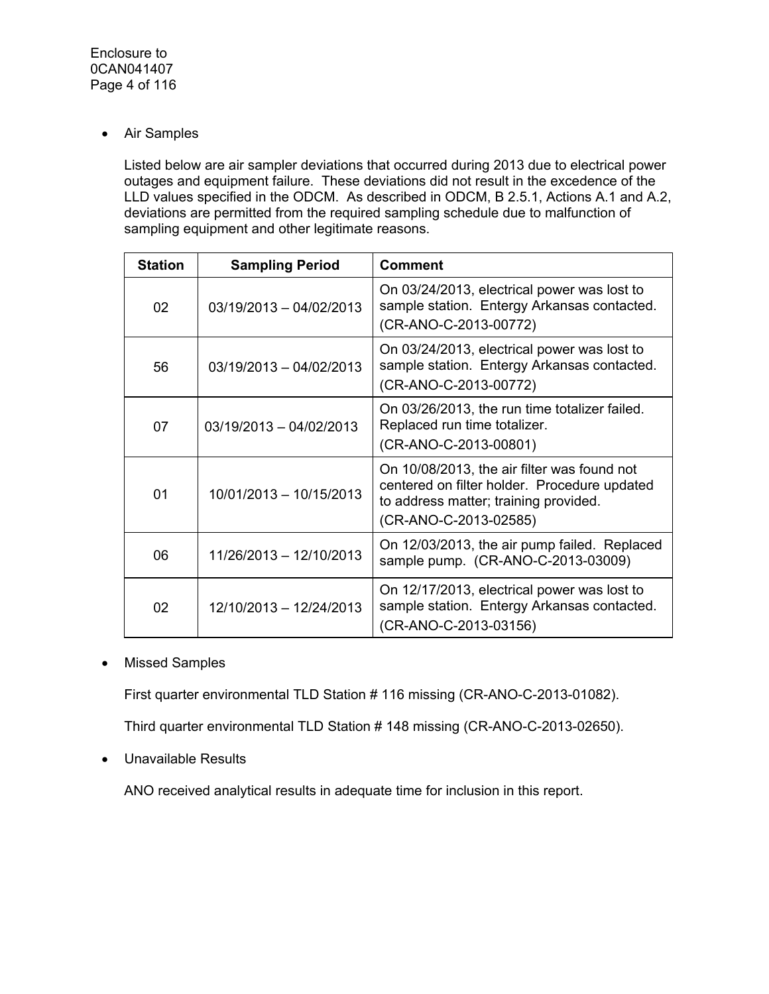Air Samples

Listed below are air sampler deviations that occurred during 2013 due to electrical power outages and equipment failure. These deviations did not result in the excedence of the LLD values specified in the ODCM. As described in ODCM, B 2.5.1, Actions A.1 and A.2, deviations are permitted from the required sampling schedule due to malfunction of sampling equipment and other legitimate reasons.

| <b>Station</b> | <b>Sampling Period</b>    | <b>Comment</b>                                                                                                                                                |
|----------------|---------------------------|---------------------------------------------------------------------------------------------------------------------------------------------------------------|
| 02             | 03/19/2013 - 04/02/2013   | On 03/24/2013, electrical power was lost to<br>sample station. Entergy Arkansas contacted.<br>(CR-ANO-C-2013-00772)                                           |
| 56             | 03/19/2013 - 04/02/2013   | On 03/24/2013, electrical power was lost to<br>sample station. Entergy Arkansas contacted.<br>(CR-ANO-C-2013-00772)                                           |
| 07             | $03/19/2013 - 04/02/2013$ | On 03/26/2013, the run time totalizer failed.<br>Replaced run time totalizer.<br>(CR-ANO-C-2013-00801)                                                        |
| 01             | 10/01/2013 - 10/15/2013   | On 10/08/2013, the air filter was found not<br>centered on filter holder. Procedure updated<br>to address matter; training provided.<br>(CR-ANO-C-2013-02585) |
| 06             | 11/26/2013 - 12/10/2013   | On 12/03/2013, the air pump failed. Replaced<br>sample pump. (CR-ANO-C-2013-03009)                                                                            |
| 02             | 12/10/2013 - 12/24/2013   | On 12/17/2013, electrical power was lost to<br>sample station. Entergy Arkansas contacted.<br>(CR-ANO-C-2013-03156)                                           |

• Missed Samples

First quarter environmental TLD Station # 116 missing (CR-ANO-C-2013-01082).

Third quarter environmental TLD Station # 148 missing (CR-ANO-C-2013-02650).

Unavailable Results

ANO received analytical results in adequate time for inclusion in this report.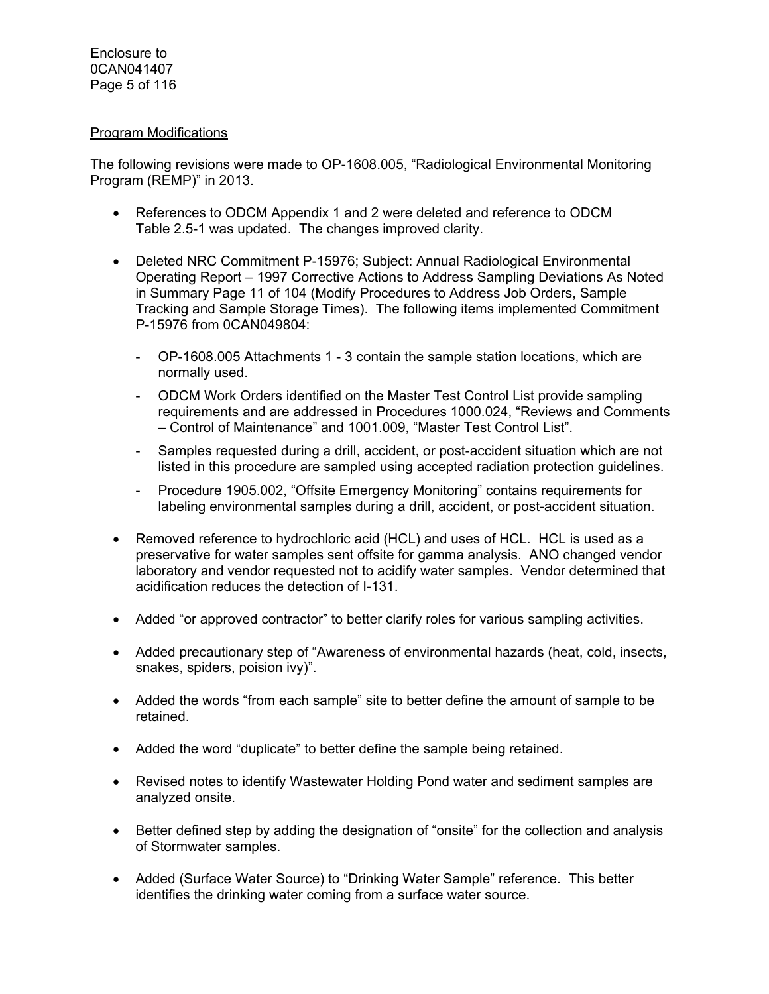#### Program Modifications

The following revisions were made to OP-1608.005, "Radiological Environmental Monitoring Program (REMP)" in 2013.

- References to ODCM Appendix 1 and 2 were deleted and reference to ODCM Table 2.5-1 was updated. The changes improved clarity.
- Deleted NRC Commitment P-15976; Subject: Annual Radiological Environmental Operating Report – 1997 Corrective Actions to Address Sampling Deviations As Noted in Summary Page 11 of 104 (Modify Procedures to Address Job Orders, Sample Tracking and Sample Storage Times). The following items implemented Commitment P-15976 from 0CAN049804:
	- OP-1608.005 Attachments 1 3 contain the sample station locations, which are normally used.
	- ODCM Work Orders identified on the Master Test Control List provide sampling requirements and are addressed in Procedures 1000.024, "Reviews and Comments – Control of Maintenance" and 1001.009, "Master Test Control List".
	- Samples requested during a drill, accident, or post-accident situation which are not listed in this procedure are sampled using accepted radiation protection guidelines.
	- Procedure 1905.002, "Offsite Emergency Monitoring" contains requirements for labeling environmental samples during a drill, accident, or post-accident situation.
- Removed reference to hydrochloric acid (HCL) and uses of HCL. HCL is used as a preservative for water samples sent offsite for gamma analysis. ANO changed vendor laboratory and vendor requested not to acidify water samples. Vendor determined that acidification reduces the detection of I-131.
- Added "or approved contractor" to better clarify roles for various sampling activities.
- Added precautionary step of "Awareness of environmental hazards (heat, cold, insects, snakes, spiders, poision ivy)".
- Added the words "from each sample" site to better define the amount of sample to be retained.
- Added the word "duplicate" to better define the sample being retained.
- Revised notes to identify Wastewater Holding Pond water and sediment samples are analyzed onsite.
- Better defined step by adding the designation of "onsite" for the collection and analysis of Stormwater samples.
- Added (Surface Water Source) to "Drinking Water Sample" reference. This better identifies the drinking water coming from a surface water source.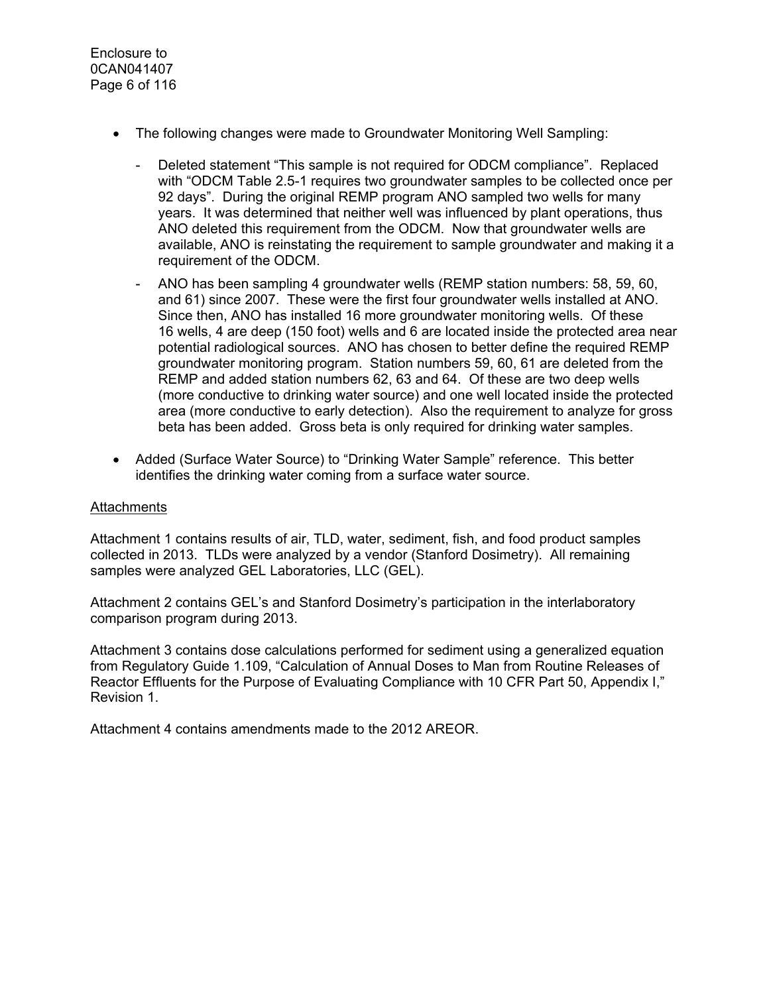- The following changes were made to Groundwater Monitoring Well Sampling:
	- Deleted statement "This sample is not required for ODCM compliance". Replaced with "ODCM Table 2.5-1 requires two groundwater samples to be collected once per 92 days". During the original REMP program ANO sampled two wells for many years. It was determined that neither well was influenced by plant operations, thus ANO deleted this requirement from the ODCM. Now that groundwater wells are available, ANO is reinstating the requirement to sample groundwater and making it a requirement of the ODCM.
	- ANO has been sampling 4 groundwater wells (REMP station numbers: 58, 59, 60, and 61) since 2007. These were the first four groundwater wells installed at ANO. Since then, ANO has installed 16 more groundwater monitoring wells. Of these 16 wells, 4 are deep (150 foot) wells and 6 are located inside the protected area near potential radiological sources. ANO has chosen to better define the required REMP groundwater monitoring program. Station numbers 59, 60, 61 are deleted from the REMP and added station numbers 62, 63 and 64. Of these are two deep wells (more conductive to drinking water source) and one well located inside the protected area (more conductive to early detection). Also the requirement to analyze for gross beta has been added. Gross beta is only required for drinking water samples.
- Added (Surface Water Source) to "Drinking Water Sample" reference. This better identifies the drinking water coming from a surface water source.

#### **Attachments**

Attachment 1 contains results of air, TLD, water, sediment, fish, and food product samples collected in 2013. TLDs were analyzed by a vendor (Stanford Dosimetry). All remaining samples were analyzed GEL Laboratories, LLC (GEL).

Attachment 2 contains GEL's and Stanford Dosimetry's participation in the interlaboratory comparison program during 2013.

Attachment 3 contains dose calculations performed for sediment using a generalized equation from Regulatory Guide 1.109, "Calculation of Annual Doses to Man from Routine Releases of Reactor Effluents for the Purpose of Evaluating Compliance with 10 CFR Part 50, Appendix I," Revision 1.

Attachment 4 contains amendments made to the 2012 AREOR.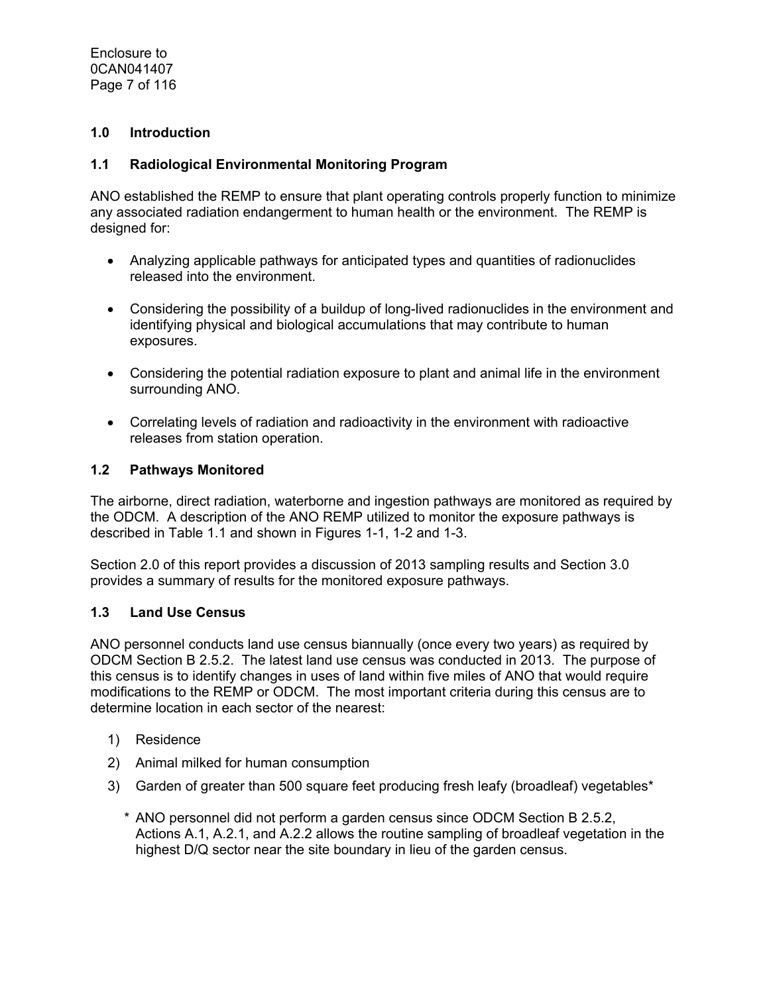Enclosure to 0CAN041407 Page 7 of 116

## **1.0 Introduction**

#### **1.1 Radiological Environmental Monitoring Program**

ANO established the REMP to ensure that plant operating controls properly function to minimize any associated radiation endangerment to human health or the environment. The REMP is designed for:

- Analyzing applicable pathways for anticipated types and quantities of radionuclides released into the environment.
- Considering the possibility of a buildup of long-lived radionuclides in the environment and identifying physical and biological accumulations that may contribute to human exposures.
- Considering the potential radiation exposure to plant and animal life in the environment surrounding ANO.
- Correlating levels of radiation and radioactivity in the environment with radioactive releases from station operation.

#### **1.2 Pathways Monitored**

The airborne, direct radiation, waterborne and ingestion pathways are monitored as required by the ODCM. A description of the ANO REMP utilized to monitor the exposure pathways is described in Table 1.1 and shown in Figures 1-1, 1-2 and 1-3.

Section 2.0 of this report provides a discussion of 2013 sampling results and Section 3.0 provides a summary of results for the monitored exposure pathways.

#### **1.3 Land Use Census**

ANO personnel conducts land use census biannually (once every two years) as required by ODCM Section B 2.5.2. The latest land use census was conducted in 2013. The purpose of this census is to identify changes in uses of land within five miles of ANO that would require modifications to the REMP or ODCM. The most important criteria during this census are to determine location in each sector of the nearest:

- 1) Residence
- 2) Animal milked for human consumption
- 3) Garden of greater than 500 square feet producing fresh leafy (broadleaf) vegetables\*
	- \* ANO personnel did not perform a garden census since ODCM Section B 2.5.2, Actions A.1, A.2.1, and A.2.2 allows the routine sampling of broadleaf vegetation in the highest D/Q sector near the site boundary in lieu of the garden census.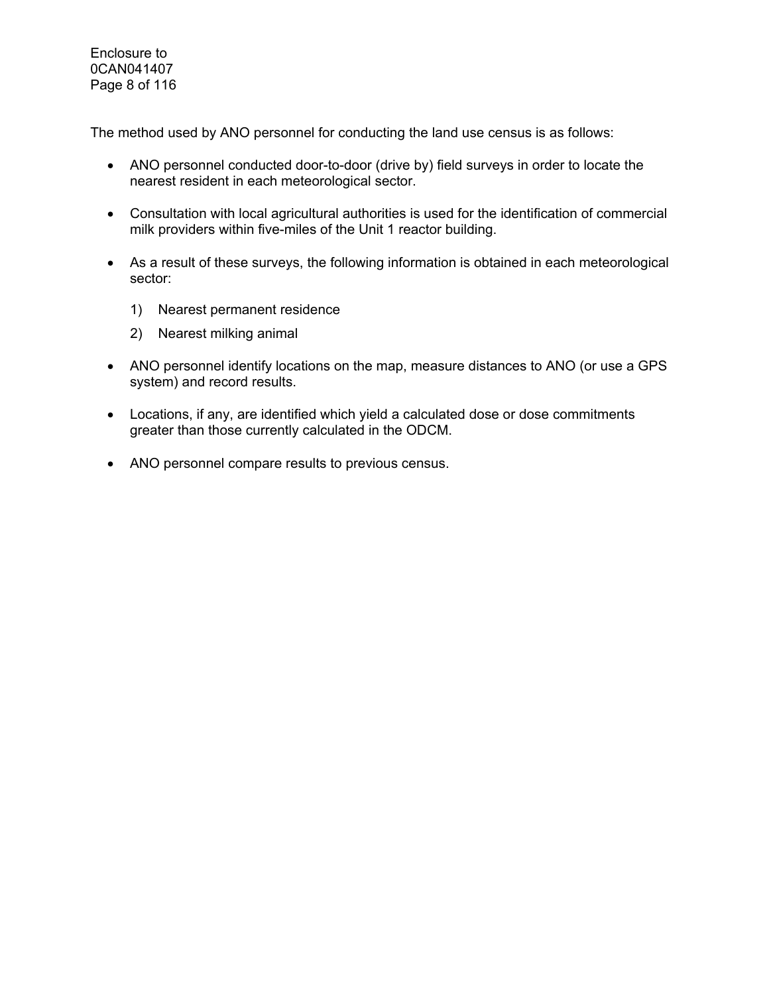Enclosure to 0CAN041407 Page 8 of 116

The method used by ANO personnel for conducting the land use census is as follows:

- ANO personnel conducted door-to-door (drive by) field surveys in order to locate the nearest resident in each meteorological sector.
- Consultation with local agricultural authorities is used for the identification of commercial milk providers within five-miles of the Unit 1 reactor building.
- As a result of these surveys, the following information is obtained in each meteorological sector:
	- 1) Nearest permanent residence
	- 2) Nearest milking animal
- ANO personnel identify locations on the map, measure distances to ANO (or use a GPS system) and record results.
- Locations, if any, are identified which yield a calculated dose or dose commitments greater than those currently calculated in the ODCM.
- ANO personnel compare results to previous census.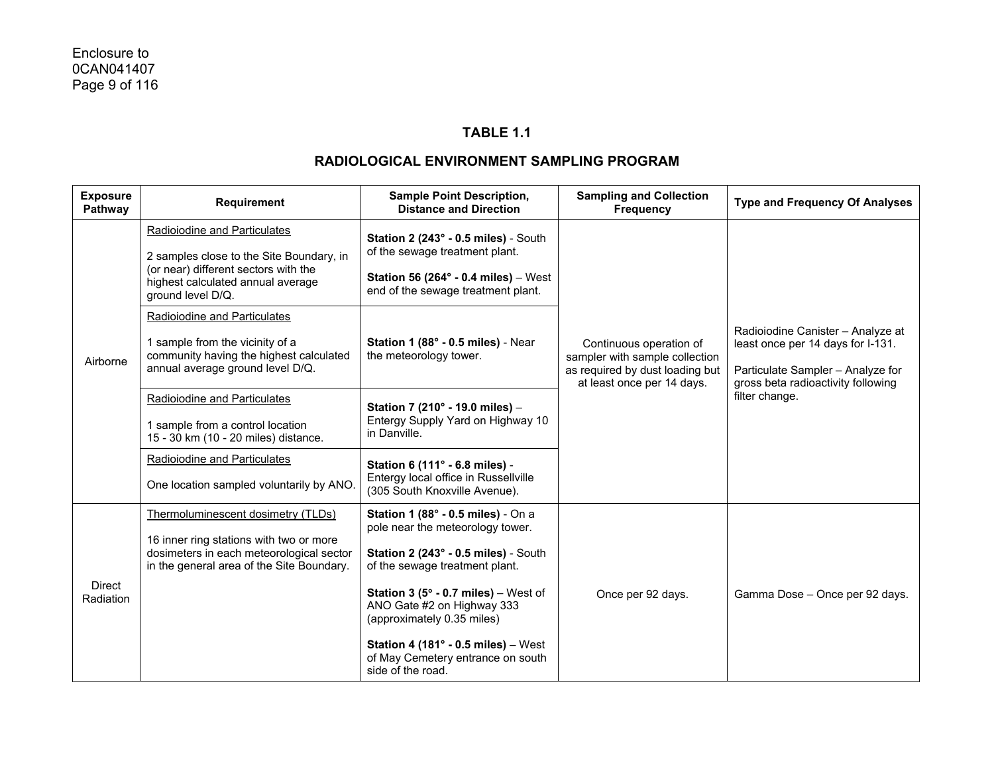## **TABLE 1.1**

| <b>Exposure</b><br>Pathway | Requirement                                                                                                                                                            | <b>Sample Point Description,</b><br><b>Distance and Direction</b>                                                                                                                                                                                                                                                                                                                          | <b>Sampling and Collection</b><br><b>Frequency</b>                                                                         | <b>Type and Frequency Of Analyses</b>                                                                                                                               |  |
|----------------------------|------------------------------------------------------------------------------------------------------------------------------------------------------------------------|--------------------------------------------------------------------------------------------------------------------------------------------------------------------------------------------------------------------------------------------------------------------------------------------------------------------------------------------------------------------------------------------|----------------------------------------------------------------------------------------------------------------------------|---------------------------------------------------------------------------------------------------------------------------------------------------------------------|--|
| Airborne                   | Radioiodine and Particulates<br>2 samples close to the Site Boundary, in<br>(or near) different sectors with the<br>highest calculated annual average                  | Station 2 (243° - 0.5 miles) - South<br>of the sewage treatment plant.<br>Station 56 (264 $\degree$ - 0.4 miles) – West                                                                                                                                                                                                                                                                    |                                                                                                                            |                                                                                                                                                                     |  |
|                            | ground level D/Q.<br>Radioiodine and Particulates<br>1 sample from the vicinity of a<br>community having the highest calculated<br>annual average ground level D/Q.    | end of the sewage treatment plant.<br>Station 1 (88° - 0.5 miles) - Near<br>the meteorology tower.                                                                                                                                                                                                                                                                                         | Continuous operation of<br>sampler with sample collection<br>as required by dust loading but<br>at least once per 14 days. | Radioiodine Canister - Analyze at<br>least once per 14 days for I-131.<br>Particulate Sampler - Analyze for<br>gross beta radioactivity following<br>filter change. |  |
|                            | Radioiodine and Particulates<br>1 sample from a control location<br>15 - 30 km (10 - 20 miles) distance.                                                               | Station 7 (210° - 19.0 miles) -<br>Entergy Supply Yard on Highway 10<br>in Danville.                                                                                                                                                                                                                                                                                                       |                                                                                                                            |                                                                                                                                                                     |  |
|                            | <b>Radioiodine and Particulates</b><br>One location sampled voluntarily by ANO.                                                                                        | Station 6 (111° - 6.8 miles) -<br>Entergy local office in Russellville<br>(305 South Knoxville Avenue).                                                                                                                                                                                                                                                                                    |                                                                                                                            |                                                                                                                                                                     |  |
| <b>Direct</b><br>Radiation | Thermoluminescent dosimetry (TLDs)<br>16 inner ring stations with two or more<br>dosimeters in each meteorological sector<br>in the general area of the Site Boundary. | Station 1 (88° - 0.5 miles) - On a<br>pole near the meteorology tower.<br>Station 2 (243° - 0.5 miles) - South<br>of the sewage treatment plant.<br><b>Station 3 (5<math>^{\circ}</math> - 0.7 miles)</b> – West of<br>ANO Gate #2 on Highway 333<br>(approximately 0.35 miles)<br>Station 4 (181 $^{\circ}$ - 0.5 miles) - West<br>of May Cemetery entrance on south<br>side of the road. | Once per 92 days.                                                                                                          | Gamma Dose - Once per 92 days.                                                                                                                                      |  |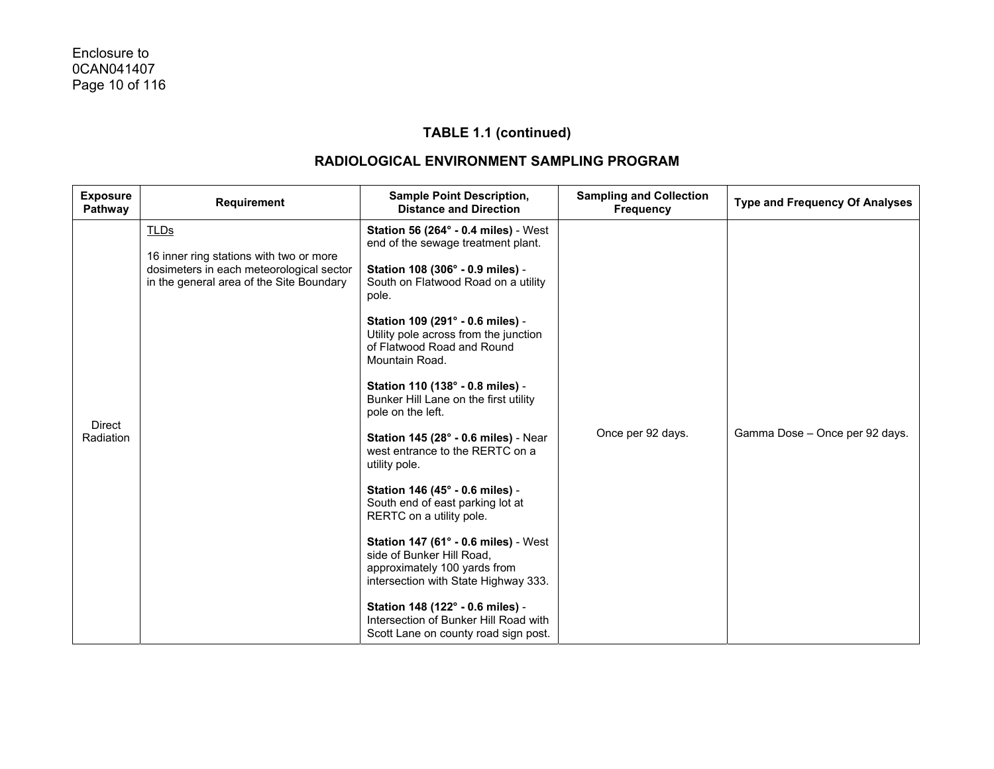| <b>Exposure</b><br>Pathway | <b>Requirement</b>                                                                                                                             | <b>Sample Point Description,</b><br><b>Distance and Direction</b>                                                                                                                                                                                                                                                                                                                                                                                                                                                                                                                                                                                                                                                                                                                                                                                                            | <b>Sampling and Collection</b><br><b>Frequency</b> | <b>Type and Frequency Of Analyses</b> |
|----------------------------|------------------------------------------------------------------------------------------------------------------------------------------------|------------------------------------------------------------------------------------------------------------------------------------------------------------------------------------------------------------------------------------------------------------------------------------------------------------------------------------------------------------------------------------------------------------------------------------------------------------------------------------------------------------------------------------------------------------------------------------------------------------------------------------------------------------------------------------------------------------------------------------------------------------------------------------------------------------------------------------------------------------------------------|----------------------------------------------------|---------------------------------------|
| <b>Direct</b><br>Radiation | <b>TLDs</b><br>16 inner ring stations with two or more<br>dosimeters in each meteorological sector<br>in the general area of the Site Boundary | <b>Station 56 (264° - 0.4 miles)</b> - West<br>end of the sewage treatment plant.<br>Station 108 (306° - 0.9 miles) -<br>South on Flatwood Road on a utility<br>pole.<br>Station 109 (291° - 0.6 miles) -<br>Utility pole across from the junction<br>of Flatwood Road and Round<br>Mountain Road.<br>Station 110 (138° - 0.8 miles) -<br>Bunker Hill Lane on the first utility<br>pole on the left.<br><b>Station 145 (28° - 0.6 miles) - Near</b><br>west entrance to the RERTC on a<br>utility pole.<br>Station 146 (45° - 0.6 miles) -<br>South end of east parking lot at<br>RERTC on a utility pole.<br>Station 147 (61° - 0.6 miles) - West<br>side of Bunker Hill Road,<br>approximately 100 yards from<br>intersection with State Highway 333.<br>Station 148 (122° - 0.6 miles) -<br>Intersection of Bunker Hill Road with<br>Scott Lane on county road sign post. | Once per 92 days.                                  | Gamma Dose - Once per 92 days.        |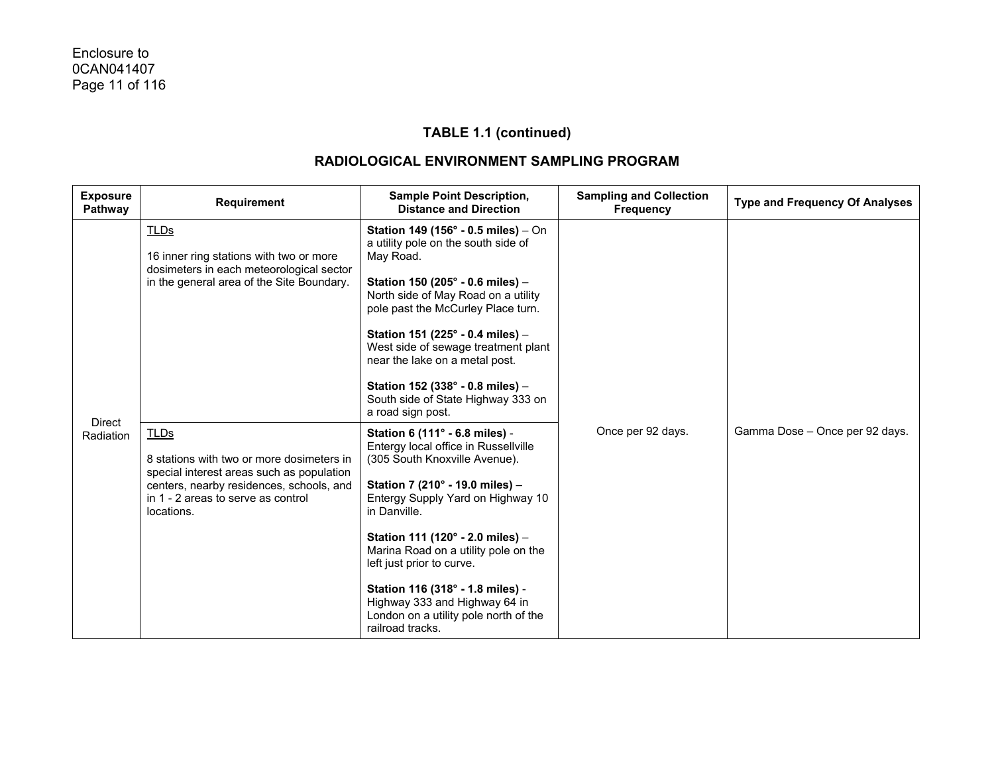| <b>Exposure</b><br>Pathway | <b>Requirement</b>                                                                                                                                                                                    | <b>Sample Point Description,</b><br><b>Distance and Direction</b>                                                                                                                                                                                                                                                                                                                                                                          | <b>Sampling and Collection</b><br><b>Frequency</b> | <b>Type and Frequency Of Analyses</b> |
|----------------------------|-------------------------------------------------------------------------------------------------------------------------------------------------------------------------------------------------------|--------------------------------------------------------------------------------------------------------------------------------------------------------------------------------------------------------------------------------------------------------------------------------------------------------------------------------------------------------------------------------------------------------------------------------------------|----------------------------------------------------|---------------------------------------|
|                            | <b>TLDs</b><br>16 inner ring stations with two or more<br>dosimeters in each meteorological sector<br>in the general area of the Site Boundary.                                                       | Station 149 (156° - 0.5 miles) - On<br>a utility pole on the south side of<br>May Road.<br>Station 150 (205° - 0.6 miles) -<br>North side of May Road on a utility<br>pole past the McCurley Place turn.<br>Station 151 (225° - 0.4 miles) -<br>West side of sewage treatment plant<br>near the lake on a metal post.<br>Station 152 (338° - 0.8 miles) -<br>South side of State Highway 333 on<br>a road sign post.                       |                                                    |                                       |
| <b>Direct</b><br>Radiation | <b>TLDs</b><br>8 stations with two or more dosimeters in<br>special interest areas such as population<br>centers, nearby residences, schools, and<br>in 1 - 2 areas to serve as control<br>locations. | Station 6 (111° - 6.8 miles) -<br>Entergy local office in Russellville<br>(305 South Knoxville Avenue).<br>Station 7 (210° - 19.0 miles) -<br>Entergy Supply Yard on Highway 10<br>in Danville.<br>Station 111 (120° - 2.0 miles) -<br>Marina Road on a utility pole on the<br>left just prior to curve.<br>Station 116 (318° - 1.8 miles) -<br>Highway 333 and Highway 64 in<br>London on a utility pole north of the<br>railroad tracks. | Once per 92 days.                                  | Gamma Dose - Once per 92 days.        |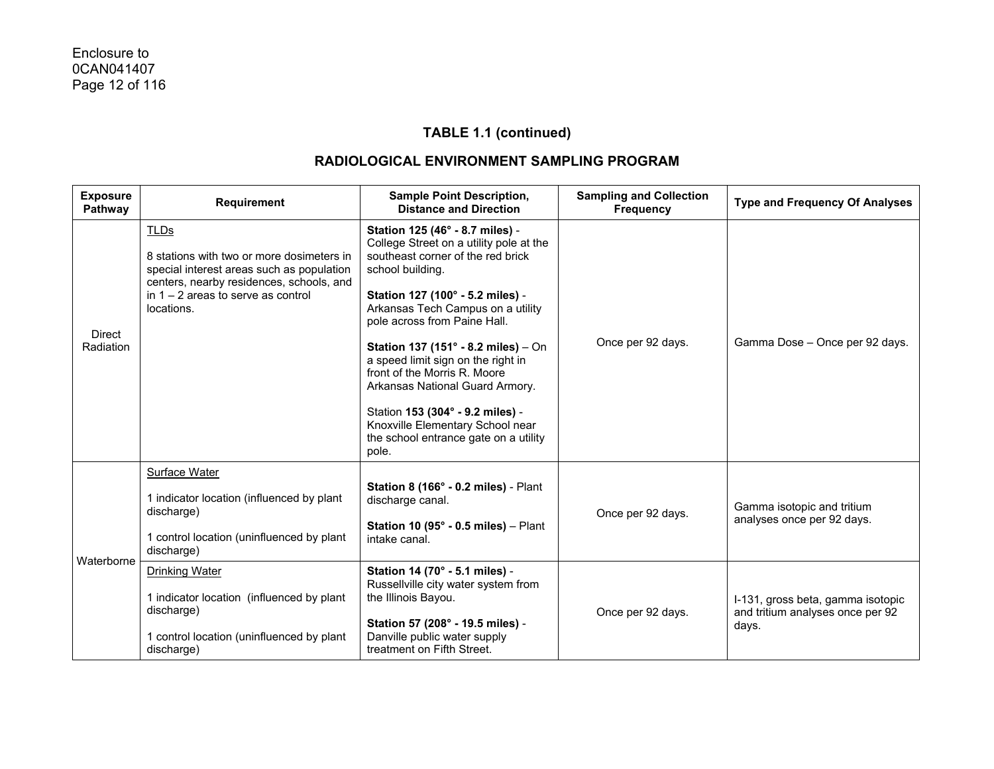| <b>Exposure</b><br>Pathway | Requirement                                                                                                                                                                                             | <b>Sample Point Description,</b><br><b>Distance and Direction</b>                                                                                                                                                                                                                                                                                                                                                                                                                                                      | <b>Sampling and Collection</b><br><b>Frequency</b> | <b>Type and Frequency Of Analyses</b>                                          |
|----------------------------|---------------------------------------------------------------------------------------------------------------------------------------------------------------------------------------------------------|------------------------------------------------------------------------------------------------------------------------------------------------------------------------------------------------------------------------------------------------------------------------------------------------------------------------------------------------------------------------------------------------------------------------------------------------------------------------------------------------------------------------|----------------------------------------------------|--------------------------------------------------------------------------------|
| Direct<br>Radiation        | <b>TLDs</b><br>8 stations with two or more dosimeters in<br>special interest areas such as population<br>centers, nearby residences, schools, and<br>in $1 - 2$ areas to serve as control<br>locations. | Station 125 (46° - 8.7 miles) -<br>College Street on a utility pole at the<br>southeast corner of the red brick<br>school building.<br>Station 127 (100° - 5.2 miles) -<br>Arkansas Tech Campus on a utility<br>pole across from Paine Hall.<br>Station 137 (151° - 8.2 miles) - On<br>a speed limit sign on the right in<br>front of the Morris R. Moore<br>Arkansas National Guard Armory.<br>Station 153 (304° - 9.2 miles) -<br>Knoxville Elementary School near<br>the school entrance gate on a utility<br>pole. | Once per 92 days.                                  | Gamma Dose - Once per 92 days.                                                 |
| Waterborne                 | <b>Surface Water</b><br>1 indicator location (influenced by plant<br>discharge)<br>1 control location (uninfluenced by plant<br>discharge)                                                              | Station 8 (166° - 0.2 miles) - Plant<br>discharge canal.<br>Station 10 (95 $^{\circ}$ - 0.5 miles) - Plant<br>intake canal.                                                                                                                                                                                                                                                                                                                                                                                            | Once per 92 days.                                  | Gamma isotopic and tritium<br>analyses once per 92 days.                       |
|                            | <b>Drinking Water</b><br>1 indicator location (influenced by plant<br>discharge)<br>1 control location (uninfluenced by plant<br>discharge)                                                             | Station 14 (70° - 5.1 miles) -<br>Russellville city water system from<br>the Illinois Bayou.<br>Station 57 (208° - 19.5 miles) -<br>Danville public water supply<br>treatment on Fifth Street.                                                                                                                                                                                                                                                                                                                         | Once per 92 days.                                  | I-131, gross beta, gamma isotopic<br>and tritium analyses once per 92<br>days. |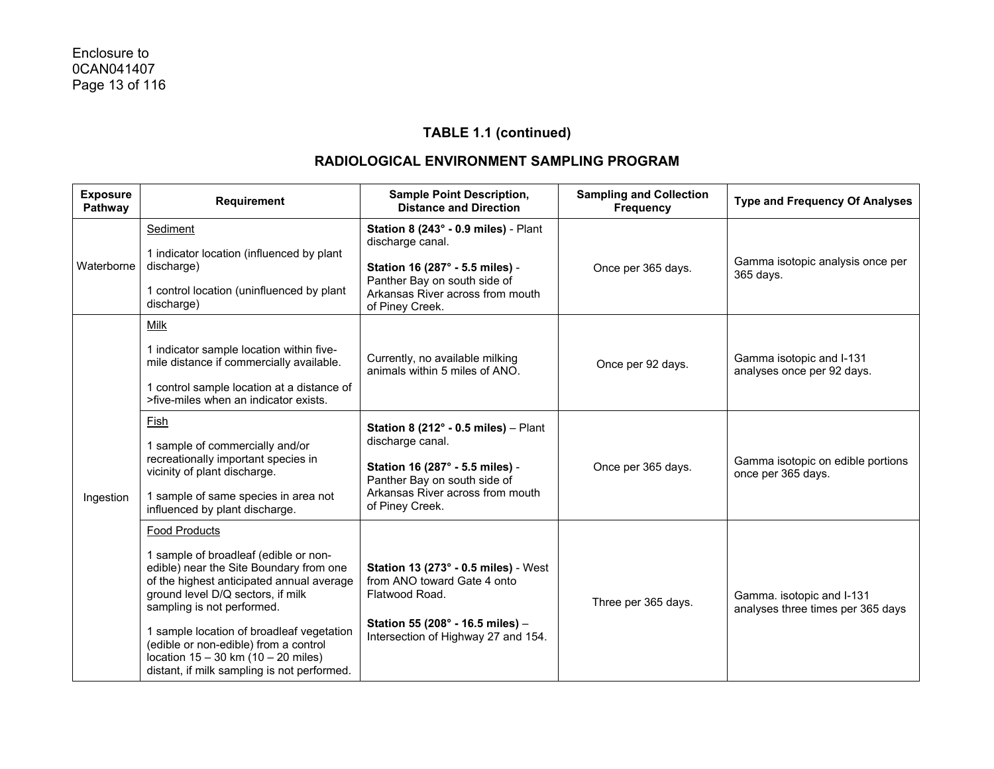| <b>Exposure</b><br>Pathway | <b>Requirement</b>                                                                                                                                                                                                                                                                                                                                                                                       | <b>Sample Point Description,</b><br><b>Distance and Direction</b>                                                                                                                            | <b>Sampling and Collection</b><br><b>Frequency</b> | <b>Type and Frequency Of Analyses</b>                          |
|----------------------------|----------------------------------------------------------------------------------------------------------------------------------------------------------------------------------------------------------------------------------------------------------------------------------------------------------------------------------------------------------------------------------------------------------|----------------------------------------------------------------------------------------------------------------------------------------------------------------------------------------------|----------------------------------------------------|----------------------------------------------------------------|
| Waterborne                 | Sediment<br>1 indicator location (influenced by plant<br>discharge)<br>1 control location (uninfluenced by plant<br>discharge)                                                                                                                                                                                                                                                                           | Station 8 (243° - 0.9 miles) - Plant<br>discharge canal.<br>Station 16 (287° - 5.5 miles) -<br>Panther Bay on south side of<br>Arkansas River across from mouth<br>of Piney Creek.           | Once per 365 days.                                 | Gamma isotopic analysis once per<br>365 days.                  |
| Ingestion                  | Milk<br>1 indicator sample location within five-<br>mile distance if commercially available.<br>1 control sample location at a distance of<br>>five-miles when an indicator exists.                                                                                                                                                                                                                      | Currently, no available milking<br>animals within 5 miles of ANO.                                                                                                                            | Once per 92 days.                                  | Gamma isotopic and I-131<br>analyses once per 92 days.         |
|                            | Fish<br>1 sample of commercially and/or<br>recreationally important species in<br>vicinity of plant discharge.<br>1 sample of same species in area not<br>influenced by plant discharge.                                                                                                                                                                                                                 | Station 8 (212 $^{\circ}$ - 0.5 miles) - Plant<br>discharge canal.<br>Station 16 (287° - 5.5 miles) -<br>Panther Bay on south side of<br>Arkansas River across from mouth<br>of Piney Creek. | Once per 365 days.                                 | Gamma isotopic on edible portions<br>once per 365 days.        |
|                            | <b>Food Products</b><br>1 sample of broadleaf (edible or non-<br>edible) near the Site Boundary from one<br>of the highest anticipated annual average<br>ground level D/Q sectors, if milk<br>sampling is not performed.<br>1 sample location of broadleaf vegetation<br>(edible or non-edible) from a control<br>location $15 - 30$ km $(10 - 20$ miles)<br>distant, if milk sampling is not performed. | Station 13 (273° - 0.5 miles) - West<br>from ANO toward Gate 4 onto<br>Flatwood Road.<br>Station 55 (208° - 16.5 miles) -<br>Intersection of Highway 27 and 154.                             | Three per 365 days.                                | Gamma. isotopic and I-131<br>analyses three times per 365 days |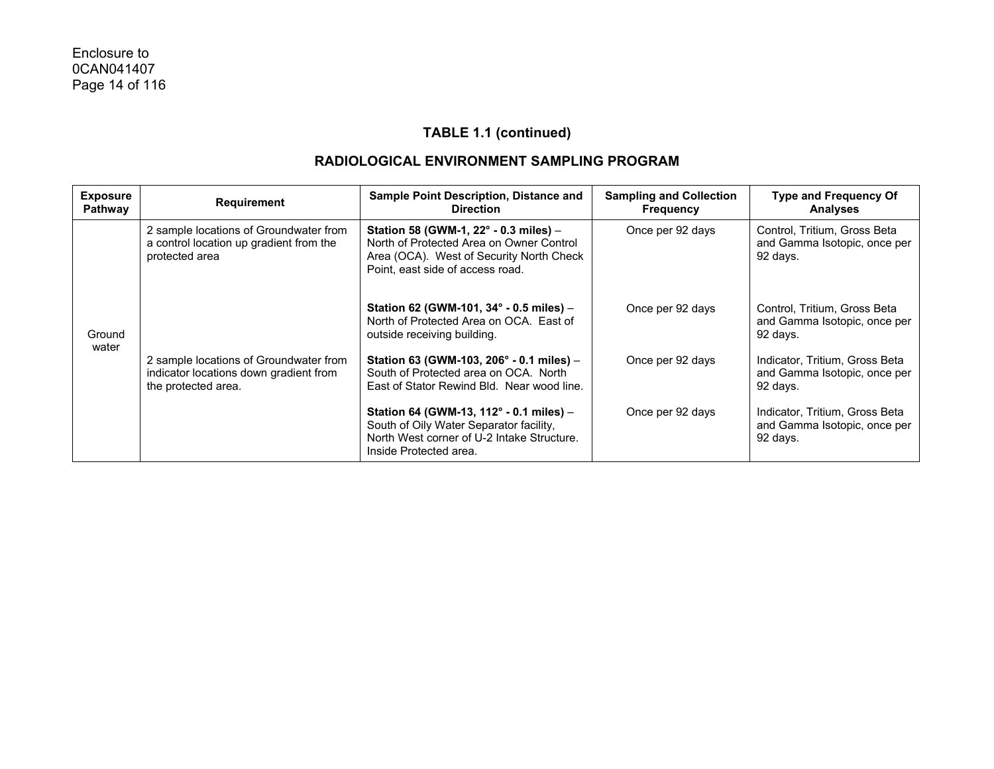| <b>Exposure</b><br>Pathway | <b>Requirement</b>                                                                                      | <b>Sample Point Description, Distance and</b><br><b>Direction</b>                                                                                                          | <b>Sampling and Collection</b><br><b>Frequency</b> | <b>Type and Frequency Of</b><br><b>Analyses</b>                            |
|----------------------------|---------------------------------------------------------------------------------------------------------|----------------------------------------------------------------------------------------------------------------------------------------------------------------------------|----------------------------------------------------|----------------------------------------------------------------------------|
| Ground<br>water            | 2 sample locations of Groundwater from<br>a control location up gradient from the<br>protected area     | Station 58 (GWM-1, $22^{\circ}$ - 0.3 miles) –<br>North of Protected Area on Owner Control<br>Area (OCA). West of Security North Check<br>Point, east side of access road. | Once per 92 days                                   | Control, Tritium, Gross Beta<br>and Gamma Isotopic, once per<br>92 days.   |
|                            |                                                                                                         | Station 62 (GWM-101, 34° - 0.5 miles) -<br>North of Protected Area on OCA. East of<br>outside receiving building.                                                          | Once per 92 days                                   | Control, Tritium, Gross Beta<br>and Gamma Isotopic, once per<br>92 days.   |
|                            | 2 sample locations of Groundwater from<br>indicator locations down gradient from<br>the protected area. | Station 63 (GWM-103, 206 $^{\circ}$ - 0.1 miles) -<br>South of Protected area on OCA. North<br>East of Stator Rewind Bld. Near wood line.                                  | Once per 92 days                                   | Indicator, Tritium, Gross Beta<br>and Gamma Isotopic, once per<br>92 days. |
|                            |                                                                                                         | Station 64 (GWM-13, 112° - 0.1 miles) -<br>South of Oily Water Separator facility,<br>North West corner of U-2 Intake Structure.<br>Inside Protected area.                 | Once per 92 days                                   | Indicator, Tritium, Gross Beta<br>and Gamma Isotopic, once per<br>92 days. |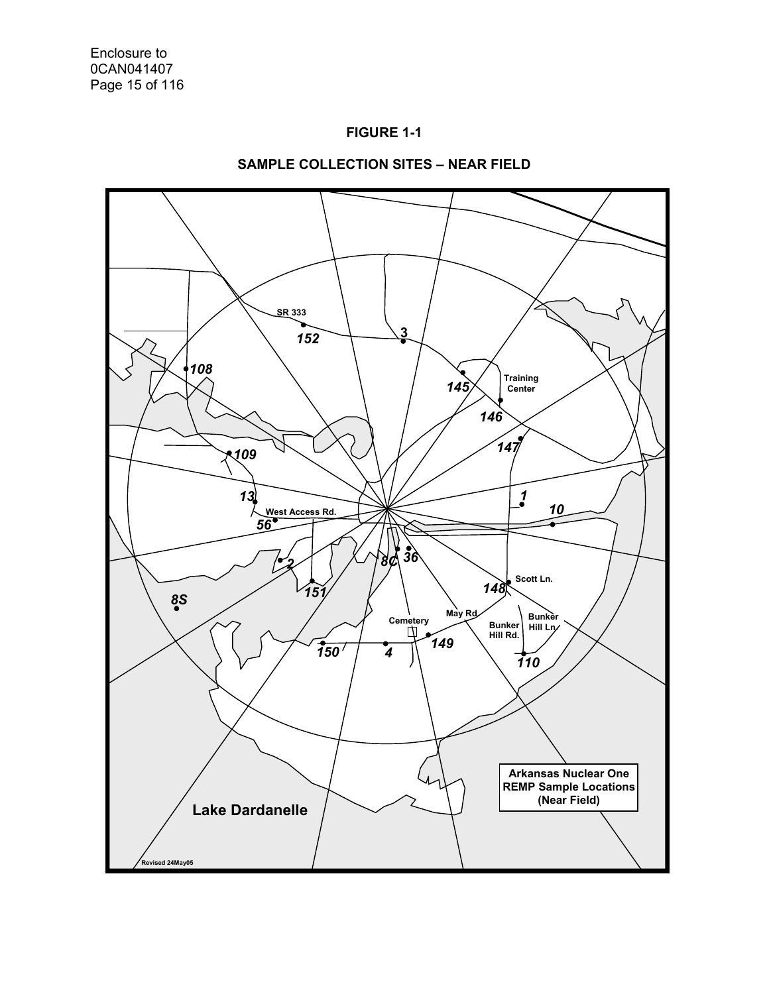



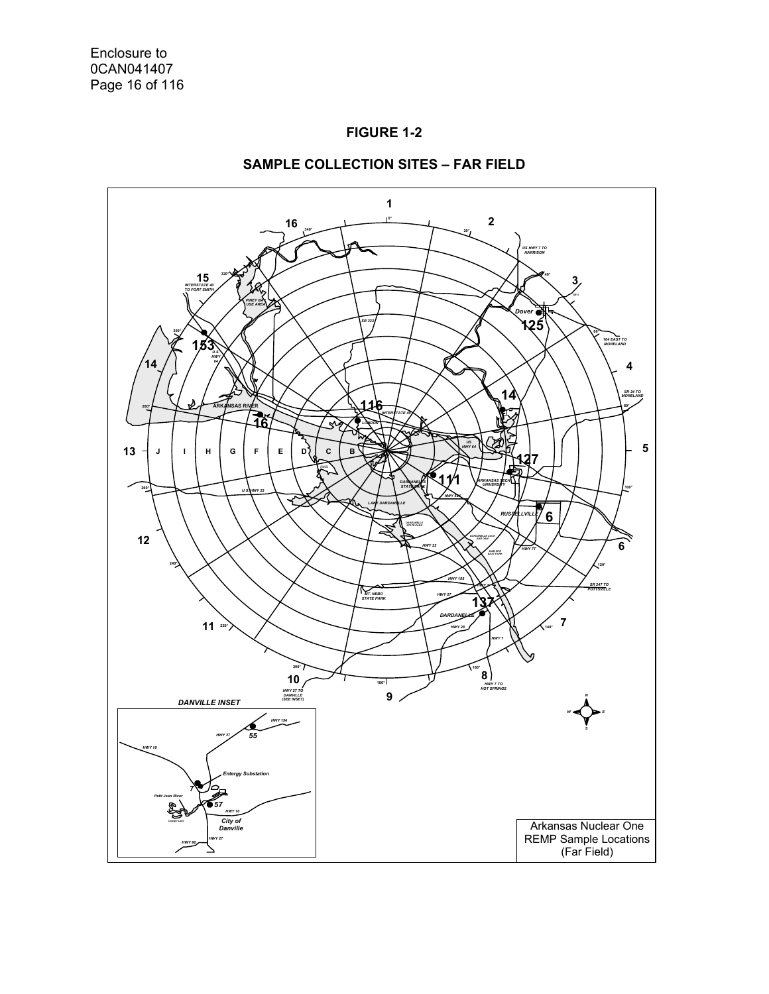



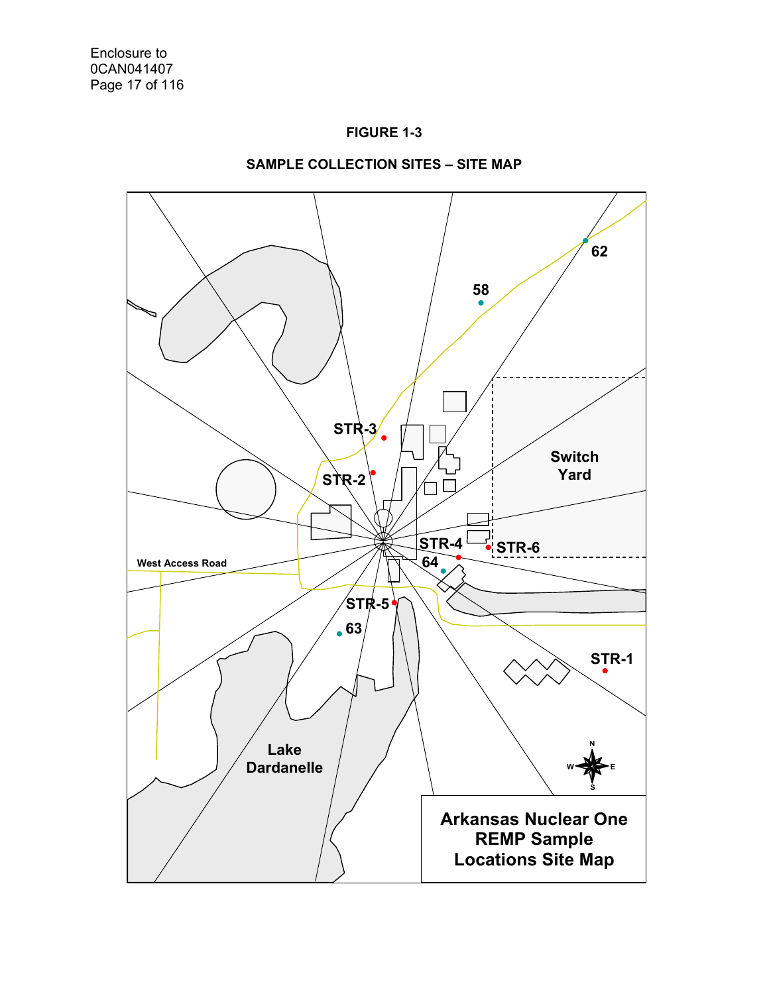



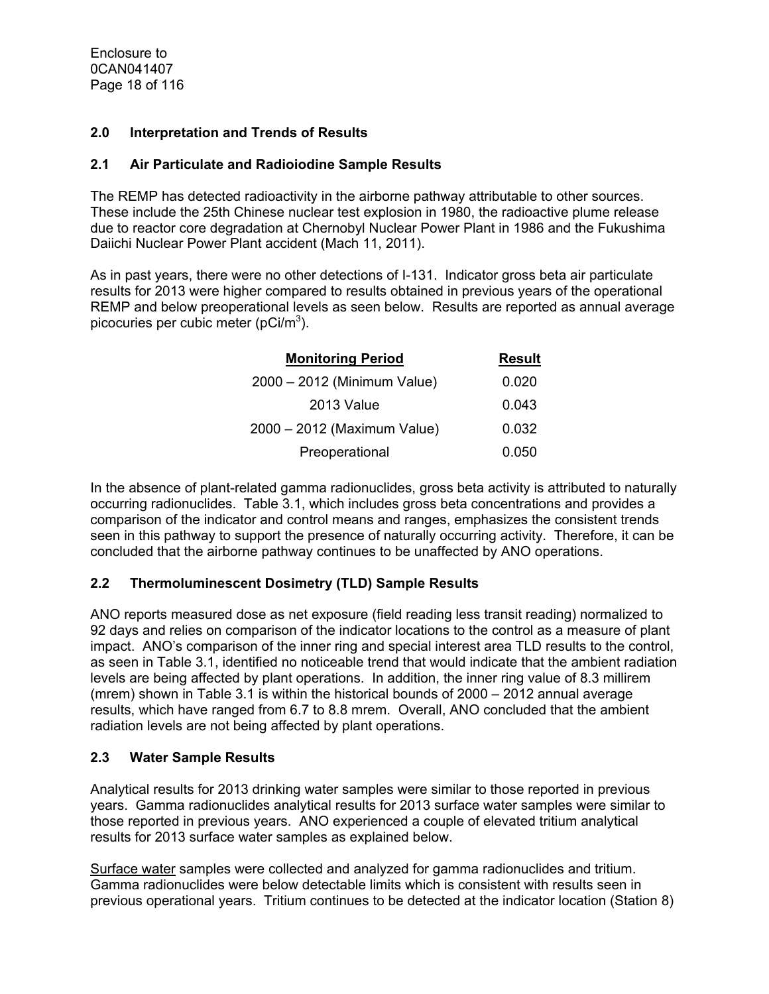Enclosure to 0CAN041407 Page 18 of 116

## **2.0 Interpretation and Trends of Results**

#### **2.1 Air Particulate and Radioiodine Sample Results**

The REMP has detected radioactivity in the airborne pathway attributable to other sources. These include the 25th Chinese nuclear test explosion in 1980, the radioactive plume release due to reactor core degradation at Chernobyl Nuclear Power Plant in 1986 and the Fukushima Daiichi Nuclear Power Plant accident (Mach 11, 2011).

As in past years, there were no other detections of I-131. Indicator gross beta air particulate results for 2013 were higher compared to results obtained in previous years of the operational REMP and below preoperational levels as seen below. Results are reported as annual average picocuries per cubic meter (pCi/m<sup>3</sup>).

| <b>Monitoring Period</b>    | <b>Result</b> |
|-----------------------------|---------------|
| 2000 - 2012 (Minimum Value) | 0.020         |
| 2013 Value                  | 0.043         |
| 2000 - 2012 (Maximum Value) | 0.032         |
| Preoperational              | 0.050         |

In the absence of plant-related gamma radionuclides, gross beta activity is attributed to naturally occurring radionuclides. Table 3.1, which includes gross beta concentrations and provides a comparison of the indicator and control means and ranges, emphasizes the consistent trends seen in this pathway to support the presence of naturally occurring activity. Therefore, it can be concluded that the airborne pathway continues to be unaffected by ANO operations.

## **2.2 Thermoluminescent Dosimetry (TLD) Sample Results**

ANO reports measured dose as net exposure (field reading less transit reading) normalized to 92 days and relies on comparison of the indicator locations to the control as a measure of plant impact. ANO's comparison of the inner ring and special interest area TLD results to the control, as seen in Table 3.1, identified no noticeable trend that would indicate that the ambient radiation levels are being affected by plant operations. In addition, the inner ring value of 8.3 millirem (mrem) shown in Table 3.1 is within the historical bounds of 2000 – 2012 annual average results, which have ranged from 6.7 to 8.8 mrem. Overall, ANO concluded that the ambient radiation levels are not being affected by plant operations.

#### **2.3 Water Sample Results**

Analytical results for 2013 drinking water samples were similar to those reported in previous years. Gamma radionuclides analytical results for 2013 surface water samples were similar to those reported in previous years. ANO experienced a couple of elevated tritium analytical results for 2013 surface water samples as explained below.

Surface water samples were collected and analyzed for gamma radionuclides and tritium. Gamma radionuclides were below detectable limits which is consistent with results seen in previous operational years. Tritium continues to be detected at the indicator location (Station 8)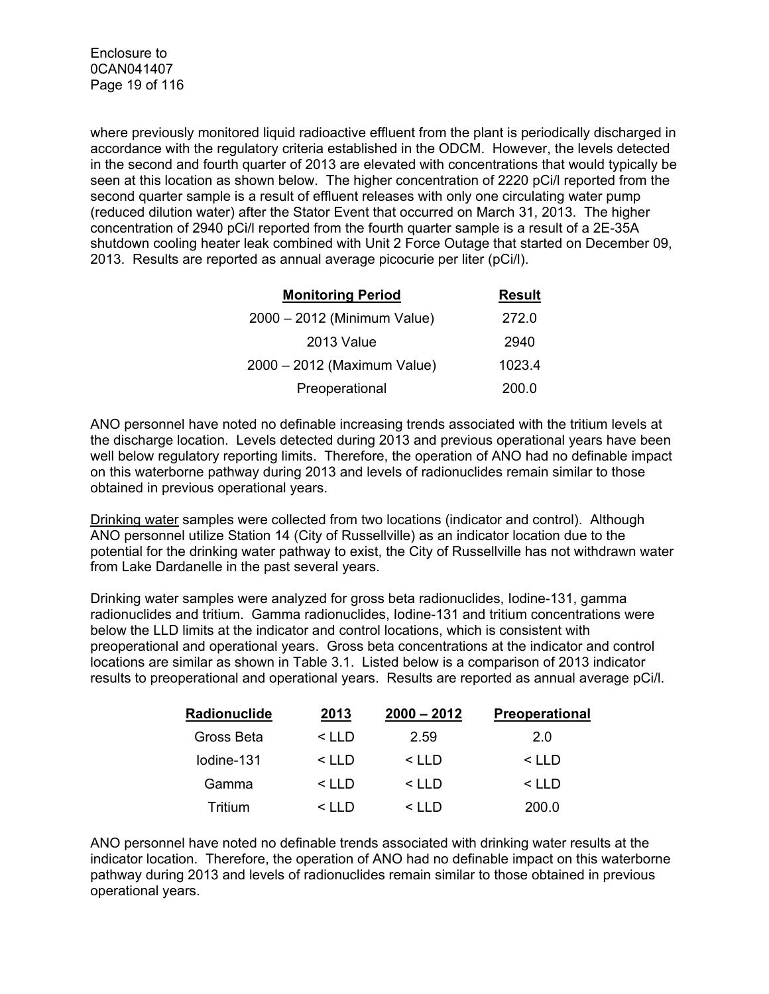where previously monitored liquid radioactive effluent from the plant is periodically discharged in accordance with the regulatory criteria established in the ODCM. However, the levels detected in the second and fourth quarter of 2013 are elevated with concentrations that would typically be seen at this location as shown below. The higher concentration of 2220 pCi/l reported from the second quarter sample is a result of effluent releases with only one circulating water pump (reduced dilution water) after the Stator Event that occurred on March 31, 2013. The higher concentration of 2940 pCi/l reported from the fourth quarter sample is a result of a 2E-35A shutdown cooling heater leak combined with Unit 2 Force Outage that started on December 09, 2013. Results are reported as annual average picocurie per liter (pCi/l).

| <b>Monitoring Period</b>    | <b>Result</b> |
|-----------------------------|---------------|
| 2000 - 2012 (Minimum Value) | 272.0         |
| 2013 Value                  | 2940          |
| 2000 - 2012 (Maximum Value) | 1023.4        |
| Preoperational              | 200.0         |

ANO personnel have noted no definable increasing trends associated with the tritium levels at the discharge location. Levels detected during 2013 and previous operational years have been well below regulatory reporting limits. Therefore, the operation of ANO had no definable impact on this waterborne pathway during 2013 and levels of radionuclides remain similar to those obtained in previous operational years.

Drinking water samples were collected from two locations (indicator and control). Although ANO personnel utilize Station 14 (City of Russellville) as an indicator location due to the potential for the drinking water pathway to exist, the City of Russellville has not withdrawn water from Lake Dardanelle in the past several years.

Drinking water samples were analyzed for gross beta radionuclides, Iodine-131, gamma radionuclides and tritium. Gamma radionuclides, Iodine-131 and tritium concentrations were below the LLD limits at the indicator and control locations, which is consistent with preoperational and operational years. Gross beta concentrations at the indicator and control locations are similar as shown in Table 3.1. Listed below is a comparison of 2013 indicator results to preoperational and operational years. Results are reported as annual average pCi/l.

| Radionuclide | 2013         | $2000 - 2012$ | <b>Preoperational</b> |
|--------------|--------------|---------------|-----------------------|
| Gross Beta   | $\leq$ I I D | 2.59          | 20                    |
| lodine-131   | $\leq$ I I D | $\leq$ I I D  | $\leq$ I I D          |
| Gamma        | $\leq$ I I D | $\leq$ IID    | $\leq$ I I D          |
| Tritium      | $\leq$ I I D | $\leq$ $\Box$ | 200.0                 |

ANO personnel have noted no definable trends associated with drinking water results at the indicator location. Therefore, the operation of ANO had no definable impact on this waterborne pathway during 2013 and levels of radionuclides remain similar to those obtained in previous operational years.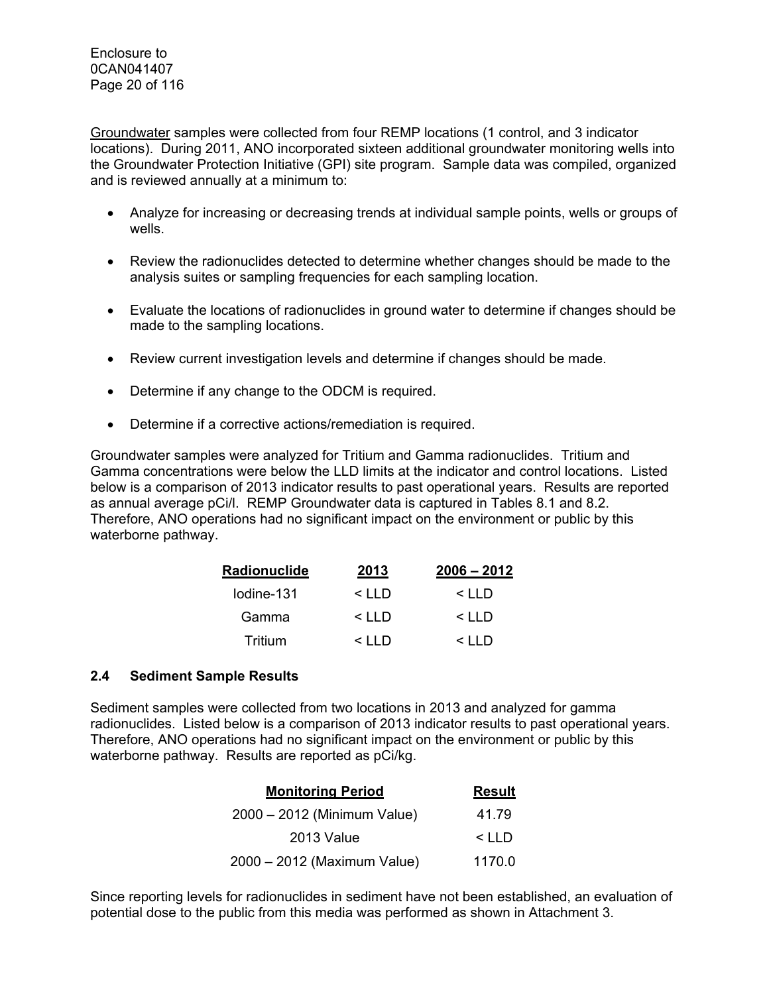Groundwater samples were collected from four REMP locations (1 control, and 3 indicator locations). During 2011, ANO incorporated sixteen additional groundwater monitoring wells into the Groundwater Protection Initiative (GPI) site program. Sample data was compiled, organized and is reviewed annually at a minimum to:

- Analyze for increasing or decreasing trends at individual sample points, wells or groups of wells.
- Review the radionuclides detected to determine whether changes should be made to the analysis suites or sampling frequencies for each sampling location.
- Evaluate the locations of radionuclides in ground water to determine if changes should be made to the sampling locations.
- Review current investigation levels and determine if changes should be made.
- Determine if any change to the ODCM is required.
- Determine if a corrective actions/remediation is required.

Groundwater samples were analyzed for Tritium and Gamma radionuclides. Tritium and Gamma concentrations were below the LLD limits at the indicator and control locations. Listed below is a comparison of 2013 indicator results to past operational years. Results are reported as annual average pCi/l. REMP Groundwater data is captured in Tables 8.1 and 8.2. Therefore, ANO operations had no significant impact on the environment or public by this waterborne pathway.

| Radionuclide | 2013              | $2006 - 2012$ |
|--------------|-------------------|---------------|
| lodine-131   | $\leq$ I I D      | $\leq$ I I D  |
| Gamma        | $\leq$ I I D      | $\leq$ I I D  |
| Tritium      | $\leq$     $\Box$ | < 1 I D       |

## **2.4 Sediment Sample Results**

Sediment samples were collected from two locations in 2013 and analyzed for gamma radionuclides. Listed below is a comparison of 2013 indicator results to past operational years. Therefore, ANO operations had no significant impact on the environment or public by this waterborne pathway. Results are reported as pCi/kg.

| <b>Monitoring Period</b>    | <b>Result</b> |
|-----------------------------|---------------|
| 2000 - 2012 (Minimum Value) | 41.79         |
| 2013 Value                  | $\leq$ I I D  |
| 2000 - 2012 (Maximum Value) | 1170.0        |

Since reporting levels for radionuclides in sediment have not been established, an evaluation of potential dose to the public from this media was performed as shown in Attachment 3.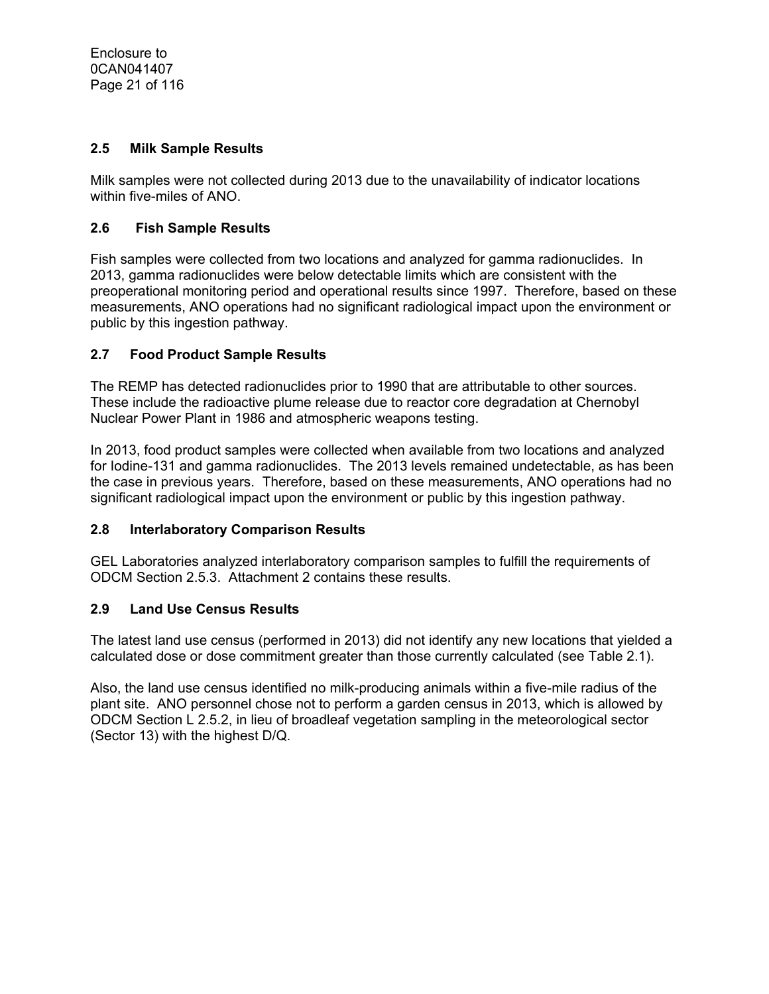## **2.5 Milk Sample Results**

Milk samples were not collected during 2013 due to the unavailability of indicator locations within five-miles of ANO.

## **2.6 Fish Sample Results**

Fish samples were collected from two locations and analyzed for gamma radionuclides. In 2013, gamma radionuclides were below detectable limits which are consistent with the preoperational monitoring period and operational results since 1997. Therefore, based on these measurements, ANO operations had no significant radiological impact upon the environment or public by this ingestion pathway.

## **2.7 Food Product Sample Results**

The REMP has detected radionuclides prior to 1990 that are attributable to other sources. These include the radioactive plume release due to reactor core degradation at Chernobyl Nuclear Power Plant in 1986 and atmospheric weapons testing.

In 2013, food product samples were collected when available from two locations and analyzed for Iodine-131 and gamma radionuclides. The 2013 levels remained undetectable, as has been the case in previous years. Therefore, based on these measurements, ANO operations had no significant radiological impact upon the environment or public by this ingestion pathway.

## **2.8 Interlaboratory Comparison Results**

GEL Laboratories analyzed interlaboratory comparison samples to fulfill the requirements of ODCM Section 2.5.3. Attachment 2 contains these results.

## **2.9 Land Use Census Results**

The latest land use census (performed in 2013) did not identify any new locations that yielded a calculated dose or dose commitment greater than those currently calculated (see Table 2.1).

Also, the land use census identified no milk-producing animals within a five-mile radius of the plant site. ANO personnel chose not to perform a garden census in 2013, which is allowed by ODCM Section L 2.5.2, in lieu of broadleaf vegetation sampling in the meteorological sector (Sector 13) with the highest D/Q.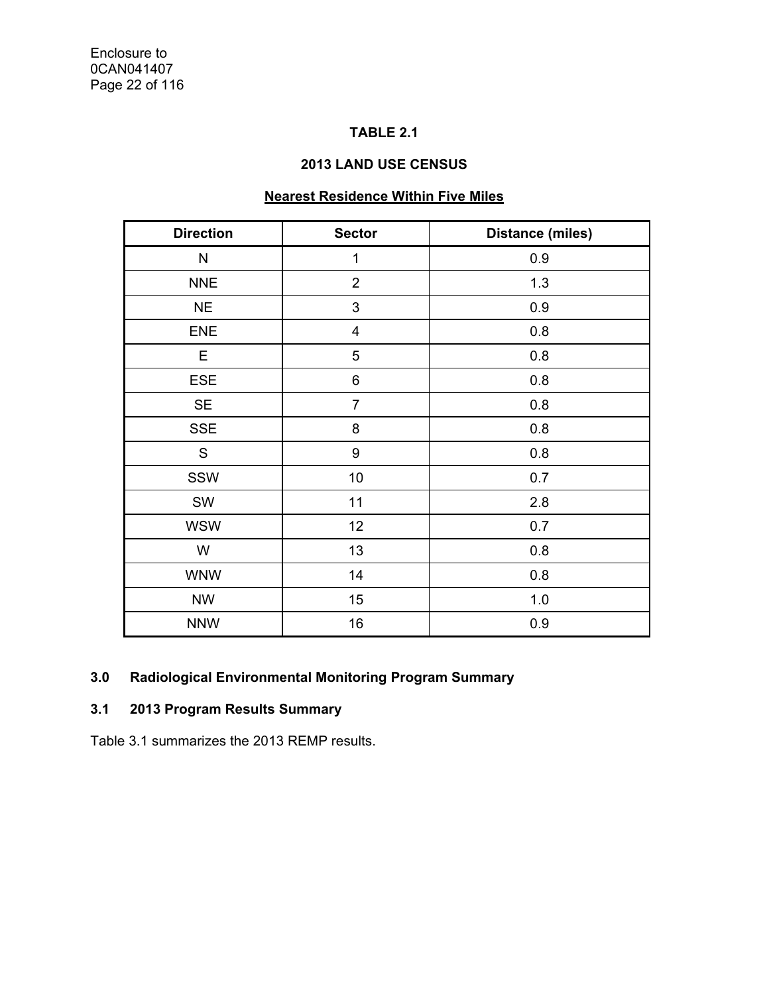# **TABLE 2.1**

## **2013 LAND USE CENSUS**

# **Nearest Residence Within Five Miles**

| <b>Direction</b> | <b>Sector</b>           | <b>Distance (miles)</b> |
|------------------|-------------------------|-------------------------|
| N                | $\mathbf 1$             | 0.9                     |
| <b>NNE</b>       | $\overline{2}$          | 1.3                     |
| <b>NE</b>        | 3                       | 0.9                     |
| <b>ENE</b>       | $\overline{\mathbf{4}}$ | 0.8                     |
| Е                | 5                       | 0.8                     |
| <b>ESE</b>       | 6                       | 0.8                     |
| <b>SE</b>        | $\overline{7}$          | 0.8                     |
| <b>SSE</b>       | 8                       | 0.8                     |
| S                | 9                       | 0.8                     |
| SSW              | 10                      | 0.7                     |
| SW               | 11                      | 2.8                     |
| <b>WSW</b>       | 12                      | 0.7                     |
| W                | 13                      | 0.8                     |
| <b>WNW</b>       | 14                      | 0.8                     |
| <b>NW</b>        | 15                      | 1.0                     |
| <b>NNW</b>       | 16                      | 0.9                     |

## **3.0 Radiological Environmental Monitoring Program Summary**

# **3.1 2013 Program Results Summary**

Table 3.1 summarizes the 2013 REMP results.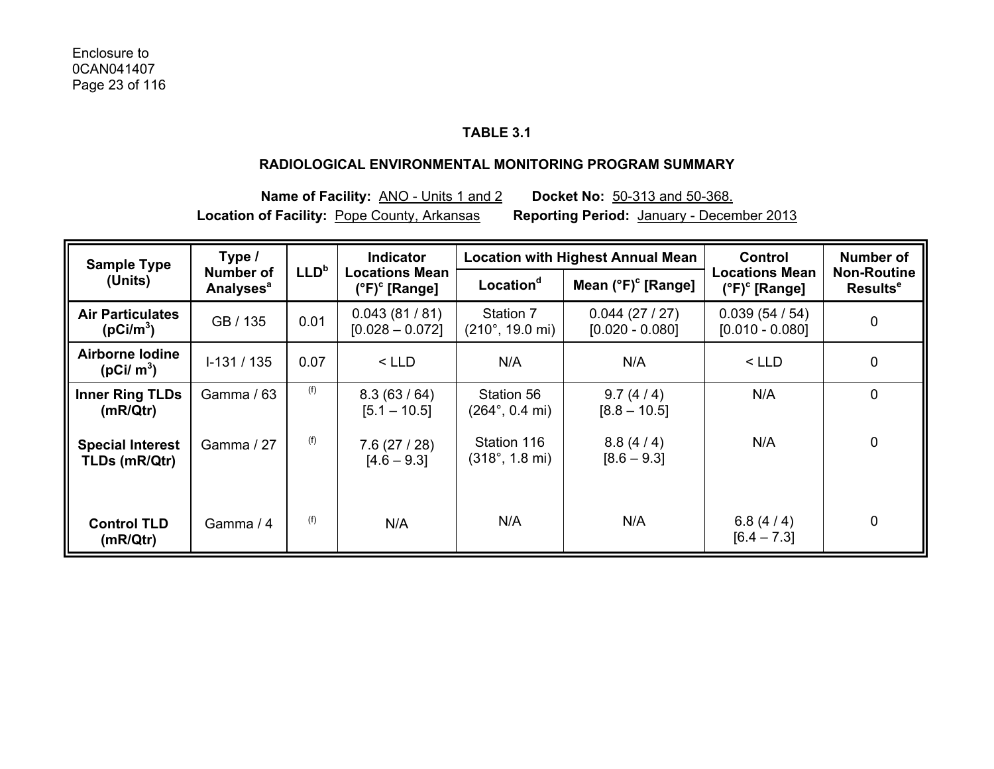## **TABLE 3.1**

#### **RADIOLOGICAL ENVIRONMENTAL MONITORING PROGRAM SUMMARY**

**Name of Facility:** ANO - Units 1 and 2 **Docket No:** 50-313 and 50-368. **Location of Facility:** Pope County, Arkansas **Reporting Period:** January - December 2013

| <b>Sample Type</b>                               | Type /                                   | <b>Indicator</b> |                                                        |                                                | <b>Location with Highest Annual Mean</b> | <b>Control</b>                                  | Number of                                  |
|--------------------------------------------------|------------------------------------------|------------------|--------------------------------------------------------|------------------------------------------------|------------------------------------------|-------------------------------------------------|--------------------------------------------|
| (Units)                                          | Number of<br><b>Analyses<sup>a</sup></b> | LLD <sup>b</sup> | <b>Locations Mean</b><br>$(^{\circ}F)^{\circ}$ [Range] | Location <sup>d</sup>                          | Mean $(^{\circ}F)^{\circ}$ [Range]       | Locations Mean<br>$(^{\circ}F)^{\circ}$ [Range] | <b>Non-Routine</b><br>Results <sup>e</sup> |
| <b>Air Particulates</b><br>(pCi/m <sup>3</sup> ) | GB / 135                                 | 0.01             | 0.043(81/81)<br>$[0.028 - 0.072]$                      | Station 7<br>$(210^{\circ}, 19.0 \text{ mi})$  | 0.044(27/27)<br>$[0.020 - 0.080]$        | 0.039(54/54)<br>$[0.010 - 0.080]$               | $\mathbf 0$                                |
| Airborne Iodine<br>(pCi/m <sup>3</sup> )         | $I-131/135$                              | 0.07             | $<$ LLD                                                | N/A                                            | N/A                                      | $<$ LLD                                         | $\mathbf 0$                                |
| <b>Inner Ring TLDs</b><br>(mR/Qtr)               | Gamma / 63                               | (f)              | 8.3(63/64)<br>$[5.1 - 10.5]$                           | Station 56<br>$(264^{\circ}, 0.4 \text{ mi})$  | 9.7(4/4)<br>$[8.8 - 10.5]$               | N/A                                             | 0                                          |
| <b>Special Interest</b><br>TLDs (mR/Qtr)         | Gamma / 27                               | (f)              | 7.6(27/28)<br>$[4.6 - 9.3]$                            | Station 116<br>$(318^{\circ}, 1.8 \text{ mi})$ | 8.8(4/4)<br>$[8.6 - 9.3]$                | N/A                                             | $\mathbf 0$                                |
| <b>Control TLD</b><br>(mR/Qtr)                   | Gamma / 4                                | (f)              | N/A                                                    | N/A                                            | N/A                                      | 6.8 $(4/4)$<br>$[6.4 - 7.3]$                    | $\mathbf 0$                                |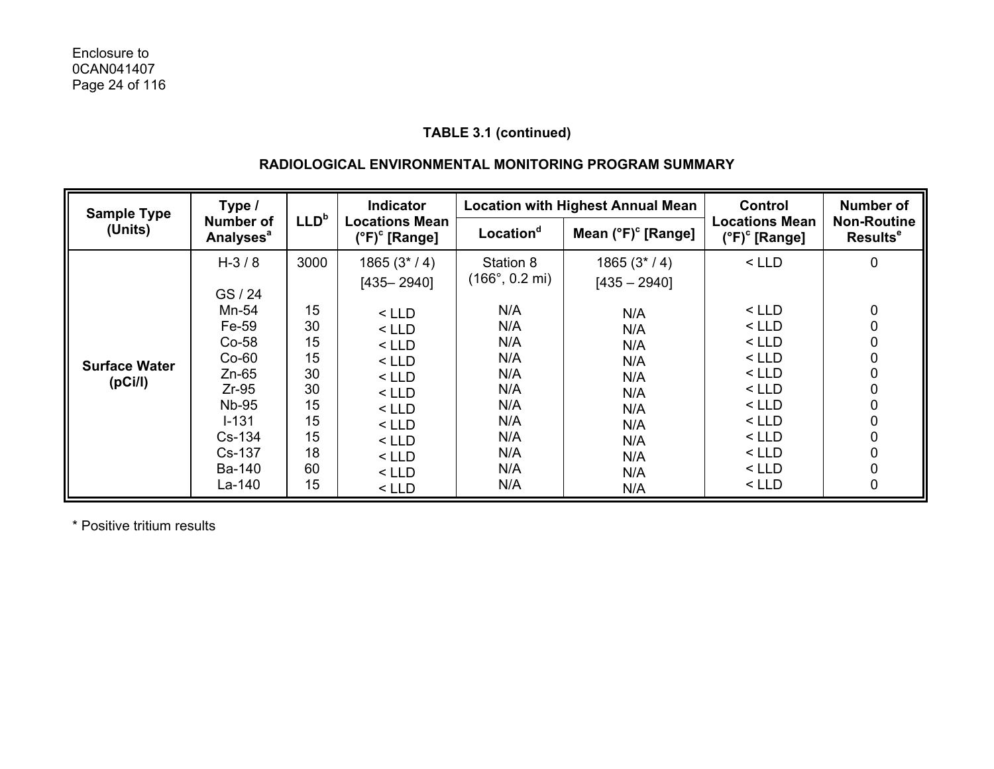## **RADIOLOGICAL ENVIRONMENTAL MONITORING PROGRAM SUMMARY**

| <b>Sample Type</b>                           | Type /                                                                                                                                 |                                                                        | <b>Indicator</b>                                                                                                                             | <b>Location with Highest Annual Mean</b>                                                                                  |                                                                                                      | Control                                                                                                                      | <b>Number of</b>                                         |
|----------------------------------------------|----------------------------------------------------------------------------------------------------------------------------------------|------------------------------------------------------------------------|----------------------------------------------------------------------------------------------------------------------------------------------|---------------------------------------------------------------------------------------------------------------------------|------------------------------------------------------------------------------------------------------|------------------------------------------------------------------------------------------------------------------------------|----------------------------------------------------------|
| (Units)                                      | Number of<br><b>Analyses<sup>a</sup></b>                                                                                               | LLD <sup>b</sup>                                                       | <b>Locations Mean</b><br>$(^{\circ}F)^{\circ}$ [Range]                                                                                       | Location <sup>d</sup>                                                                                                     | Mean (°F) <sup>c</sup> [Range]                                                                       | <b>Locations Mean</b><br>$(^{\circ}F)^{\circ}$ [Range]                                                                       | <b>Non-Routine</b><br>Results <sup>e</sup>               |
| <b>Surface Water</b><br>(pC <sub>i</sub> /l) | $H - 3/8$<br>GS / 24<br>Mn-54<br>Fe-59<br>$Co-58$<br>$Co-60$<br>$Zn-65$<br>$Zr-95$<br>Nb-95<br>$I - 131$<br>Cs-134<br>Cs-137<br>Ba-140 | 3000<br>15<br>30<br>15<br>15<br>30<br>30<br>15<br>15<br>15<br>18<br>60 | $1865(3*/4)$<br>$[435 - 2940]$<br>$<$ LLD<br>$<$ LLD<br>$<$ LLD<br>$<$ LLD<br>$<$ LLD<br>$<$ LLD<br>$<$ LLD<br>$<$ LLD<br>$<$ LLD<br>$<$ LLD | Station 8<br>$(166^{\circ}, 0.2 \text{ mi})$<br>N/A<br>N/A<br>N/A<br>N/A<br>N/A<br>N/A<br>N/A<br>N/A<br>N/A<br>N/A<br>N/A | $1865(3*/4)$<br>$[435 - 2940]$<br>N/A<br>N/A<br>N/A<br>N/A<br>N/A<br>N/A<br>N/A<br>N/A<br>N/A<br>N/A | $<$ LLD<br>$<$ LLD<br>< LLD<br>$<$ LLD<br>$<$ LLD<br>$<$ LLD<br>$<$ LLD<br>$<$ LLD<br>$<$ LLD<br>$<$ LLD<br>$<$ LLD<br>< LLD | 0<br>0<br>0<br>0<br>0<br>0<br>0<br>0<br>0<br>0<br>0<br>0 |
|                                              | La-140                                                                                                                                 | 15                                                                     | $<$ LLD<br>$<$ LLD                                                                                                                           | N/A                                                                                                                       | N/A<br>N/A                                                                                           | $<$ LLD                                                                                                                      | 0                                                        |

\* Positive tritium results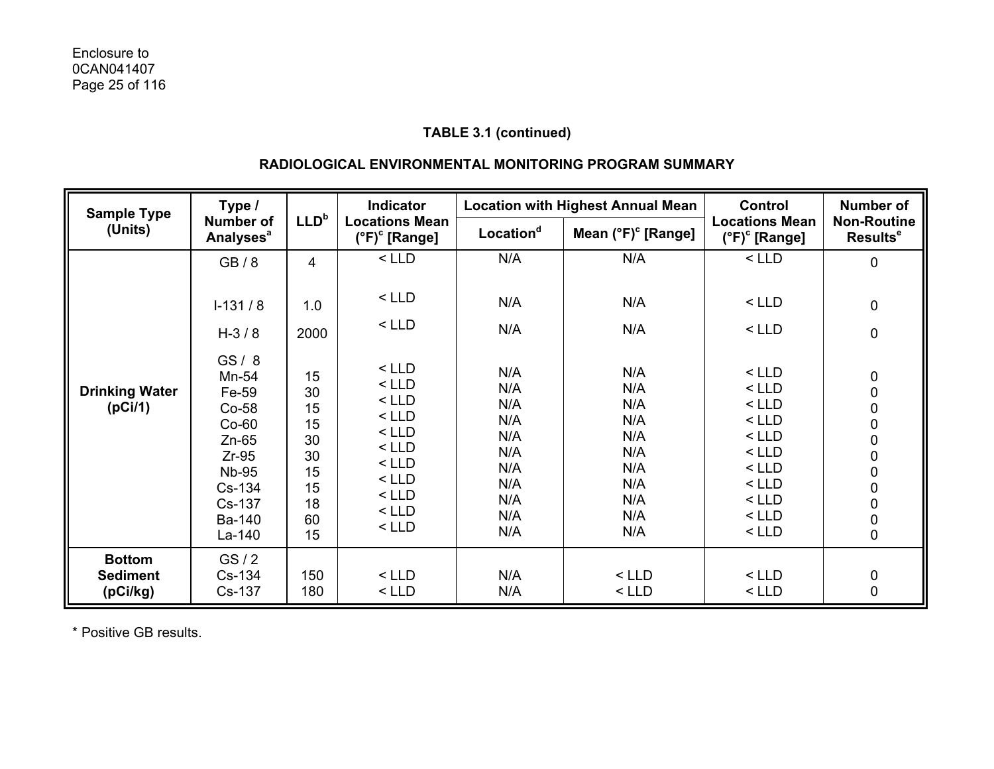## **RADIOLOGICAL ENVIRONMENTAL MONITORING PROGRAM SUMMARY**

| Type /<br><b>Sample Type</b>                 |                                                                                                                                   | <b>Indicator</b>                                               |                                                                                                                       | <b>Location with Highest Annual Mean</b>                                  |                                                                           | <b>Control</b>                                                                                                        | <b>Number of</b>                                                                                                               |
|----------------------------------------------|-----------------------------------------------------------------------------------------------------------------------------------|----------------------------------------------------------------|-----------------------------------------------------------------------------------------------------------------------|---------------------------------------------------------------------------|---------------------------------------------------------------------------|-----------------------------------------------------------------------------------------------------------------------|--------------------------------------------------------------------------------------------------------------------------------|
| (Units)                                      | <b>Number of</b><br><b>Analyses<sup>a</sup></b>                                                                                   | LLD <sup>b</sup>                                               | <b>Locations Mean</b><br>(°F) <sup>c</sup> [Range]                                                                    | Location <sup>d</sup>                                                     | Mean $(^{\circ}F)^{\circ}$ [Range]                                        | <b>Locations Mean</b><br>$(^{\circ}F)^{\circ}$ [Range]                                                                | <b>Non-Routine</b><br>Results <sup>e</sup>                                                                                     |
|                                              | GB/8                                                                                                                              | $\overline{\mathbf{4}}$                                        | $<$ LLD                                                                                                               | N/A                                                                       | N/A                                                                       | $<$ LLD                                                                                                               | $\mathbf 0$                                                                                                                    |
|                                              | $I-131/8$                                                                                                                         | 1.0                                                            | $<$ LLD                                                                                                               | N/A                                                                       | N/A                                                                       | $<$ LLD                                                                                                               | 0                                                                                                                              |
|                                              | $H - 3 / 8$                                                                                                                       | 2000                                                           | $<$ LLD                                                                                                               | N/A                                                                       | N/A                                                                       | $<$ LLD                                                                                                               | $\pmb{0}$                                                                                                                      |
| <b>Drinking Water</b><br>(pCi/1)             | GS/8<br>Mn-54<br>Fe-59<br>$Co-58$<br>$Co-60$<br>$Zn-65$<br>$Zr-95$<br><b>Nb-95</b><br>Cs-134<br>Cs-137<br><b>Ba-140</b><br>La-140 | 15<br>30<br>15<br>15<br>30<br>30<br>15<br>15<br>18<br>60<br>15 | $<$ LLD<br>$<$ LLD<br>$<$ LLD<br>$<$ LLD<br>$<$ LLD<br>$<$ LLD<br>$<$ LLD<br>$<$ LLD<br>$<$ LLD<br>$<$ LLD<br>$<$ LLD | N/A<br>N/A<br>N/A<br>N/A<br>N/A<br>N/A<br>N/A<br>N/A<br>N/A<br>N/A<br>N/A | N/A<br>N/A<br>N/A<br>N/A<br>N/A<br>N/A<br>N/A<br>N/A<br>N/A<br>N/A<br>N/A | $<$ LLD<br>$<$ LLD<br>$<$ LLD<br>$<$ LLD<br>$<$ LLD<br>$<$ LLD<br>$<$ LLD<br>$<$ LLD<br>$<$ LLD<br>$<$ LLD<br>$<$ LLD | $\boldsymbol{0}$<br>$\mathbf 0$<br>$\begin{matrix}0\\0\\0\\0\\0\end{matrix}$<br>$\begin{matrix} 0 \\ 0 \\ 0 \\ 0 \end{matrix}$ |
| <b>Bottom</b><br><b>Sediment</b><br>(pCi/kg) | GS/2<br>Cs-134<br>Cs-137                                                                                                          | 150<br>180                                                     | $<$ LLD<br>$<$ LLD                                                                                                    | N/A<br>N/A                                                                | $<$ LLD<br>$<$ LLD                                                        | $<$ LLD<br>$<$ LLD                                                                                                    | $\begin{array}{c} 0 \\ 0 \end{array}$                                                                                          |

\* Positive GB results.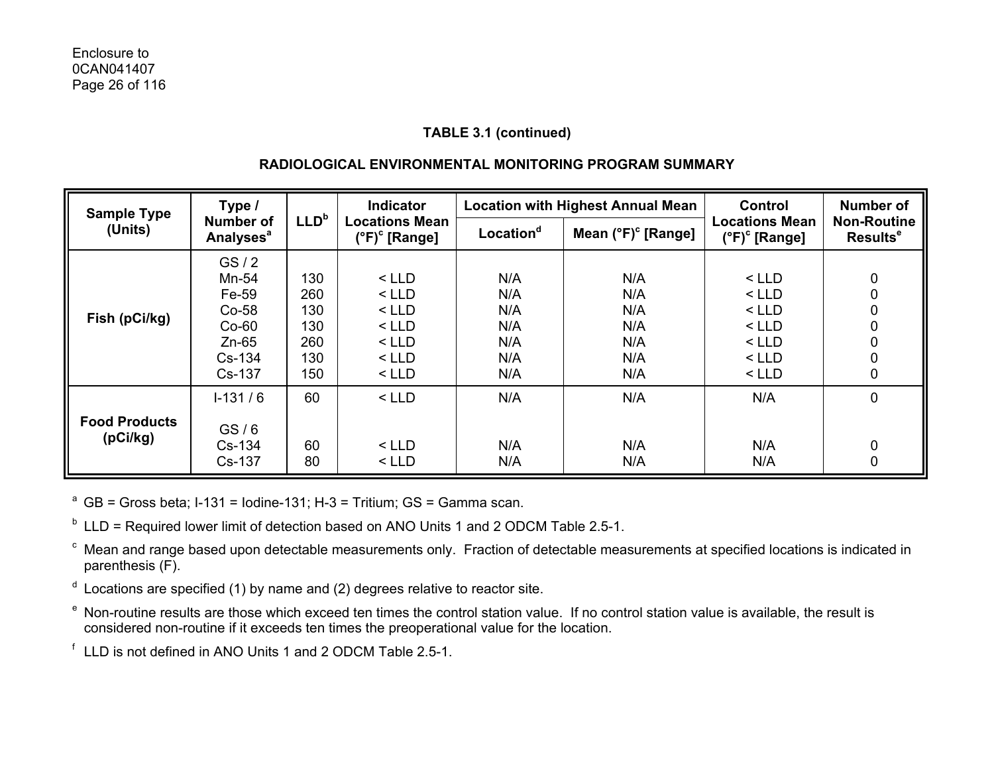## **RADIOLOGICAL ENVIRONMENTAL MONITORING PROGRAM SUMMARY**

| Type /<br><b>Sample Type</b>     |                                                                     |                                        | Indicator                                                      | <b>Location with Highest Annual Mean</b> |                                        | Control                                                        | <b>Number of</b>                           |  |
|----------------------------------|---------------------------------------------------------------------|----------------------------------------|----------------------------------------------------------------|------------------------------------------|----------------------------------------|----------------------------------------------------------------|--------------------------------------------|--|
| (Units)                          | <b>Number of</b><br><b>Analyses<sup>a</sup></b>                     | LLD <sup>b</sup>                       | <b>Locations Mean</b><br>$(^{\circ}F)^{\circ}$ [Range]         | Location <sup>d</sup>                    | Mean $(^{\circ}F)^{\circ}$ [Range]     | <b>Locations Mean</b><br>$(^{\circ}F)^{\circ}$ [Range]         | <b>Non-Routine</b><br>Results <sup>e</sup> |  |
| Fish (pCi/kg)                    | GS/2<br>Mn-54<br>Fe-59<br>$Co-58$<br>$Co-60$<br>$Zn-65$<br>$Cs-134$ | 130<br>260<br>130<br>130<br>260<br>130 | $<$ LLD<br>$<$ LLD<br>$<$ LLD<br>$<$ LLD<br>$<$ LLD<br>$<$ LLD | N/A<br>N/A<br>N/A<br>N/A<br>N/A<br>N/A   | N/A<br>N/A<br>N/A<br>N/A<br>N/A<br>N/A | $<$ LLD<br>$<$ LLD<br>$<$ LLD<br>$<$ LLD<br>$<$ LLD<br>$<$ LLD | 0<br>0<br>0<br>0<br>0<br>0                 |  |
|                                  | Cs-137<br>$1-131/6$                                                 | 150<br>60                              | $<$ LLD<br>$<$ LLD                                             | N/A<br>N/A                               | N/A<br>N/A                             | $<$ LLD<br>N/A                                                 | 0<br>0                                     |  |
| <b>Food Products</b><br>(pCi/kg) | GS/6<br>Cs-134<br>Cs-137                                            | 60<br>80                               | $<$ LLD<br>$<$ LLD                                             | N/A<br>N/A                               | N/A<br>N/A                             | N/A<br>N/A                                                     | 0<br>0                                     |  |

<sup>a</sup> GB = Gross beta; I-131 = Iodine-131; H-3 = Tritium; GS = Gamma scan.

 $b$  LLD = Required lower limit of detection based on ANO Units 1 and 2 ODCM Table 2.5-1.

c Mean and range based upon detectable measurements only. Fraction of detectable measurements at specified locations is indicated in parenthesis (F).

- $d$  Locations are specified (1) by name and (2) degrees relative to reactor site.
- e Non-routine results are those which exceed ten times the control station value. If no control station value is available, the result is considered non-routine if it exceeds ten times the preoperational value for the location.

f LLD is not defined in ANO Units 1 and 2 ODCM Table 2.5-1.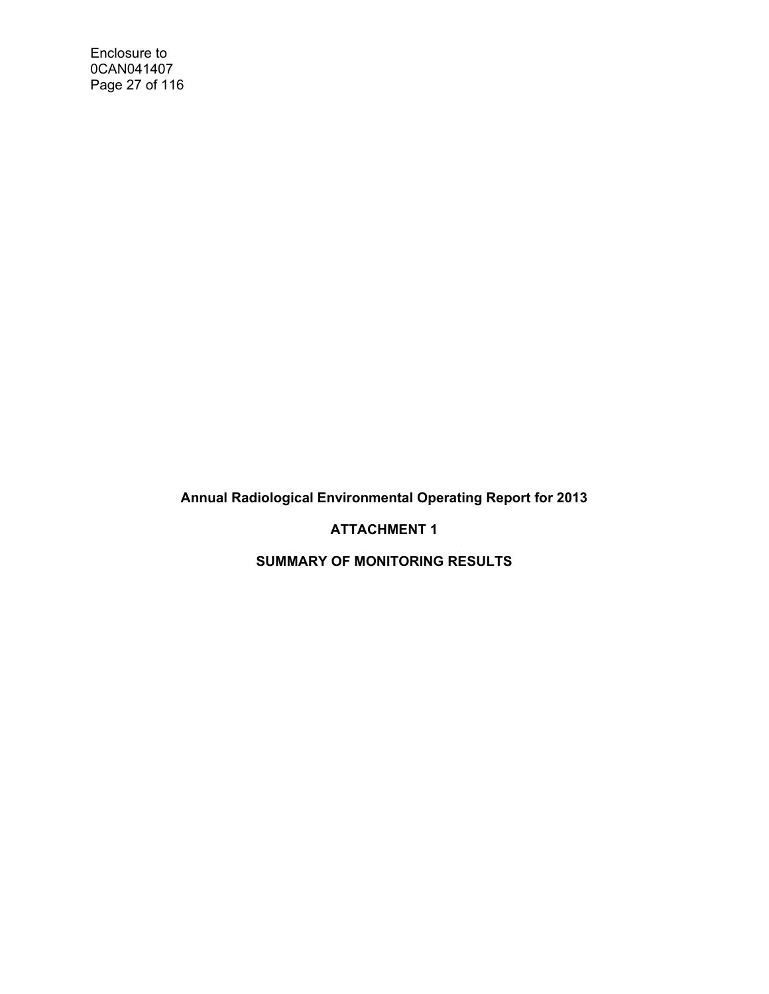Enclosure to 0CAN041407 Page 27 of 116

**Annual Radiological Environmental Operating Report for 2013** 

**ATTACHMENT 1** 

**SUMMARY OF MONITORING RESULTS**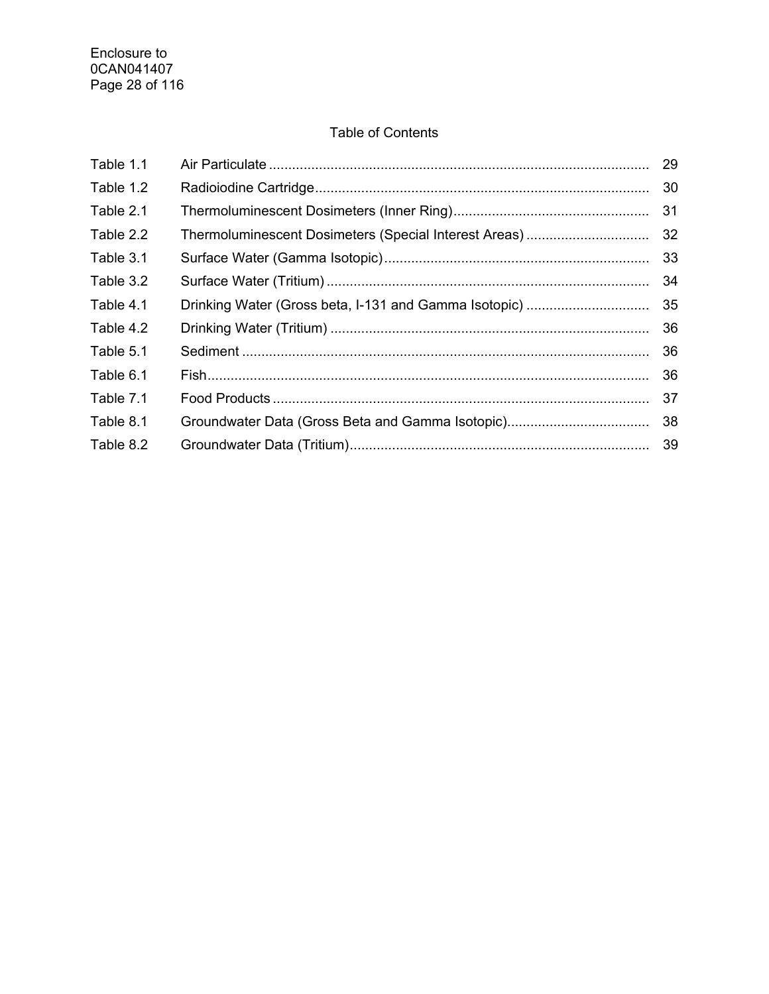## Table of Contents

| Table 1.1 |                                                       | 29 |
|-----------|-------------------------------------------------------|----|
| Table 1.2 |                                                       | 30 |
| Table 2.1 |                                                       | 31 |
| Table 2.2 | Thermoluminescent Dosimeters (Special Interest Areas) | 32 |
| Table 3.1 |                                                       | 33 |
| Table 3.2 |                                                       | 34 |
| Table 4.1 | Drinking Water (Gross beta, I-131 and Gamma Isotopic) | 35 |
| Table 4.2 |                                                       | 36 |
| Table 5.1 |                                                       | 36 |
| Table 6.1 |                                                       | 36 |
| Table 7.1 |                                                       | 37 |
| Table 8.1 |                                                       | 38 |
| Table 8.2 |                                                       |    |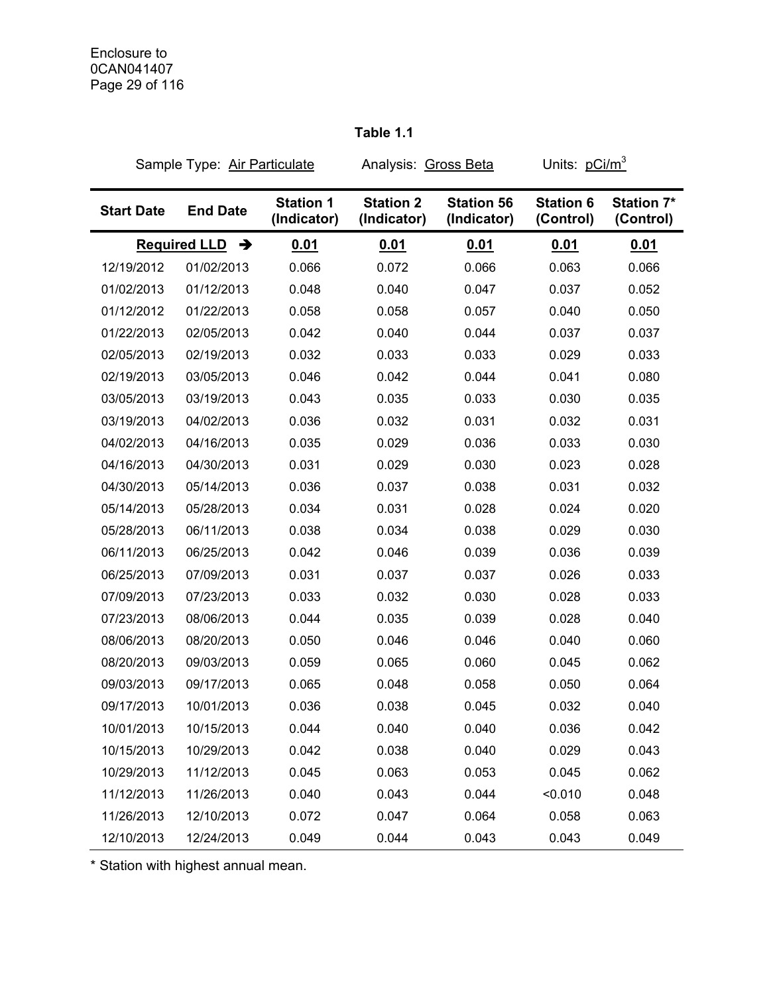| Sample Type: Air Particulate |                                      |                                 | Analysis: Gross Beta            |                                  | Units: pCi/m <sup>3</sup>     |                                |
|------------------------------|--------------------------------------|---------------------------------|---------------------------------|----------------------------------|-------------------------------|--------------------------------|
| <b>Start Date</b>            | <b>End Date</b>                      | <b>Station 1</b><br>(Indicator) | <b>Station 2</b><br>(Indicator) | <b>Station 56</b><br>(Indicator) | <b>Station 6</b><br>(Control) | <b>Station 7*</b><br>(Control) |
|                              | <b>Required LLD</b><br>$\rightarrow$ | 0.01                            | 0.01                            | 0.01                             | 0.01                          | 0.01                           |
| 12/19/2012                   | 01/02/2013                           | 0.066                           | 0.072                           | 0.066                            | 0.063                         | 0.066                          |
| 01/02/2013                   | 01/12/2013                           | 0.048                           | 0.040                           | 0.047                            | 0.037                         | 0.052                          |
| 01/12/2012                   | 01/22/2013                           | 0.058                           | 0.058                           | 0.057                            | 0.040                         | 0.050                          |
| 01/22/2013                   | 02/05/2013                           | 0.042                           | 0.040                           | 0.044                            | 0.037                         | 0.037                          |
| 02/05/2013                   | 02/19/2013                           | 0.032                           | 0.033                           | 0.033                            | 0.029                         | 0.033                          |
| 02/19/2013                   | 03/05/2013                           | 0.046                           | 0.042                           | 0.044                            | 0.041                         | 0.080                          |
| 03/05/2013                   | 03/19/2013                           | 0.043                           | 0.035                           | 0.033                            | 0.030                         | 0.035                          |
| 03/19/2013                   | 04/02/2013                           | 0.036                           | 0.032                           | 0.031                            | 0.032                         | 0.031                          |
| 04/02/2013                   | 04/16/2013                           | 0.035                           | 0.029                           | 0.036                            | 0.033                         | 0.030                          |
| 04/16/2013                   | 04/30/2013                           | 0.031                           | 0.029                           | 0.030                            | 0.023                         | 0.028                          |
| 04/30/2013                   | 05/14/2013                           | 0.036                           | 0.037                           | 0.038                            | 0.031                         | 0.032                          |
| 05/14/2013                   | 05/28/2013                           | 0.034                           | 0.031                           | 0.028                            | 0.024                         | 0.020                          |
| 05/28/2013                   | 06/11/2013                           | 0.038                           | 0.034                           | 0.038                            | 0.029                         | 0.030                          |
| 06/11/2013                   | 06/25/2013                           | 0.042                           | 0.046                           | 0.039                            | 0.036                         | 0.039                          |
| 06/25/2013                   | 07/09/2013                           | 0.031                           | 0.037                           | 0.037                            | 0.026                         | 0.033                          |
| 07/09/2013                   | 07/23/2013                           | 0.033                           | 0.032                           | 0.030                            | 0.028                         | 0.033                          |
| 07/23/2013                   | 08/06/2013                           | 0.044                           | 0.035                           | 0.039                            | 0.028                         | 0.040                          |
| 08/06/2013                   | 08/20/2013                           | 0.050                           | 0.046                           | 0.046                            | 0.040                         | 0.060                          |
| 08/20/2013                   | 09/03/2013                           | 0.059                           | 0.065                           | 0.060                            | 0.045                         | 0.062                          |
| 09/03/2013                   | 09/17/2013                           | 0.065                           | 0.048                           | 0.058                            | 0.050                         | 0.064                          |
| 09/17/2013                   | 10/01/2013                           | 0.036                           | 0.038                           | 0.045                            | 0.032                         | 0.040                          |
| 10/01/2013                   | 10/15/2013                           | 0.044                           | 0.040                           | 0.040                            | 0.036                         | 0.042                          |
| 10/15/2013                   | 10/29/2013                           | 0.042                           | 0.038                           | 0.040                            | 0.029                         | 0.043                          |
| 10/29/2013                   | 11/12/2013                           | 0.045                           | 0.063                           | 0.053                            | 0.045                         | 0.062                          |
| 11/12/2013                   | 11/26/2013                           | 0.040                           | 0.043                           | 0.044                            | < 0.010                       | 0.048                          |
| 11/26/2013                   | 12/10/2013                           | 0.072                           | 0.047                           | 0.064                            | 0.058                         | 0.063                          |
| 12/10/2013                   | 12/24/2013                           | 0.049                           | 0.044                           | 0.043                            | 0.043                         | 0.049                          |

# **Table 1.1**

\* Station with highest annual mean.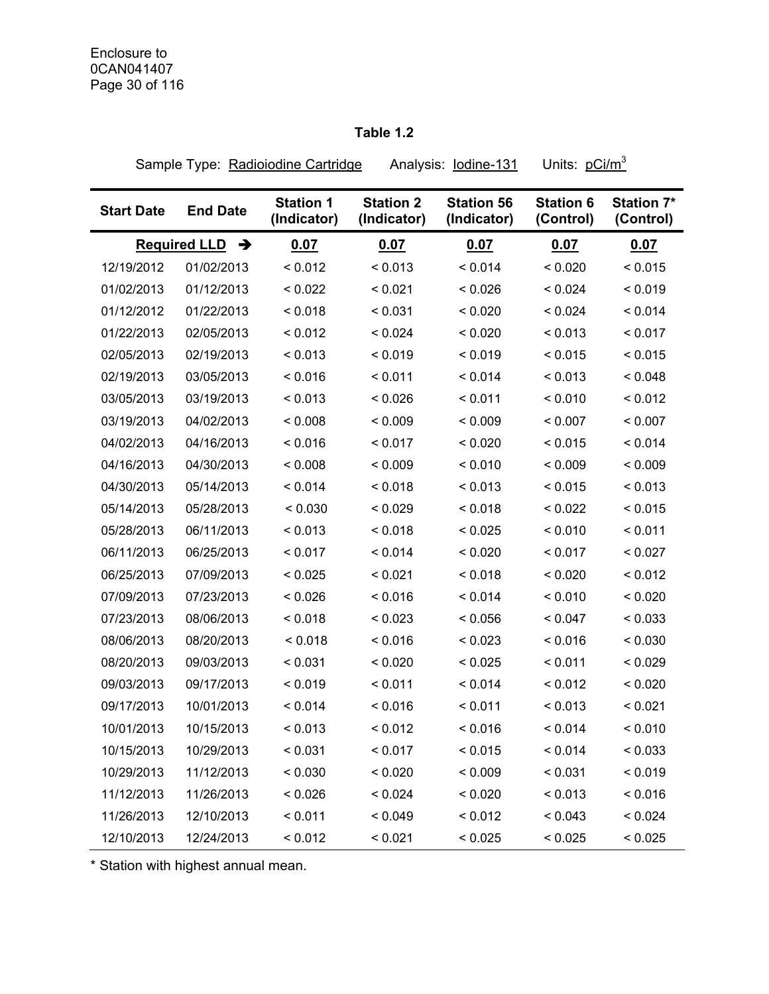## **Table 1.2**

Sample Type: Radioiodine Cartridge Analysis: lodine-131 Units: pCi/m<sup>3</sup>

| <b>Start Date</b> | <b>End Date</b>                      | <b>Station 1</b><br>(Indicator) | <b>Station 2</b><br>(Indicator) | <b>Station 56</b><br>(Indicator) | <b>Station 6</b><br>(Control) | <b>Station 7*</b><br>(Control) |
|-------------------|--------------------------------------|---------------------------------|---------------------------------|----------------------------------|-------------------------------|--------------------------------|
|                   | <b>Required LLD</b><br>$\rightarrow$ | 0.07                            | 0.07                            | 0.07                             | 0.07                          | 0.07                           |
| 12/19/2012        | 01/02/2013                           | < 0.012                         | < 0.013                         | < 0.014                          | < 0.020                       | < 0.015                        |
| 01/02/2013        | 01/12/2013                           | < 0.022                         | < 0.021                         | < 0.026                          | < 0.024                       | < 0.019                        |
| 01/12/2012        | 01/22/2013                           | < 0.018                         | < 0.031                         | < 0.020                          | < 0.024                       | < 0.014                        |
| 01/22/2013        | 02/05/2013                           | < 0.012                         | < 0.024                         | < 0.020                          | < 0.013                       | < 0.017                        |
| 02/05/2013        | 02/19/2013                           | < 0.013                         | < 0.019                         | < 0.019                          | < 0.015                       | < 0.015                        |
| 02/19/2013        | 03/05/2013                           | < 0.016                         | < 0.011                         | < 0.014                          | < 0.013                       | < 0.048                        |
| 03/05/2013        | 03/19/2013                           | < 0.013                         | < 0.026                         | < 0.011                          | < 0.010                       | < 0.012                        |
| 03/19/2013        | 04/02/2013                           | < 0.008                         | < 0.009                         | < 0.009                          | < 0.007                       | < 0.007                        |
| 04/02/2013        | 04/16/2013                           | < 0.016                         | < 0.017                         | < 0.020                          | < 0.015                       | < 0.014                        |
| 04/16/2013        | 04/30/2013                           | < 0.008                         | < 0.009                         | < 0.010                          | < 0.009                       | < 0.009                        |
| 04/30/2013        | 05/14/2013                           | < 0.014                         | < 0.018                         | < 0.013                          | < 0.015                       | < 0.013                        |
| 05/14/2013        | 05/28/2013                           | < 0.030                         | < 0.029                         | < 0.018                          | < 0.022                       | < 0.015                        |
| 05/28/2013        | 06/11/2013                           | < 0.013                         | < 0.018                         | < 0.025                          | < 0.010                       | < 0.011                        |
| 06/11/2013        | 06/25/2013                           | < 0.017                         | < 0.014                         | < 0.020                          | < 0.017                       | < 0.027                        |
| 06/25/2013        | 07/09/2013                           | < 0.025                         | < 0.021                         | < 0.018                          | < 0.020                       | < 0.012                        |
| 07/09/2013        | 07/23/2013                           | < 0.026                         | < 0.016                         | < 0.014                          | < 0.010                       | < 0.020                        |
| 07/23/2013        | 08/06/2013                           | < 0.018                         | < 0.023                         | < 0.056                          | < 0.047                       | < 0.033                        |
| 08/06/2013        | 08/20/2013                           | < 0.018                         | < 0.016                         | < 0.023                          | < 0.016                       | < 0.030                        |
| 08/20/2013        | 09/03/2013                           | < 0.031                         | < 0.020                         | < 0.025                          | < 0.011                       | < 0.029                        |
| 09/03/2013        | 09/17/2013                           | < 0.019                         | < 0.011                         | < 0.014                          | < 0.012                       | < 0.020                        |
| 09/17/2013        | 10/01/2013                           | < 0.014                         | < 0.016                         | < 0.011                          | < 0.013                       | < 0.021                        |
| 10/01/2013        | 10/15/2013                           | < 0.013                         | < 0.012                         | < 0.016                          | < 0.014                       | < 0.010                        |
| 10/15/2013        | 10/29/2013                           | < 0.031                         | < 0.017                         | < 0.015                          | < 0.014                       | < 0.033                        |
| 10/29/2013        | 11/12/2013                           | < 0.030                         | < 0.020                         | < 0.009                          | < 0.031                       | < 0.019                        |
| 11/12/2013        | 11/26/2013                           | < 0.026                         | < 0.024                         | < 0.020                          | < 0.013                       | < 0.016                        |
| 11/26/2013        | 12/10/2013                           | < 0.011                         | < 0.049                         | < 0.012                          | < 0.043                       | < 0.024                        |
| 12/10/2013        | 12/24/2013                           | < 0.012                         | < 0.021                         | < 0.025                          | < 0.025                       | < 0.025                        |

\* Station with highest annual mean.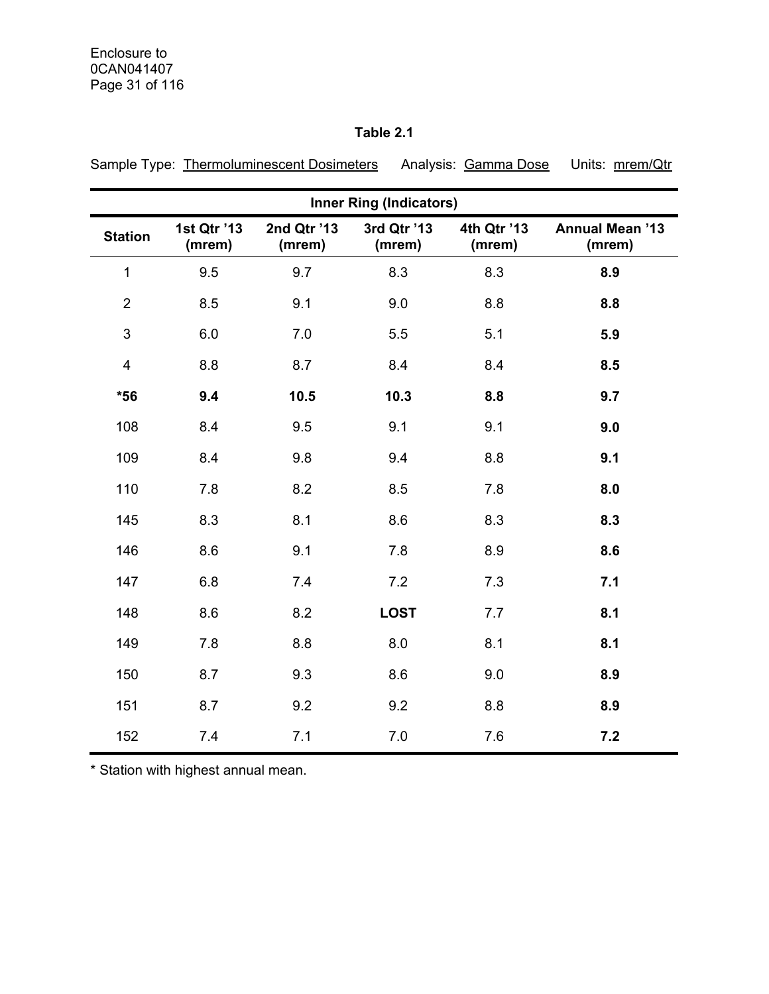## **Table 2.1**

| Sample Type: Thermoluminescent Dosimeters Analysis: Gamma Dose Units: mrem/Qtr |  |
|--------------------------------------------------------------------------------|--|
|                                                                                |  |

| <b>Inner Ring (Indicators)</b> |                       |                       |                       |                       |                                  |  |  |  |
|--------------------------------|-----------------------|-----------------------|-----------------------|-----------------------|----------------------------------|--|--|--|
| <b>Station</b>                 | 1st Qtr '13<br>(mrem) | 2nd Qtr '13<br>(mrem) | 3rd Qtr '13<br>(mrem) | 4th Qtr '13<br>(mrem) | <b>Annual Mean '13</b><br>(mrem) |  |  |  |
| $\mathbf{1}$                   | 9.5                   | 9.7                   | 8.3                   | 8.3                   | 8.9                              |  |  |  |
| $\overline{2}$                 | 8.5                   | 9.1                   | 9.0                   | 8.8                   | 8.8                              |  |  |  |
| 3                              | 6.0                   | 7.0                   | 5.5                   | 5.1                   | 5.9                              |  |  |  |
| $\overline{\mathbf{4}}$        | 8.8                   | 8.7                   | 8.4                   | 8.4                   | 8.5                              |  |  |  |
| $*56$                          | 9.4                   | 10.5                  | 10.3                  | 8.8                   | 9.7                              |  |  |  |
| 108                            | 8.4                   | 9.5                   | 9.1                   | 9.1                   | 9.0                              |  |  |  |
| 109                            | 8.4                   | 9.8                   | 9.4                   | 8.8                   | 9.1                              |  |  |  |
| 110                            | 7.8                   | 8.2                   | 8.5                   | 7.8                   | 8.0                              |  |  |  |
| 145                            | 8.3                   | 8.1                   | 8.6                   | 8.3                   | 8.3                              |  |  |  |
| 146                            | 8.6                   | 9.1                   | 7.8                   | 8.9                   | 8.6                              |  |  |  |
| 147                            | 6.8                   | 7.4                   | 7.2                   | 7.3                   | 7.1                              |  |  |  |
| 148                            | 8.6                   | 8.2                   | <b>LOST</b>           | 7.7                   | 8.1                              |  |  |  |
| 149                            | 7.8                   | 8.8                   | 8.0                   | 8.1                   | 8.1                              |  |  |  |
| 150                            | 8.7                   | 9.3                   | 8.6                   | 9.0                   | 8.9                              |  |  |  |
| 151                            | 8.7                   | 9.2                   | 9.2                   | 8.8                   | 8.9                              |  |  |  |
| 152                            | 7.4                   | 7.1                   | 7.0                   | 7.6                   | 7.2                              |  |  |  |

\* Station with highest annual mean.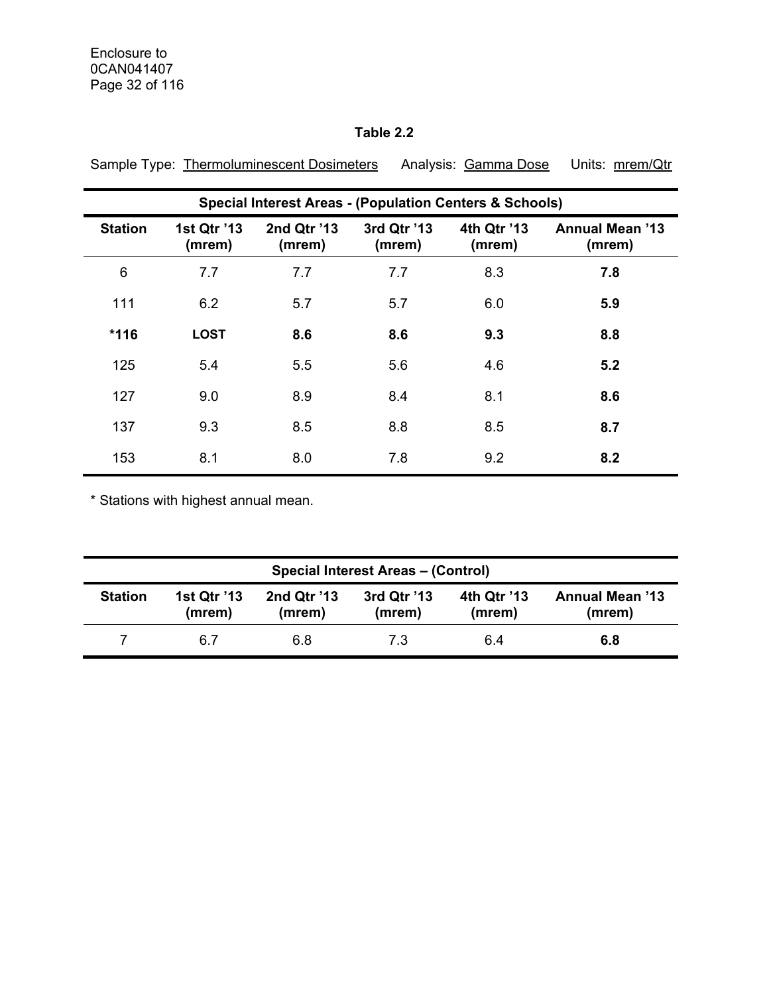## **Table 2.2**

|                | <b>Special Interest Areas - (Population Centers &amp; Schools)</b> |                       |                       |                       |                                  |  |  |  |
|----------------|--------------------------------------------------------------------|-----------------------|-----------------------|-----------------------|----------------------------------|--|--|--|
| <b>Station</b> | 1st Qtr '13<br>(mrem)                                              | 2nd Qtr '13<br>(mrem) | 3rd Qtr '13<br>(mrem) | 4th Qtr '13<br>(mrem) | <b>Annual Mean '13</b><br>(mrem) |  |  |  |
| 6              | 7.7                                                                | 7.7                   | 7.7                   | 8.3                   | 7.8                              |  |  |  |
| 111            | 6.2                                                                | 5.7                   | 5.7                   | 6.0                   | 5.9                              |  |  |  |
| $*116$         | <b>LOST</b>                                                        | 8.6                   | 8.6                   | 9.3                   | 8.8                              |  |  |  |
| 125            | 5.4                                                                | 5.5                   | 5.6                   | 4.6                   | 5.2                              |  |  |  |
| 127            | 9.0                                                                | 8.9                   | 8.4                   | 8.1                   | 8.6                              |  |  |  |
| 137            | 9.3                                                                | 8.5                   | 8.8                   | 8.5                   | 8.7                              |  |  |  |
| 153            | 8.1                                                                | 8.0                   | 7.8                   | 9.2                   | 8.2                              |  |  |  |

Sample Type: Thermoluminescent Dosimeters Analysis: Gamma Dose Units: mrem/Qtr

\* Stations with highest annual mean.

| <b>Special Interest Areas - (Control)</b> |                       |                       |                       |                       |                                  |  |  |  |  |  |
|-------------------------------------------|-----------------------|-----------------------|-----------------------|-----------------------|----------------------------------|--|--|--|--|--|
| <b>Station</b>                            | 1st Qtr '13<br>(mrem) | 2nd Qtr '13<br>(mrem) | 3rd Qtr '13<br>(mrem) | 4th Qtr '13<br>(mrem) | <b>Annual Mean '13</b><br>(mrem) |  |  |  |  |  |
|                                           | 6.7                   | 6.8                   | 7.3                   | 6.4                   | 6.8                              |  |  |  |  |  |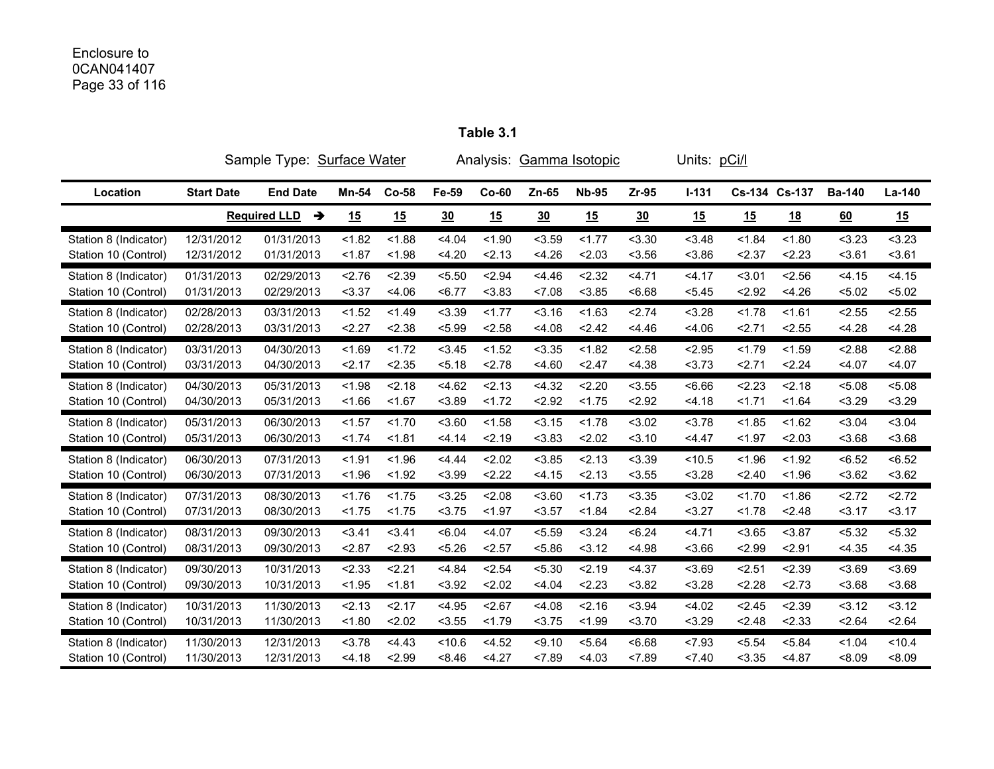# Enclosure to 0CAN041407 Page 33 of 116

|                       | Sample Type: Surface Water |                          |        |         | Analysis: Gamma Isotopic |         |        |              | Units: pCi/l |           |               |           |               |        |
|-----------------------|----------------------------|--------------------------|--------|---------|--------------------------|---------|--------|--------------|--------------|-----------|---------------|-----------|---------------|--------|
| Location              | <b>Start Date</b>          | <b>End Date</b>          | Mn-54  | $Co-58$ | Fe-59                    | $Co-60$ | Zn-65  | <b>Nb-95</b> | $Zr-95$      | $I - 131$ | Cs-134 Cs-137 |           | <b>Ba-140</b> | La-140 |
|                       |                            | <b>Required LLD</b><br>→ | 15     | 15      | 30                       | 15      | 30     | 15           | 30           | 15        | 15            | <u>18</u> | 60            | 15     |
| Station 8 (Indicator) | 12/31/2012                 | 01/31/2013               | < 1.82 | < 1.88  | < 4.04                   | < 1.90  | < 3.59 | 1.77         | < 3.30       | < 3.48    | < 1.84        | < 1.80    | < 3.23        | < 3.23 |
| Station 10 (Control)  | 12/31/2012                 | 01/31/2013               | < 1.87 | < 1.98  | 4.20                     | 2.13    | 4.26   | 2.03         | < 3.56       | < 3.86    | 2.37          | 2.23      | 3.61          | 3.61   |
| Station 8 (Indicator) | 01/31/2013                 | 02/29/2013               | 2.76   | 2.39    | < 5.50                   | 2.94    | 4.46   | < 2.32       | 4.71         | 4.17      | < 3.01        | 2.56      | < 4.15        | < 4.15 |
| Station 10 (Control)  | 01/31/2013                 | 02/29/2013               | < 3.37 | < 4.06  | < 6.77                   | < 3.83  | 27.08  | < 3.85       | <6.68        | < 5.45    | < 2.92        | < 4.26    | < 5.02        | < 5.02 |
| Station 8 (Indicator) | 02/28/2013                 | 03/31/2013               | < 1.52 | < 1.49  | < 3.39                   | < 1.77  | 3.16   | < 1.63       | 2.74         | < 3.28    | < 1.78        | < 1.61    | < 2.55        | < 2.55 |
| Station 10 (Control)  | 02/28/2013                 | 03/31/2013               | 2.27   | < 2.38  | < 5.99                   | < 2.58  | 4.08   | 2.42         | 4.46         | < 4.06    | 2.71          | < 2.55    | < 4.28        | < 4.28 |
| Station 8 (Indicator) | 03/31/2013                 | 04/30/2013               | < 1.69 | < 1.72  | < 3.45                   | < 1.52  | < 3.35 | < 1.82       | < 2.58       | < 2.95    | < 1.79        | < 1.59    | < 2.88        | < 2.88 |
| Station 10 (Control)  | 03/31/2013                 | 04/30/2013               | 2.17   | < 2.35  | 5.18                     | < 2.78  | < 4.60 | 2.47         | < 4.38       | 3.73      | 2.71          | 2.24      | < 4.07        | < 4.07 |
| Station 8 (Indicator) | 04/30/2013                 | 05/31/2013               | < 1.98 | 2.18    | 4.62                     | 2.13    | 4.32   | 2.20         | < 3.55       | 56.66     | 2.23          | 2.18      | < 5.08        | < 5.08 |
| Station 10 (Control)  | 04/30/2013                 | 05/31/2013               | < 1.66 | < 1.67  | < 3.89                   | < 1.72  | < 2.92 | < 1.75       | < 2.92       | 4.18      | 1.71          | < 1.64    | < 3.29        | < 3.29 |
| Station 8 (Indicator) | 05/31/2013                 | 06/30/2013               | < 1.57 | < 1.70  | 3.60                     | < 1.58  | < 3.15 | < 1.78       | < 3.02       | < 3.78    | < 1.85        | < 1.62    | < 3.04        | < 3.04 |
| Station 10 (Control)  | 05/31/2013                 | 06/30/2013               | < 1.74 | < 1.81  | < 4.14                   | 2.19    | < 3.83 | 2.02         | 3.10         | 4.47      | < 1.97        | < 2.03    | < 3.68        | < 3.68 |
| Station 8 (Indicator) | 06/30/2013                 | 07/31/2013               | < 1.91 | < 1.96  | 4.44                     | 2.02    | < 3.85 | 2.13         | < 3.39       | < 10.5    | < 1.96        | < 1.92    | < 6.52        | < 6.52 |
| Station 10 (Control)  | 06/30/2013                 | 07/31/2013               | < 1.96 | < 1.92  | < 3.99                   | 2.22    | < 4.15 | 2.13         | < 3.55       | < 3.28    | 2.40          | < 1.96    | 3.62          | 3.62   |
| Station 8 (Indicator) | 07/31/2013                 | 08/30/2013               | < 1.76 | < 1.75  | < 3.25                   | < 2.08  | 3.60   | < 1.73       | < 3.35       | < 3.02    | < 1.70        | < 1.86    | 2.72          | 2.72   |
| Station 10 (Control)  | 07/31/2013                 | 08/30/2013               | < 1.75 | < 1.75  | < 3.75                   | < 1.97  | $3.57$ | < 1.84       | < 2.84       | < 3.27    | < 1.78        | 2.48      | 3.17          | 3.17   |
| Station 8 (Indicator) | 08/31/2013                 | 09/30/2013               | 3.41   | 3.41    | <6.04                    | < 4.07  | < 5.59 | < 3.24       | < 6.24       | < 4.71    | < 3.65        | < 3.87    | < 5.32        | < 5.32 |
| Station 10 (Control)  | 08/31/2013                 | 09/30/2013               | 2.87   | < 2.93  | < 5.26                   | < 2.57  | < 5.86 | 3.12         | < 4.98       | < 3.66    | 2.99          | 2.91      | < 4.35        | < 4.35 |
| Station 8 (Indicator) | 09/30/2013                 | 10/31/2013               | < 2.33 | 2.21    | < 4.84                   | < 2.54  | < 5.30 | 2.19         | < 4.37       | < 3.69    | 2.51          | 2.39      | < 3.69        | < 3.69 |
| Station 10 (Control)  | 09/30/2013                 | 10/31/2013               | < 1.95 | < 1.81  | < 3.92                   | 2.02    | 4.04   | 2.23         | < 3.82       | < 3.28    | 2.28          | 2.73      | < 3.68        | 3.68   |
| Station 8 (Indicator) | 10/31/2013                 | 11/30/2013               | 2.13   | 2.17    | < 4.95                   | < 2.67  | 4.08   | < 2.16       | < 3.94       | < 4.02    | < 2.45        | 2.39      | 3.12          | 3.12   |
| Station 10 (Control)  | 10/31/2013                 | 11/30/2013               | < 1.80 | 2.02    | < 3.55                   | < 1.79  | 3.75   | < 1.99       | 3.70         | < 3.29    | < 2.48        | < 2.33    | < 2.64        | 2.64   |
| Station 8 (Indicator) | 11/30/2013                 | 12/31/2013               | < 3.78 | 4.43    | < 10.6                   | < 4.52  | < 9.10 | < 5.64       | 56.68        | 27.93     | < 5.54        | < 5.84    | < 1.04        | < 10.4 |
| Station 10 (Control)  | 11/30/2013                 | 12/31/2013               | < 4.18 | 2.99    | 8.46                     | < 4.27  | < 7.89 | < 4.03       | < 7.89       | < 7.40    | < 3.35        | < 4.87    | < 8.09        | <8.09  |

**Table 3.1**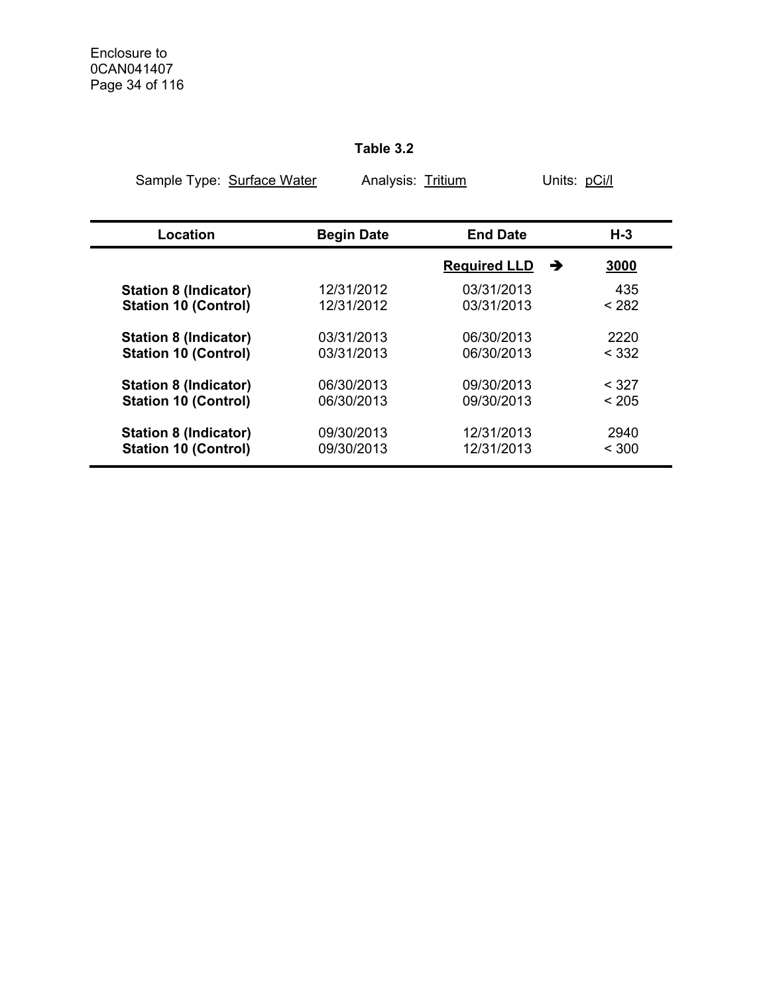## **Table 3.2**

| Sample Type: Surface Water   |                   | Analysis: Tritium   |           |  |
|------------------------------|-------------------|---------------------|-----------|--|
| Location                     | <b>Begin Date</b> | <b>End Date</b>     | $H-3$     |  |
|                              |                   | <b>Required LLD</b> | 3000<br>→ |  |
| <b>Station 8 (Indicator)</b> | 12/31/2012        | 03/31/2013          | 435       |  |
| <b>Station 10 (Control)</b>  | 12/31/2012        | 03/31/2013          | < 282     |  |
| <b>Station 8 (Indicator)</b> | 03/31/2013        | 06/30/2013          | 2220      |  |
| <b>Station 10 (Control)</b>  | 03/31/2013        | 06/30/2013          | < 332     |  |
| <b>Station 8 (Indicator)</b> | 06/30/2013        | 09/30/2013          | < 327     |  |
| <b>Station 10 (Control)</b>  | 06/30/2013        | 09/30/2013          | < 205     |  |
| <b>Station 8 (Indicator)</b> | 09/30/2013        | 12/31/2013          | 2940      |  |
| <b>Station 10 (Control)</b>  | 09/30/2013        | 12/31/2013          | < 300     |  |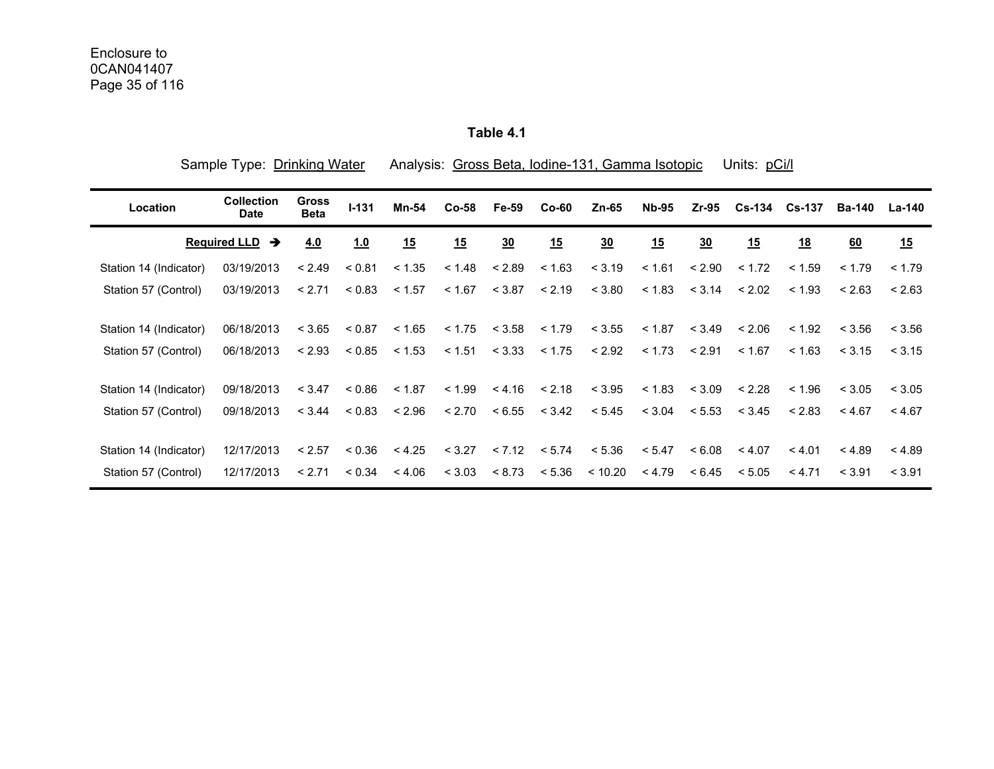**Table 4.1** 

| Sample Type: Drinking Water |                                  |                             |           |        |        |        |         | Analysis: Gross Beta, Iodine-131, Gamma Isotopic |              |                | Units: pCi/l |               |        |               |
|-----------------------------|----------------------------------|-----------------------------|-----------|--------|--------|--------|---------|--------------------------------------------------|--------------|----------------|--------------|---------------|--------|---------------|
| Location                    | <b>Collection</b><br><b>Date</b> | <b>Gross</b><br><b>Beta</b> | $I - 131$ | Mn-54  | Co-58  | Fe-59  | $Co-60$ | $Zn-65$                                          | <b>Nb-95</b> | $Zr-95$        |              | Cs-134 Cs-137 | Ba-140 | <b>La-140</b> |
|                             | <b>Required LLD</b><br>→         | 4.0                         | 1.0       | 15     | 15     | 30     | 15      | 30                                               | 15           | $\frac{30}{2}$ | 15           | <u>18</u>     | 60     | 15            |
| Station 14 (Indicator)      | 03/19/2013                       | < 2.49                      | < 0.81    | < 1.35 | < 1.48 | < 2.89 | < 1.63  | < 3.19                                           | < 1.61       | < 2.90         | < 1.72       | < 1.59        | < 1.79 | < 1.79        |
| Station 57 (Control)        | 03/19/2013                       | < 2.71                      | < 0.83    | < 1.57 | < 1.67 | < 3.87 | < 2.19  | < 3.80                                           | < 1.83       | < 3.14         | < 2.02       | < 1.93        | < 2.63 | < 2.63        |
| Station 14 (Indicator)      | 06/18/2013                       | < 3.65                      | < 0.87    | < 1.65 | < 1.75 | < 3.58 | < 1.79  | < 3.55                                           | < 1.87       | < 3.49         | < 2.06       | < 1.92        | < 3.56 | < 3.56        |
| Station 57 (Control)        | 06/18/2013                       | < 2.93                      | < 0.85    | < 1.53 | < 1.51 | < 3.33 | < 1.75  | < 2.92                                           | < 1.73       | < 2.91         | < 1.67       | < 1.63        | < 3.15 | < 3.15        |
| Station 14 (Indicator)      | 09/18/2013                       | < 3.47                      | < 0.86    | < 1.87 | < 1.99 | < 4.16 | < 2.18  | < 3.95                                           | < 1.83       | < 3.09         | < 2.28       | < 1.96        | < 3.05 | < 3.05        |
| Station 57 (Control)        | 09/18/2013                       | < 3.44                      | < 0.83    | < 2.96 | < 2.70 | < 6.55 | < 3.42  | < 5.45                                           | < 3.04       | < 5.53         | < 3.45       | < 2.83        | < 4.67 | < 4.67        |
| Station 14 (Indicator)      | 12/17/2013                       | < 2.57                      | < 0.36    | < 4.25 | < 3.27 | < 7.12 | < 5.74  | < 5.36                                           | < 5.47       | < 6.08         | < 4.07       | < 4.01        | < 4.89 | < 4.89        |
| Station 57 (Control)        | 12/17/2013                       | < 2.71                      | < 0.34    | < 4.06 | < 3.03 | < 8.73 | < 5.36  | < 10.20                                          | < 4.79       | < 6.45         | < 5.05       | < 4.71        | < 3.91 | < 3.91        |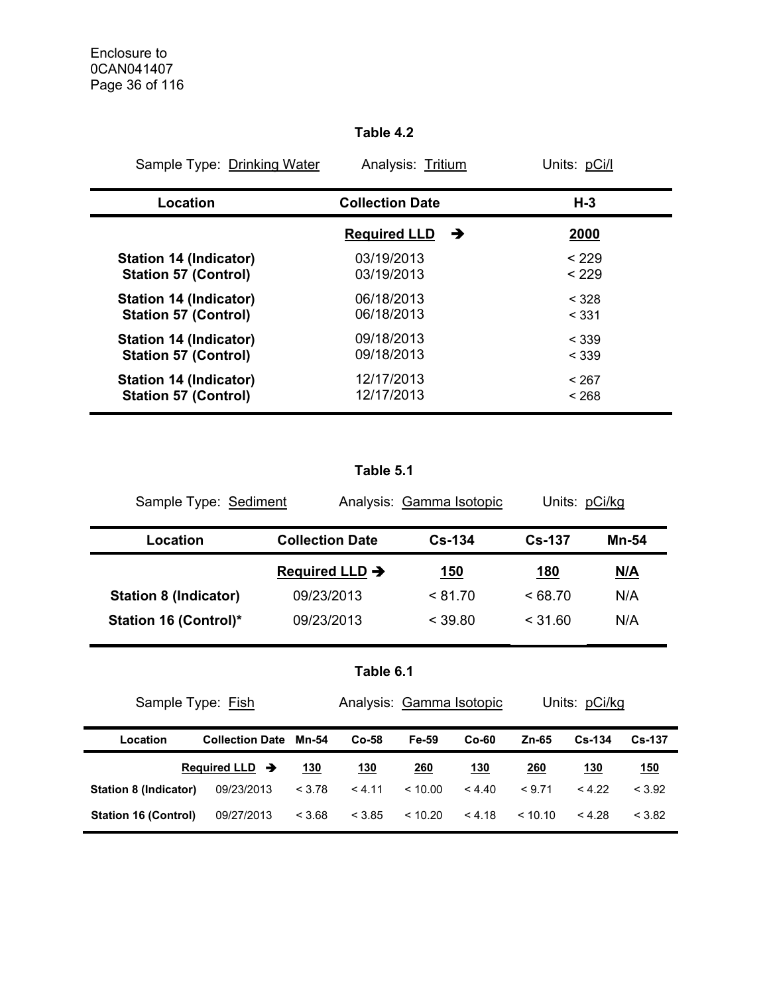### **Table 4.2**

| Sample Type: Drinking Water   | Analysis: Tritium        | Units: pCi/l |
|-------------------------------|--------------------------|--------------|
| Location                      | <b>Collection Date</b>   | $H-3$        |
|                               | <b>Required LLD</b><br>→ | 2000         |
| <b>Station 14 (Indicator)</b> | 03/19/2013               | < 229        |
| <b>Station 57 (Control)</b>   | 03/19/2013               | < 229        |
| <b>Station 14 (Indicator)</b> | 06/18/2013               | < 328        |
| <b>Station 57 (Control)</b>   | 06/18/2013               | < 331        |
| <b>Station 14 (Indicator)</b> | 09/18/2013               | < 339        |
| <b>Station 57 (Control)</b>   | 09/18/2013               | < 339        |
| <b>Station 14 (Indicator)</b> | 12/17/2013               | < 267        |
| <b>Station 57 (Control)</b>   | 12/17/2013               | < 268        |

## **Table 5.1**

| Sample Type: Sediment        |                            | Analysis: Gamma Isotopic | Units: pCi/kg |            |
|------------------------------|----------------------------|--------------------------|---------------|------------|
| Location                     | <b>Collection Date</b>     | $Cs-134$                 | $Cs - 137$    | Mn-54      |
|                              | Required LLD $\rightarrow$ | <u>150</u>               | <u>180</u>    | <u>N/A</u> |
| <b>Station 8 (Indicator)</b> | 09/23/2013                 | < 81.70                  | $<$ 68.70     | N/A        |
| <b>Station 16 (Control)*</b> | 09/23/2013                 | < 39.80                  | $<$ 31.60     | N/A        |

|  |  | Table 6.1 |  |
|--|--|-----------|--|
|  |  |           |  |

| Sample Type: Fish            | Analysis: Gamma Isotopic     |        |            |             | Units: pCi/kg |             |            |               |
|------------------------------|------------------------------|--------|------------|-------------|---------------|-------------|------------|---------------|
| Location                     | <b>Collection Date Mn-54</b> |        | $Co-58$    | Fe-59       | $Co-60$       | Zn-65       | $Cs - 134$ | <b>Cs-137</b> |
|                              | Required LLD $\rightarrow$   | 130    | <u>130</u> | <u> 260</u> | <u>130</u>    | <u> 260</u> | <u>130</u> | <u>150</u>    |
| <b>Station 8 (Indicator)</b> | 09/23/2013                   | < 3.78 | < 4.11     | ~10.00      | < 4.40        | < 9.71      | < 4.22     | < 3.92        |
| <b>Station 16 (Control)</b>  | 09/27/2013                   | < 3.68 | < 3.85     | < 10.20     | < 4.18        | < 10.10     | < 4.28     | < 3.82        |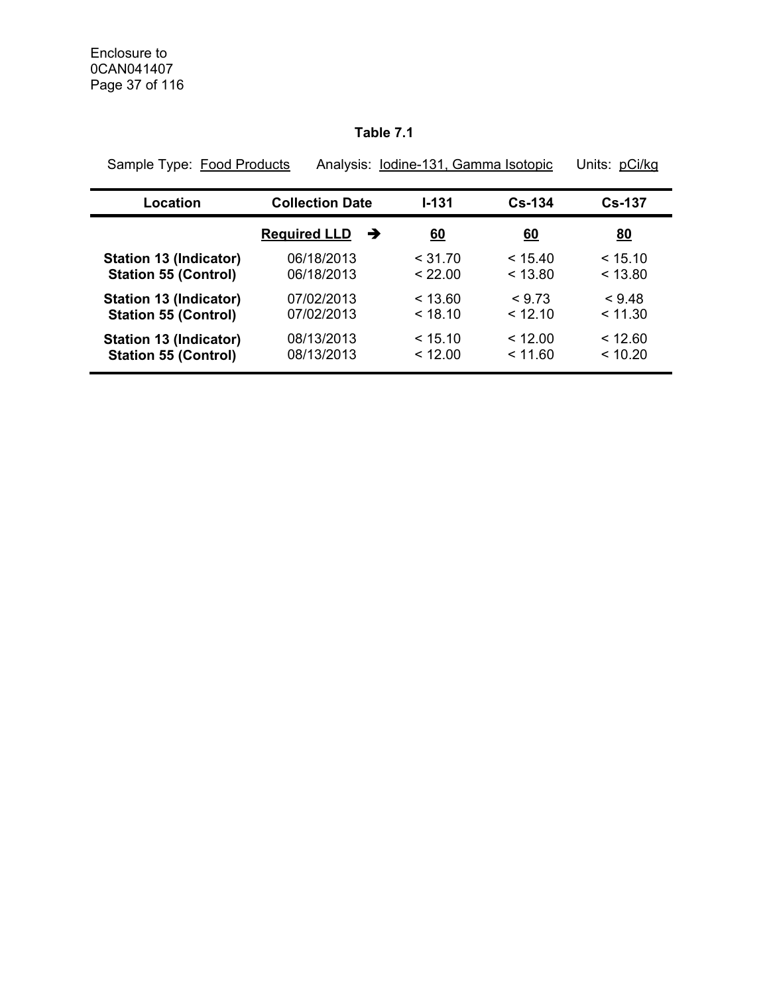## **Table 7.1**

| Sample Type: Food Products    |                          | Analysis: Iodine-131, Gamma Isotopic |            | Units: pCi/kg |
|-------------------------------|--------------------------|--------------------------------------|------------|---------------|
| Location                      | <b>Collection Date</b>   | $1 - 131$                            | $Cs - 134$ | <b>Cs-137</b> |
|                               | <b>Required LLD</b><br>→ | <u>60</u>                            | <u>60</u>  | 80            |
| <b>Station 13 (Indicator)</b> | 06/18/2013               | < 31.70                              | < 15.40    | < 15.10       |
| <b>Station 55 (Control)</b>   | 06/18/2013               | < 22.00                              | < 13.80    | < 13.80       |
| <b>Station 13 (Indicator)</b> | 07/02/2013               | < 13.60                              | < 9.73     | < 9.48        |
| <b>Station 55 (Control)</b>   | 07/02/2013               | < 18.10                              | < 12.10    | < 11.30       |
| Station 13 (Indicator)        | 08/13/2013               | < 15.10                              | < 12.00    | < 12.60       |
| <b>Station 55 (Control)</b>   | 08/13/2013               | < 12.00                              | < 11.60    | < 10.20       |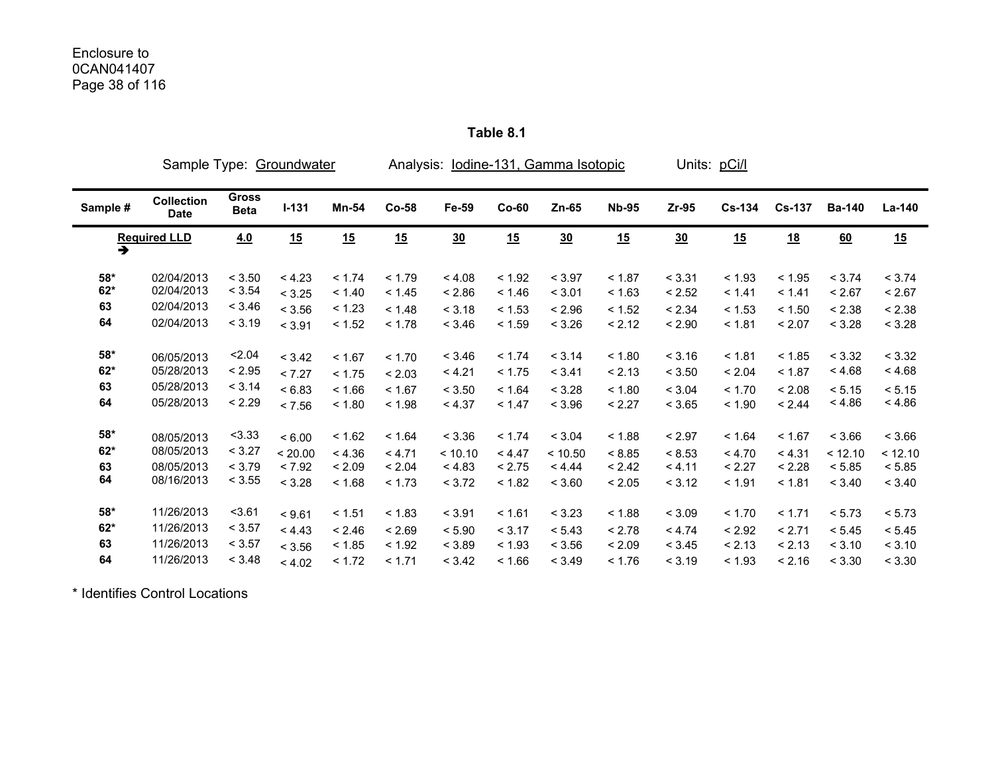## Enclosure to 0CAN041407 Page 38 of 116

|               | Sample Type: Groundwater         |                      |         |        |        | Analysis: lodine-131, Gamma Isotopic |         |         |              |         | Units: pCi/l |               |               |         |
|---------------|----------------------------------|----------------------|---------|--------|--------|--------------------------------------|---------|---------|--------------|---------|--------------|---------------|---------------|---------|
| Sample #      | <b>Collection</b><br><b>Date</b> | Gross<br><b>Beta</b> | $I-131$ | Mn-54  | Co-58  | Fe-59                                | $Co-60$ | $Zn-65$ | <b>Nb-95</b> | $Zr-95$ | $Cs-134$     | <b>Cs-137</b> | <b>Ba-140</b> | La-140  |
| $\rightarrow$ | <b>Required LLD</b>              | 4.0                  | 15      | 15     | 15     | 30                                   | 15      | 30      | 15           | 30      | 15           | <u>18</u>     | 60            | 15      |
| $58*$         | 02/04/2013                       | < 3.50               | < 4.23  | < 1.74 | < 1.79 | < 4.08                               | < 1.92  | < 3.97  | < 1.87       | < 3.31  | < 1.93       | < 1.95        | < 3.74        | < 3.74  |
| $62*$         | 02/04/2013                       | < 3.54               | < 3.25  | < 1.40 | < 1.45 | < 2.86                               | < 1.46  | < 3.01  | < 1.63       | < 2.52  | < 1.41       | < 1.41        | < 2.67        | < 2.67  |
| 63            | 02/04/2013                       | < 3.46               | < 3.56  | < 1.23 | < 1.48 | < 3.18                               | < 1.53  | < 2.96  | < 1.52       | < 2.34  | < 1.53       | < 1.50        | < 2.38        | < 2.38  |
| 64            | 02/04/2013                       | < 3.19               | < 3.91  | < 1.52 | < 1.78 | < 3.46                               | < 1.59  | < 3.26  | < 2.12       | < 2.90  | < 1.81       | < 2.07        | < 3.28        | < 3.28  |
| $58^{\star}$  | 06/05/2013                       | 2.04                 | < 3.42  | < 1.67 | < 1.70 | < 3.46                               | < 1.74  | < 3.14  | < 1.80       | < 3.16  | < 1.81       | < 1.85        | < 3.32        | < 3.32  |
| $62*$         | 05/28/2013                       | < 2.95               | < 7.27  | < 1.75 | < 2.03 | < 4.21                               | < 1.75  | < 3.41  | < 2.13       | < 3.50  | < 2.04       | < 1.87        | < 4.68        | < 4.68  |
| 63            | 05/28/2013                       | < 3.14               | < 6.83  | < 1.66 | < 1.67 | < 3.50                               | < 1.64  | < 3.28  | < 1.80       | < 3.04  | < 1.70       | < 2.08        | < 5.15        | < 5.15  |
| 64            | 05/28/2013                       | < 2.29               | < 7.56  | < 1.80 | < 1.98 | < 4.37                               | < 1.47  | < 3.96  | < 2.27       | < 3.65  | < 1.90       | < 2.44        | < 4.86        | < 4.86  |
| 58*           | 08/05/2013                       | < 3.33               | < 6.00  | < 1.62 | < 1.64 | < 3.36                               | < 1.74  | < 3.04  | < 1.88       | < 2.97  | < 1.64       | < 1.67        | < 3.66        | < 3.66  |
| $62*$         | 08/05/2013                       | < 3.27               | < 20.00 | < 4.36 | < 4.71 | < 10.10                              | < 4.47  | < 10.50 | < 8.85       | < 8.53  | < 4.70       | < 4.31        | < 12.10       | < 12.10 |
| 63            | 08/05/2013                       | < 3.79               | < 7.92  | < 2.09 | < 2.04 | < 4.83                               | < 2.75  | < 4.44  | < 2.42       | < 4.11  | < 2.27       | < 2.28        | < 5.85        | < 5.85  |
| 64            | 08/16/2013                       | < 3.55               | < 3.28  | < 1.68 | < 1.73 | < 3.72                               | < 1.82  | < 3.60  | < 2.05       | < 3.12  | < 1.91       | < 1.81        | < 3.40        | < 3.40  |
| $58*$         | 11/26/2013                       | 3.61                 | < 9.61  | < 1.51 | < 1.83 | < 3.91                               | < 1.61  | < 3.23  | < 1.88       | < 3.09  | < 1.70       | < 1.71        | < 5.73        | < 5.73  |
| $62*$         | 11/26/2013                       | < 3.57               | < 4.43  | < 2.46 | < 2.69 | < 5.90                               | < 3.17  | < 5.43  | < 2.78       | < 4.74  | < 2.92       | < 2.71        | < 5.45        | < 5.45  |
| 63            | 11/26/2013                       | < 3.57               | < 3.56  | < 1.85 | < 1.92 | < 3.89                               | < 1.93  | < 3.56  | < 2.09       | < 3.45  | < 2.13       | < 2.13        | < 3.10        | < 3.10  |
| 64            | 11/26/2013                       | < 3.48               | < 4.02  | < 1.72 | < 1.71 | < 3.42                               | < 1.66  | < 3.49  | < 1.76       | < 3.19  | < 1.93       | < 2.16        | < 3.30        | < 3.30  |

**Table 8.1** 

\* Identifies Control Locations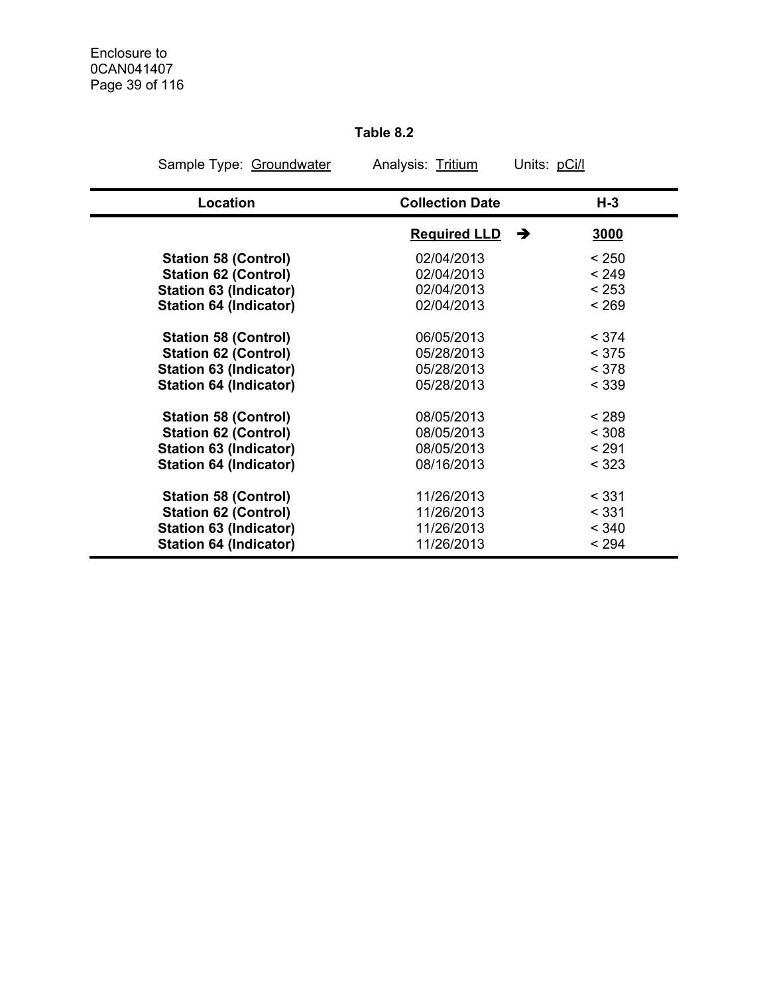## **Table 8.2**

| Sample Type: Groundwater      | Analysis: Tritium        | Units: pCi/l |
|-------------------------------|--------------------------|--------------|
| Location                      | <b>Collection Date</b>   | $H-3$        |
|                               | <b>Required LLD</b><br>→ | 3000         |
| <b>Station 58 (Control)</b>   | 02/04/2013               | < 250        |
| <b>Station 62 (Control)</b>   | 02/04/2013               | < 249        |
| <b>Station 63 (Indicator)</b> | 02/04/2013               | < 253        |
| <b>Station 64 (Indicator)</b> | 02/04/2013               | < 269        |
| <b>Station 58 (Control)</b>   | 06/05/2013               | < 374        |
| <b>Station 62 (Control)</b>   | 05/28/2013               | < 375        |
| <b>Station 63 (Indicator)</b> | 05/28/2013               | < 378        |
| <b>Station 64 (Indicator)</b> | 05/28/2013               | < 339        |
| <b>Station 58 (Control)</b>   | 08/05/2013               | < 289        |
| <b>Station 62 (Control)</b>   | 08/05/2013               | < 308        |
| <b>Station 63 (Indicator)</b> | 08/05/2013               | < 291        |
| <b>Station 64 (Indicator)</b> | 08/16/2013               | < 323        |
| <b>Station 58 (Control)</b>   | 11/26/2013               | < 331        |
| <b>Station 62 (Control)</b>   | 11/26/2013               | < 331        |
| <b>Station 63 (Indicator)</b> | 11/26/2013               | < 340        |
| <b>Station 64 (Indicator)</b> | 11/26/2013               | < 294        |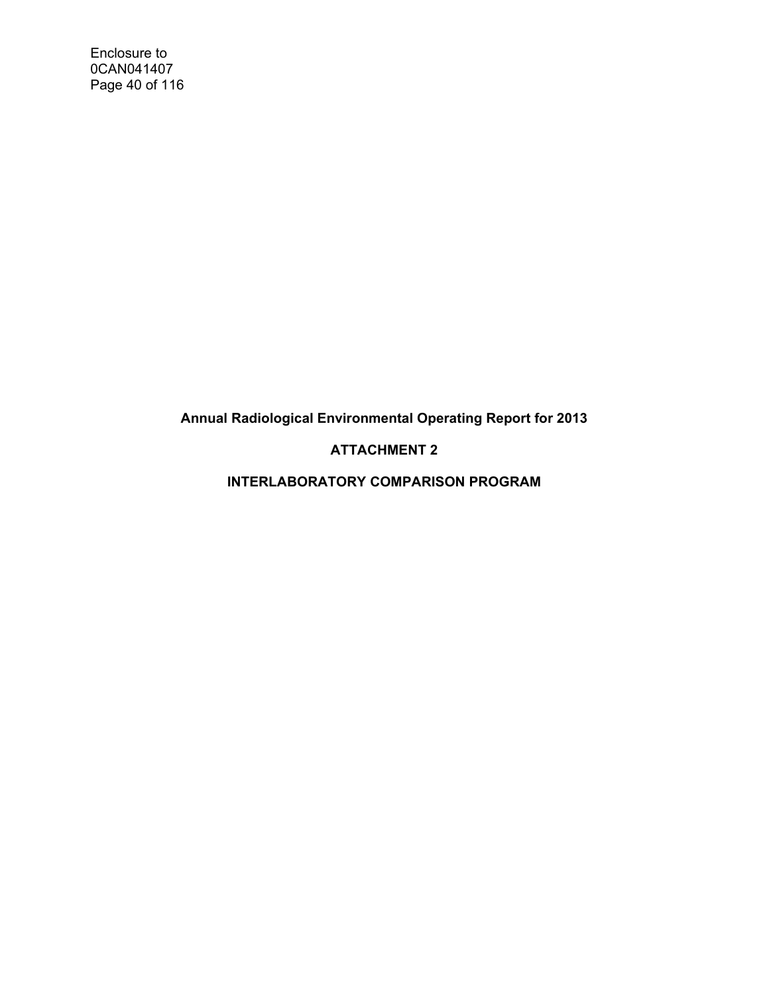Enclosure to 0CAN041407 Page 40 of 116

**Annual Radiological Environmental Operating Report for 2013** 

## **ATTACHMENT 2**

**INTERLABORATORY COMPARISON PROGRAM**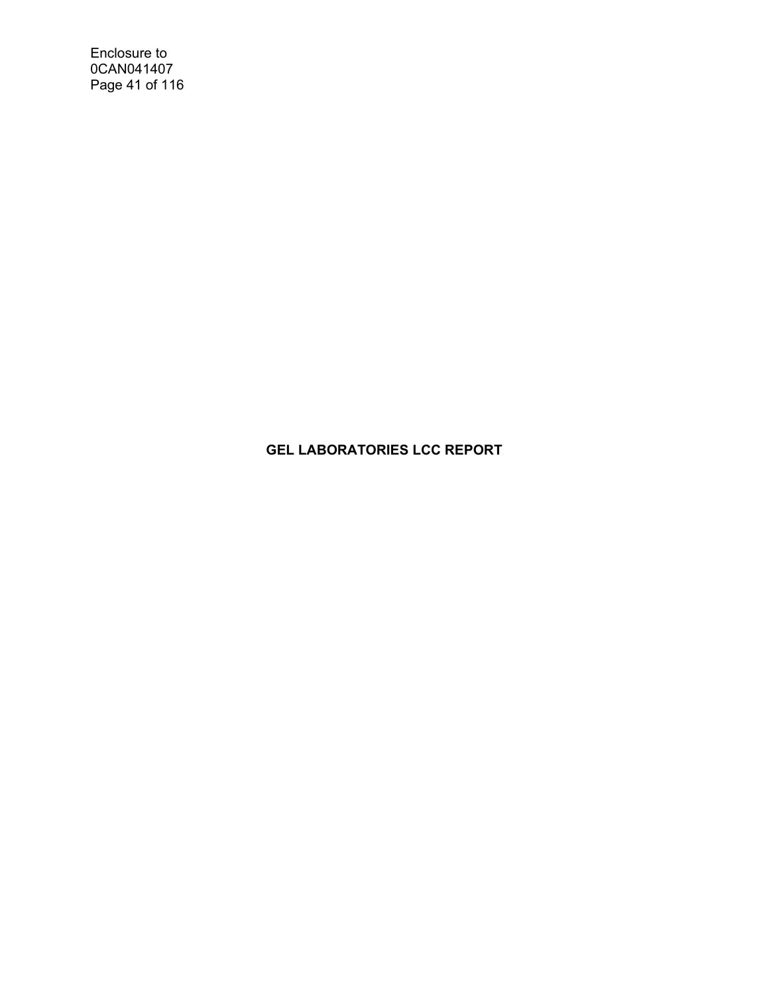Enclosure to 0CAN041407 Page 41 of 116

## **GEL LABORATORIES LCC REPORT**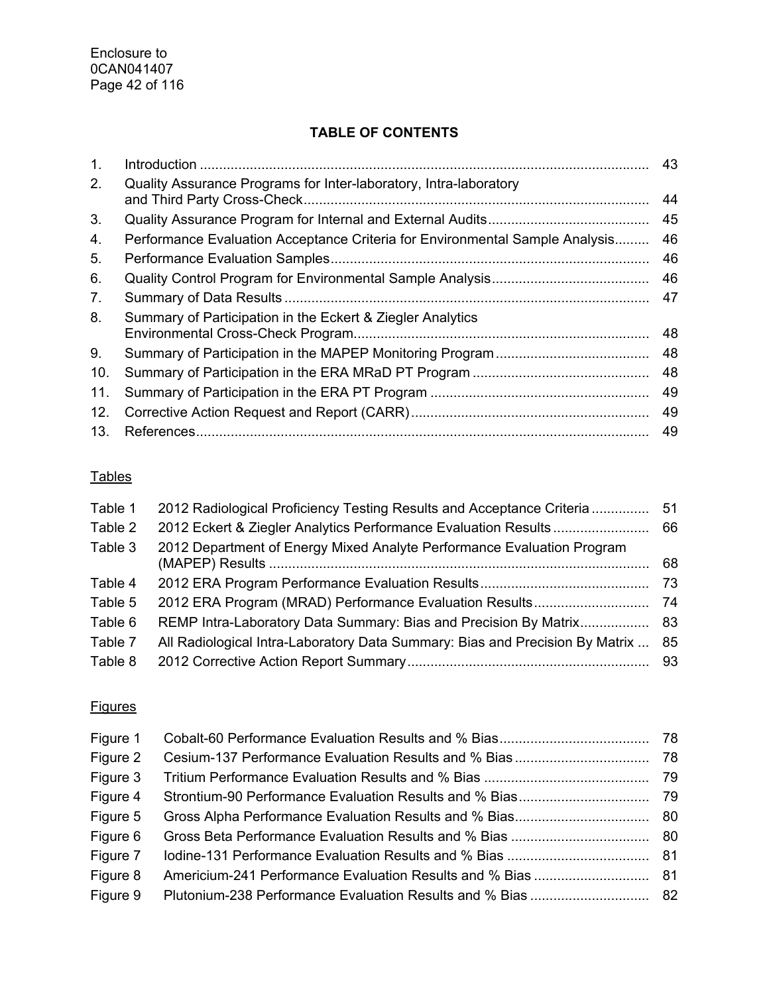## **TABLE OF CONTENTS**

| 1.  |                                                                              | 43 |
|-----|------------------------------------------------------------------------------|----|
| 2.  | Quality Assurance Programs for Inter-laboratory, Intra-laboratory            | 44 |
| 3.  |                                                                              | 45 |
| 4.  | Performance Evaluation Acceptance Criteria for Environmental Sample Analysis | 46 |
| 5.  |                                                                              | 46 |
| 6.  |                                                                              | 46 |
| 7.  |                                                                              | 47 |
| 8.  | Summary of Participation in the Eckert & Ziegler Analytics                   | 48 |
| 9.  |                                                                              | 48 |
| 10. |                                                                              | 48 |
| 11. |                                                                              | 49 |
| 12. |                                                                              | 49 |
| 13. |                                                                              | 49 |

## **Tables**

| Table 1 | 2012 Radiological Proficiency Testing Results and Acceptance Criteria        | 51  |
|---------|------------------------------------------------------------------------------|-----|
| Table 2 | 2012 Eckert & Ziegler Analytics Performance Evaluation Results               | 66  |
| Table 3 | 2012 Department of Energy Mixed Analyte Performance Evaluation Program       | 68  |
| Table 4 |                                                                              | -73 |
| Table 5 |                                                                              |     |
| Table 6 | REMP Intra-Laboratory Data Summary: Bias and Precision By Matrix 83          |     |
| Table 7 | All Radiological Intra-Laboratory Data Summary: Bias and Precision By Matrix | 85  |
| Table 8 |                                                                              | 93  |

## **Figures**

| Figure 1 |  |
|----------|--|
| Figure 2 |  |
| Figure 3 |  |
| Figure 4 |  |
| Figure 5 |  |
| Figure 6 |  |
| Figure 7 |  |
| Figure 8 |  |
| Figure 9 |  |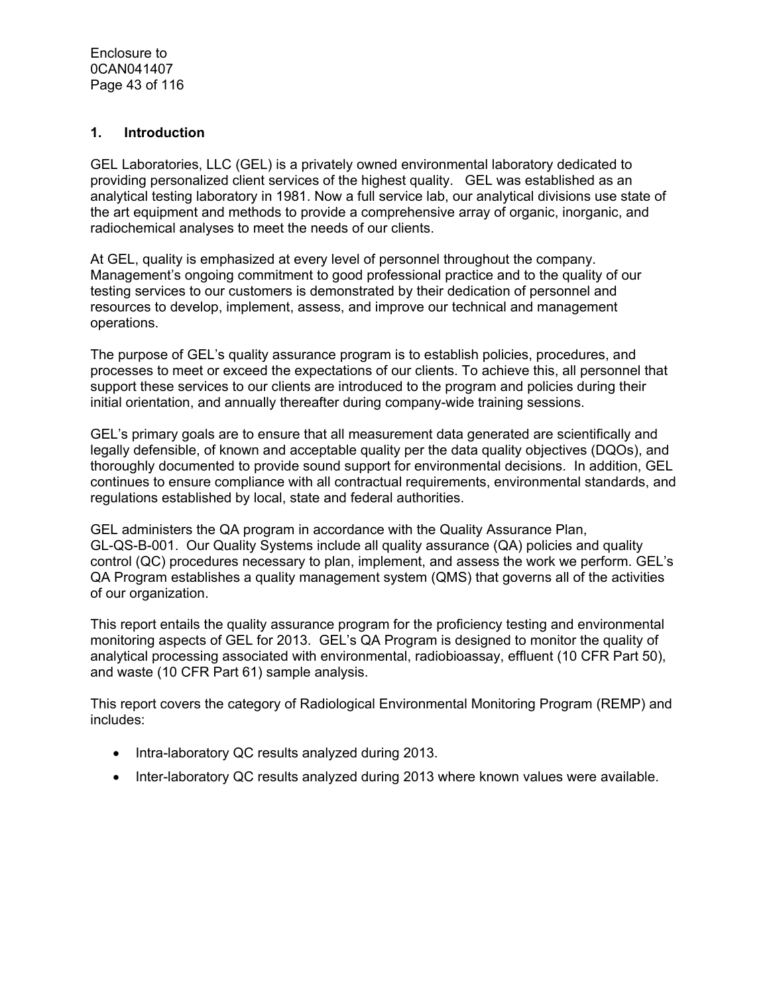#### **1. Introduction**

GEL Laboratories, LLC (GEL) is a privately owned environmental laboratory dedicated to providing personalized client services of the highest quality. GEL was established as an analytical testing laboratory in 1981. Now a full service lab, our analytical divisions use state of the art equipment and methods to provide a comprehensive array of organic, inorganic, and radiochemical analyses to meet the needs of our clients.

At GEL, quality is emphasized at every level of personnel throughout the company. Management's ongoing commitment to good professional practice and to the quality of our testing services to our customers is demonstrated by their dedication of personnel and resources to develop, implement, assess, and improve our technical and management operations.

The purpose of GEL's quality assurance program is to establish policies, procedures, and processes to meet or exceed the expectations of our clients. To achieve this, all personnel that support these services to our clients are introduced to the program and policies during their initial orientation, and annually thereafter during company-wide training sessions.

GEL's primary goals are to ensure that all measurement data generated are scientifically and legally defensible, of known and acceptable quality per the data quality objectives (DQOs), and thoroughly documented to provide sound support for environmental decisions. In addition, GEL continues to ensure compliance with all contractual requirements, environmental standards, and regulations established by local, state and federal authorities.

GEL administers the QA program in accordance with the Quality Assurance Plan, GL-QS-B-001. Our Quality Systems include all quality assurance (QA) policies and quality control (QC) procedures necessary to plan, implement, and assess the work we perform. GEL's QA Program establishes a quality management system (QMS) that governs all of the activities of our organization.

This report entails the quality assurance program for the proficiency testing and environmental monitoring aspects of GEL for 2013. GEL's QA Program is designed to monitor the quality of analytical processing associated with environmental, radiobioassay, effluent (10 CFR Part 50), and waste (10 CFR Part 61) sample analysis.

This report covers the category of Radiological Environmental Monitoring Program (REMP) and includes:

- Intra-laboratory QC results analyzed during 2013.
- Inter-laboratory QC results analyzed during 2013 where known values were available.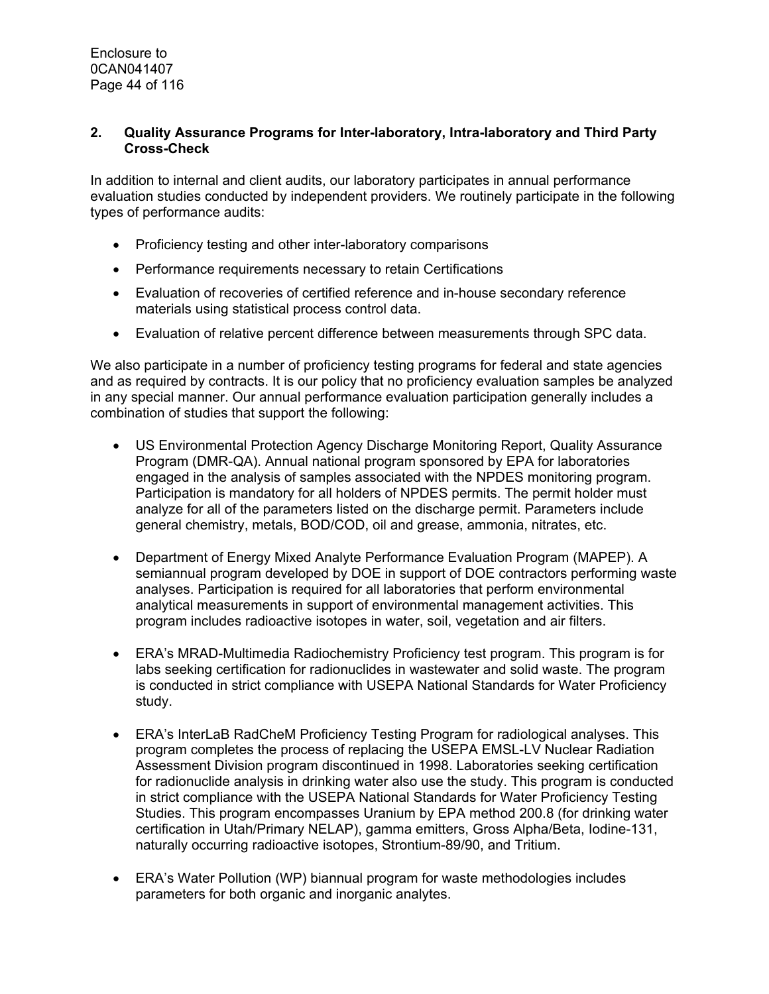#### **2. Quality Assurance Programs for Inter-laboratory, Intra-laboratory and Third Party Cross-Check**

In addition to internal and client audits, our laboratory participates in annual performance evaluation studies conducted by independent providers. We routinely participate in the following types of performance audits:

- Proficiency testing and other inter-laboratory comparisons
- Performance requirements necessary to retain Certifications
- Evaluation of recoveries of certified reference and in-house secondary reference materials using statistical process control data.
- Evaluation of relative percent difference between measurements through SPC data.

We also participate in a number of proficiency testing programs for federal and state agencies and as required by contracts. It is our policy that no proficiency evaluation samples be analyzed in any special manner. Our annual performance evaluation participation generally includes a combination of studies that support the following:

- US Environmental Protection Agency Discharge Monitoring Report, Quality Assurance Program (DMR-QA). Annual national program sponsored by EPA for laboratories engaged in the analysis of samples associated with the NPDES monitoring program. Participation is mandatory for all holders of NPDES permits. The permit holder must analyze for all of the parameters listed on the discharge permit. Parameters include general chemistry, metals, BOD/COD, oil and grease, ammonia, nitrates, etc.
- Department of Energy Mixed Analyte Performance Evaluation Program (MAPEP). A semiannual program developed by DOE in support of DOE contractors performing waste analyses. Participation is required for all laboratories that perform environmental analytical measurements in support of environmental management activities. This program includes radioactive isotopes in water, soil, vegetation and air filters.
- ERA's MRAD-Multimedia Radiochemistry Proficiency test program. This program is for labs seeking certification for radionuclides in wastewater and solid waste. The program is conducted in strict compliance with USEPA National Standards for Water Proficiency study.
- ERA's InterLaB RadCheM Proficiency Testing Program for radiological analyses. This program completes the process of replacing the USEPA EMSL-LV Nuclear Radiation Assessment Division program discontinued in 1998. Laboratories seeking certification for radionuclide analysis in drinking water also use the study. This program is conducted in strict compliance with the USEPA National Standards for Water Proficiency Testing Studies. This program encompasses Uranium by EPA method 200.8 (for drinking water certification in Utah/Primary NELAP), gamma emitters, Gross Alpha/Beta, Iodine-131, naturally occurring radioactive isotopes, Strontium-89/90, and Tritium.
- ERA's Water Pollution (WP) biannual program for waste methodologies includes parameters for both organic and inorganic analytes.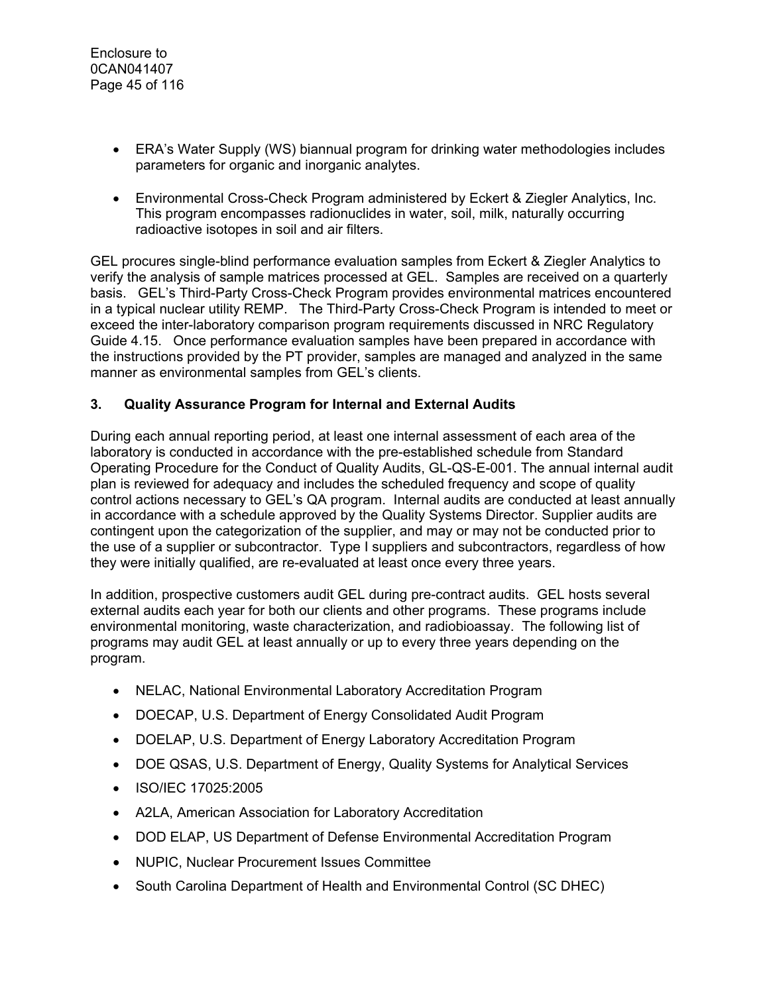- ERA's Water Supply (WS) biannual program for drinking water methodologies includes parameters for organic and inorganic analytes.
- Environmental Cross-Check Program administered by Eckert & Ziegler Analytics, Inc. This program encompasses radionuclides in water, soil, milk, naturally occurring radioactive isotopes in soil and air filters.

GEL procures single-blind performance evaluation samples from Eckert & Ziegler Analytics to verify the analysis of sample matrices processed at GEL. Samples are received on a quarterly basis. GEL's Third-Party Cross-Check Program provides environmental matrices encountered in a typical nuclear utility REMP. The Third-Party Cross-Check Program is intended to meet or exceed the inter-laboratory comparison program requirements discussed in NRC Regulatory Guide 4.15. Once performance evaluation samples have been prepared in accordance with the instructions provided by the PT provider, samples are managed and analyzed in the same manner as environmental samples from GEL's clients.

#### **3. Quality Assurance Program for Internal and External Audits**

During each annual reporting period, at least one internal assessment of each area of the laboratory is conducted in accordance with the pre-established schedule from Standard Operating Procedure for the Conduct of Quality Audits, GL-QS-E-001. The annual internal audit plan is reviewed for adequacy and includes the scheduled frequency and scope of quality control actions necessary to GEL's QA program. Internal audits are conducted at least annually in accordance with a schedule approved by the Quality Systems Director. Supplier audits are contingent upon the categorization of the supplier, and may or may not be conducted prior to the use of a supplier or subcontractor. Type I suppliers and subcontractors, regardless of how they were initially qualified, are re-evaluated at least once every three years.

In addition, prospective customers audit GEL during pre-contract audits. GEL hosts several external audits each year for both our clients and other programs. These programs include environmental monitoring, waste characterization, and radiobioassay. The following list of programs may audit GEL at least annually or up to every three years depending on the program.

- NELAC, National Environmental Laboratory Accreditation Program
- DOECAP, U.S. Department of Energy Consolidated Audit Program
- DOELAP, U.S. Department of Energy Laboratory Accreditation Program
- DOE QSAS, U.S. Department of Energy, Quality Systems for Analytical Services
- ISO/IEC 17025:2005
- A2LA, American Association for Laboratory Accreditation
- DOD ELAP, US Department of Defense Environmental Accreditation Program
- NUPIC, Nuclear Procurement Issues Committee
- South Carolina Department of Health and Environmental Control (SC DHEC)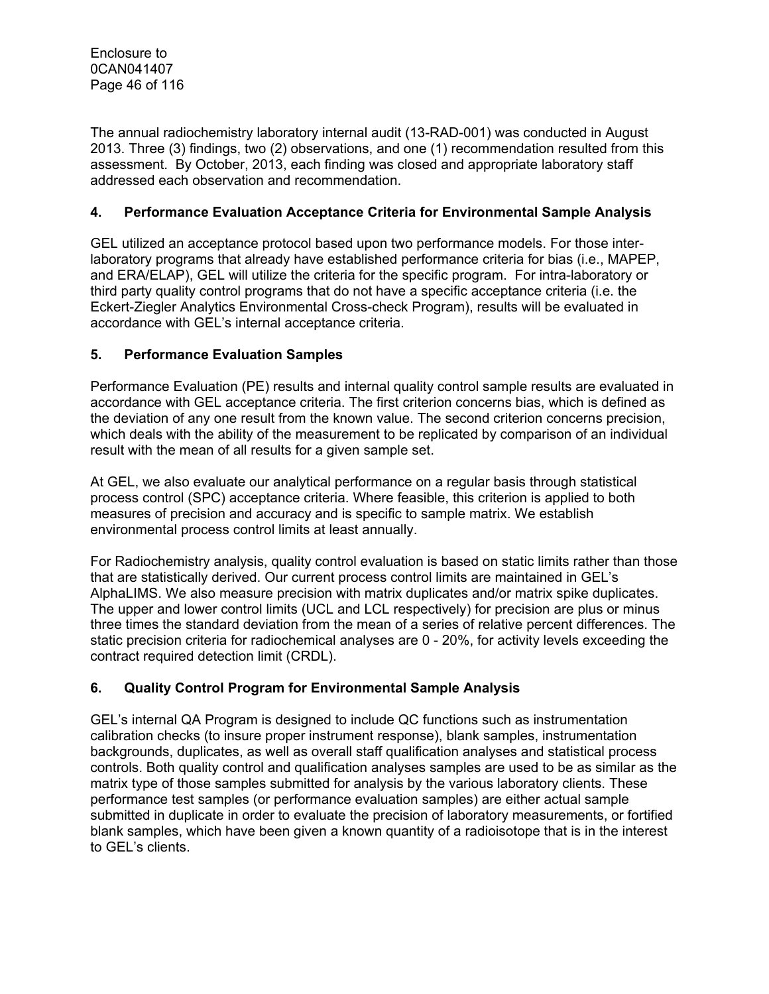The annual radiochemistry laboratory internal audit (13-RAD-001) was conducted in August 2013. Three (3) findings, two (2) observations, and one (1) recommendation resulted from this assessment. By October, 2013, each finding was closed and appropriate laboratory staff addressed each observation and recommendation.

#### **4. Performance Evaluation Acceptance Criteria for Environmental Sample Analysis**

GEL utilized an acceptance protocol based upon two performance models. For those interlaboratory programs that already have established performance criteria for bias (i.e., MAPEP, and ERA/ELAP), GEL will utilize the criteria for the specific program. For intra-laboratory or third party quality control programs that do not have a specific acceptance criteria (i.e. the Eckert-Ziegler Analytics Environmental Cross-check Program), results will be evaluated in accordance with GEL's internal acceptance criteria.

#### **5. Performance Evaluation Samples**

Performance Evaluation (PE) results and internal quality control sample results are evaluated in accordance with GEL acceptance criteria. The first criterion concerns bias, which is defined as the deviation of any one result from the known value. The second criterion concerns precision, which deals with the ability of the measurement to be replicated by comparison of an individual result with the mean of all results for a given sample set.

At GEL, we also evaluate our analytical performance on a regular basis through statistical process control (SPC) acceptance criteria. Where feasible, this criterion is applied to both measures of precision and accuracy and is specific to sample matrix. We establish environmental process control limits at least annually.

For Radiochemistry analysis, quality control evaluation is based on static limits rather than those that are statistically derived. Our current process control limits are maintained in GEL's AlphaLIMS. We also measure precision with matrix duplicates and/or matrix spike duplicates. The upper and lower control limits (UCL and LCL respectively) for precision are plus or minus three times the standard deviation from the mean of a series of relative percent differences. The static precision criteria for radiochemical analyses are 0 - 20%, for activity levels exceeding the contract required detection limit (CRDL).

#### **6. Quality Control Program for Environmental Sample Analysis**

GEL's internal QA Program is designed to include QC functions such as instrumentation calibration checks (to insure proper instrument response), blank samples, instrumentation backgrounds, duplicates, as well as overall staff qualification analyses and statistical process controls. Both quality control and qualification analyses samples are used to be as similar as the matrix type of those samples submitted for analysis by the various laboratory clients. These performance test samples (or performance evaluation samples) are either actual sample submitted in duplicate in order to evaluate the precision of laboratory measurements, or fortified blank samples, which have been given a known quantity of a radioisotope that is in the interest to GEL's clients.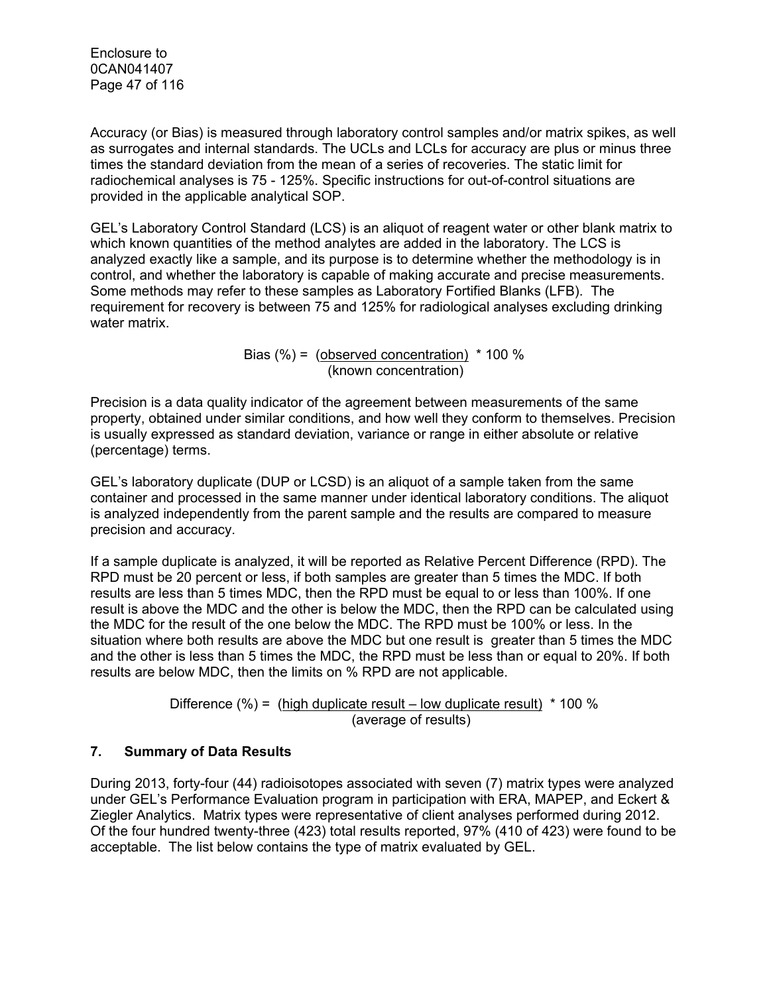Enclosure to 0CAN041407 Page 47 of 116

Accuracy (or Bias) is measured through laboratory control samples and/or matrix spikes, as well as surrogates and internal standards. The UCLs and LCLs for accuracy are plus or minus three times the standard deviation from the mean of a series of recoveries. The static limit for radiochemical analyses is 75 - 125%. Specific instructions for out-of-control situations are provided in the applicable analytical SOP.

GEL's Laboratory Control Standard (LCS) is an aliquot of reagent water or other blank matrix to which known quantities of the method analytes are added in the laboratory. The LCS is analyzed exactly like a sample, and its purpose is to determine whether the methodology is in control, and whether the laboratory is capable of making accurate and precise measurements. Some methods may refer to these samples as Laboratory Fortified Blanks (LFB). The requirement for recovery is between 75 and 125% for radiological analyses excluding drinking water matrix.

> Bias  $(\%)$  = (observed concentration)  $*$  100 % (known concentration)

Precision is a data quality indicator of the agreement between measurements of the same property, obtained under similar conditions, and how well they conform to themselves. Precision is usually expressed as standard deviation, variance or range in either absolute or relative (percentage) terms.

GEL's laboratory duplicate (DUP or LCSD) is an aliquot of a sample taken from the same container and processed in the same manner under identical laboratory conditions. The aliquot is analyzed independently from the parent sample and the results are compared to measure precision and accuracy.

If a sample duplicate is analyzed, it will be reported as Relative Percent Difference (RPD). The RPD must be 20 percent or less, if both samples are greater than 5 times the MDC. If both results are less than 5 times MDC, then the RPD must be equal to or less than 100%. If one result is above the MDC and the other is below the MDC, then the RPD can be calculated using the MDC for the result of the one below the MDC. The RPD must be 100% or less. In the situation where both results are above the MDC but one result is greater than 5 times the MDC and the other is less than 5 times the MDC, the RPD must be less than or equal to 20%. If both results are below MDC, then the limits on % RPD are not applicable.

> Difference (%) = (high duplicate result – low duplicate result)  $*$  100 % (average of results)

#### **7. Summary of Data Results**

During 2013, forty-four (44) radioisotopes associated with seven (7) matrix types were analyzed under GEL's Performance Evaluation program in participation with ERA, MAPEP, and Eckert & Ziegler Analytics. Matrix types were representative of client analyses performed during 2012. Of the four hundred twenty-three (423) total results reported, 97% (410 of 423) were found to be acceptable. The list below contains the type of matrix evaluated by GEL.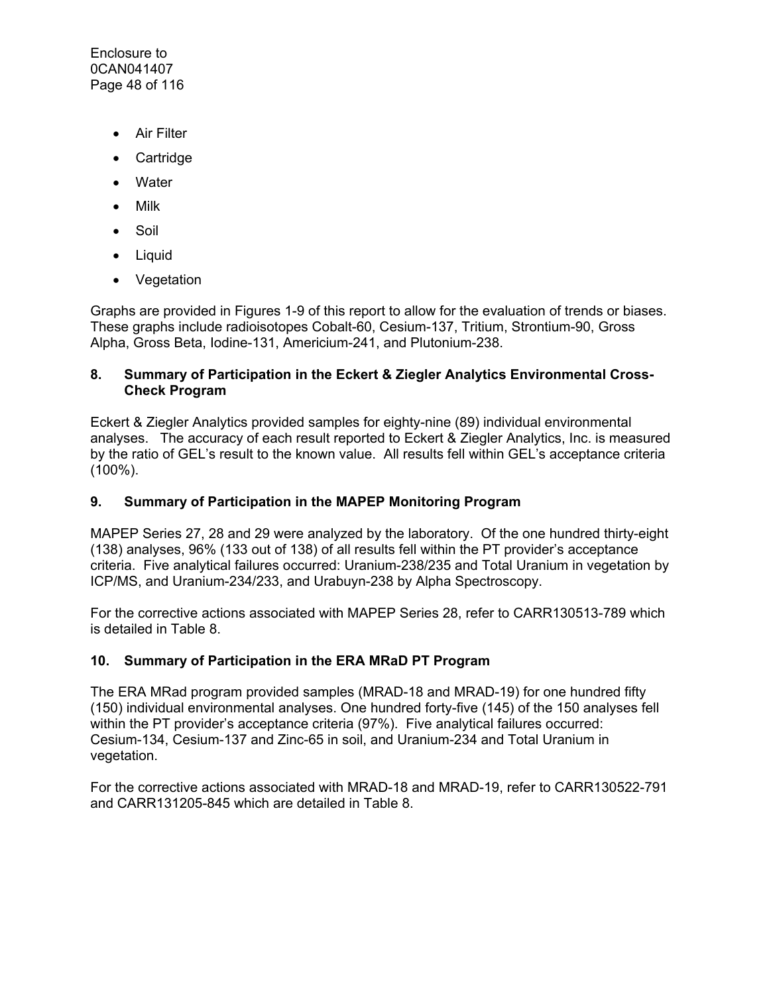Enclosure to 0CAN041407 Page 48 of 116

- **•** Air Filter
- Cartridge
- Water
- Milk
- Soil
- Liquid
- Vegetation

Graphs are provided in Figures 1-9 of this report to allow for the evaluation of trends or biases. These graphs include radioisotopes Cobalt-60, Cesium-137, Tritium, Strontium-90, Gross Alpha, Gross Beta, Iodine-131, Americium-241, and Plutonium-238.

#### **8. Summary of Participation in the Eckert & Ziegler Analytics Environmental Cross-Check Program**

Eckert & Ziegler Analytics provided samples for eighty-nine (89) individual environmental analyses. The accuracy of each result reported to Eckert & Ziegler Analytics, Inc. is measured by the ratio of GEL's result to the known value. All results fell within GEL's acceptance criteria (100%).

#### **9. Summary of Participation in the MAPEP Monitoring Program**

MAPEP Series 27, 28 and 29 were analyzed by the laboratory. Of the one hundred thirty-eight (138) analyses, 96% (133 out of 138) of all results fell within the PT provider's acceptance criteria. Five analytical failures occurred: Uranium-238/235 and Total Uranium in vegetation by ICP/MS, and Uranium-234/233, and Urabuyn-238 by Alpha Spectroscopy.

For the corrective actions associated with MAPEP Series 28, refer to CARR130513-789 which is detailed in Table 8.

#### **10. Summary of Participation in the ERA MRaD PT Program**

The ERA MRad program provided samples (MRAD-18 and MRAD-19) for one hundred fifty (150) individual environmental analyses. One hundred forty-five (145) of the 150 analyses fell within the PT provider's acceptance criteria (97%). Five analytical failures occurred: Cesium-134, Cesium-137 and Zinc-65 in soil, and Uranium-234 and Total Uranium in vegetation.

For the corrective actions associated with MRAD-18 and MRAD-19, refer to CARR130522-791 and CARR131205-845 which are detailed in Table 8.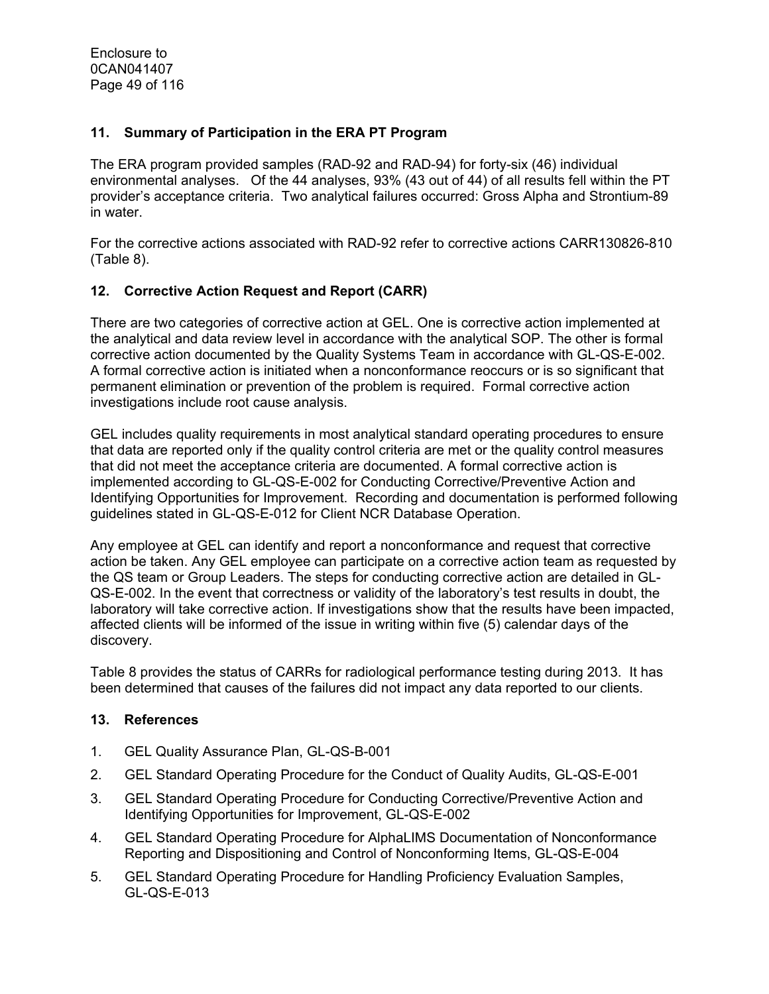#### **11. Summary of Participation in the ERA PT Program**

The ERA program provided samples (RAD-92 and RAD-94) for forty-six (46) individual environmental analyses. Of the 44 analyses, 93% (43 out of 44) of all results fell within the PT provider's acceptance criteria. Two analytical failures occurred: Gross Alpha and Strontium-89 in water.

For the corrective actions associated with RAD-92 refer to corrective actions CARR130826-810 (Table 8).

#### **12. Corrective Action Request and Report (CARR)**

There are two categories of corrective action at GEL. One is corrective action implemented at the analytical and data review level in accordance with the analytical SOP. The other is formal corrective action documented by the Quality Systems Team in accordance with GL-QS-E-002. A formal corrective action is initiated when a nonconformance reoccurs or is so significant that permanent elimination or prevention of the problem is required. Formal corrective action investigations include root cause analysis.

GEL includes quality requirements in most analytical standard operating procedures to ensure that data are reported only if the quality control criteria are met or the quality control measures that did not meet the acceptance criteria are documented. A formal corrective action is implemented according to GL-QS-E-002 for Conducting Corrective/Preventive Action and Identifying Opportunities for Improvement. Recording and documentation is performed following guidelines stated in GL-QS-E-012 for Client NCR Database Operation.

Any employee at GEL can identify and report a nonconformance and request that corrective action be taken. Any GEL employee can participate on a corrective action team as requested by the QS team or Group Leaders. The steps for conducting corrective action are detailed in GL-QS-E-002. In the event that correctness or validity of the laboratory's test results in doubt, the laboratory will take corrective action. If investigations show that the results have been impacted, affected clients will be informed of the issue in writing within five (5) calendar days of the discovery.

Table 8 provides the status of CARRs for radiological performance testing during 2013. It has been determined that causes of the failures did not impact any data reported to our clients.

#### **13. References**

- 1. GEL Quality Assurance Plan, GL-QS-B-001
- 2. GEL Standard Operating Procedure for the Conduct of Quality Audits, GL-QS-E-001
- 3. GEL Standard Operating Procedure for Conducting Corrective/Preventive Action and Identifying Opportunities for Improvement, GL-QS-E-002
- 4. GEL Standard Operating Procedure for AlphaLIMS Documentation of Nonconformance Reporting and Dispositioning and Control of Nonconforming Items, GL-QS-E-004
- 5. GEL Standard Operating Procedure for Handling Proficiency Evaluation Samples, GL-QS-E-013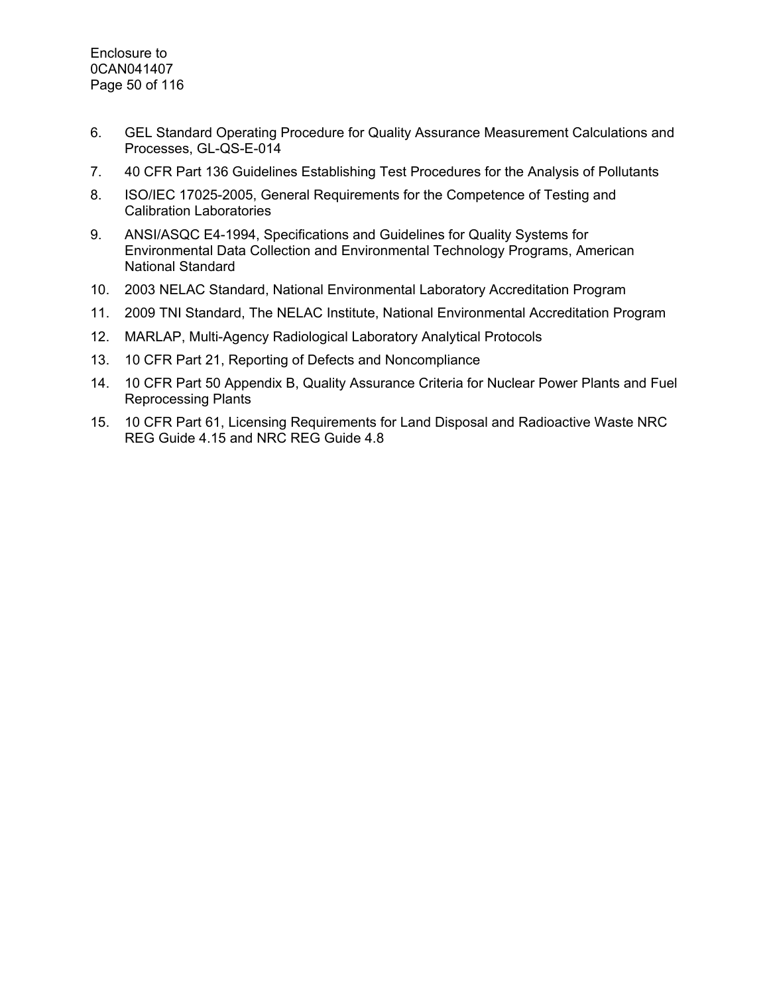- 6. GEL Standard Operating Procedure for Quality Assurance Measurement Calculations and Processes, GL-QS-E-014
- 7. 40 CFR Part 136 Guidelines Establishing Test Procedures for the Analysis of Pollutants
- 8. ISO/IEC 17025-2005, General Requirements for the Competence of Testing and Calibration Laboratories
- 9. ANSI/ASQC E4-1994, Specifications and Guidelines for Quality Systems for Environmental Data Collection and Environmental Technology Programs, American National Standard
- 10. 2003 NELAC Standard, National Environmental Laboratory Accreditation Program
- 11. 2009 TNI Standard, The NELAC Institute, National Environmental Accreditation Program
- 12. MARLAP, Multi-Agency Radiological Laboratory Analytical Protocols
- 13. 10 CFR Part 21, Reporting of Defects and Noncompliance
- 14. 10 CFR Part 50 Appendix B, Quality Assurance Criteria for Nuclear Power Plants and Fuel Reprocessing Plants
- 15. 10 CFR Part 61, Licensing Requirements for Land Disposal and Radioactive Waste NRC REG Guide 4.15 and NRC REG Guide 4.8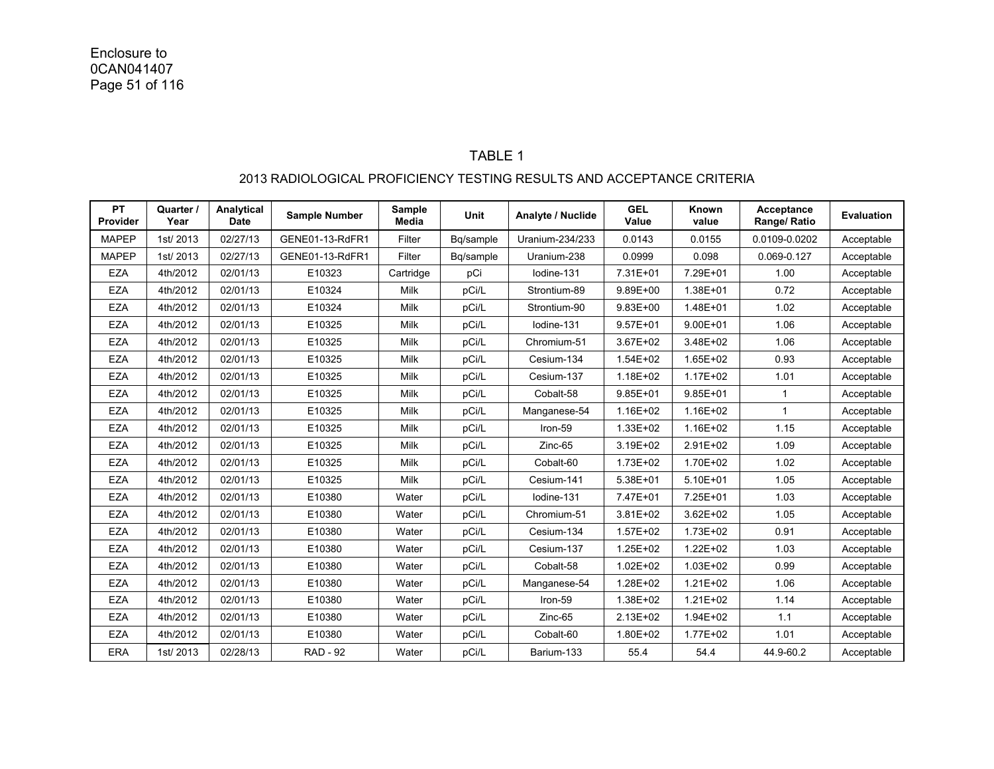#### TABLE 1 2013 RADIOLOGICAL PROFICIENCY TESTING RESULTS AND ACCEPTANCE CRITERIA

| <b>PT</b><br>Provider | Quarter /<br>Year | Analytical<br><b>Date</b> | <b>Sample Number</b> | Sample<br>Media | <b>Unit</b> | Analyte / Nuclide | <b>GEL</b><br>Value | Known<br>value | Acceptance<br>Range/ Ratio | <b>Evaluation</b> |
|-----------------------|-------------------|---------------------------|----------------------|-----------------|-------------|-------------------|---------------------|----------------|----------------------------|-------------------|
| <b>MAPEP</b>          | 1st/2013          | 02/27/13                  | GENE01-13-RdFR1      | Filter          | Bq/sample   | Uranium-234/233   | 0.0143              | 0.0155         | 0.0109-0.0202              | Acceptable        |
| <b>MAPEP</b>          | 1st/2013          | 02/27/13                  | GENE01-13-RdFR1      | Filter          | Bq/sample   | Uranium-238       | 0.0999              | 0.098          | 0.069-0.127                | Acceptable        |
| <b>EZA</b>            | 4th/2012          | 02/01/13                  | E10323               | Cartridge       | pCi         | lodine-131        | 7.31E+01            | 7.29E+01       | 1.00                       | Acceptable        |
| <b>EZA</b>            | 4th/2012          | 02/01/13                  | E10324               | Milk            | pCi/L       | Strontium-89      | 9.89E+00            | 1.38E+01       | 0.72                       | Acceptable        |
| <b>EZA</b>            | 4th/2012          | 02/01/13                  | E10324               | Milk            | pCi/L       | Strontium-90      | $9.83E + 00$        | 1.48E+01       | 1.02                       | Acceptable        |
| <b>EZA</b>            | 4th/2012          | 02/01/13                  | E10325               | Milk            | pCi/L       | lodine-131        | $9.57E + 01$        | $9.00E + 01$   | 1.06                       | Acceptable        |
| <b>EZA</b>            | 4th/2012          | 02/01/13                  | E10325               | <b>Milk</b>     | pCi/L       | Chromium-51       | 3.67E+02            | 3.48E+02       | 1.06                       | Acceptable        |
| <b>EZA</b>            | 4th/2012          | 02/01/13                  | E10325               | Milk            | pCi/L       | Cesium-134        | 1.54E+02            | $1.65E + 02$   | 0.93                       | Acceptable        |
| <b>EZA</b>            | 4th/2012          | 02/01/13                  | E10325               | Milk            | pCi/L       | Cesium-137        | 1.18E+02            | $1.17E + 02$   | 1.01                       | Acceptable        |
| <b>EZA</b>            | 4th/2012          | 02/01/13                  | E10325               | Milk            | pCi/L       | Cobalt-58         | $9.85E + 01$        | $9.85E + 01$   | $\mathbf{1}$               | Acceptable        |
| <b>EZA</b>            | 4th/2012          | 02/01/13                  | E10325               | Milk            | pCi/L       | Manganese-54      | 1.16E+02            | 1.16E+02       | $\mathbf{1}$               | Acceptable        |
| <b>EZA</b>            | 4th/2012          | 02/01/13                  | E10325               | Milk            | pCi/L       | Iron-59           | 1.33E+02            | 1.16E+02       | 1.15                       | Acceptable        |
| <b>EZA</b>            | 4th/2012          | 02/01/13                  | E10325               | Milk            | pCi/L       | Zinc-65           | 3.19E+02            | 2.91E+02       | 1.09                       | Acceptable        |
| <b>EZA</b>            | 4th/2012          | 02/01/13                  | E10325               | Milk            | pCi/L       | Cobalt-60         | 1.73E+02            | 1.70E+02       | 1.02                       | Acceptable        |
| <b>EZA</b>            | 4th/2012          | 02/01/13                  | E10325               | <b>Milk</b>     | pCi/L       | Cesium-141        | 5.38E+01            | $5.10E + 01$   | 1.05                       | Acceptable        |
| <b>EZA</b>            | 4th/2012          | 02/01/13                  | E10380               | Water           | pCi/L       | lodine-131        | 7.47E+01            | 7.25E+01       | 1.03                       | Acceptable        |
| <b>EZA</b>            | 4th/2012          | 02/01/13                  | E10380               | Water           | pCi/L       | Chromium-51       | 3.81E+02            | 3.62E+02       | 1.05                       | Acceptable        |
| <b>EZA</b>            | 4th/2012          | 02/01/13                  | E10380               | Water           | pCi/L       | Cesium-134        | 1.57E+02            | 1.73E+02       | 0.91                       | Acceptable        |
| <b>EZA</b>            | 4th/2012          | 02/01/13                  | E10380               | Water           | pCi/L       | Cesium-137        | 1.25E+02            | $1.22E + 02$   | 1.03                       | Acceptable        |
| <b>EZA</b>            | 4th/2012          | 02/01/13                  | E10380               | Water           | pCi/L       | Cobalt-58         | $1.02E + 02$        | 1.03E+02       | 0.99                       | Acceptable        |
| <b>EZA</b>            | 4th/2012          | 02/01/13                  | E10380               | Water           | pCi/L       | Manganese-54      | 1.28E+02            | $1.21E + 02$   | 1.06                       | Acceptable        |
| <b>EZA</b>            | 4th/2012          | 02/01/13                  | E10380               | Water           | pCi/L       | Iron-59           | 1.38E+02            | $1.21E + 02$   | 1.14                       | Acceptable        |
| <b>EZA</b>            | 4th/2012          | 02/01/13                  | E10380               | Water           | pCi/L       | Zinc-65           | 2.13E+02            | 1.94E+02       | 1.1                        | Acceptable        |
| <b>EZA</b>            | 4th/2012          | 02/01/13                  | E10380               | Water           | pCi/L       | Cobalt-60         | 1.80E+02            | 1.77E+02       | 1.01                       | Acceptable        |
| <b>ERA</b>            | 1st/2013          | 02/28/13                  | <b>RAD - 92</b>      | Water           | pCi/L       | Barium-133        | 55.4                | 54.4           | 44.9-60.2                  | Acceptable        |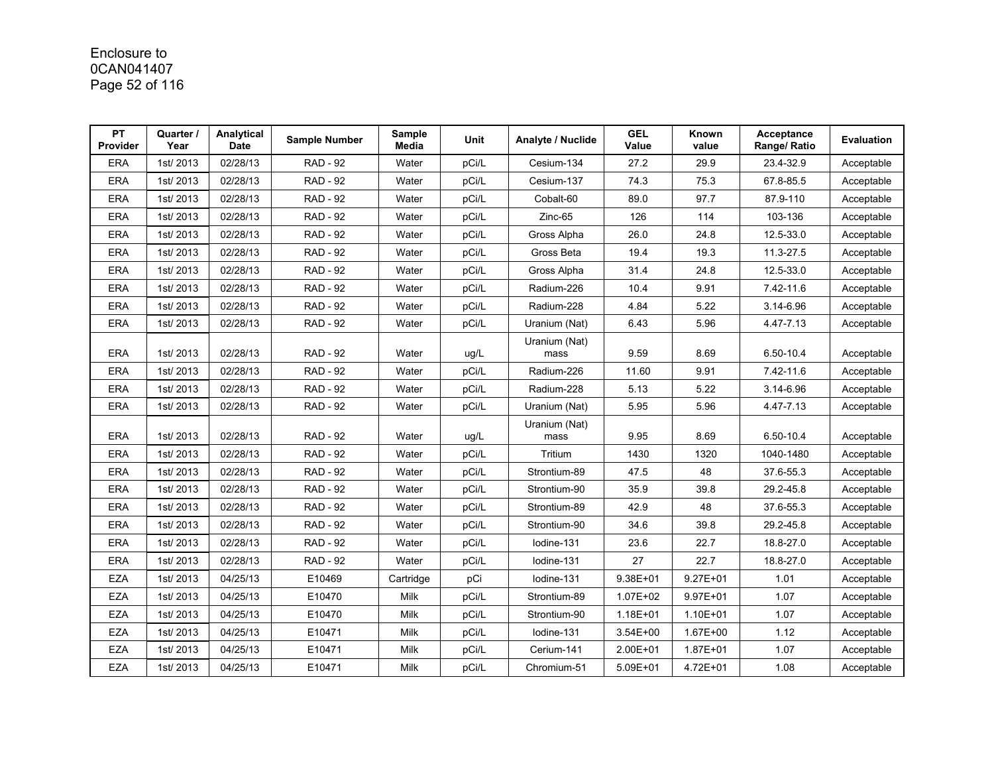# Enclosure to 0CAN041407 Page 52 of 116

| <b>PT</b><br>Provider | Quarter /<br>Year | Analytical<br><b>Date</b> | Sample Number   | Sample<br>Media | Unit  | Analyte / Nuclide     | <b>GEL</b><br>Value | Known<br>value | Acceptance<br>Range/ Ratio | Evaluation |
|-----------------------|-------------------|---------------------------|-----------------|-----------------|-------|-----------------------|---------------------|----------------|----------------------------|------------|
| <b>ERA</b>            | 1st/2013          | 02/28/13                  | <b>RAD - 92</b> | Water           | pCi/L | Cesium-134            | 27.2                | 29.9           | 23.4-32.9                  | Acceptable |
| <b>ERA</b>            | 1st/2013          | 02/28/13                  | <b>RAD - 92</b> | Water           | pCi/L | Cesium-137            | 74.3                | 75.3           | 67.8-85.5                  | Acceptable |
| <b>ERA</b>            | 1st/2013          | 02/28/13                  | <b>RAD - 92</b> | Water           | pCi/L | Cobalt-60             | 89.0                | 97.7           | 87.9-110                   | Acceptable |
| <b>ERA</b>            | 1st/2013          | 02/28/13                  | <b>RAD - 92</b> | Water           | pCi/L | Zinc-65               | 126                 | 114            | 103-136                    | Acceptable |
| <b>ERA</b>            | 1st/2013          | 02/28/13                  | <b>RAD - 92</b> | Water           | pCi/L | Gross Alpha           | 26.0                | 24.8           | 12.5-33.0                  | Acceptable |
| <b>ERA</b>            | 1st/2013          | 02/28/13                  | <b>RAD - 92</b> | Water           | pCi/L | Gross Beta            | 19.4                | 19.3           | 11.3-27.5                  | Acceptable |
| <b>ERA</b>            | 1st/2013          | 02/28/13                  | <b>RAD - 92</b> | Water           | pCi/L | Gross Alpha           | 31.4                | 24.8           | 12.5-33.0                  | Acceptable |
| <b>ERA</b>            | 1st/2013          | 02/28/13                  | <b>RAD - 92</b> | Water           | pCi/L | Radium-226            | 10.4                | 9.91           | 7.42-11.6                  | Acceptable |
| <b>ERA</b>            | 1st/2013          | 02/28/13                  | <b>RAD - 92</b> | Water           | pCi/L | Radium-228            | 4.84                | 5.22           | 3.14-6.96                  | Acceptable |
| <b>ERA</b>            | 1st/2013          | 02/28/13                  | <b>RAD - 92</b> | Water           | pCi/L | Uranium (Nat)         | 6.43                | 5.96           | 4.47-7.13                  | Acceptable |
| <b>ERA</b>            | 1st/2013          | 02/28/13                  | <b>RAD - 92</b> | Water           | ug/L  | Uranium (Nat)<br>mass | 9.59                | 8.69           | 6.50-10.4                  | Acceptable |
| <b>ERA</b>            | 1st/2013          | 02/28/13                  | <b>RAD - 92</b> | Water           | pCi/L | Radium-226            | 11.60               | 9.91           | 7.42-11.6                  | Acceptable |
| <b>ERA</b>            | 1st/2013          | 02/28/13                  | <b>RAD - 92</b> | Water           | pCi/L | Radium-228            | 5.13                | 5.22           | 3.14-6.96                  | Acceptable |
| ERA                   | 1st/2013          | 02/28/13                  | <b>RAD - 92</b> | Water           | pCi/L | Uranium (Nat)         | 5.95                | 5.96           | 4.47-7.13                  | Acceptable |
| <b>ERA</b>            | 1st/2013          | 02/28/13                  | <b>RAD - 92</b> | Water           | ug/L  | Uranium (Nat)<br>mass | 9.95                | 8.69           | 6.50-10.4                  | Acceptable |
| <b>ERA</b>            | 1st/2013          | 02/28/13                  | <b>RAD - 92</b> | Water           | pCi/L | Tritium               | 1430                | 1320           | 1040-1480                  | Acceptable |
| <b>ERA</b>            | 1st/2013          | 02/28/13                  | <b>RAD - 92</b> | Water           | pCi/L | Strontium-89          | 47.5                | 48             | 37.6-55.3                  | Acceptable |
| <b>ERA</b>            | 1st/2013          | 02/28/13                  | <b>RAD - 92</b> | Water           | pCi/L | Strontium-90          | 35.9                | 39.8           | 29.2-45.8                  | Acceptable |
| <b>ERA</b>            | 1st/2013          | 02/28/13                  | <b>RAD - 92</b> | Water           | pCi/L | Strontium-89          | 42.9                | 48             | 37.6-55.3                  | Acceptable |
| <b>ERA</b>            | 1st/2013          | 02/28/13                  | <b>RAD - 92</b> | Water           | pCi/L | Strontium-90          | 34.6                | 39.8           | 29.2-45.8                  | Acceptable |
| <b>ERA</b>            | 1st/2013          | 02/28/13                  | <b>RAD - 92</b> | Water           | pCi/L | Iodine-131            | 23.6                | 22.7           | 18.8-27.0                  | Acceptable |
| <b>ERA</b>            | 1st/2013          | 02/28/13                  | <b>RAD - 92</b> | Water           | pCi/L | lodine-131            | 27                  | 22.7           | 18.8-27.0                  | Acceptable |
| <b>EZA</b>            | 1st/2013          | 04/25/13                  | E10469          | Cartridge       | pCi   | lodine-131            | $9.38E + 01$        | $9.27E + 01$   | 1.01                       | Acceptable |
| <b>EZA</b>            | 1st/2013          | 04/25/13                  | E10470          | Milk            | pCi/L | Strontium-89          | 1.07E+02            | $9.97E + 01$   | 1.07                       | Acceptable |
| <b>EZA</b>            | 1st/2013          | 04/25/13                  | E10470          | Milk            | pCi/L | Strontium-90          | 1.18E+01            | 1.10E+01       | 1.07                       | Acceptable |
| <b>EZA</b>            | 1st/2013          | 04/25/13                  | E10471          | Milk            | pCi/L | lodine-131            | 3.54E+00            | 1.67E+00       | 1.12                       | Acceptable |
| <b>EZA</b>            | 1st/2013          | 04/25/13                  | E10471          | Milk            | pCi/L | Cerium-141            | 2.00E+01            | 1.87E+01       | 1.07                       | Acceptable |
| <b>EZA</b>            | 1st/2013          | 04/25/13                  | E10471          | Milk            | pCi/L | Chromium-51           | 5.09E+01            | 4.72E+01       | 1.08                       | Acceptable |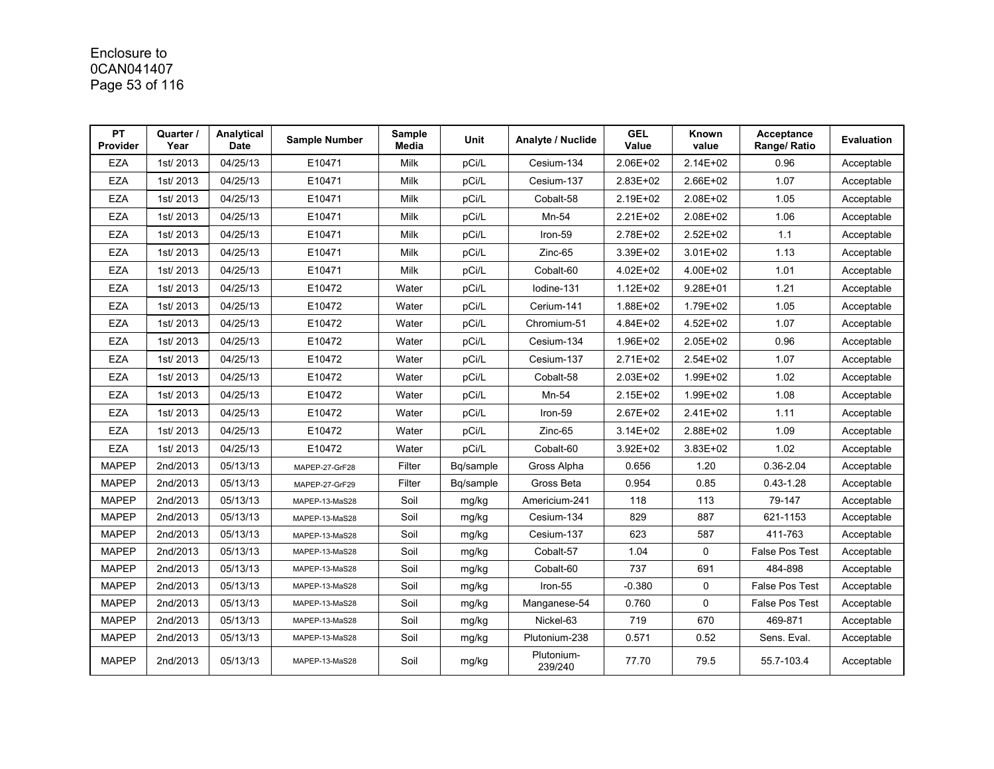# Enclosure to 0CAN041407 Page 53 of 116

| <b>PT</b><br><b>Provider</b> | Quarter /<br>Year | Analytical<br><b>Date</b> | <b>Sample Number</b> | Sample<br>Media | Unit      | Analyte / Nuclide     | <b>GEL</b><br>Value | Known<br>value | Acceptance<br>Range/ Ratio | Evaluation |
|------------------------------|-------------------|---------------------------|----------------------|-----------------|-----------|-----------------------|---------------------|----------------|----------------------------|------------|
| EZA                          | 1st/2013          | 04/25/13                  | E10471               | Milk            | pCi/L     | Cesium-134            | 2.06E+02            | 2.14E+02       | 0.96                       | Acceptable |
| EZA                          | 1st/2013          | 04/25/13                  | E10471               | Milk            | pCi/L     | Cesium-137            | 2.83E+02            | 2.66E+02       | 1.07                       | Acceptable |
| EZA                          | 1st/2013          | 04/25/13                  | E10471               | Milk            | pCi/L     | Cobalt-58             | 2.19E+02            | 2.08E+02       | 1.05                       | Acceptable |
| <b>EZA</b>                   | 1st/2013          | 04/25/13                  | E10471               | Milk            | pCi/L     | Mn-54                 | 2.21E+02            | 2.08E+02       | 1.06                       | Acceptable |
| <b>EZA</b>                   | 1st/2013          | 04/25/13                  | E10471               | Milk            | pCi/L     | Iron-59               | 2.78E+02            | 2.52E+02       | 1.1                        | Acceptable |
| <b>EZA</b>                   | 1st/2013          | 04/25/13                  | E10471               | Milk            | pCi/L     | Zinc-65               | 3.39E+02            | 3.01E+02       | 1.13                       | Acceptable |
| <b>EZA</b>                   | 1st/2013          | 04/25/13                  | E10471               | Milk            | pCi/L     | Cobalt-60             | 4.02E+02            | 4.00E+02       | 1.01                       | Acceptable |
| EZA                          | 1st/2013          | 04/25/13                  | E10472               | Water           | pCi/L     | lodine-131            | $1.12E + 02$        | 9.28E+01       | 1.21                       | Acceptable |
| <b>EZA</b>                   | 1st/2013          | 04/25/13                  | E10472               | Water           | pCi/L     | Cerium-141            | 1.88E+02            | 1.79E+02       | 1.05                       | Acceptable |
| <b>EZA</b>                   | 1st/2013          | 04/25/13                  | E10472               | Water           | pCi/L     | Chromium-51           | 4.84E+02            | 4.52E+02       | 1.07                       | Acceptable |
| <b>EZA</b>                   | 1st/2013          | 04/25/13                  | E10472               | Water           | pCi/L     | Cesium-134            | 1.96E+02            | 2.05E+02       | 0.96                       | Acceptable |
| <b>EZA</b>                   | 1st/2013          | 04/25/13                  | E10472               | Water           | pCi/L     | Cesium-137            | 2.71E+02            | 2.54E+02       | 1.07                       | Acceptable |
| <b>EZA</b>                   | 1st/2013          | 04/25/13                  | E10472               | Water           | pCi/L     | Cobalt-58             | 2.03E+02            | 1.99E+02       | 1.02                       | Acceptable |
| <b>EZA</b>                   | 1st/2013          | 04/25/13                  | E10472               | Water           | pCi/L     | Mn-54                 | 2.15E+02            | 1.99E+02       | 1.08                       | Acceptable |
| EZA                          | 1st/2013          | 04/25/13                  | E10472               | Water           | pCi/L     | Iron-59               | 2.67E+02            | 2.41E+02       | 1.11                       | Acceptable |
| <b>EZA</b>                   | 1st/2013          | 04/25/13                  | E10472               | Water           | pCi/L     | Zinc-65               | $3.14E + 02$        | 2.88E+02       | 1.09                       | Acceptable |
| <b>EZA</b>                   | 1st/2013          | 04/25/13                  | E10472               | Water           | pCi/L     | Cobalt-60             | 3.92E+02            | 3.83E+02       | 1.02                       | Acceptable |
| <b>MAPEP</b>                 | 2nd/2013          | 05/13/13                  | MAPEP-27-GrF28       | Filter          | Bq/sample | Gross Alpha           | 0.656               | 1.20           | $0.36 - 2.04$              | Acceptable |
| <b>MAPEP</b>                 | 2nd/2013          | 05/13/13                  | MAPEP-27-GrF29       | Filter          | Bq/sample | Gross Beta            | 0.954               | 0.85           | $0.43 - 1.28$              | Acceptable |
| <b>MAPEP</b>                 | 2nd/2013          | 05/13/13                  | MAPEP-13-MaS28       | Soil            | mg/kg     | Americium-241         | 118                 | 113            | 79-147                     | Acceptable |
| <b>MAPEP</b>                 | 2nd/2013          | 05/13/13                  | MAPEP-13-MaS28       | Soil            | mg/kg     | Cesium-134            | 829                 | 887            | 621-1153                   | Acceptable |
| <b>MAPEP</b>                 | 2nd/2013          | 05/13/13                  | MAPEP-13-MaS28       | Soil            | mg/kg     | Cesium-137            | 623                 | 587            | 411-763                    | Acceptable |
| <b>MAPEP</b>                 | 2nd/2013          | 05/13/13                  | MAPEP-13-MaS28       | Soil            | mg/kg     | Cobalt-57             | 1.04                | 0              | False Pos Test             | Acceptable |
| <b>MAPEP</b>                 | 2nd/2013          | 05/13/13                  | MAPEP-13-MaS28       | Soil            | mg/kg     | Cobalt-60             | 737                 | 691            | 484-898                    | Acceptable |
| <b>MAPEP</b>                 | 2nd/2013          | 05/13/13                  | MAPEP-13-MaS28       | Soil            | mg/kg     | Iron-55               | $-0.380$            | 0              | False Pos Test             | Acceptable |
| <b>MAPEP</b>                 | 2nd/2013          | 05/13/13                  | MAPEP-13-MaS28       | Soil            | mg/kg     | Manganese-54          | 0.760               | 0              | <b>False Pos Test</b>      | Acceptable |
| <b>MAPEP</b>                 | 2nd/2013          | 05/13/13                  | MAPEP-13-MaS28       | Soil            | mg/kg     | Nickel-63             | 719                 | 670            | 469-871                    | Acceptable |
| <b>MAPEP</b>                 | 2nd/2013          | 05/13/13                  | MAPEP-13-MaS28       | Soil            | mg/kg     | Plutonium-238         | 0.571               | 0.52           | Sens. Eval.                | Acceptable |
| <b>MAPEP</b>                 | 2nd/2013          | 05/13/13                  | MAPEP-13-MaS28       | Soil            | mg/kg     | Plutonium-<br>239/240 | 77.70               | 79.5           | 55.7-103.4                 | Acceptable |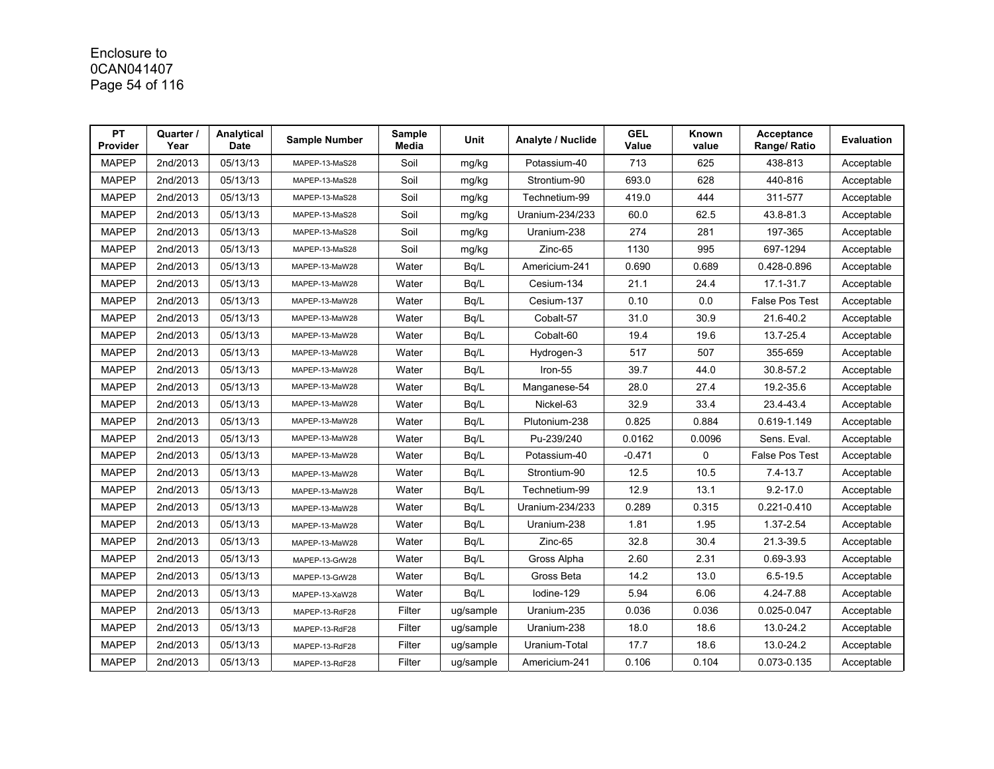# Enclosure to 0CAN041407 Page 54 of 116

| PT<br><b>Provider</b> | Quarter /<br>Year | Analytical<br><b>Date</b> | <b>Sample Number</b> | <b>Sample</b><br>Media | Unit      | Analyte / Nuclide | <b>GEL</b><br>Value | Known<br>value | Acceptance<br>Range/ Ratio | <b>Evaluation</b> |
|-----------------------|-------------------|---------------------------|----------------------|------------------------|-----------|-------------------|---------------------|----------------|----------------------------|-------------------|
| <b>MAPEP</b>          | 2nd/2013          | 05/13/13                  | MAPEP-13-MaS28       | Soil                   | mg/kg     | Potassium-40      | 713                 | 625            | 438-813                    | Acceptable        |
| <b>MAPEP</b>          | 2nd/2013          | 05/13/13                  | MAPEP-13-MaS28       | Soil                   | mg/kg     | Strontium-90      | 693.0               | 628            | 440-816                    | Acceptable        |
| <b>MAPEP</b>          | 2nd/2013          | 05/13/13                  | MAPEP-13-MaS28       | Soil                   | mg/kg     | Technetium-99     | 419.0               | 444            | 311-577                    | Acceptable        |
| <b>MAPEP</b>          | 2nd/2013          | 05/13/13                  | MAPEP-13-MaS28       | Soil                   | mg/kg     | Uranium-234/233   | 60.0                | 62.5           | 43.8-81.3                  | Acceptable        |
| <b>MAPEP</b>          | 2nd/2013          | 05/13/13                  | MAPEP-13-MaS28       | Soil                   | mg/kg     | Uranium-238       | 274                 | 281            | 197-365                    | Acceptable        |
| <b>MAPEP</b>          | 2nd/2013          | 05/13/13                  | MAPEP-13-MaS28       | Soil                   | mg/kg     | Zinc-65           | 1130                | 995            | 697-1294                   | Acceptable        |
| <b>MAPEP</b>          | 2nd/2013          | 05/13/13                  | MAPEP-13-MaW28       | Water                  | Bq/L      | Americium-241     | 0.690               | 0.689          | 0.428-0.896                | Acceptable        |
| <b>MAPEP</b>          | 2nd/2013          | 05/13/13                  | MAPEP-13-MaW28       | Water                  | Bq/L      | Cesium-134        | 21.1                | 24.4           | 17.1-31.7                  | Acceptable        |
| <b>MAPEP</b>          | 2nd/2013          | 05/13/13                  | MAPEP-13-MaW28       | Water                  | Bq/L      | Cesium-137        | 0.10                | 0.0            | <b>False Pos Test</b>      | Acceptable        |
| <b>MAPEP</b>          | 2nd/2013          | 05/13/13                  | MAPEP-13-MaW28       | Water                  | Bq/L      | Cobalt-57         | 31.0                | 30.9           | 21.6-40.2                  | Acceptable        |
| <b>MAPEP</b>          | 2nd/2013          | 05/13/13                  | MAPEP-13-MaW28       | Water                  | Bq/L      | Cobalt-60         | 19.4                | 19.6           | 13.7-25.4                  | Acceptable        |
| <b>MAPEP</b>          | 2nd/2013          | 05/13/13                  | MAPEP-13-MaW28       | Water                  | Bq/L      | Hydrogen-3        | 517                 | 507            | 355-659                    | Acceptable        |
| <b>MAPEP</b>          | 2nd/2013          | 05/13/13                  | MAPEP-13-MaW28       | Water                  | Bq/L      | Iron-55           | 39.7                | 44.0           | 30.8-57.2                  | Acceptable        |
| <b>MAPEP</b>          | 2nd/2013          | 05/13/13                  | MAPEP-13-MaW28       | Water                  | Bq/L      | Manganese-54      | 28.0                | 27.4           | 19.2-35.6                  | Acceptable        |
| <b>MAPEP</b>          | 2nd/2013          | 05/13/13                  | MAPEP-13-MaW28       | Water                  | Bq/L      | Nickel-63         | 32.9                | 33.4           | 23.4-43.4                  | Acceptable        |
| <b>MAPEP</b>          | 2nd/2013          | 05/13/13                  | MAPEP-13-MaW28       | Water                  | Bq/L      | Plutonium-238     | 0.825               | 0.884          | 0.619-1.149                | Acceptable        |
| <b>MAPEP</b>          | 2nd/2013          | 05/13/13                  | MAPEP-13-MaW28       | Water                  | Bg/L      | Pu-239/240        | 0.0162              | 0.0096         | Sens. Eval.                | Acceptable        |
| <b>MAPEP</b>          | 2nd/2013          | 05/13/13                  | MAPEP-13-MaW28       | Water                  | Bq/L      | Potassium-40      | $-0.471$            | 0              | <b>False Pos Test</b>      | Acceptable        |
| <b>MAPEP</b>          | 2nd/2013          | 05/13/13                  | MAPEP-13-MaW28       | Water                  | Bq/L      | Strontium-90      | 12.5                | 10.5           | $7.4 - 13.7$               | Acceptable        |
| <b>MAPEP</b>          | 2nd/2013          | 05/13/13                  | MAPEP-13-MaW28       | Water                  | Bq/L      | Technetium-99     | 12.9                | 13.1           | $9.2 - 17.0$               | Acceptable        |
| <b>MAPEP</b>          | 2nd/2013          | 05/13/13                  | MAPEP-13-MaW28       | Water                  | Bq/L      | Uranium-234/233   | 0.289               | 0.315          | 0.221-0.410                | Acceptable        |
| <b>MAPEP</b>          | 2nd/2013          | 05/13/13                  | MAPEP-13-MaW28       | Water                  | Bq/L      | Uranium-238       | 1.81                | 1.95           | 1.37-2.54                  | Acceptable        |
| <b>MAPEP</b>          | 2nd/2013          | 05/13/13                  | MAPEP-13-MaW28       | Water                  | Bq/L      | Zinc-65           | 32.8                | 30.4           | 21.3-39.5                  | Acceptable        |
| <b>MAPEP</b>          | 2nd/2013          | 05/13/13                  | MAPEP-13-GrW28       | Water                  | Bq/L      | Gross Alpha       | 2.60                | 2.31           | 0.69-3.93                  | Acceptable        |
| <b>MAPEP</b>          | 2nd/2013          | 05/13/13                  | MAPEP-13-GrW28       | Water                  | Bq/L      | Gross Beta        | 14.2                | 13.0           | $6.5 - 19.5$               | Acceptable        |
| <b>MAPEP</b>          | 2nd/2013          | 05/13/13                  | MAPEP-13-XaW28       | Water                  | Bq/L      | lodine-129        | 5.94                | 6.06           | 4.24-7.88                  | Acceptable        |
| <b>MAPEP</b>          | 2nd/2013          | 05/13/13                  | MAPEP-13-RdF28       | Filter                 | ug/sample | Uranium-235       | 0.036               | 0.036          | 0.025-0.047                | Acceptable        |
| <b>MAPEP</b>          | 2nd/2013          | 05/13/13                  | MAPEP-13-RdF28       | Filter                 | ug/sample | Uranium-238       | 18.0                | 18.6           | 13.0-24.2                  | Acceptable        |
| <b>MAPEP</b>          | 2nd/2013          | 05/13/13                  | MAPEP-13-RdF28       | Filter                 | ug/sample | Uranium-Total     | 17.7                | 18.6           | 13.0-24.2                  | Acceptable        |
| <b>MAPEP</b>          | 2nd/2013          | 05/13/13                  | MAPEP-13-RdF28       | Filter                 | ug/sample | Americium-241     | 0.106               | 0.104          | 0.073-0.135                | Acceptable        |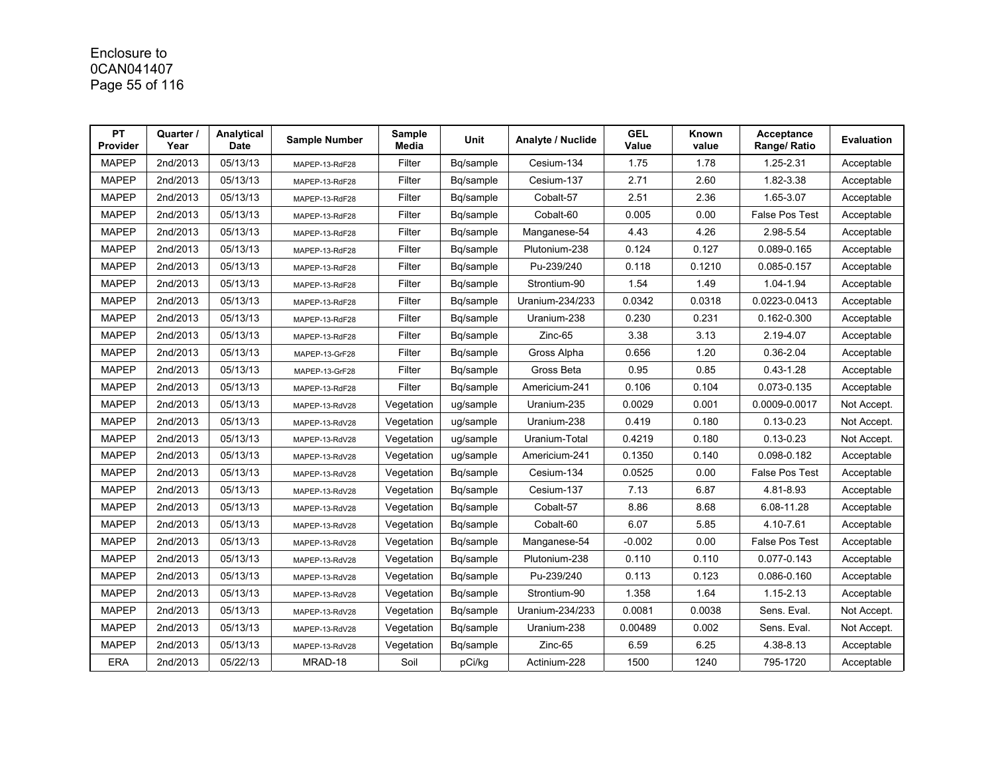# Enclosure to 0CAN041407 Page 55 of 116

| PT<br><b>Provider</b> | Quarter /<br>Year | Analytical<br><b>Date</b> | <b>Sample Number</b> | Sample<br>Media | Unit      | <b>Analyte / Nuclide</b> | <b>GEL</b><br>Value | Known<br>value | Acceptance<br>Range/ Ratio | <b>Evaluation</b> |
|-----------------------|-------------------|---------------------------|----------------------|-----------------|-----------|--------------------------|---------------------|----------------|----------------------------|-------------------|
| <b>MAPEP</b>          | 2nd/2013          | 05/13/13                  | MAPEP-13-RdF28       | Filter          | Bq/sample | Cesium-134               | 1.75                | 1.78           | 1.25-2.31                  | Acceptable        |
| <b>MAPEP</b>          | 2nd/2013          | 05/13/13                  | MAPEP-13-RdF28       | Filter          | Bq/sample | Cesium-137               | 2.71                | 2.60           | 1.82-3.38                  | Acceptable        |
| <b>MAPEP</b>          | 2nd/2013          | 05/13/13                  | MAPEP-13-RdF28       | Filter          | Bq/sample | Cobalt-57                | 2.51                | 2.36           | 1.65-3.07                  | Acceptable        |
| <b>MAPEP</b>          | 2nd/2013          | 05/13/13                  | MAPEP-13-RdF28       | Filter          | Bq/sample | Cobalt-60                | 0.005               | 0.00           | <b>False Pos Test</b>      | Acceptable        |
| <b>MAPEP</b>          | 2nd/2013          | 05/13/13                  | MAPEP-13-RdF28       | Filter          | Bq/sample | Manganese-54             | 4.43                | 4.26           | 2.98-5.54                  | Acceptable        |
| <b>MAPEP</b>          | 2nd/2013          | 05/13/13                  | MAPEP-13-RdF28       | Filter          | Bq/sample | Plutonium-238            | 0.124               | 0.127          | 0.089-0.165                | Acceptable        |
| <b>MAPEP</b>          | 2nd/2013          | 05/13/13                  | MAPEP-13-RdF28       | Filter          | Bq/sample | Pu-239/240               | 0.118               | 0.1210         | 0.085-0.157                | Acceptable        |
| <b>MAPEP</b>          | 2nd/2013          | 05/13/13                  | MAPEP-13-RdF28       | Filter          | Bq/sample | Strontium-90             | 1.54                | 1.49           | 1.04-1.94                  | Acceptable        |
| <b>MAPEP</b>          | 2nd/2013          | 05/13/13                  | MAPEP-13-RdF28       | Filter          | Bq/sample | Uranium-234/233          | 0.0342              | 0.0318         | 0.0223-0.0413              | Acceptable        |
| <b>MAPEP</b>          | 2nd/2013          | 05/13/13                  | MAPEP-13-RdF28       | Filter          | Bq/sample | Uranium-238              | 0.230               | 0.231          | 0.162-0.300                | Acceptable        |
| <b>MAPEP</b>          | 2nd/2013          | 05/13/13                  | MAPEP-13-RdF28       | Filter          | Bq/sample | Zinc-65                  | 3.38                | 3.13           | 2.19-4.07                  | Acceptable        |
| <b>MAPEP</b>          | 2nd/2013          | 05/13/13                  | MAPEP-13-GrF28       | Filter          | Bq/sample | Gross Alpha              | 0.656               | 1.20           | $0.36 - 2.04$              | Acceptable        |
| <b>MAPEP</b>          | 2nd/2013          | 05/13/13                  | MAPEP-13-GrF28       | Filter          | Bq/sample | Gross Beta               | 0.95                | 0.85           | $0.43 - 1.28$              | Acceptable        |
| <b>MAPEP</b>          | 2nd/2013          | 05/13/13                  | MAPEP-13-RdF28       | Filter          | Bq/sample | Americium-241            | 0.106               | 0.104          | 0.073-0.135                | Acceptable        |
| <b>MAPEP</b>          | 2nd/2013          | 05/13/13                  | MAPEP-13-RdV28       | Vegetation      | ug/sample | Uranium-235              | 0.0029              | 0.001          | 0.0009-0.0017              | Not Accept.       |
| <b>MAPEP</b>          | 2nd/2013          | 05/13/13                  | MAPEP-13-RdV28       | Vegetation      | ug/sample | Uranium-238              | 0.419               | 0.180          | $0.13 - 0.23$              | Not Accept.       |
| <b>MAPEP</b>          | 2nd/2013          | 05/13/13                  | MAPEP-13-RdV28       | Vegetation      | ug/sample | Uranium-Total            | 0.4219              | 0.180          | $0.13 - 0.23$              | Not Accept.       |
| <b>MAPEP</b>          | 2nd/2013          | 05/13/13                  | MAPEP-13-RdV28       | Vegetation      | ug/sample | Americium-241            | 0.1350              | 0.140          | 0.098-0.182                | Acceptable        |
| <b>MAPEP</b>          | 2nd/2013          | 05/13/13                  | MAPEP-13-RdV28       | Vegetation      | Bq/sample | Cesium-134               | 0.0525              | 0.00           | <b>False Pos Test</b>      | Acceptable        |
| <b>MAPEP</b>          | 2nd/2013          | 05/13/13                  | MAPEP-13-RdV28       | Vegetation      | Bg/sample | Cesium-137               | 7.13                | 6.87           | 4.81-8.93                  | Acceptable        |
| <b>MAPEP</b>          | 2nd/2013          | 05/13/13                  | MAPEP-13-RdV28       | Vegetation      | Bq/sample | Cobalt-57                | 8.86                | 8.68           | 6.08-11.28                 | Acceptable        |
| <b>MAPEP</b>          | 2nd/2013          | 05/13/13                  | MAPEP-13-RdV28       | Vegetation      | Bq/sample | Cobalt-60                | 6.07                | 5.85           | 4.10-7.61                  | Acceptable        |
| <b>MAPEP</b>          | 2nd/2013          | 05/13/13                  | MAPEP-13-RdV28       | Vegetation      | Bq/sample | Manganese-54             | $-0.002$            | 0.00           | <b>False Pos Test</b>      | Acceptable        |
| <b>MAPEP</b>          | 2nd/2013          | 05/13/13                  | MAPEP-13-RdV28       | Vegetation      | Bq/sample | Plutonium-238            | 0.110               | 0.110          | 0.077-0.143                | Acceptable        |
| <b>MAPEP</b>          | 2nd/2013          | 05/13/13                  | MAPEP-13-RdV28       | Vegetation      | Bq/sample | Pu-239/240               | 0.113               | 0.123          | 0.086-0.160                | Acceptable        |
| <b>MAPEP</b>          | 2nd/2013          | 05/13/13                  | MAPEP-13-RdV28       | Vegetation      | Bg/sample | Strontium-90             | 1.358               | 1.64           | $1.15 - 2.13$              | Acceptable        |
| <b>MAPEP</b>          | 2nd/2013          | 05/13/13                  | MAPEP-13-RdV28       | Vegetation      | Bq/sample | Uranium-234/233          | 0.0081              | 0.0038         | Sens. Eval.                | Not Accept.       |
| <b>MAPEP</b>          | 2nd/2013          | 05/13/13                  | MAPEP-13-RdV28       | Vegetation      | Bg/sample | Uranium-238              | 0.00489             | 0.002          | Sens. Eval.                | Not Accept.       |
| <b>MAPEP</b>          | 2nd/2013          | 05/13/13                  | MAPEP-13-RdV28       | Vegetation      | Bq/sample | Zinc-65                  | 6.59                | 6.25           | 4.38-8.13                  | Acceptable        |
| ERA                   | 2nd/2013          | 05/22/13                  | MRAD-18              | Soil            | pCi/kg    | Actinium-228             | 1500                | 1240           | 795-1720                   | Acceptable        |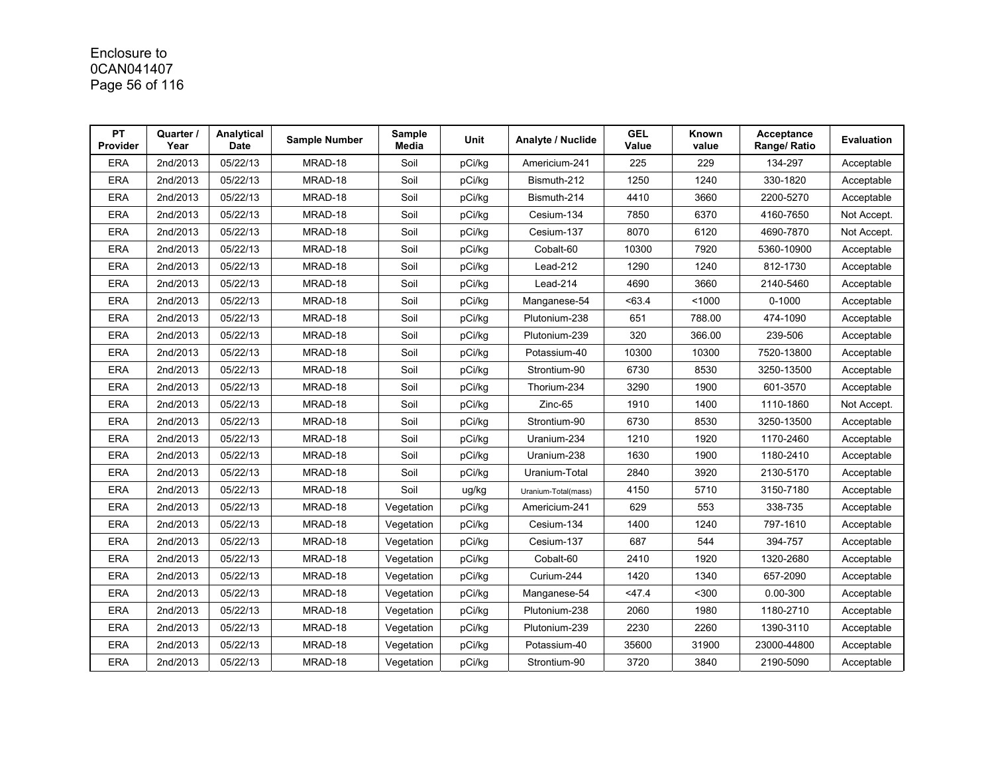# Enclosure to 0CAN041407 Page 56 of 116

| <b>PT</b><br>Provider | Quarter /<br>Year | Analytical<br><b>Date</b> | <b>Sample Number</b> | Sample<br>Media | Unit   | Analyte / Nuclide   | <b>GEL</b><br>Value | Known<br>value | Acceptance<br>Range/ Ratio | <b>Evaluation</b> |
|-----------------------|-------------------|---------------------------|----------------------|-----------------|--------|---------------------|---------------------|----------------|----------------------------|-------------------|
| <b>ERA</b>            | 2nd/2013          | 05/22/13                  | MRAD-18              | Soil            | pCi/kg | Americium-241       | 225                 | 229            | 134-297                    | Acceptable        |
| <b>ERA</b>            | 2nd/2013          | 05/22/13                  | MRAD-18              | Soil            | pCi/kg | Bismuth-212         | 1250                | 1240           | 330-1820                   | Acceptable        |
| <b>ERA</b>            | 2nd/2013          | 05/22/13                  | MRAD-18              | Soil            | pCi/kg | Bismuth-214         | 4410                | 3660           | 2200-5270                  | Acceptable        |
| <b>ERA</b>            | 2nd/2013          | 05/22/13                  | MRAD-18              | Soil            | pCi/kg | Cesium-134          | 7850                | 6370           | 4160-7650                  | Not Accept.       |
| <b>ERA</b>            | 2nd/2013          | 05/22/13                  | MRAD-18              | Soil            | pCi/kg | Cesium-137          | 8070                | 6120           | 4690-7870                  | Not Accept.       |
| <b>ERA</b>            | 2nd/2013          | 05/22/13                  | MRAD-18              | Soil            | pCi/kg | Cobalt-60           | 10300               | 7920           | 5360-10900                 | Acceptable        |
| <b>ERA</b>            | 2nd/2013          | 05/22/13                  | MRAD-18              | Soil            | pCi/kg | Lead-212            | 1290                | 1240           | 812-1730                   | Acceptable        |
| <b>ERA</b>            | 2nd/2013          | 05/22/13                  | MRAD-18              | Soil            | pCi/kg | Lead-214            | 4690                | 3660           | 2140-5460                  | Acceptable        |
| <b>ERA</b>            | 2nd/2013          | 05/22/13                  | MRAD-18              | Soil            | pCi/kg | Manganese-54        | < 63.4              | < 1000         | $0 - 1000$                 | Acceptable        |
| <b>ERA</b>            | 2nd/2013          | 05/22/13                  | MRAD-18              | Soil            | pCi/kg | Plutonium-238       | 651                 | 788.00         | 474-1090                   | Acceptable        |
| <b>ERA</b>            | 2nd/2013          | 05/22/13                  | MRAD-18              | Soil            | pCi/kg | Plutonium-239       | 320                 | 366.00         | 239-506                    | Acceptable        |
| <b>ERA</b>            | 2nd/2013          | 05/22/13                  | MRAD-18              | Soil            | pCi/kg | Potassium-40        | 10300               | 10300          | 7520-13800                 | Acceptable        |
| <b>ERA</b>            | 2nd/2013          | 05/22/13                  | MRAD-18              | Soil            | pCi/kg | Strontium-90        | 6730                | 8530           | 3250-13500                 | Acceptable        |
| <b>ERA</b>            | 2nd/2013          | 05/22/13                  | MRAD-18              | Soil            | pCi/kg | Thorium-234         | 3290                | 1900           | 601-3570                   | Acceptable        |
| <b>ERA</b>            | 2nd/2013          | 05/22/13                  | MRAD-18              | Soil            | pCi/kg | Zinc-65             | 1910                | 1400           | 1110-1860                  | Not Accept.       |
| <b>ERA</b>            | 2nd/2013          | 05/22/13                  | MRAD-18              | Soil            | pCi/kg | Strontium-90        | 6730                | 8530           | 3250-13500                 | Acceptable        |
| <b>ERA</b>            | 2nd/2013          | 05/22/13                  | MRAD-18              | Soil            | pCi/kg | Uranium-234         | 1210                | 1920           | 1170-2460                  | Acceptable        |
| <b>ERA</b>            | 2nd/2013          | 05/22/13                  | MRAD-18              | Soil            | pCi/kg | Uranium-238         | 1630                | 1900           | 1180-2410                  | Acceptable        |
| <b>ERA</b>            | 2nd/2013          | 05/22/13                  | MRAD-18              | Soil            | pCi/kg | Uranium-Total       | 2840                | 3920           | 2130-5170                  | Acceptable        |
| <b>ERA</b>            | 2nd/2013          | 05/22/13                  | MRAD-18              | Soil            | ug/kg  | Uranium-Total(mass) | 4150                | 5710           | 3150-7180                  | Acceptable        |
| <b>ERA</b>            | 2nd/2013          | 05/22/13                  | MRAD-18              | Vegetation      | pCi/kg | Americium-241       | 629                 | 553            | 338-735                    | Acceptable        |
| <b>ERA</b>            | 2nd/2013          | 05/22/13                  | MRAD-18              | Vegetation      | pCi/kg | Cesium-134          | 1400                | 1240           | 797-1610                   | Acceptable        |
| <b>ERA</b>            | 2nd/2013          | 05/22/13                  | MRAD-18              | Vegetation      | pCi/kg | Cesium-137          | 687                 | 544            | 394-757                    | Acceptable        |
| <b>ERA</b>            | 2nd/2013          | 05/22/13                  | MRAD-18              | Vegetation      | pCi/kg | Cobalt-60           | 2410                | 1920           | 1320-2680                  | Acceptable        |
| <b>ERA</b>            | 2nd/2013          | 05/22/13                  | MRAD-18              | Vegetation      | pCi/kg | Curium-244          | 1420                | 1340           | 657-2090                   | Acceptable        |
| <b>ERA</b>            | 2nd/2013          | 05/22/13                  | MRAD-18              | Vegetation      | pCi/kg | Manganese-54        | 47.4                | $300$          | $0.00 - 300$               | Acceptable        |
| <b>ERA</b>            | 2nd/2013          | 05/22/13                  | MRAD-18              | Vegetation      | pCi/kg | Plutonium-238       | 2060                | 1980           | 1180-2710                  | Acceptable        |
| <b>ERA</b>            | 2nd/2013          | 05/22/13                  | MRAD-18              | Vegetation      | pCi/kg | Plutonium-239       | 2230                | 2260           | 1390-3110                  | Acceptable        |
| <b>ERA</b>            | 2nd/2013          | 05/22/13                  | MRAD-18              | Vegetation      | pCi/kg | Potassium-40        | 35600               | 31900          | 23000-44800                | Acceptable        |
| <b>ERA</b>            | 2nd/2013          | 05/22/13                  | MRAD-18              | Vegetation      | pCi/kg | Strontium-90        | 3720                | 3840           | 2190-5090                  | Acceptable        |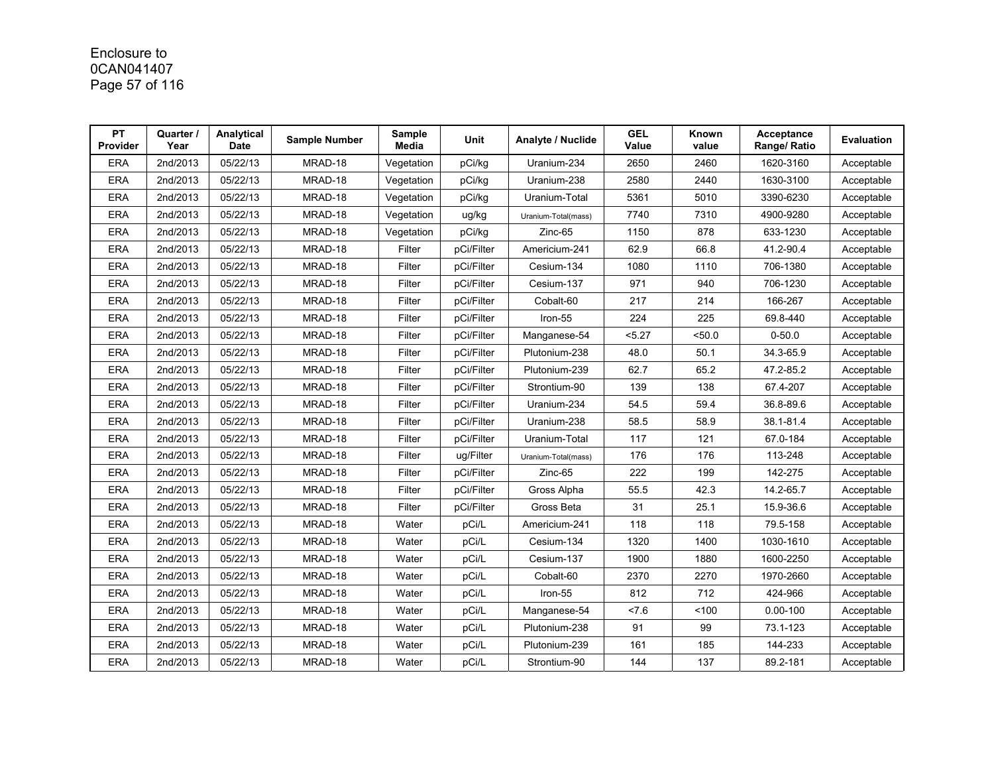# Enclosure to 0CAN041407 Page 57 of 116

| <b>PT</b><br><b>Provider</b> | Quarter /<br>Year | Analytical<br><b>Date</b> | <b>Sample Number</b> | Sample<br>Media | <b>Unit</b> | Analyte / Nuclide   | <b>GEL</b><br>Value | Known<br>value | Acceptance<br>Range/ Ratio | Evaluation |
|------------------------------|-------------------|---------------------------|----------------------|-----------------|-------------|---------------------|---------------------|----------------|----------------------------|------------|
| <b>ERA</b>                   | 2nd/2013          | 05/22/13                  | MRAD-18              | Vegetation      | pCi/kg      | Uranium-234         | 2650                | 2460           | 1620-3160                  | Acceptable |
| <b>ERA</b>                   | 2nd/2013          | 05/22/13                  | MRAD-18              | Vegetation      | pCi/kg      | Uranium-238         | 2580                | 2440           | 1630-3100                  | Acceptable |
| <b>ERA</b>                   | 2nd/2013          | 05/22/13                  | MRAD-18              | Vegetation      | pCi/kg      | Uranium-Total       | 5361                | 5010           | 3390-6230                  | Acceptable |
| <b>ERA</b>                   | 2nd/2013          | 05/22/13                  | MRAD-18              | Vegetation      | ug/kg       | Uranium-Total(mass) | 7740                | 7310           | 4900-9280                  | Acceptable |
| ERA                          | 2nd/2013          | 05/22/13                  | MRAD-18              | Vegetation      | pCi/kg      | Zinc-65             | 1150                | 878            | 633-1230                   | Acceptable |
| <b>ERA</b>                   | 2nd/2013          | 05/22/13                  | MRAD-18              | Filter          | pCi/Filter  | Americium-241       | 62.9                | 66.8           | 41.2-90.4                  | Acceptable |
| <b>ERA</b>                   | 2nd/2013          | 05/22/13                  | MRAD-18              | Filter          | pCi/Filter  | Cesium-134          | 1080                | 1110           | 706-1380                   | Acceptable |
| <b>ERA</b>                   | 2nd/2013          | 05/22/13                  | MRAD-18              | Filter          | pCi/Filter  | Cesium-137          | 971                 | 940            | 706-1230                   | Acceptable |
| <b>ERA</b>                   | 2nd/2013          | 05/22/13                  | MRAD-18              | Filter          | pCi/Filter  | Cobalt-60           | 217                 | 214            | 166-267                    | Acceptable |
| <b>ERA</b>                   | 2nd/2013          | 05/22/13                  | MRAD-18              | Filter          | pCi/Filter  | Iron-55             | 224                 | 225            | 69.8-440                   | Acceptable |
| <b>ERA</b>                   | 2nd/2013          | 05/22/13                  | MRAD-18              | Filter          | pCi/Filter  | Manganese-54        | 5.27                | 50.0           | $0 - 50.0$                 | Acceptable |
| <b>ERA</b>                   | 2nd/2013          | 05/22/13                  | MRAD-18              | Filter          | pCi/Filter  | Plutonium-238       | 48.0                | 50.1           | 34.3-65.9                  | Acceptable |
| <b>ERA</b>                   | 2nd/2013          | 05/22/13                  | MRAD-18              | Filter          | pCi/Filter  | Plutonium-239       | 62.7                | 65.2           | 47.2-85.2                  | Acceptable |
| <b>ERA</b>                   | 2nd/2013          | 05/22/13                  | MRAD-18              | Filter          | pCi/Filter  | Strontium-90        | 139                 | 138            | 67.4-207                   | Acceptable |
| <b>ERA</b>                   | 2nd/2013          | 05/22/13                  | MRAD-18              | Filter          | pCi/Filter  | Uranium-234         | 54.5                | 59.4           | 36.8-89.6                  | Acceptable |
| <b>ERA</b>                   | 2nd/2013          | 05/22/13                  | MRAD-18              | Filter          | pCi/Filter  | Uranium-238         | 58.5                | 58.9           | 38.1-81.4                  | Acceptable |
| <b>ERA</b>                   | 2nd/2013          | 05/22/13                  | MRAD-18              | Filter          | pCi/Filter  | Uranium-Total       | 117                 | 121            | 67.0-184                   | Acceptable |
| <b>ERA</b>                   | 2nd/2013          | 05/22/13                  | MRAD-18              | Filter          | ug/Filter   | Uranium-Total(mass) | 176                 | 176            | 113-248                    | Acceptable |
| <b>ERA</b>                   | 2nd/2013          | 05/22/13                  | MRAD-18              | Filter          | pCi/Filter  | Zinc-65             | 222                 | 199            | 142-275                    | Acceptable |
| <b>ERA</b>                   | 2nd/2013          | 05/22/13                  | MRAD-18              | Filter          | pCi/Filter  | Gross Alpha         | 55.5                | 42.3           | 14.2-65.7                  | Acceptable |
| <b>ERA</b>                   | 2nd/2013          | 05/22/13                  | MRAD-18              | Filter          | pCi/Filter  | Gross Beta          | 31                  | 25.1           | 15.9-36.6                  | Acceptable |
| <b>ERA</b>                   | 2nd/2013          | 05/22/13                  | MRAD-18              | Water           | pCi/L       | Americium-241       | 118                 | 118            | 79.5-158                   | Acceptable |
| <b>ERA</b>                   | 2nd/2013          | 05/22/13                  | MRAD-18              | Water           | pCi/L       | Cesium-134          | 1320                | 1400           | 1030-1610                  | Acceptable |
| <b>ERA</b>                   | 2nd/2013          | 05/22/13                  | MRAD-18              | Water           | pCi/L       | Cesium-137          | 1900                | 1880           | 1600-2250                  | Acceptable |
| <b>ERA</b>                   | 2nd/2013          | 05/22/13                  | MRAD-18              | Water           | pCi/L       | Cobalt-60           | 2370                | 2270           | 1970-2660                  | Acceptable |
| <b>ERA</b>                   | 2nd/2013          | 05/22/13                  | MRAD-18              | Water           | pCi/L       | Iron-55             | 812                 | 712            | 424-966                    | Acceptable |
| <b>ERA</b>                   | 2nd/2013          | 05/22/13                  | MRAD-18              | Water           | pCi/L       | Manganese-54        | 27.6                | 100            | $0.00 - 100$               | Acceptable |
| <b>ERA</b>                   | 2nd/2013          | 05/22/13                  | MRAD-18              | Water           | pCi/L       | Plutonium-238       | 91                  | 99             | 73.1-123                   | Acceptable |
| <b>ERA</b>                   | 2nd/2013          | 05/22/13                  | MRAD-18              | Water           | pCi/L       | Plutonium-239       | 161                 | 185            | 144-233                    | Acceptable |
| <b>ERA</b>                   | 2nd/2013          | 05/22/13                  | MRAD-18              | Water           | pCi/L       | Strontium-90        | 144                 | 137            | 89.2-181                   | Acceptable |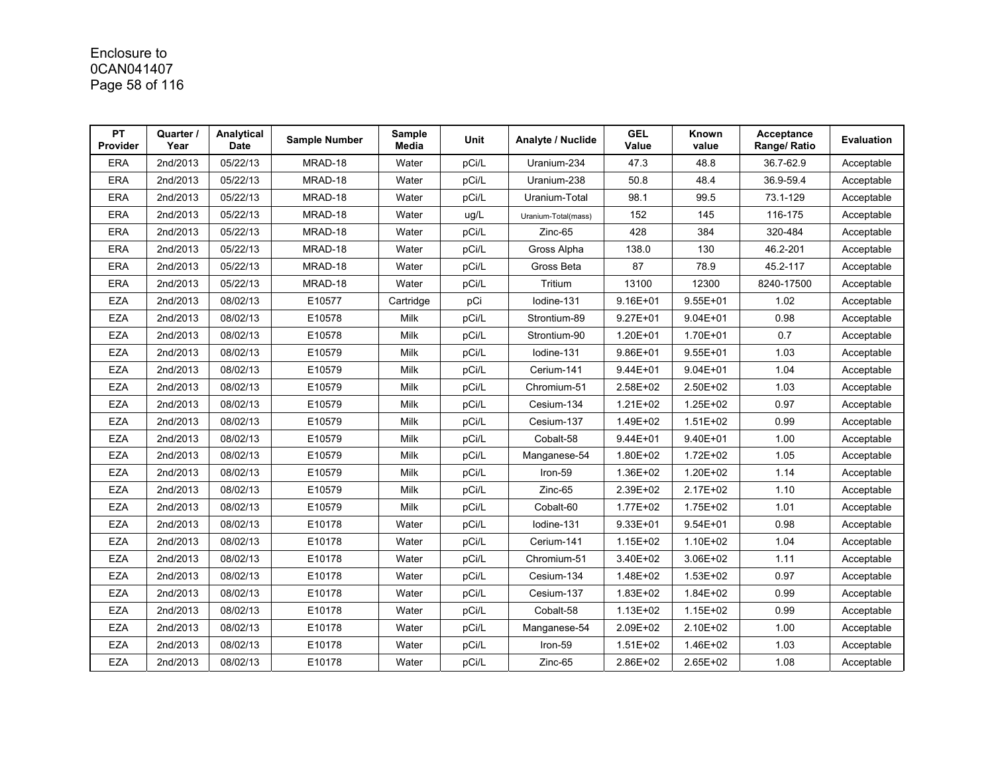# Enclosure to 0CAN041407 Page 58 of 116

| <b>PT</b><br><b>Provider</b> | Quarter /<br>Year | Analytical<br><b>Date</b> | <b>Sample Number</b> | Sample<br>Media | <b>Unit</b> | Analyte / Nuclide   | <b>GEL</b><br>Value | Known<br>value | Acceptance<br>Range/ Ratio | Evaluation |
|------------------------------|-------------------|---------------------------|----------------------|-----------------|-------------|---------------------|---------------------|----------------|----------------------------|------------|
| <b>ERA</b>                   | 2nd/2013          | 05/22/13                  | MRAD-18              | Water           | pCi/L       | Uranium-234         | 47.3                | 48.8           | 36.7-62.9                  | Acceptable |
| <b>ERA</b>                   | 2nd/2013          | 05/22/13                  | MRAD-18              | Water           | pCi/L       | Uranium-238         | 50.8                | 48.4           | 36.9-59.4                  | Acceptable |
| <b>ERA</b>                   | 2nd/2013          | 05/22/13                  | MRAD-18              | Water           | pCi/L       | Uranium-Total       | 98.1                | 99.5           | 73.1-129                   | Acceptable |
| <b>ERA</b>                   | 2nd/2013          | 05/22/13                  | MRAD-18              | Water           | ug/L        | Uranium-Total(mass) | 152                 | 145            | 116-175                    | Acceptable |
| <b>ERA</b>                   | 2nd/2013          | 05/22/13                  | MRAD-18              | Water           | pCi/L       | Zinc-65             | 428                 | 384            | 320-484                    | Acceptable |
| <b>ERA</b>                   | 2nd/2013          | 05/22/13                  | MRAD-18              | Water           | pCi/L       | Gross Alpha         | 138.0               | 130            | 46.2-201                   | Acceptable |
| <b>ERA</b>                   | 2nd/2013          | 05/22/13                  | MRAD-18              | Water           | pCi/L       | Gross Beta          | 87                  | 78.9           | 45.2-117                   | Acceptable |
| <b>ERA</b>                   | 2nd/2013          | 05/22/13                  | MRAD-18              | Water           | pCi/L       | Tritium             | 13100               | 12300          | 8240-17500                 | Acceptable |
| <b>EZA</b>                   | 2nd/2013          | 08/02/13                  | E10577               | Cartridge       | pCi         | lodine-131          | $9.16E + 01$        | $9.55E + 01$   | 1.02                       | Acceptable |
| <b>EZA</b>                   | 2nd/2013          | 08/02/13                  | E10578               | Milk            | pCi/L       | Strontium-89        | $9.27E + 01$        | $9.04E + 01$   | 0.98                       | Acceptable |
| <b>EZA</b>                   | 2nd/2013          | 08/02/13                  | E10578               | Milk            | pCi/L       | Strontium-90        | 1.20E+01            | 1.70E+01       | 0.7                        | Acceptable |
| <b>EZA</b>                   | 2nd/2013          | 08/02/13                  | E10579               | Milk            | pCi/L       | lodine-131          | $9.86E + 01$        | $9.55E + 01$   | 1.03                       | Acceptable |
| <b>EZA</b>                   | 2nd/2013          | 08/02/13                  | E10579               | Milk            | pCi/L       | Cerium-141          | $9.44E + 01$        | $9.04E + 01$   | 1.04                       | Acceptable |
| <b>EZA</b>                   | 2nd/2013          | 08/02/13                  | E10579               | Milk            | pCi/L       | Chromium-51         | 2.58E+02            | 2.50E+02       | 1.03                       | Acceptable |
| <b>EZA</b>                   | 2nd/2013          | 08/02/13                  | E10579               | Milk            | pCi/L       | Cesium-134          | $1.21E + 02$        | 1.25E+02       | 0.97                       | Acceptable |
| <b>EZA</b>                   | 2nd/2013          | 08/02/13                  | E10579               | Milk            | pCi/L       | Cesium-137          | 1.49E+02            | $1.51E + 02$   | 0.99                       | Acceptable |
| <b>EZA</b>                   | 2nd/2013          | 08/02/13                  | E10579               | Milk            | pCi/L       | Cobalt-58           | $9.44E + 01$        | 9.40E+01       | 1.00                       | Acceptable |
| <b>EZA</b>                   | 2nd/2013          | 08/02/13                  | E10579               | Milk            | pCi/L       | Manganese-54        | 1.80E+02            | $1.72E + 02$   | 1.05                       | Acceptable |
| <b>EZA</b>                   | 2nd/2013          | 08/02/13                  | E10579               | Milk            | pCi/L       | Iron-59             | 1.36E+02            | 1.20E+02       | 1.14                       | Acceptable |
| <b>EZA</b>                   | 2nd/2013          | 08/02/13                  | E10579               | Milk            | pCi/L       | Zinc-65             | 2.39E+02            | 2.17E+02       | 1.10                       | Acceptable |
| EZA                          | 2nd/2013          | 08/02/13                  | E10579               | Milk            | pCi/L       | Cobalt-60           | 1.77E+02            | 1.75E+02       | 1.01                       | Acceptable |
| <b>EZA</b>                   | 2nd/2013          | 08/02/13                  | E10178               | Water           | pCi/L       | lodine-131          | $9.33E + 01$        | $9.54E + 01$   | 0.98                       | Acceptable |
| <b>EZA</b>                   | 2nd/2013          | 08/02/13                  | E10178               | Water           | pCi/L       | Cerium-141          | $1.15E + 02$        | 1.10E+02       | 1.04                       | Acceptable |
| <b>EZA</b>                   | 2nd/2013          | 08/02/13                  | E10178               | Water           | pCi/L       | Chromium-51         | 3.40E+02            | 3.06E+02       | 1.11                       | Acceptable |
| <b>EZA</b>                   | 2nd/2013          | 08/02/13                  | E10178               | Water           | pCi/L       | Cesium-134          | 1.48E+02            | 1.53E+02       | 0.97                       | Acceptable |
| <b>EZA</b>                   | 2nd/2013          | 08/02/13                  | E10178               | Water           | pCi/L       | Cesium-137          | 1.83E+02            | 1.84E+02       | 0.99                       | Acceptable |
| <b>EZA</b>                   | 2nd/2013          | 08/02/13                  | E10178               | Water           | pCi/L       | Cobalt-58           | $1.13E + 02$        | 1.15E+02       | 0.99                       | Acceptable |
| <b>EZA</b>                   | 2nd/2013          | 08/02/13                  | E10178               | Water           | pCi/L       | Manganese-54        | 2.09E+02            | 2.10E+02       | 1.00                       | Acceptable |
| <b>EZA</b>                   | 2nd/2013          | 08/02/13                  | E10178               | Water           | pCi/L       | Iron-59             | $1.51E + 02$        | 1.46E+02       | 1.03                       | Acceptable |
| <b>EZA</b>                   | 2nd/2013          | 08/02/13                  | E10178               | Water           | pCi/L       | Zinc-65             | 2.86E+02            | 2.65E+02       | 1.08                       | Acceptable |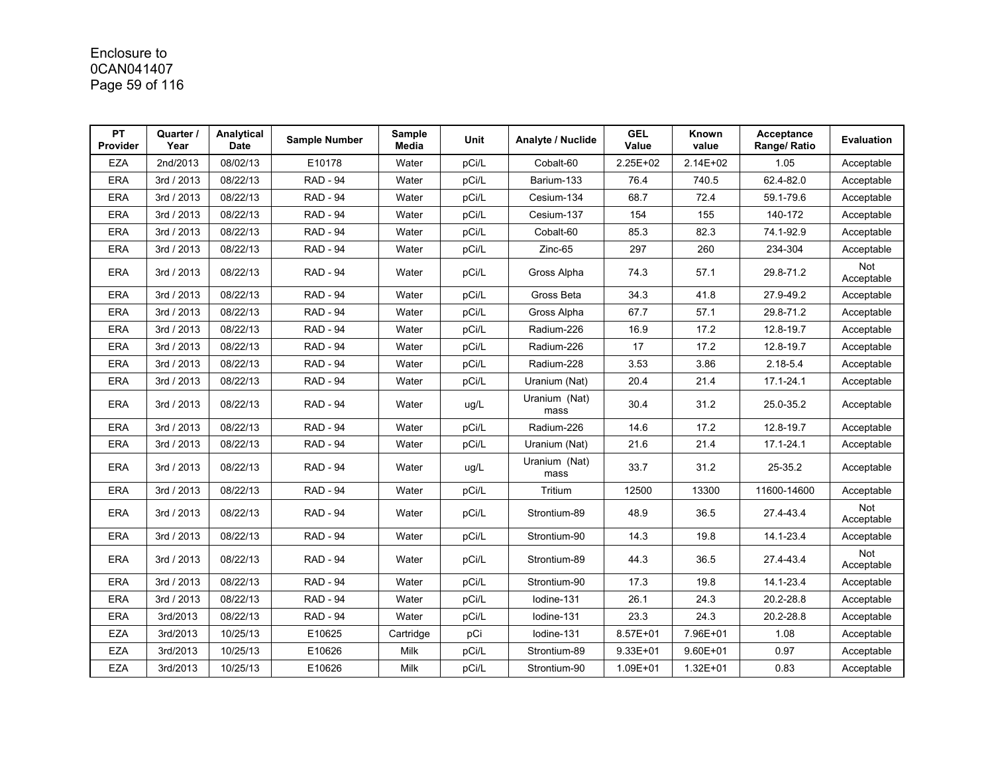# Enclosure to 0CAN041407 Page 59 of 116

| <b>PT</b><br><b>Provider</b> | Quarter /<br>Year | Analytical<br><b>Date</b> | <b>Sample Number</b> | Sample<br>Media | Unit  | Analyte / Nuclide     | <b>GEL</b><br>Value | Known<br>value | Acceptance<br>Range/ Ratio | Evaluation        |
|------------------------------|-------------------|---------------------------|----------------------|-----------------|-------|-----------------------|---------------------|----------------|----------------------------|-------------------|
| <b>EZA</b>                   | 2nd/2013          | 08/02/13                  | E10178               | Water           | pCi/L | Cobalt-60             | 2.25E+02            | 2.14E+02       | 1.05                       | Acceptable        |
| <b>ERA</b>                   | 3rd / 2013        | 08/22/13                  | <b>RAD - 94</b>      | Water           | pCi/L | Barium-133            | 76.4                | 740.5          | 62.4-82.0                  | Acceptable        |
| <b>ERA</b>                   | 3rd / 2013        | 08/22/13                  | <b>RAD - 94</b>      | Water           | pCi/L | Cesium-134            | 68.7                | 72.4           | 59.1-79.6                  | Acceptable        |
| <b>ERA</b>                   | 3rd / 2013        | 08/22/13                  | <b>RAD - 94</b>      | Water           | pCi/L | Cesium-137            | 154                 | 155            | 140-172                    | Acceptable        |
| <b>ERA</b>                   | 3rd / 2013        | 08/22/13                  | <b>RAD - 94</b>      | Water           | pCi/L | Cobalt-60             | 85.3                | 82.3           | 74.1-92.9                  | Acceptable        |
| <b>ERA</b>                   | 3rd / 2013        | 08/22/13                  | <b>RAD - 94</b>      | Water           | pCi/L | $Zinc-65$             | 297                 | 260            | 234-304                    | Acceptable        |
| <b>ERA</b>                   | 3rd / 2013        | 08/22/13                  | <b>RAD - 94</b>      | Water           | pCi/L | Gross Alpha           | 74.3                | 57.1           | 29.8-71.2                  | Not<br>Acceptable |
| <b>ERA</b>                   | 3rd / 2013        | 08/22/13                  | <b>RAD - 94</b>      | Water           | pCi/L | Gross Beta            | 34.3                | 41.8           | 27.9-49.2                  | Acceptable        |
| <b>ERA</b>                   | 3rd / 2013        | 08/22/13                  | <b>RAD - 94</b>      | Water           | pCi/L | Gross Alpha           | 67.7                | 57.1           | 29.8-71.2                  | Acceptable        |
| <b>ERA</b>                   | 3rd / 2013        | 08/22/13                  | <b>RAD - 94</b>      | Water           | pCi/L | Radium-226            | 16.9                | 17.2           | 12.8-19.7                  | Acceptable        |
| <b>ERA</b>                   | 3rd / 2013        | 08/22/13                  | <b>RAD - 94</b>      | Water           | pCi/L | Radium-226            | 17                  | 17.2           | 12.8-19.7                  | Acceptable        |
| <b>ERA</b>                   | 3rd / 2013        | 08/22/13                  | <b>RAD - 94</b>      | Water           | pCi/L | Radium-228            | 3.53                | 3.86           | $2.18 - 5.4$               | Acceptable        |
| <b>ERA</b>                   | 3rd / 2013        | 08/22/13                  | <b>RAD - 94</b>      | Water           | pCi/L | Uranium (Nat)         | 20.4                | 21.4           | 17.1-24.1                  | Acceptable        |
| <b>ERA</b>                   | 3rd / 2013        | 08/22/13                  | <b>RAD - 94</b>      | Water           | ug/L  | Uranium (Nat)<br>mass | 30.4                | 31.2           | 25.0-35.2                  | Acceptable        |
| <b>ERA</b>                   | 3rd / 2013        | 08/22/13                  | <b>RAD - 94</b>      | Water           | pCi/L | Radium-226            | 14.6                | 17.2           | 12.8-19.7                  | Acceptable        |
| <b>ERA</b>                   | 3rd / 2013        | 08/22/13                  | <b>RAD - 94</b>      | Water           | pCi/L | Uranium (Nat)         | 21.6                | 21.4           | 17.1-24.1                  | Acceptable        |
| <b>ERA</b>                   | 3rd / 2013        | 08/22/13                  | <b>RAD - 94</b>      | Water           | ug/L  | Uranium (Nat)<br>mass | 33.7                | 31.2           | 25-35.2                    | Acceptable        |
| <b>ERA</b>                   | 3rd / 2013        | 08/22/13                  | <b>RAD - 94</b>      | Water           | pCi/L | Tritium               | 12500               | 13300          | 11600-14600                | Acceptable        |
| <b>ERA</b>                   | 3rd / 2013        | 08/22/13                  | <b>RAD - 94</b>      | Water           | pCi/L | Strontium-89          | 48.9                | 36.5           | 27.4-43.4                  | Not<br>Acceptable |
| <b>ERA</b>                   | 3rd / 2013        | 08/22/13                  | <b>RAD - 94</b>      | Water           | pCi/L | Strontium-90          | 14.3                | 19.8           | 14.1-23.4                  | Acceptable        |
| <b>ERA</b>                   | 3rd / 2013        | 08/22/13                  | <b>RAD - 94</b>      | Water           | pCi/L | Strontium-89          | 44.3                | 36.5           | 27.4-43.4                  | Not<br>Acceptable |
| <b>ERA</b>                   | 3rd / 2013        | 08/22/13                  | <b>RAD - 94</b>      | Water           | pCi/L | Strontium-90          | 17.3                | 19.8           | 14.1-23.4                  | Acceptable        |
| <b>ERA</b>                   | 3rd / 2013        | 08/22/13                  | <b>RAD - 94</b>      | Water           | pCi/L | Iodine-131            | 26.1                | 24.3           | 20.2-28.8                  | Acceptable        |
| <b>ERA</b>                   | 3rd/2013          | 08/22/13                  | <b>RAD - 94</b>      | Water           | pCi/L | lodine-131            | 23.3                | 24.3           | 20.2-28.8                  | Acceptable        |
| <b>EZA</b>                   | 3rd/2013          | 10/25/13                  | E10625               | Cartridge       | pCi   | lodine-131            | 8.57E+01            | 7.96E+01       | 1.08                       | Acceptable        |
| <b>EZA</b>                   | 3rd/2013          | 10/25/13                  | E10626               | Milk            | pCi/L | Strontium-89          | $9.33E + 01$        | $9.60E + 01$   | 0.97                       | Acceptable        |
| <b>EZA</b>                   | 3rd/2013          | 10/25/13                  | E10626               | Milk            | pCi/L | Strontium-90          | 1.09E+01            | $1.32E + 01$   | 0.83                       | Acceptable        |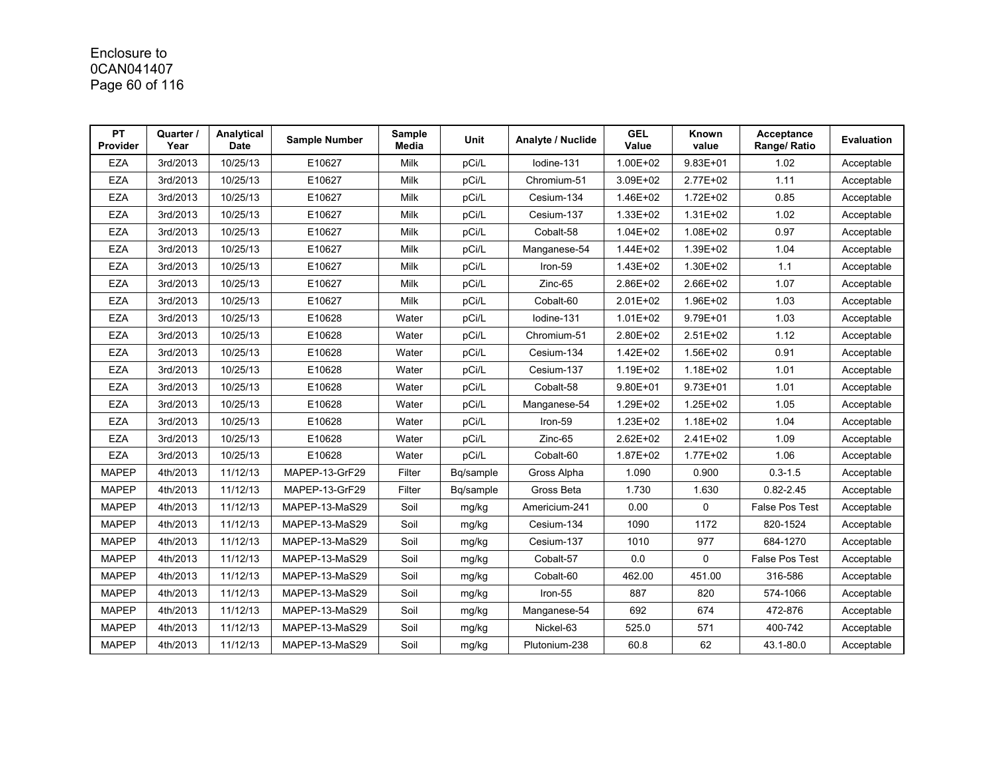# Enclosure to 0CAN041407 Page 60 of 116

| <b>PT</b><br><b>Provider</b> | Quarter /<br>Year | Analytical<br><b>Date</b> | <b>Sample Number</b> | Sample<br><b>Media</b> | Unit      | Analyte / Nuclide | <b>GEL</b><br>Value | Known<br>value | Acceptance<br>Range/ Ratio | Evaluation |
|------------------------------|-------------------|---------------------------|----------------------|------------------------|-----------|-------------------|---------------------|----------------|----------------------------|------------|
| <b>EZA</b>                   | 3rd/2013          | 10/25/13                  | E10627               | Milk                   | pCi/L     | Iodine-131        | 1.00E+02            | $9.83E + 01$   | 1.02                       | Acceptable |
| <b>EZA</b>                   | 3rd/2013          | 10/25/13                  | E10627               | Milk                   | pCi/L     | Chromium-51       | 3.09E+02            | 2.77E+02       | 1.11                       | Acceptable |
| <b>EZA</b>                   | 3rd/2013          | 10/25/13                  | E10627               | Milk                   | pCi/L     | Cesium-134        | 1.46E+02            | 1.72E+02       | 0.85                       | Acceptable |
| <b>EZA</b>                   | 3rd/2013          | 10/25/13                  | E10627               | Milk                   | pCi/L     | Cesium-137        | 1.33E+02            | 1.31E+02       | 1.02                       | Acceptable |
| <b>EZA</b>                   | 3rd/2013          | 10/25/13                  | E10627               | Milk                   | pCi/L     | Cobalt-58         | $1.04E + 02$        | 1.08E+02       | 0.97                       | Acceptable |
| <b>EZA</b>                   | 3rd/2013          | 10/25/13                  | E10627               | Milk                   | pCi/L     | Manganese-54      | 1.44E+02            | 1.39E+02       | 1.04                       | Acceptable |
| <b>EZA</b>                   | 3rd/2013          | 10/25/13                  | E10627               | Milk                   | pCi/L     | Iron-59           | $1.43E + 02$        | 1.30E+02       | 1.1                        | Acceptable |
| <b>EZA</b>                   | 3rd/2013          | 10/25/13                  | E10627               | Milk                   | pCi/L     | Zinc-65           | 2.86E+02            | 2.66E+02       | 1.07                       | Acceptable |
| <b>EZA</b>                   | 3rd/2013          | 10/25/13                  | E10627               | Milk                   | pCi/L     | Cobalt-60         | $2.01E + 02$        | 1.96E+02       | 1.03                       | Acceptable |
| <b>EZA</b>                   | 3rd/2013          | 10/25/13                  | E10628               | Water                  | pCi/L     | Iodine-131        | $1.01E + 02$        | 9.79E+01       | 1.03                       | Acceptable |
| <b>EZA</b>                   | 3rd/2013          | 10/25/13                  | E10628               | Water                  | pCi/L     | Chromium-51       | 2.80E+02            | $2.51E+02$     | 1.12                       | Acceptable |
| <b>EZA</b>                   | 3rd/2013          | 10/25/13                  | E10628               | Water                  | pCi/L     | Cesium-134        | 1.42E+02            | 1.56E+02       | 0.91                       | Acceptable |
| <b>EZA</b>                   | 3rd/2013          | 10/25/13                  | E10628               | Water                  | pCi/L     | Cesium-137        | 1.19E+02            | 1.18E+02       | 1.01                       | Acceptable |
| <b>EZA</b>                   | 3rd/2013          | 10/25/13                  | E10628               | Water                  | pCi/L     | Cobalt-58         | $9.80E + 01$        | $9.73E + 01$   | 1.01                       | Acceptable |
| <b>EZA</b>                   | 3rd/2013          | 10/25/13                  | E10628               | Water                  | pCi/L     | Manganese-54      | 1.29E+02            | 1.25E+02       | 1.05                       | Acceptable |
| <b>EZA</b>                   | 3rd/2013          | 10/25/13                  | E10628               | Water                  | pCi/L     | Iron-59           | $1.23E + 02$        | 1.18E+02       | 1.04                       | Acceptable |
| <b>EZA</b>                   | 3rd/2013          | 10/25/13                  | E10628               | Water                  | pCi/L     | Zinc-65           | 2.62E+02            | 2.41E+02       | 1.09                       | Acceptable |
| <b>EZA</b>                   | 3rd/2013          | 10/25/13                  | E10628               | Water                  | pCi/L     | Cobalt-60         | 1.87E+02            | 1.77E+02       | 1.06                       | Acceptable |
| <b>MAPEP</b>                 | 4th/2013          | 11/12/13                  | MAPEP-13-GrF29       | Filter                 | Bq/sample | Gross Alpha       | 1.090               | 0.900          | $0.3 - 1.5$                | Acceptable |
| <b>MAPEP</b>                 | 4th/2013          | 11/12/13                  | MAPEP-13-GrF29       | Filter                 | Bq/sample | Gross Beta        | 1.730               | 1.630          | $0.82 - 2.45$              | Acceptable |
| <b>MAPEP</b>                 | 4th/2013          | 11/12/13                  | MAPEP-13-MaS29       | Soil                   | mg/kg     | Americium-241     | 0.00                | 0              | False Pos Test             | Acceptable |
| <b>MAPEP</b>                 | 4th/2013          | 11/12/13                  | MAPEP-13-MaS29       | Soil                   | mg/kg     | Cesium-134        | 1090                | 1172           | 820-1524                   | Acceptable |
| <b>MAPEP</b>                 | 4th/2013          | 11/12/13                  | MAPEP-13-MaS29       | Soil                   | mg/kg     | Cesium-137        | 1010                | 977            | 684-1270                   | Acceptable |
| <b>MAPEP</b>                 | 4th/2013          | 11/12/13                  | MAPEP-13-MaS29       | Soil                   | mg/kg     | Cobalt-57         | 0.0                 | 0              | <b>False Pos Test</b>      | Acceptable |
| <b>MAPEP</b>                 | 4th/2013          | 11/12/13                  | MAPEP-13-MaS29       | Soil                   | mg/kg     | Cobalt-60         | 462.00              | 451.00         | 316-586                    | Acceptable |
| <b>MAPEP</b>                 | 4th/2013          | 11/12/13                  | MAPEP-13-MaS29       | Soil                   | mg/kg     | Iron-55           | 887                 | 820            | 574-1066                   | Acceptable |
| <b>MAPEP</b>                 | 4th/2013          | 11/12/13                  | MAPEP-13-MaS29       | Soil                   | mg/kg     | Manganese-54      | 692                 | 674            | 472-876                    | Acceptable |
| <b>MAPEP</b>                 | 4th/2013          | 11/12/13                  | MAPEP-13-MaS29       | Soil                   | mg/kg     | Nickel-63         | 525.0               | 571            | 400-742                    | Acceptable |
| <b>MAPEP</b>                 | 4th/2013          | 11/12/13                  | MAPEP-13-MaS29       | Soil                   | mg/kg     | Plutonium-238     | 60.8                | 62             | 43.1-80.0                  | Acceptable |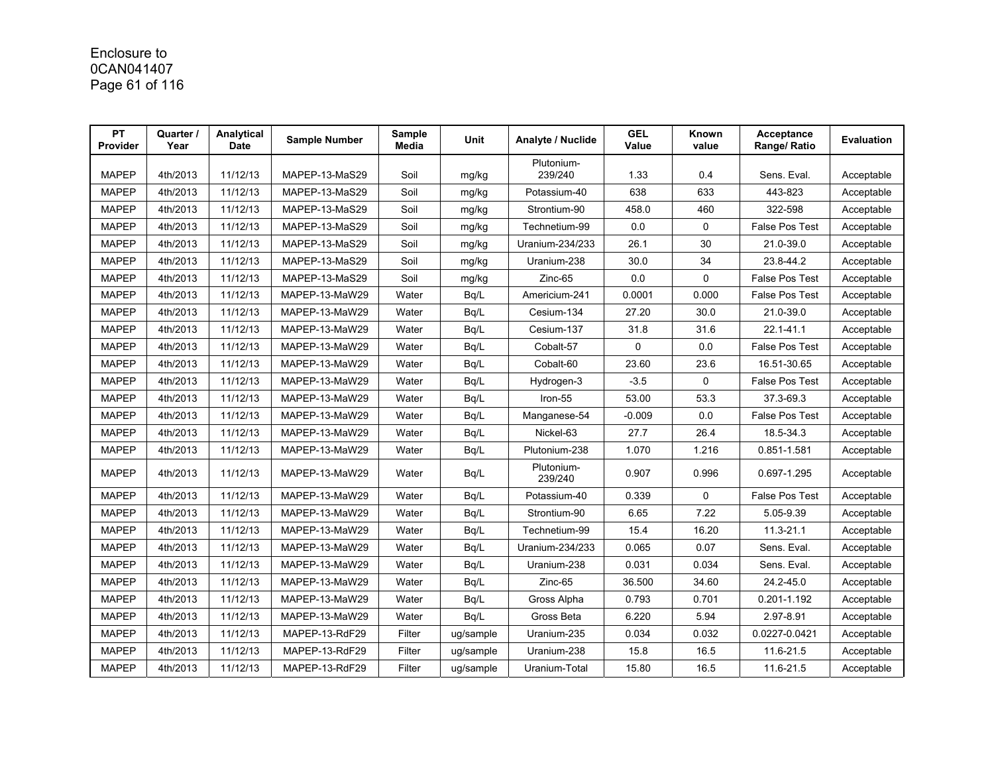# Enclosure to 0CAN041407 Page 61 of 116

| PT<br><b>Provider</b> | Quarter /<br>Year | Analytical<br><b>Date</b> | <b>Sample Number</b> | Sample<br>Media | <b>Unit</b> | Analyte / Nuclide     | <b>GEL</b><br>Value | Known<br>value | Acceptance<br>Range/ Ratio | <b>Evaluation</b> |
|-----------------------|-------------------|---------------------------|----------------------|-----------------|-------------|-----------------------|---------------------|----------------|----------------------------|-------------------|
| <b>MAPEP</b>          | 4th/2013          | 11/12/13                  | MAPEP-13-MaS29       | Soil            | mg/kg       | Plutonium-<br>239/240 | 1.33                | 0.4            | Sens. Eval.                | Acceptable        |
| <b>MAPEP</b>          | 4th/2013          | 11/12/13                  | MAPEP-13-MaS29       | Soil            | mg/kg       | Potassium-40          | 638                 | 633            | 443-823                    | Acceptable        |
| <b>MAPEP</b>          | 4th/2013          | 11/12/13                  | MAPEP-13-MaS29       | Soil            | mg/kg       | Strontium-90          | 458.0               | 460            | 322-598                    | Acceptable        |
| <b>MAPEP</b>          | 4th/2013          | 11/12/13                  | MAPEP-13-MaS29       | Soil            | mg/kg       | Technetium-99         | 0.0                 | $\mathbf 0$    | False Pos Test             | Acceptable        |
| <b>MAPEP</b>          | 4th/2013          | 11/12/13                  | MAPEP-13-MaS29       | Soil            | mg/kg       | Uranium-234/233       | 26.1                | 30             | 21.0-39.0                  | Acceptable        |
| <b>MAPEP</b>          | 4th/2013          | 11/12/13                  | MAPEP-13-MaS29       | Soil            | mg/kg       | Uranium-238           | 30.0                | 34             | 23.8-44.2                  | Acceptable        |
| <b>MAPEP</b>          | 4th/2013          | 11/12/13                  | MAPEP-13-MaS29       | Soil            | mg/kg       | Zinc-65               | 0.0                 | $\mathbf 0$    | False Pos Test             | Acceptable        |
| <b>MAPEP</b>          | 4th/2013          | 11/12/13                  | MAPEP-13-MaW29       | Water           | Bq/L        | Americium-241         | 0.0001              | 0.000          | <b>False Pos Test</b>      | Acceptable        |
| <b>MAPEP</b>          | 4th/2013          | 11/12/13                  | MAPEP-13-MaW29       | Water           | Bq/L        | Cesium-134            | 27.20               | 30.0           | 21.0-39.0                  | Acceptable        |
| <b>MAPEP</b>          | 4th/2013          | 11/12/13                  | MAPEP-13-MaW29       | Water           | Bq/L        | Cesium-137            | 31.8                | 31.6           | 22.1-41.1                  | Acceptable        |
| <b>MAPEP</b>          | 4th/2013          | 11/12/13                  | MAPEP-13-MaW29       | Water           | Bq/L        | Cobalt-57             | 0                   | 0.0            | False Pos Test             | Acceptable        |
| <b>MAPEP</b>          | 4th/2013          | 11/12/13                  | MAPEP-13-MaW29       | Water           | Bq/L        | Cobalt-60             | 23.60               | 23.6           | 16.51-30.65                | Acceptable        |
| <b>MAPEP</b>          | 4th/2013          | 11/12/13                  | MAPEP-13-MaW29       | Water           | Bq/L        | Hydrogen-3            | $-3.5$              | $\mathbf{0}$   | <b>False Pos Test</b>      | Acceptable        |
| <b>MAPEP</b>          | 4th/2013          | 11/12/13                  | MAPEP-13-MaW29       | Water           | Bg/L        | Iron-55               | 53.00               | 53.3           | 37.3-69.3                  | Acceptable        |
| <b>MAPEP</b>          | 4th/2013          | 11/12/13                  | MAPEP-13-MaW29       | Water           | Bq/L        | Manganese-54          | $-0.009$            | 0.0            | False Pos Test             | Acceptable        |
| <b>MAPEP</b>          | 4th/2013          | 11/12/13                  | MAPEP-13-MaW29       | Water           | Bq/L        | Nickel-63             | 27.7                | 26.4           | 18.5-34.3                  | Acceptable        |
| <b>MAPEP</b>          | 4th/2013          | 11/12/13                  | MAPEP-13-MaW29       | Water           | Bq/L        | Plutonium-238         | 1.070               | 1.216          | 0.851-1.581                | Acceptable        |
| <b>MAPEP</b>          | 4th/2013          | 11/12/13                  | MAPEP-13-MaW29       | Water           | Bq/L        | Plutonium-<br>239/240 | 0.907               | 0.996          | 0.697-1.295                | Acceptable        |
| <b>MAPEP</b>          | 4th/2013          | 11/12/13                  | MAPEP-13-MaW29       | Water           | Bq/L        | Potassium-40          | 0.339               | $\mathbf{0}$   | <b>False Pos Test</b>      | Acceptable        |
| <b>MAPEP</b>          | 4th/2013          | 11/12/13                  | MAPEP-13-MaW29       | Water           | Bq/L        | Strontium-90          | 6.65                | 7.22           | 5.05-9.39                  | Acceptable        |
| <b>MAPEP</b>          | 4th/2013          | 11/12/13                  | MAPEP-13-MaW29       | Water           | Bq/L        | Technetium-99         | 15.4                | 16.20          | 11.3-21.1                  | Acceptable        |
| <b>MAPEP</b>          | 4th/2013          | 11/12/13                  | MAPEP-13-MaW29       | Water           | Bq/L        | Uranium-234/233       | 0.065               | 0.07           | Sens. Eval.                | Acceptable        |
| <b>MAPEP</b>          | 4th/2013          | 11/12/13                  | MAPEP-13-MaW29       | Water           | Bq/L        | Uranium-238           | 0.031               | 0.034          | Sens. Eval.                | Acceptable        |
| <b>MAPEP</b>          | 4th/2013          | 11/12/13                  | MAPEP-13-MaW29       | Water           | Bg/L        | Zinc-65               | 36.500              | 34.60          | 24.2-45.0                  | Acceptable        |
| <b>MAPEP</b>          | 4th/2013          | 11/12/13                  | MAPEP-13-MaW29       | Water           | Bq/L        | Gross Alpha           | 0.793               | 0.701          | 0.201-1.192                | Acceptable        |
| <b>MAPEP</b>          | 4th/2013          | 11/12/13                  | MAPEP-13-MaW29       | Water           | Bq/L        | Gross Beta            | 6.220               | 5.94           | 2.97-8.91                  | Acceptable        |
| <b>MAPEP</b>          | 4th/2013          | 11/12/13                  | MAPEP-13-RdF29       | Filter          | ug/sample   | Uranium-235           | 0.034               | 0.032          | 0.0227-0.0421              | Acceptable        |
| <b>MAPEP</b>          | 4th/2013          | 11/12/13                  | MAPEP-13-RdF29       | Filter          | ug/sample   | Uranium-238           | 15.8                | 16.5           | 11.6-21.5                  | Acceptable        |
| <b>MAPEP</b>          | 4th/2013          | 11/12/13                  | MAPEP-13-RdF29       | Filter          | ug/sample   | Uranium-Total         | 15.80               | 16.5           | 11.6-21.5                  | Acceptable        |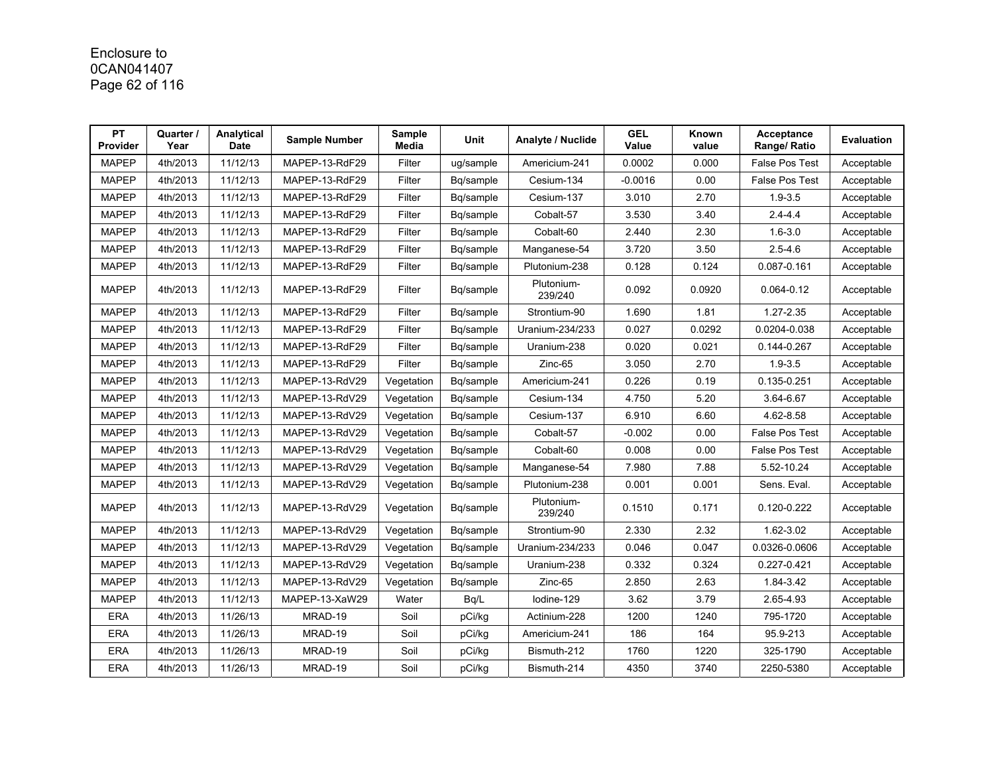# Enclosure to 0CAN041407 Page 62 of 116

| PT<br><b>Provider</b> | Quarter /<br>Year | Analytical<br><b>Date</b> | <b>Sample Number</b> | Sample<br>Media | Unit      | Analyte / Nuclide     | <b>GEL</b><br>Value | Known<br>value | Acceptance<br>Range/ Ratio | <b>Evaluation</b> |
|-----------------------|-------------------|---------------------------|----------------------|-----------------|-----------|-----------------------|---------------------|----------------|----------------------------|-------------------|
| <b>MAPEP</b>          | 4th/2013          | 11/12/13                  | MAPEP-13-RdF29       | Filter          | ug/sample | Americium-241         | 0.0002              | 0.000          | <b>False Pos Test</b>      | Acceptable        |
| <b>MAPEP</b>          | 4th/2013          | 11/12/13                  | MAPEP-13-RdF29       | Filter          | Bq/sample | Cesium-134            | $-0.0016$           | 0.00           | <b>False Pos Test</b>      | Acceptable        |
| <b>MAPEP</b>          | 4th/2013          | 11/12/13                  | MAPEP-13-RdF29       | Filter          | Bq/sample | Cesium-137            | 3.010               | 2.70           | $1.9 - 3.5$                | Acceptable        |
| <b>MAPEP</b>          | 4th/2013          | 11/12/13                  | MAPEP-13-RdF29       | Filter          | Bq/sample | Cobalt-57             | 3.530               | 3.40           | $2.4 - 4.4$                | Acceptable        |
| <b>MAPEP</b>          | 4th/2013          | 11/12/13                  | MAPEP-13-RdF29       | Filter          | Bq/sample | Cobalt-60             | 2.440               | 2.30           | $1.6 - 3.0$                | Acceptable        |
| <b>MAPEP</b>          | 4th/2013          | 11/12/13                  | MAPEP-13-RdF29       | Filter          | Bq/sample | Manganese-54          | 3.720               | 3.50           | $2.5 - 4.6$                | Acceptable        |
| <b>MAPEP</b>          | 4th/2013          | 11/12/13                  | MAPEP-13-RdF29       | Filter          | Bq/sample | Plutonium-238         | 0.128               | 0.124          | 0.087-0.161                | Acceptable        |
| <b>MAPEP</b>          | 4th/2013          | 11/12/13                  | MAPEP-13-RdF29       | Filter          | Bq/sample | Plutonium-<br>239/240 | 0.092               | 0.0920         | $0.064 - 0.12$             | Acceptable        |
| <b>MAPEP</b>          | 4th/2013          | 11/12/13                  | MAPEP-13-RdF29       | Filter          | Bq/sample | Strontium-90          | 1.690               | 1.81           | 1.27-2.35                  | Acceptable        |
| <b>MAPEP</b>          | 4th/2013          | 11/12/13                  | MAPEP-13-RdF29       | Filter          | Bq/sample | Uranium-234/233       | 0.027               | 0.0292         | 0.0204-0.038               | Acceptable        |
| <b>MAPEP</b>          | 4th/2013          | 11/12/13                  | MAPEP-13-RdF29       | Filter          | Bg/sample | Uranium-238           | 0.020               | 0.021          | 0.144-0.267                | Acceptable        |
| <b>MAPEP</b>          | 4th/2013          | 11/12/13                  | MAPEP-13-RdF29       | Filter          | Bq/sample | Zinc-65               | 3.050               | 2.70           | $1.9 - 3.5$                | Acceptable        |
| <b>MAPEP</b>          | 4th/2013          | 11/12/13                  | MAPEP-13-RdV29       | Vegetation      | Bq/sample | Americium-241         | 0.226               | 0.19           | 0.135-0.251                | Acceptable        |
| <b>MAPEP</b>          | 4th/2013          | 11/12/13                  | MAPEP-13-RdV29       | Vegetation      | Bg/sample | Cesium-134            | 4.750               | 5.20           | 3.64-6.67                  | Acceptable        |
| <b>MAPEP</b>          | 4th/2013          | 11/12/13                  | MAPEP-13-RdV29       | Vegetation      | Bq/sample | Cesium-137            | 6.910               | 6.60           | 4.62-8.58                  | Acceptable        |
| <b>MAPEP</b>          | 4th/2013          | 11/12/13                  | MAPEP-13-RdV29       | Vegetation      | Bq/sample | Cobalt-57             | $-0.002$            | 0.00           | False Pos Test             | Acceptable        |
| <b>MAPEP</b>          | 4th/2013          | 11/12/13                  | MAPEP-13-RdV29       | Vegetation      | Bg/sample | Cobalt-60             | 0.008               | 0.00           | <b>False Pos Test</b>      | Acceptable        |
| <b>MAPEP</b>          | 4th/2013          | 11/12/13                  | MAPEP-13-RdV29       | Vegetation      | Bq/sample | Manganese-54          | 7.980               | 7.88           | 5.52-10.24                 | Acceptable        |
| <b>MAPEP</b>          | 4th/2013          | 11/12/13                  | MAPEP-13-RdV29       | Vegetation      | Bq/sample | Plutonium-238         | 0.001               | 0.001          | Sens. Eval.                | Acceptable        |
| <b>MAPEP</b>          | 4th/2013          | 11/12/13                  | MAPEP-13-RdV29       | Vegetation      | Bq/sample | Plutonium-<br>239/240 | 0.1510              | 0.171          | 0.120-0.222                | Acceptable        |
| <b>MAPEP</b>          | 4th/2013          | 11/12/13                  | MAPEP-13-RdV29       | Vegetation      | Bg/sample | Strontium-90          | 2.330               | 2.32           | 1.62-3.02                  | Acceptable        |
| <b>MAPEP</b>          | 4th/2013          | 11/12/13                  | MAPEP-13-RdV29       | Vegetation      | Bq/sample | Uranium-234/233       | 0.046               | 0.047          | 0.0326-0.0606              | Acceptable        |
| <b>MAPEP</b>          | 4th/2013          | 11/12/13                  | MAPEP-13-RdV29       | Vegetation      | Bq/sample | Uranium-238           | 0.332               | 0.324          | 0.227-0.421                | Acceptable        |
| <b>MAPEP</b>          | 4th/2013          | 11/12/13                  | MAPEP-13-RdV29       | Vegetation      | Bq/sample | Zinc-65               | 2.850               | 2.63           | 1.84-3.42                  | Acceptable        |
| <b>MAPEP</b>          | 4th/2013          | 11/12/13                  | MAPEP-13-XaW29       | Water           | Bq/L      | lodine-129            | 3.62                | 3.79           | 2.65-4.93                  | Acceptable        |
| ERA                   | 4th/2013          | 11/26/13                  | MRAD-19              | Soil            | pCi/kg    | Actinium-228          | 1200                | 1240           | 795-1720                   | Acceptable        |
| ERA                   | 4th/2013          | 11/26/13                  | MRAD-19              | Soil            | pCi/kg    | Americium-241         | 186                 | 164            | 95.9-213                   | Acceptable        |
| <b>ERA</b>            | 4th/2013          | 11/26/13                  | MRAD-19              | Soil            | pCi/kg    | Bismuth-212           | 1760                | 1220           | 325-1790                   | Acceptable        |
| ERA                   | 4th/2013          | 11/26/13                  | MRAD-19              | Soil            | pCi/kg    | Bismuth-214           | 4350                | 3740           | 2250-5380                  | Acceptable        |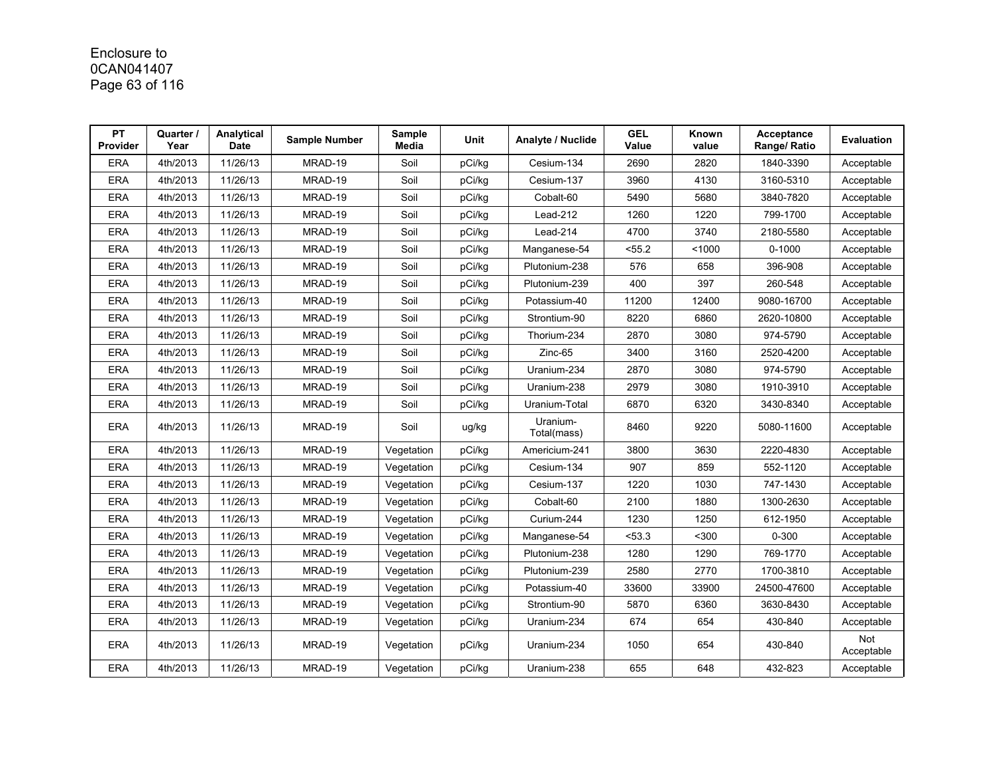# Enclosure to 0CAN041407 Page 63 of 116

| PT<br><b>Provider</b> | Quarter /<br>Year | Analytical<br><b>Date</b> | <b>Sample Number</b> | Sample<br>Media | Unit   | Analyte / Nuclide       | <b>GEL</b><br>Value | Known<br>value | Acceptance<br>Range/ Ratio | Evaluation        |
|-----------------------|-------------------|---------------------------|----------------------|-----------------|--------|-------------------------|---------------------|----------------|----------------------------|-------------------|
| <b>ERA</b>            | 4th/2013          | 11/26/13                  | MRAD-19              | Soil            | pCi/kg | Cesium-134              | 2690                | 2820           | 1840-3390                  | Acceptable        |
| <b>ERA</b>            | 4th/2013          | 11/26/13                  | MRAD-19              | Soil            | pCi/kg | Cesium-137              | 3960                | 4130           | 3160-5310                  | Acceptable        |
| <b>ERA</b>            | 4th/2013          | 11/26/13                  | MRAD-19              | Soil            | pCi/kg | Cobalt-60               | 5490                | 5680           | 3840-7820                  | Acceptable        |
| <b>ERA</b>            | 4th/2013          | 11/26/13                  | MRAD-19              | Soil            | pCi/kg | Lead-212                | 1260                | 1220           | 799-1700                   | Acceptable        |
| <b>ERA</b>            | 4th/2013          | 11/26/13                  | MRAD-19              | Soil            | pCi/kg | Lead-214                | 4700                | 3740           | 2180-5580                  | Acceptable        |
| <b>ERA</b>            | 4th/2013          | 11/26/13                  | MRAD-19              | Soil            | pCi/kg | Manganese-54            | < 55.2              | < 1000         | $0 - 1000$                 | Acceptable        |
| <b>ERA</b>            | 4th/2013          | 11/26/13                  | MRAD-19              | Soil            | pCi/kg | Plutonium-238           | 576                 | 658            | 396-908                    | Acceptable        |
| <b>ERA</b>            | 4th/2013          | 11/26/13                  | MRAD-19              | Soil            | pCi/kg | Plutonium-239           | 400                 | 397            | 260-548                    | Acceptable        |
| <b>ERA</b>            | 4th/2013          | 11/26/13                  | MRAD-19              | Soil            | pCi/kg | Potassium-40            | 11200               | 12400          | 9080-16700                 | Acceptable        |
| <b>ERA</b>            | 4th/2013          | 11/26/13                  | MRAD-19              | Soil            | pCi/kg | Strontium-90            | 8220                | 6860           | 2620-10800                 | Acceptable        |
| <b>ERA</b>            | 4th/2013          | 11/26/13                  | MRAD-19              | Soil            | pCi/kg | Thorium-234             | 2870                | 3080           | 974-5790                   | Acceptable        |
| <b>ERA</b>            | 4th/2013          | 11/26/13                  | MRAD-19              | Soil            | pCi/kg | Zinc-65                 | 3400                | 3160           | 2520-4200                  | Acceptable        |
| <b>ERA</b>            | 4th/2013          | 11/26/13                  | MRAD-19              | Soil            | pCi/kg | Uranium-234             | 2870                | 3080           | 974-5790                   | Acceptable        |
| <b>ERA</b>            | 4th/2013          | 11/26/13                  | MRAD-19              | Soil            | pCi/kg | Uranium-238             | 2979                | 3080           | 1910-3910                  | Acceptable        |
| <b>ERA</b>            | 4th/2013          | 11/26/13                  | MRAD-19              | Soil            | pCi/kg | Uranium-Total           | 6870                | 6320           | 3430-8340                  | Acceptable        |
| <b>ERA</b>            | 4th/2013          | 11/26/13                  | MRAD-19              | Soil            | ug/kg  | Uranium-<br>Total(mass) | 8460                | 9220           | 5080-11600                 | Acceptable        |
| <b>ERA</b>            | 4th/2013          | 11/26/13                  | MRAD-19              | Vegetation      | pCi/kg | Americium-241           | 3800                | 3630           | 2220-4830                  | Acceptable        |
| <b>ERA</b>            | 4th/2013          | 11/26/13                  | MRAD-19              | Vegetation      | pCi/kg | Cesium-134              | 907                 | 859            | 552-1120                   | Acceptable        |
| <b>ERA</b>            | 4th/2013          | 11/26/13                  | MRAD-19              | Vegetation      | pCi/kg | Cesium-137              | 1220                | 1030           | 747-1430                   | Acceptable        |
| <b>ERA</b>            | 4th/2013          | 11/26/13                  | MRAD-19              | Vegetation      | pCi/kg | Cobalt-60               | 2100                | 1880           | 1300-2630                  | Acceptable        |
| <b>ERA</b>            | 4th/2013          | 11/26/13                  | MRAD-19              | Vegetation      | pCi/kg | Curium-244              | 1230                | 1250           | 612-1950                   | Acceptable        |
| ERA                   | 4th/2013          | 11/26/13                  | MRAD-19              | Vegetation      | pCi/kg | Manganese-54            | 53.3                | $300$          | $0 - 300$                  | Acceptable        |
| <b>ERA</b>            | 4th/2013          | 11/26/13                  | MRAD-19              | Vegetation      | pCi/kg | Plutonium-238           | 1280                | 1290           | 769-1770                   | Acceptable        |
| <b>ERA</b>            | 4th/2013          | 11/26/13                  | MRAD-19              | Vegetation      | pCi/kg | Plutonium-239           | 2580                | 2770           | 1700-3810                  | Acceptable        |
| <b>ERA</b>            | 4th/2013          | 11/26/13                  | MRAD-19              | Vegetation      | pCi/kg | Potassium-40            | 33600               | 33900          | 24500-47600                | Acceptable        |
| <b>ERA</b>            | 4th/2013          | 11/26/13                  | MRAD-19              | Vegetation      | pCi/kg | Strontium-90            | 5870                | 6360           | 3630-8430                  | Acceptable        |
| <b>ERA</b>            | 4th/2013          | 11/26/13                  | MRAD-19              | Vegetation      | pCi/kg | Uranium-234             | 674                 | 654            | 430-840                    | Acceptable        |
| <b>ERA</b>            | 4th/2013          | 11/26/13                  | MRAD-19              | Vegetation      | pCi/kg | Uranium-234             | 1050                | 654            | 430-840                    | Not<br>Acceptable |
| <b>ERA</b>            | 4th/2013          | 11/26/13                  | MRAD-19              | Vegetation      | pCi/kg | Uranium-238             | 655                 | 648            | 432-823                    | Acceptable        |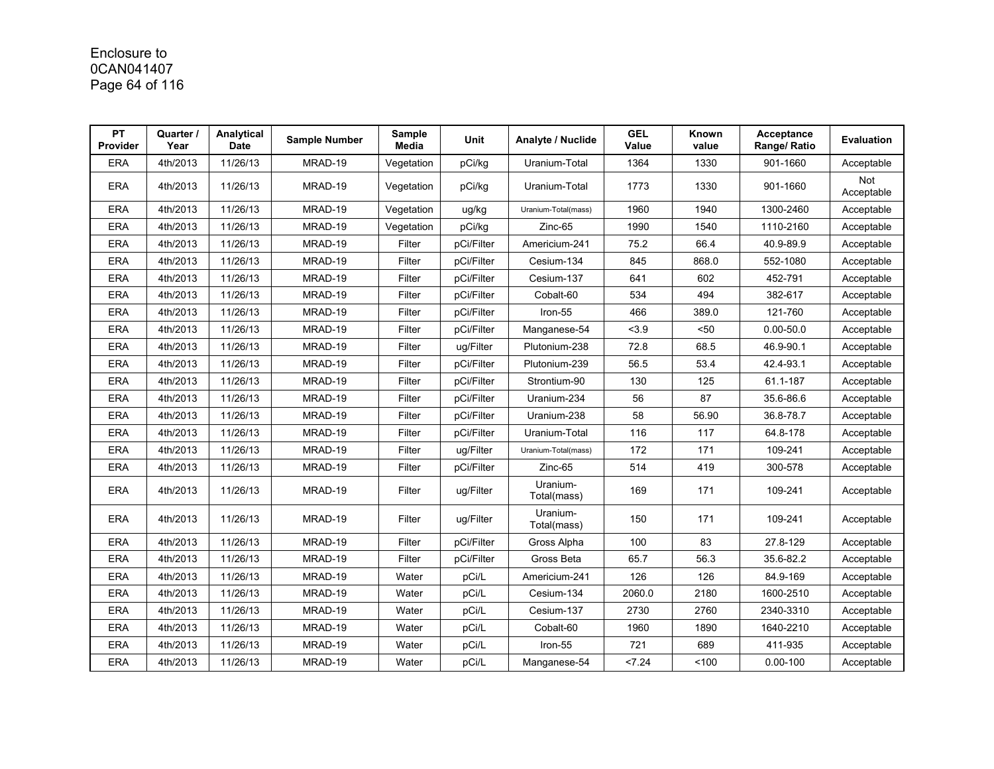# Enclosure to 0CAN041407 Page 64 of 116

| PT<br><b>Provider</b> | Quarter /<br>Year | Analytical<br><b>Date</b> | <b>Sample Number</b> | Sample<br>Media | <b>Unit</b> | Analyte / Nuclide       | <b>GEL</b><br>Value | Known<br>value | Acceptance<br>Range/ Ratio | Evaluation        |
|-----------------------|-------------------|---------------------------|----------------------|-----------------|-------------|-------------------------|---------------------|----------------|----------------------------|-------------------|
| <b>ERA</b>            | 4th/2013          | 11/26/13                  | MRAD-19              | Vegetation      | pCi/kg      | Uranium-Total           | 1364                | 1330           | 901-1660                   | Acceptable        |
| <b>ERA</b>            | 4th/2013          | 11/26/13                  | MRAD-19              | Vegetation      | pCi/kg      | Uranium-Total           | 1773                | 1330           | 901-1660                   | Not<br>Acceptable |
| <b>ERA</b>            | 4th/2013          | 11/26/13                  | MRAD-19              | Vegetation      | ug/kg       | Uranium-Total(mass)     | 1960                | 1940           | 1300-2460                  | Acceptable        |
| <b>ERA</b>            | 4th/2013          | 11/26/13                  | MRAD-19              | Vegetation      | pCi/kg      | Zinc-65                 | 1990                | 1540           | 1110-2160                  | Acceptable        |
| <b>ERA</b>            | 4th/2013          | 11/26/13                  | MRAD-19              | Filter          | pCi/Filter  | Americium-241           | 75.2                | 66.4           | 40.9-89.9                  | Acceptable        |
| <b>ERA</b>            | 4th/2013          | 11/26/13                  | MRAD-19              | Filter          | pCi/Filter  | Cesium-134              | 845                 | 868.0          | 552-1080                   | Acceptable        |
| <b>ERA</b>            | 4th/2013          | 11/26/13                  | MRAD-19              | Filter          | pCi/Filter  | Cesium-137              | 641                 | 602            | 452-791                    | Acceptable        |
| <b>ERA</b>            | 4th/2013          | 11/26/13                  | MRAD-19              | Filter          | pCi/Filter  | Cobalt-60               | 534                 | 494            | 382-617                    | Acceptable        |
| <b>ERA</b>            | 4th/2013          | 11/26/13                  | MRAD-19              | Filter          | pCi/Filter  | Iron-55                 | 466                 | 389.0          | 121-760                    | Acceptable        |
| <b>ERA</b>            | 4th/2013          | 11/26/13                  | MRAD-19              | Filter          | pCi/Filter  | Manganese-54            | < 3.9               | $50$           | $0.00 - 50.0$              | Acceptable        |
| <b>ERA</b>            | 4th/2013          | 11/26/13                  | MRAD-19              | Filter          | ug/Filter   | Plutonium-238           | 72.8                | 68.5           | 46.9-90.1                  | Acceptable        |
| <b>ERA</b>            | 4th/2013          | 11/26/13                  | MRAD-19              | Filter          | pCi/Filter  | Plutonium-239           | 56.5                | 53.4           | 42.4-93.1                  | Acceptable        |
| <b>ERA</b>            | 4th/2013          | 11/26/13                  | MRAD-19              | Filter          | pCi/Filter  | Strontium-90            | 130                 | 125            | 61.1-187                   | Acceptable        |
| <b>ERA</b>            | 4th/2013          | 11/26/13                  | MRAD-19              | Filter          | pCi/Filter  | Uranium-234             | 56                  | 87             | 35.6-86.6                  | Acceptable        |
| <b>ERA</b>            | 4th/2013          | 11/26/13                  | MRAD-19              | Filter          | pCi/Filter  | Uranium-238             | 58                  | 56.90          | 36.8-78.7                  | Acceptable        |
| <b>ERA</b>            | 4th/2013          | 11/26/13                  | MRAD-19              | Filter          | pCi/Filter  | Uranium-Total           | 116                 | 117            | 64.8-178                   | Acceptable        |
| <b>ERA</b>            | 4th/2013          | 11/26/13                  | MRAD-19              | Filter          | ug/Filter   | Uranium-Total(mass)     | 172                 | 171            | 109-241                    | Acceptable        |
| <b>ERA</b>            | 4th/2013          | 11/26/13                  | MRAD-19              | Filter          | pCi/Filter  | Zinc-65                 | 514                 | 419            | 300-578                    | Acceptable        |
| <b>ERA</b>            | 4th/2013          | 11/26/13                  | MRAD-19              | Filter          | ug/Filter   | Uranium-<br>Total(mass) | 169                 | 171            | 109-241                    | Acceptable        |
| <b>ERA</b>            | 4th/2013          | 11/26/13                  | MRAD-19              | Filter          | ug/Filter   | Uranium-<br>Total(mass) | 150                 | 171            | 109-241                    | Acceptable        |
| <b>ERA</b>            | 4th/2013          | 11/26/13                  | MRAD-19              | Filter          | pCi/Filter  | Gross Alpha             | 100                 | 83             | 27.8-129                   | Acceptable        |
| <b>ERA</b>            | 4th/2013          | 11/26/13                  | MRAD-19              | Filter          | pCi/Filter  | Gross Beta              | 65.7                | 56.3           | 35.6-82.2                  | Acceptable        |
| <b>ERA</b>            | 4th/2013          | 11/26/13                  | MRAD-19              | Water           | pCi/L       | Americium-241           | 126                 | 126            | 84.9-169                   | Acceptable        |
| <b>ERA</b>            | 4th/2013          | 11/26/13                  | MRAD-19              | Water           | pCi/L       | Cesium-134              | 2060.0              | 2180           | 1600-2510                  | Acceptable        |
| <b>ERA</b>            | 4th/2013          | 11/26/13                  | MRAD-19              | Water           | pCi/L       | Cesium-137              | 2730                | 2760           | 2340-3310                  | Acceptable        |
| <b>ERA</b>            | 4th/2013          | 11/26/13                  | MRAD-19              | Water           | pCi/L       | Cobalt-60               | 1960                | 1890           | 1640-2210                  | Acceptable        |
| <b>ERA</b>            | 4th/2013          | 11/26/13                  | MRAD-19              | Water           | pCi/L       | Iron-55                 | 721                 | 689            | 411-935                    | Acceptable        |
| <b>ERA</b>            | 4th/2013          | 11/26/13                  | MRAD-19              | Water           | pCi/L       | Manganese-54            | 24                  | 100            | $0.00 - 100$               | Acceptable        |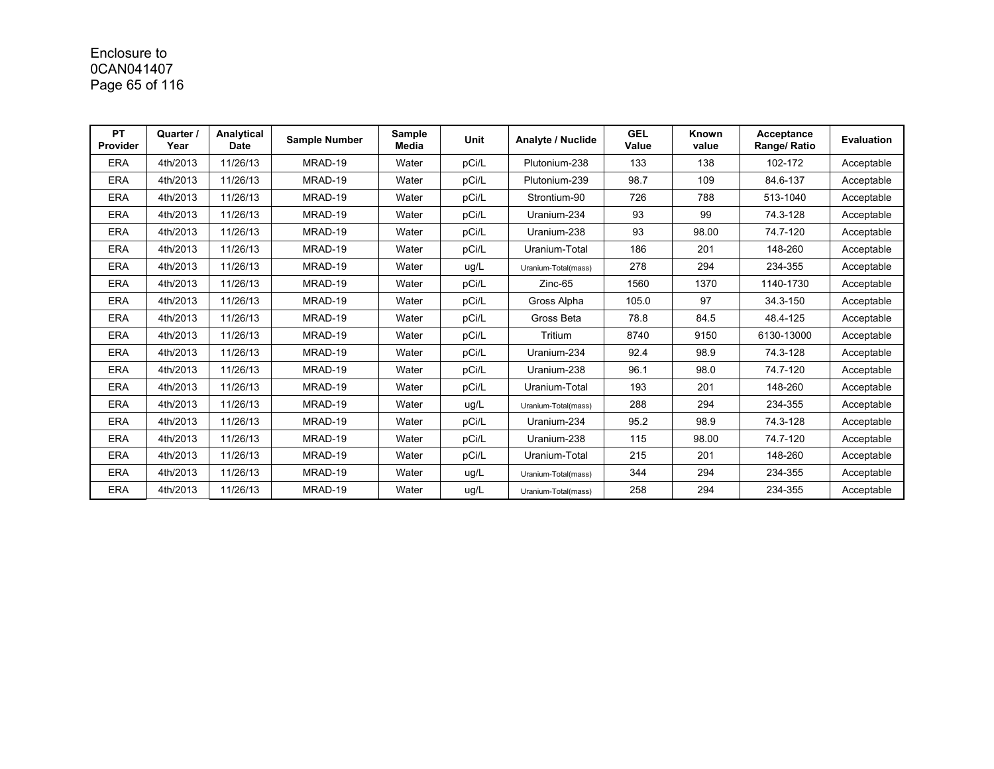# Enclosure to 0CAN041407 Page 65 of 116

| PT<br>Provider | Quarter /<br>Year | Analytical<br><b>Date</b> | <b>Sample Number</b> | Sample<br>Media | <b>Unit</b> | Analyte / Nuclide   | <b>GEL</b><br>Value | Known<br>value | Acceptance<br>Range/ Ratio | <b>Evaluation</b> |
|----------------|-------------------|---------------------------|----------------------|-----------------|-------------|---------------------|---------------------|----------------|----------------------------|-------------------|
| <b>ERA</b>     | 4th/2013          | 11/26/13                  | MRAD-19              | Water           | pCi/L       | Plutonium-238       | 133                 | 138            | 102-172                    | Acceptable        |
| <b>ERA</b>     | 4th/2013          | 11/26/13                  | MRAD-19              | Water           | pCi/L       | Plutonium-239       | 98.7                | 109            | 84.6-137                   | Acceptable        |
| <b>ERA</b>     | 4th/2013          | 11/26/13                  | MRAD-19              | Water           | pCi/L       | Strontium-90        | 726                 | 788            | 513-1040                   | Acceptable        |
| <b>ERA</b>     | 4th/2013          | 11/26/13                  | MRAD-19              | Water           | pCi/L       | Uranium-234         | 93                  | 99             | 74.3-128                   | Acceptable        |
| <b>ERA</b>     | 4th/2013          | 11/26/13                  | MRAD-19              | Water           | pCi/L       | Uranium-238         | 93                  | 98.00          | 74.7-120                   | Acceptable        |
| <b>ERA</b>     | 4th/2013          | 11/26/13                  | MRAD-19              | Water           | pCi/L       | Uranium-Total       | 186                 | 201            | 148-260                    | Acceptable        |
| <b>ERA</b>     | 4th/2013          | 11/26/13                  | MRAD-19              | Water           | ug/L        | Uranium-Total(mass) | 278                 | 294            | 234-355                    | Acceptable        |
| <b>ERA</b>     | 4th/2013          | 11/26/13                  | MRAD-19              | Water           | pCi/L       | Zinc-65             | 1560                | 1370           | 1140-1730                  | Acceptable        |
| <b>ERA</b>     | 4th/2013          | 11/26/13                  | MRAD-19              | Water           | pCi/L       | Gross Alpha         | 105.0               | 97             | 34.3-150                   | Acceptable        |
| <b>ERA</b>     | 4th/2013          | 11/26/13                  | MRAD-19              | Water           | pCi/L       | Gross Beta          | 78.8                | 84.5           | 48.4-125                   | Acceptable        |
| <b>ERA</b>     | 4th/2013          | 11/26/13                  | MRAD-19              | Water           | pCi/L       | Tritium             | 8740                | 9150           | 6130-13000                 | Acceptable        |
| <b>ERA</b>     | 4th/2013          | 11/26/13                  | MRAD-19              | Water           | pCi/L       | Uranium-234         | 92.4                | 98.9           | 74.3-128                   | Acceptable        |
| <b>ERA</b>     | 4th/2013          | 11/26/13                  | MRAD-19              | Water           | pCi/L       | Uranium-238         | 96.1                | 98.0           | 74.7-120                   | Acceptable        |
| <b>ERA</b>     | 4th/2013          | 11/26/13                  | MRAD-19              | Water           | pCi/L       | Uranium-Total       | 193                 | 201            | 148-260                    | Acceptable        |
| <b>ERA</b>     | 4th/2013          | 11/26/13                  | MRAD-19              | Water           | ug/L        | Uranium-Total(mass) | 288                 | 294            | 234-355                    | Acceptable        |
| <b>ERA</b>     | 4th/2013          | 11/26/13                  | MRAD-19              | Water           | pCi/L       | Uranium-234         | 95.2                | 98.9           | 74.3-128                   | Acceptable        |
| <b>ERA</b>     | 4th/2013          | 11/26/13                  | MRAD-19              | Water           | pCi/L       | Uranium-238         | 115                 | 98.00          | 74.7-120                   | Acceptable        |
| <b>ERA</b>     | 4th/2013          | 11/26/13                  | MRAD-19              | Water           | pCi/L       | Uranium-Total       | 215                 | 201            | 148-260                    | Acceptable        |
| <b>ERA</b>     | 4th/2013          | 11/26/13                  | MRAD-19              | Water           | ug/L        | Uranium-Total(mass) | 344                 | 294            | 234-355                    | Acceptable        |
| <b>ERA</b>     | 4th/2013          | 11/26/13                  | MRAD-19              | Water           | ug/L        | Uranium-Total(mass) | 258                 | 294            | 234-355                    | Acceptable        |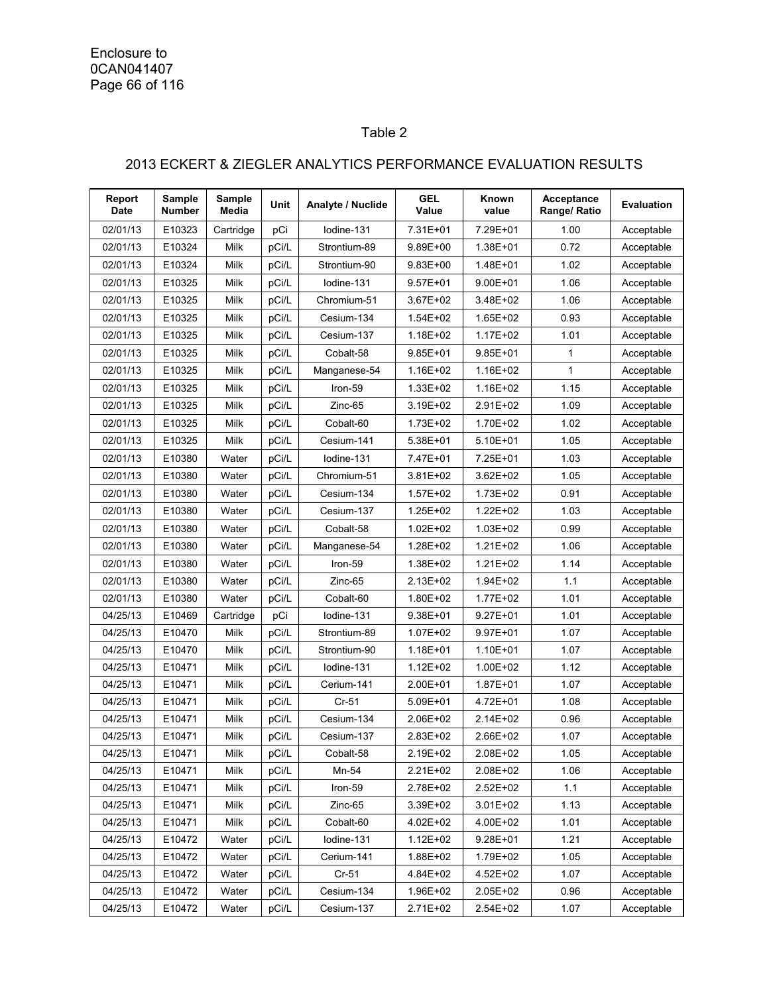Enclosure to 0CAN041407 Page 66 of 116

## Table 2

## 2013 ECKERT & ZIEGLER ANALYTICS PERFORMANCE EVALUATION RESULTS

| Report<br><b>Date</b> | <b>Sample</b><br><b>Number</b> | <b>Sample</b><br>Media | Unit  | Analyte / Nuclide | <b>GEL</b><br>Value | Known<br>value | Acceptance<br>Range/ Ratio | <b>Evaluation</b> |
|-----------------------|--------------------------------|------------------------|-------|-------------------|---------------------|----------------|----------------------------|-------------------|
| 02/01/13              | E10323                         | Cartridge              | pCi   | lodine-131        | 7.31E+01            | 7.29E+01       | 1.00                       | Acceptable        |
| 02/01/13              | E10324                         | Milk                   | pCi/L | Strontium-89      | 9.89E+00            | 1.38E+01       | 0.72                       | Acceptable        |
| 02/01/13              | E10324                         | Milk                   | pCi/L | Strontium-90      | 9.83E+00            | 1.48E+01       | 1.02                       | Acceptable        |
| 02/01/13              | E10325                         | Milk                   | pCi/L | lodine-131        | 9.57E+01            | $9.00E + 01$   | 1.06                       | Acceptable        |
| 02/01/13              | E10325                         | Milk                   | pCi/L | Chromium-51       | 3.67E+02            | 3.48E+02       | 1.06                       | Acceptable        |
| 02/01/13              | E10325                         | Milk                   | pCi/L | Cesium-134        | 1.54E+02            | 1.65E+02       | 0.93                       | Acceptable        |
| 02/01/13              | E10325                         | Milk                   | pCi/L | Cesium-137        | 1.18E+02            | $1.17E + 02$   | 1.01                       | Acceptable        |
| 02/01/13              | E10325                         | Milk                   | pCi/L | Cobalt-58         | $9.85E + 01$        | $9.85E + 01$   | 1                          | Acceptable        |
| 02/01/13              | E10325                         | Milk                   | pCi/L | Manganese-54      | 1.16E+02            | 1.16E+02       | 1                          | Acceptable        |
| 02/01/13              | E10325                         | Milk                   | pCi/L | Iron-59           | 1.33E+02            | 1.16E+02       | 1.15                       | Acceptable        |
| 02/01/13              | E10325                         | Milk                   | pCi/L | Zinc-65           | 3.19E+02            | 2.91E+02       | 1.09                       | Acceptable        |
| 02/01/13              | E10325                         | Milk                   | pCi/L | Cobalt-60         | 1.73E+02            | 1.70E+02       | 1.02                       | Acceptable        |
| 02/01/13              | E10325                         | Milk                   | pCi/L | Cesium-141        | 5.38E+01            | $5.10E + 01$   | 1.05                       | Acceptable        |
| 02/01/13              | E10380                         | Water                  | pCi/L | lodine-131        | 7.47E+01            | 7.25E+01       | 1.03                       | Acceptable        |
| 02/01/13              | E10380                         | Water                  | pCi/L | Chromium-51       | 3.81E+02            | 3.62E+02       | 1.05                       | Acceptable        |
| 02/01/13              | E10380                         | Water                  | pCi/L | Cesium-134        | 1.57E+02            | 1.73E+02       | 0.91                       | Acceptable        |
| 02/01/13              | E10380                         | Water                  | pCi/L | Cesium-137        | 1.25E+02            | $1.22E + 02$   | 1.03                       | Acceptable        |
| 02/01/13              | E10380                         | Water                  | pCi/L | Cobalt-58         | 1.02E+02            | 1.03E+02       | 0.99                       | Acceptable        |
| 02/01/13              | E10380                         | Water                  | pCi/L | Manganese-54      | 1.28E+02            | $1.21E + 02$   | 1.06                       | Acceptable        |
| 02/01/13              | E10380                         | Water                  | pCi/L | Iron-59           | 1.38E+02            | 1.21E+02       | 1.14                       | Acceptable        |
| 02/01/13              | E10380                         | Water                  | pCi/L | Zinc-65           | 2.13E+02            | 1.94E+02       | 1.1                        | Acceptable        |
| 02/01/13              | E10380                         | Water                  | pCi/L | Cobalt-60         | 1.80E+02            | $1.77E + 02$   | 1.01                       | Acceptable        |
| 04/25/13              | E10469                         | Cartridge              | pCi   | lodine-131        | 9.38E+01            | $9.27E + 01$   | 1.01                       | Acceptable        |
| 04/25/13              | E10470                         | Milk                   | pCi/L | Strontium-89      | 1.07E+02            | 9.97E+01       | 1.07                       | Acceptable        |
| 04/25/13              | E10470                         | Milk                   | pCi/L | Strontium-90      | 1.18E+01            | 1.10E+01       | 1.07                       | Acceptable        |
| 04/25/13              | E10471                         | Milk                   | pCi/L | lodine-131        | 1.12E+02            | 1.00E+02       | 1.12                       | Acceptable        |
| 04/25/13              | E10471                         | Milk                   | pCi/L | Cerium-141        | 2.00E+01            | 1.87E+01       | 1.07                       | Acceptable        |
| 04/25/13              | E10471                         | Milk                   | pCi/L | $Cr-51$           | 5.09E+01            | 4.72E+01       | 1.08                       | Acceptable        |
| 04/25/13              | E10471                         | Milk                   | pCi/L | Cesium-134        | 2.06E+02            | 2.14E+02       | 0.96                       | Acceptable        |
| 04/25/13              | E10471                         | Milk                   | pCi/L | Cesium-137        | 2.83E+02            | 2.66E+02       | 1.07                       | Acceptable        |
| 04/25/13              | E10471                         | Milk                   | pCi/L | Cobalt-58         | 2.19E+02            | 2.08E+02       | 1.05                       | Acceptable        |
| 04/25/13              | E10471                         | Milk                   | pCi/L | Mn-54             | 2.21E+02            | 2.08E+02       | 1.06                       | Acceptable        |
| 04/25/13              | E10471                         | Milk                   | pCi/L | Iron-59           | 2.78E+02            | 2.52E+02       | 1.1                        | Acceptable        |
| 04/25/13              | E10471                         | Milk                   | pCi/L | Zinc-65           | 3.39E+02            | $3.01E + 02$   | 1.13                       | Acceptable        |
| 04/25/13              | E10471                         | Milk                   | pCi/L | Cobalt-60         | 4.02E+02            | 4.00E+02       | 1.01                       | Acceptable        |
| 04/25/13              | E10472                         | Water                  | pCi/L | Iodine-131        | 1.12E+02            | $9.28E + 01$   | 1.21                       | Acceptable        |
| 04/25/13              | E10472                         | Water                  | pCi/L | Cerium-141        | 1.88E+02            | 1.79E+02       | 1.05                       | Acceptable        |
| 04/25/13              | E10472                         | Water                  | pCi/L | $Cr-51$           | 4.84E+02            | 4.52E+02       | 1.07                       | Acceptable        |
| 04/25/13              | E10472                         | Water                  | pCi/L | Cesium-134        | 1.96E+02            | 2.05E+02       | 0.96                       | Acceptable        |
| 04/25/13              | E10472                         | Water                  | pCi/L | Cesium-137        | 2.71E+02            | 2.54E+02       | 1.07                       | Acceptable        |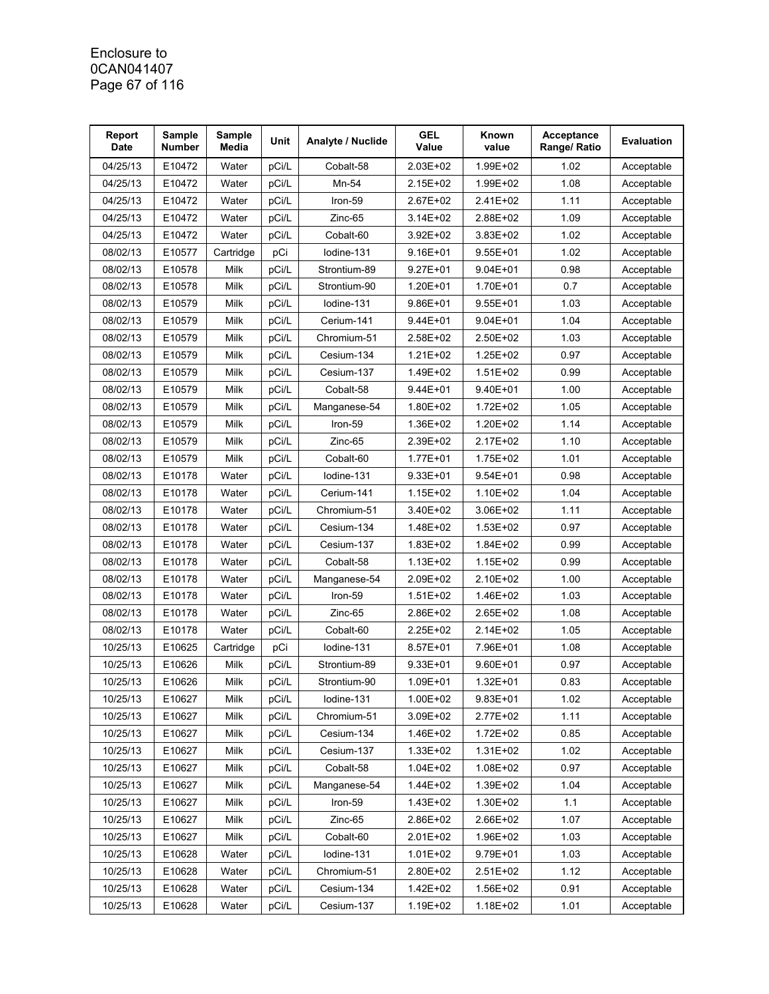#### Enclosure to 0CAN041407 Page 67 of 116

| Report<br><b>Date</b> | Sample<br>Number | Sample<br>Media | Unit  | Analyte / Nuclide | <b>GEL</b><br>Value | Known<br>value | Acceptance<br>Range/ Ratio | <b>Evaluation</b> |
|-----------------------|------------------|-----------------|-------|-------------------|---------------------|----------------|----------------------------|-------------------|
| 04/25/13              | E10472           | Water           | pCi/L | Cobalt-58         | 2.03E+02            | 1.99E+02       | 1.02                       | Acceptable        |
| 04/25/13              | E10472           | Water           | pCi/L | Mn-54             | 2.15E+02            | 1.99E+02       | 1.08                       | Acceptable        |
| 04/25/13              | E10472           | Water           | pCi/L | Iron-59           | 2.67E+02            | 2.41E+02       | 1.11                       | Acceptable        |
| 04/25/13              | E10472           | Water           | pCi/L | Zinc-65           | 3.14E+02            | 2.88E+02       | 1.09                       | Acceptable        |
| 04/25/13              | E10472           | Water           | pCi/L | Cobalt-60         | 3.92E+02            | 3.83E+02       | 1.02                       | Acceptable        |
| 08/02/13              | E10577           | Cartridge       | pCi   | lodine-131        | 9.16E+01            | 9.55E+01       | 1.02                       | Acceptable        |
| 08/02/13              | E10578           | Milk            | pCi/L | Strontium-89      | 9.27E+01            | $9.04E + 01$   | 0.98                       | Acceptable        |
| 08/02/13              | E10578           | Milk            | pCi/L | Strontium-90      | 1.20E+01            | 1.70E+01       | 0.7                        | Acceptable        |
| 08/02/13              | E10579           | Milk            | pCi/L | Iodine-131        | 9.86E+01            | $9.55E + 01$   | 1.03                       | Acceptable        |
| 08/02/13              | E10579           | Milk            | pCi/L | Cerium-141        | 9.44E+01            | $9.04E + 01$   | 1.04                       | Acceptable        |
| 08/02/13              | E10579           | Milk            | pCi/L | Chromium-51       | 2.58E+02            | 2.50E+02       | 1.03                       | Acceptable        |
| 08/02/13              | E10579           | Milk            | pCi/L | Cesium-134        | 1.21E+02            | 1.25E+02       | 0.97                       | Acceptable        |
| 08/02/13              | E10579           | Milk            | pCi/L | Cesium-137        | 1.49E+02            | $1.51E + 02$   | 0.99                       | Acceptable        |
| 08/02/13              | E10579           | Milk            | pCi/L | Cobalt-58         | 9.44E+01            | 9.40E+01       | 1.00                       | Acceptable        |
| 08/02/13              | E10579           | Milk            | pCi/L | Manganese-54      | 1.80E+02            | 1.72E+02       | 1.05                       | Acceptable        |
| 08/02/13              | E10579           | Milk            | pCi/L | Iron-59           | 1.36E+02            | 1.20E+02       | 1.14                       | Acceptable        |
| 08/02/13              | E10579           | Milk            | pCi/L | Zinc-65           | 2.39E+02            | 2.17E+02       | 1.10                       | Acceptable        |
| 08/02/13              | E10579           | Milk            | pCi/L | Cobalt-60         | 1.77E+01            | 1.75E+02       | 1.01                       | Acceptable        |
| 08/02/13              | E10178           | Water           | pCi/L | lodine-131        | 9.33E+01            | 9.54E+01       | 0.98                       | Acceptable        |
| 08/02/13              | E10178           | Water           | pCi/L | Cerium-141        | 1.15E+02            | 1.10E+02       | 1.04                       | Acceptable        |
| 08/02/13              | E10178           | Water           | pCi/L | Chromium-51       | 3.40E+02            | 3.06E+02       | 1.11                       | Acceptable        |
| 08/02/13              | E10178           | Water           | pCi/L | Cesium-134        | 1.48E+02            | 1.53E+02       | 0.97                       | Acceptable        |
| 08/02/13              | E10178           | Water           | pCi/L | Cesium-137        | 1.83E+02            | 1.84E+02       | 0.99                       | Acceptable        |
| 08/02/13              | E10178           | Water           | pCi/L | Cobalt-58         | 1.13E+02            | 1.15E+02       | 0.99                       | Acceptable        |
| 08/02/13              | E10178           | Water           | pCi/L | Manganese-54      | 2.09E+02            | 2.10E+02       | 1.00                       | Acceptable        |
| 08/02/13              | E10178           | Water           | pCi/L | Iron-59           | 1.51E+02            | 1.46E+02       | 1.03                       | Acceptable        |
| 08/02/13              | E10178           | Water           | pCi/L | Zinc-65           | 2.86E+02            | 2.65E+02       | 1.08                       | Acceptable        |
| 08/02/13              | E10178           | Water           | pCi/L | Cobalt-60         | 2.25E+02            | 2.14E+02       | 1.05                       | Acceptable        |
| 10/25/13              | E10625           | Cartridge       | pCi   | lodine-131        | 8.57E+01            | 7.96E+01       | 1.08                       | Acceptable        |
| 10/25/13              | E10626           | Milk            | pCi/L | Strontium-89      | 9.33E+01            | 9.60E+01       | 0.97                       | Acceptable        |
| 10/25/13              | E10626           | Milk            | pCi/L | Strontium-90      | 1.09E+01            | $1.32E + 01$   | 0.83                       | Acceptable        |
| 10/25/13              | E10627           | Milk            | pCi/L | Iodine-131        | 1.00E+02            | $9.83E + 01$   | 1.02                       | Acceptable        |
| 10/25/13              | E10627           | Milk            | pCi/L | Chromium-51       | 3.09E+02            | 2.77E+02       | 1.11                       | Acceptable        |
| 10/25/13              | E10627           | Milk            | pCi/L | Cesium-134        | 1.46E+02            | 1.72E+02       | 0.85                       | Acceptable        |
| 10/25/13              | E10627           | Milk            | pCi/L | Cesium-137        | 1.33E+02            | 1.31E+02       | 1.02                       | Acceptable        |
| 10/25/13              | E10627           | Milk            | pCi/L | Cobalt-58         | 1.04E+02            | 1.08E+02       | 0.97                       | Acceptable        |
| 10/25/13              | E10627           | Milk            | pCi/L | Manganese-54      | 1.44E+02            | 1.39E+02       | 1.04                       | Acceptable        |
| 10/25/13              | E10627           | Milk            | pCi/L | Iron-59           | 1.43E+02            | 1.30E+02       | 1.1                        | Acceptable        |
| 10/25/13              | E10627           | Milk            | pCi/L | Zinc-65           | 2.86E+02            | 2.66E+02       | 1.07                       | Acceptable        |
| 10/25/13              | E10627           | Milk            | pCi/L | Cobalt-60         | 2.01E+02            | 1.96E+02       | 1.03                       | Acceptable        |
| 10/25/13              | E10628           | Water           | pCi/L | Iodine-131        | 1.01E+02            | 9.79E+01       | 1.03                       | Acceptable        |
| 10/25/13              | E10628           | Water           | pCi/L | Chromium-51       | 2.80E+02            | 2.51E+02       | 1.12                       | Acceptable        |
| 10/25/13              | E10628           | Water           | pCi/L | Cesium-134        | 1.42E+02            | 1.56E+02       | 0.91                       | Acceptable        |
| 10/25/13              | E10628           | Water           | pCi/L | Cesium-137        | 1.19E+02            | 1.18E+02       | 1.01                       | Acceptable        |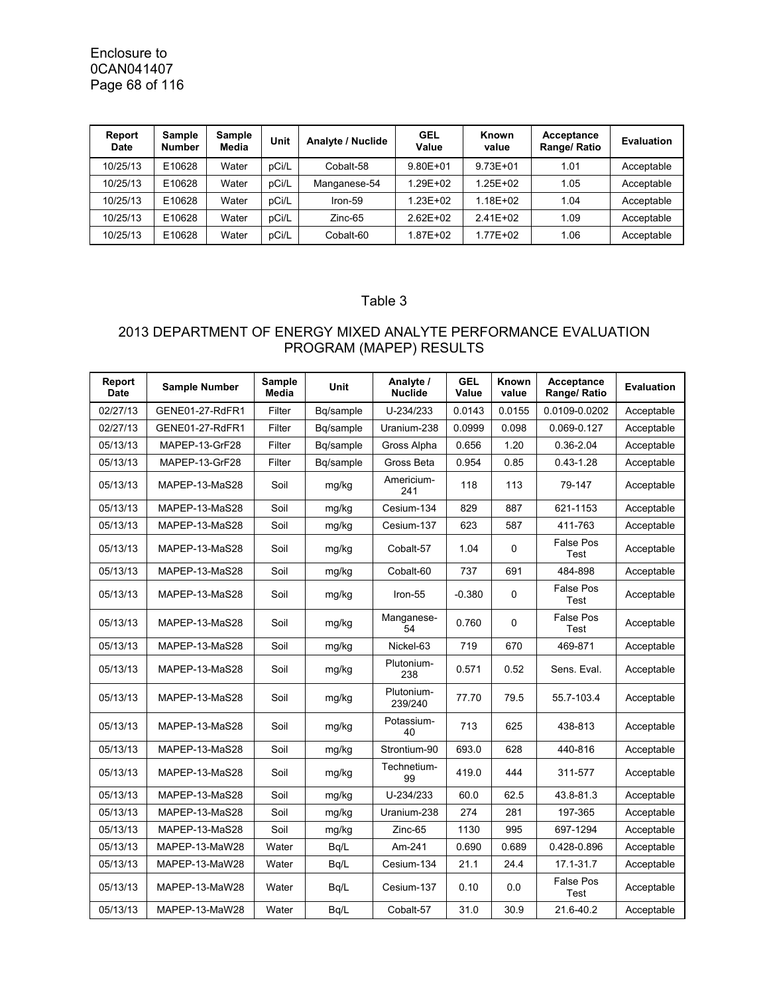Enclosure to 0CAN041407 Page 68 of 116

| Report<br>Date | Sample<br><b>Number</b> | Sample<br>Media | Unit  | Analyte / Nuclide | <b>GEL</b><br>Value | Known<br>value | Acceptance<br>Range/ Ratio | Evaluation |
|----------------|-------------------------|-----------------|-------|-------------------|---------------------|----------------|----------------------------|------------|
| 10/25/13       | E10628                  | Water           | pCi/L | Cobalt-58         | $9.80E + 01$        | $9.73E + 01$   | 1.01                       | Acceptable |
| 10/25/13       | E10628                  | Water           | pCi/L | Manganese-54      | 1.29E+02            | 1.25E+02       | 1.05                       | Acceptable |
| 10/25/13       | E10628                  | Water           | pCi/L | Iron-59           | 1.23E+02            | 1.18E+02       | 1.04                       | Acceptable |
| 10/25/13       | E10628                  | Water           | pCi/L | Zinc-65           | $2.62E + 02$        | $2.41E+02$     | 1.09                       | Acceptable |
| 10/25/13       | E10628                  | Water           | pCi/L | Cobalt-60         | 1.87E+02            | 1.77E+02       | 1.06                       | Acceptable |

#### Table 3

## 2013 DEPARTMENT OF ENERGY MIXED ANALYTE PERFORMANCE EVALUATION PROGRAM (MAPEP) RESULTS

| Report<br><b>Date</b> | <b>Sample Number</b> | <b>Sample</b><br>Media | Unit      | Analyte /<br><b>Nuclide</b> | <b>GEL</b><br>Value | Known<br>value | Acceptance<br>Range/ Ratio | <b>Evaluation</b> |
|-----------------------|----------------------|------------------------|-----------|-----------------------------|---------------------|----------------|----------------------------|-------------------|
| 02/27/13              | GENE01-27-RdFR1      | Filter                 | Bq/sample | U-234/233                   | 0.0143              | 0.0155         | 0.0109-0.0202              | Acceptable        |
| 02/27/13              | GENE01-27-RdFR1      | Filter                 | Bq/sample | Uranium-238                 | 0.0999              | 0.098          | 0.069-0.127                | Acceptable        |
| 05/13/13              | MAPEP-13-GrF28       | Filter                 | Bg/sample | Gross Alpha                 | 0.656               | 1.20           | 0.36-2.04                  | Acceptable        |
| 05/13/13              | MAPEP-13-GrF28       | Filter                 | Bq/sample | Gross Beta                  | 0.954               | 0.85           | $0.43 - 1.28$              | Acceptable        |
| 05/13/13              | MAPEP-13-MaS28       | Soil                   | mg/kg     | Americium-<br>241           | 118                 | 113            | 79-147                     | Acceptable        |
| 05/13/13              | MAPEP-13-MaS28       | Soil                   | mg/kg     | Cesium-134                  | 829                 | 887            | 621-1153                   | Acceptable        |
| 05/13/13              | MAPEP-13-MaS28       | Soil                   | mg/kg     | Cesium-137                  | 623                 | 587            | 411-763                    | Acceptable        |
| 05/13/13              | MAPEP-13-MaS28       | Soil                   | mg/kg     | Cobalt-57                   | 1.04                | $\Omega$       | False Pos<br>Test          | Acceptable        |
| 05/13/13              | MAPEP-13-MaS28       | Soil                   | mg/kg     | Cobalt-60                   | 737                 | 691            | 484-898                    | Acceptable        |
| 05/13/13              | MAPEP-13-MaS28       | Soil                   | mg/kg     | Iron-55                     | $-0.380$            | 0              | <b>False Pos</b><br>Test   | Acceptable        |
| 05/13/13              | MAPEP-13-MaS28       | Soil                   | mg/kg     | Manganese-<br>54            | 0.760               | 0              | <b>False Pos</b><br>Test   | Acceptable        |
| 05/13/13              | MAPEP-13-MaS28       | Soil                   | mg/kg     | Nickel-63                   | 719                 | 670            | 469-871                    | Acceptable        |
| 05/13/13              | MAPEP-13-MaS28       | Soil                   | mg/kg     | Plutonium-<br>238           | 0.571               | 0.52           | Sens. Eval.                | Acceptable        |
| 05/13/13              | MAPEP-13-MaS28       | Soil                   | mg/kg     | Plutonium-<br>239/240       | 77.70               | 79.5           | 55.7-103.4                 | Acceptable        |
| 05/13/13              | MAPEP-13-MaS28       | Soil                   | mg/kg     | Potassium-<br>40            | 713                 | 625            | 438-813                    | Acceptable        |
| 05/13/13              | MAPEP-13-MaS28       | Soil                   | mg/kg     | Strontium-90                | 693.0               | 628            | 440-816                    | Acceptable        |
| 05/13/13              | MAPEP-13-MaS28       | Soil                   | mg/kg     | Technetium-<br>99           | 419.0               | 444            | 311-577                    | Acceptable        |
| 05/13/13              | MAPEP-13-MaS28       | Soil                   | mg/kg     | U-234/233                   | 60.0                | 62.5           | 43.8-81.3                  | Acceptable        |
| 05/13/13              | MAPEP-13-MaS28       | Soil                   | mg/kg     | Uranium-238                 | 274                 | 281            | 197-365                    | Acceptable        |
| 05/13/13              | MAPEP-13-MaS28       | Soil                   | mg/kg     | Zinc-65                     | 1130                | 995            | 697-1294                   | Acceptable        |
| 05/13/13              | MAPEP-13-MaW28       | Water                  | Bq/L      | Am-241                      | 0.690               | 0.689          | 0.428-0.896                | Acceptable        |
| 05/13/13              | MAPEP-13-MaW28       | Water                  | Bq/L      | Cesium-134                  | 21.1                | 24.4           | 17.1-31.7                  | Acceptable        |
| 05/13/13              | MAPEP-13-MaW28       | Water                  | Bq/L      | Cesium-137                  | 0.10                | 0.0            | <b>False Pos</b><br>Test   | Acceptable        |
| 05/13/13              | MAPEP-13-MaW28       | Water                  | Bq/L      | Cobalt-57                   | 31.0                | 30.9           | 21.6-40.2                  | Acceptable        |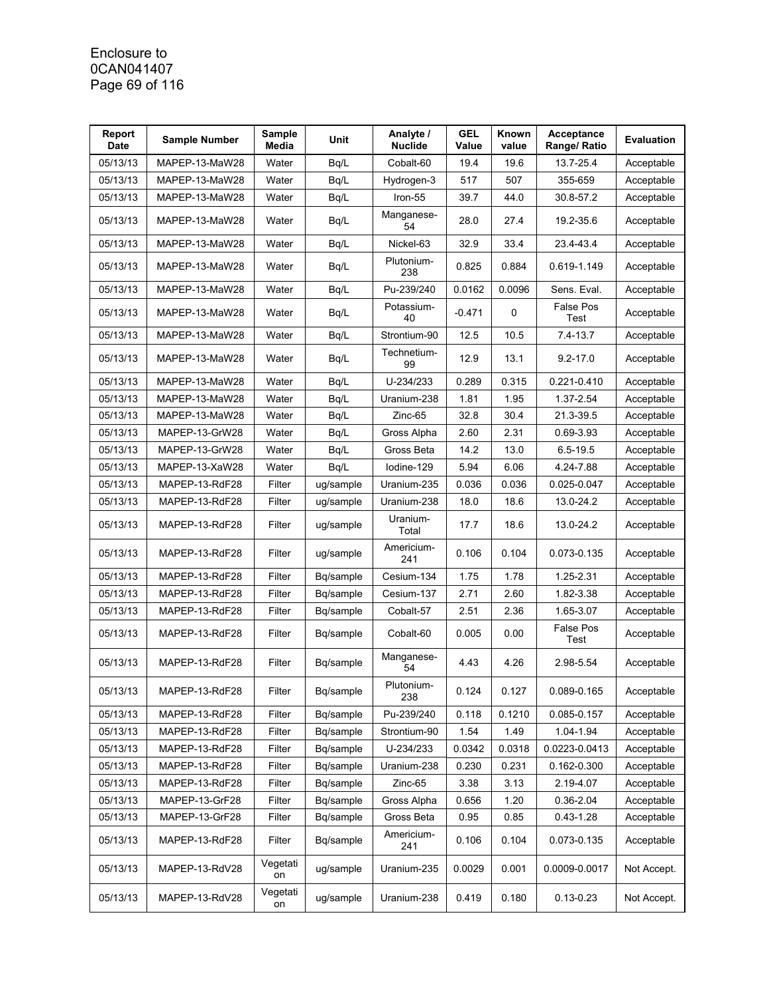#### Enclosure to 0CAN041407 Page 69 of 116

| Report<br><b>Date</b> | <b>Sample Number</b> | Sample<br>Media | Unit      | Analyte /<br><b>Nuclide</b> | <b>GEL</b><br>Value | <b>Known</b><br>value | Acceptance<br>Range/ Ratio | <b>Evaluation</b> |
|-----------------------|----------------------|-----------------|-----------|-----------------------------|---------------------|-----------------------|----------------------------|-------------------|
| 05/13/13              | MAPEP-13-MaW28       | Water           | Bq/L      | Cobalt-60                   | 19.4                | 19.6                  | 13.7-25.4                  | Acceptable        |
| 05/13/13              | MAPEP-13-MaW28       | Water           | Bq/L      | Hydrogen-3                  | 517                 | 507                   | 355-659                    | Acceptable        |
| 05/13/13              | MAPEP-13-MaW28       | Water           | Bq/L      | Iron-55                     | 39.7                | 44.0                  | 30.8-57.2                  | Acceptable        |
| 05/13/13              | MAPEP-13-MaW28       | Water           | Bq/L      | Manganese-<br>54            | 28.0                | 27.4                  | 19.2-35.6                  | Acceptable        |
| 05/13/13              | MAPEP-13-MaW28       | Water           | Bq/L      | Nickel-63                   | 32.9                | 33.4                  | 23.4-43.4                  | Acceptable        |
| 05/13/13              | MAPEP-13-MaW28       | Water           | Bq/L      | Plutonium-<br>238           | 0.825               | 0.884                 | 0.619-1.149                | Acceptable        |
| 05/13/13              | MAPEP-13-MaW28       | Water           | Bq/L      | Pu-239/240                  | 0.0162              | 0.0096                | Sens. Eval.                | Acceptable        |
| 05/13/13              | MAPEP-13-MaW28       | Water           | Bq/L      | Potassium-<br>40            | $-0.471$            | 0                     | False Pos<br>Test          | Acceptable        |
| 05/13/13              | MAPEP-13-MaW28       | Water           | Bq/L      | Strontium-90                | 12.5                | 10.5                  | 7.4-13.7                   | Acceptable        |
| 05/13/13              | MAPEP-13-MaW28       | Water           | Bq/L      | Technetium-<br>99           | 12.9                | 13.1                  | $9.2 - 17.0$               | Acceptable        |
| 05/13/13              | MAPEP-13-MaW28       | Water           | Bq/L      | U-234/233                   | 0.289               | 0.315                 | 0.221-0.410                | Acceptable        |
| 05/13/13              | MAPEP-13-MaW28       | Water           | Bq/L      | Uranium-238                 | 1.81                | 1.95                  | 1.37-2.54                  | Acceptable        |
| 05/13/13              | MAPEP-13-MaW28       | Water           | Bq/L      | Zinc-65                     | 32.8                | 30.4                  | 21.3-39.5                  | Acceptable        |
| 05/13/13              | MAPEP-13-GrW28       | Water           | Bq/L      | Gross Alpha                 | 2.60                | 2.31                  | 0.69-3.93                  | Acceptable        |
| 05/13/13              | MAPEP-13-GrW28       | Water           | Bq/L      | Gross Beta                  | 14.2                | 13.0                  | $6.5 - 19.5$               | Acceptable        |
| 05/13/13              | MAPEP-13-XaW28       | Water           | Bq/L      | lodine-129                  | 5.94                | 6.06                  | 4.24-7.88                  | Acceptable        |
| 05/13/13              | MAPEP-13-RdF28       | Filter          | ug/sample | Uranium-235                 | 0.036               | 0.036                 | 0.025-0.047                | Acceptable        |
| 05/13/13              | MAPEP-13-RdF28       | Filter          | ug/sample | Uranium-238                 | 18.0                | 18.6                  | 13.0-24.2                  | Acceptable        |
| 05/13/13              | MAPEP-13-RdF28       | Filter          | ug/sample | Uranium-<br>Total           | 17.7                | 18.6                  | 13.0-24.2                  | Acceptable        |
| 05/13/13              | MAPEP-13-RdF28       | Filter          | ug/sample | Americium-<br>241           | 0.106               | 0.104                 | 0.073-0.135                | Acceptable        |
| 05/13/13              | MAPEP-13-RdF28       | Filter          | Bq/sample | Cesium-134                  | 1.75                | 1.78                  | 1.25-2.31                  | Acceptable        |
| 05/13/13              | MAPEP-13-RdF28       | Filter          | Bq/sample | Cesium-137                  | 2.71                | 2.60                  | 1.82-3.38                  | Acceptable        |
| 05/13/13              | MAPEP-13-RdF28       | Filter          | Bq/sample | Cobalt-57                   | 2.51                | 2.36                  | 1.65-3.07                  | Acceptable        |
| 05/13/13              | MAPEP-13-RdF28       | Filter          | Bq/sample | Cobalt-60                   | 0.005               | 0.00                  | False Pos<br>Test          | Acceptable        |
| 05/13/13              | MAPEP-13-RdF28       | Filter          | Bq/sample | Manganese-<br>54            | 4.43                | 4.26                  | 2.98-5.54                  | Acceptable        |
| 05/13/13              | MAPEP-13-RdF28       | Filter          | Bq/sample | Plutonium-<br>238           | 0.124               | 0.127                 | 0.089-0.165                | Acceptable        |
| 05/13/13              | MAPEP-13-RdF28       | Filter          | Bq/sample | Pu-239/240                  | 0.118               | 0.1210                | 0.085-0.157                | Acceptable        |
| 05/13/13              | MAPEP-13-RdF28       | Filter          | Bq/sample | Strontium-90                | 1.54                | 1.49                  | 1.04-1.94                  | Acceptable        |
| 05/13/13              | MAPEP-13-RdF28       | Filter          | Bq/sample | U-234/233                   | 0.0342              | 0.0318                | 0.0223-0.0413              | Acceptable        |
| 05/13/13              | MAPEP-13-RdF28       | Filter          | Bq/sample | Uranium-238                 | 0.230               | 0.231                 | 0.162-0.300                | Acceptable        |
| 05/13/13              | MAPEP-13-RdF28       | Filter          | Bq/sample | Zinc-65                     | 3.38                | 3.13                  | 2.19-4.07                  | Acceptable        |
| 05/13/13              | MAPEP-13-GrF28       | Filter          | Bq/sample | Gross Alpha                 | 0.656               | 1.20                  | 0.36-2.04                  | Acceptable        |
| 05/13/13              | MAPEP-13-GrF28       | Filter          | Bq/sample | Gross Beta                  | 0.95                | 0.85                  | $0.43 - 1.28$              | Acceptable        |
| 05/13/13              | MAPEP-13-RdF28       | Filter          | Bq/sample | Americium-<br>241           | 0.106               | 0.104                 | 0.073-0.135                | Acceptable        |
| 05/13/13              | MAPEP-13-RdV28       | Vegetati<br>on  | ug/sample | Uranium-235                 | 0.0029              | 0.001                 | 0.0009-0.0017              | Not Accept.       |
| 05/13/13              | MAPEP-13-RdV28       | Vegetati<br>on  | ug/sample | Uranium-238                 | 0.419               | 0.180                 | $0.13 - 0.23$              | Not Accept.       |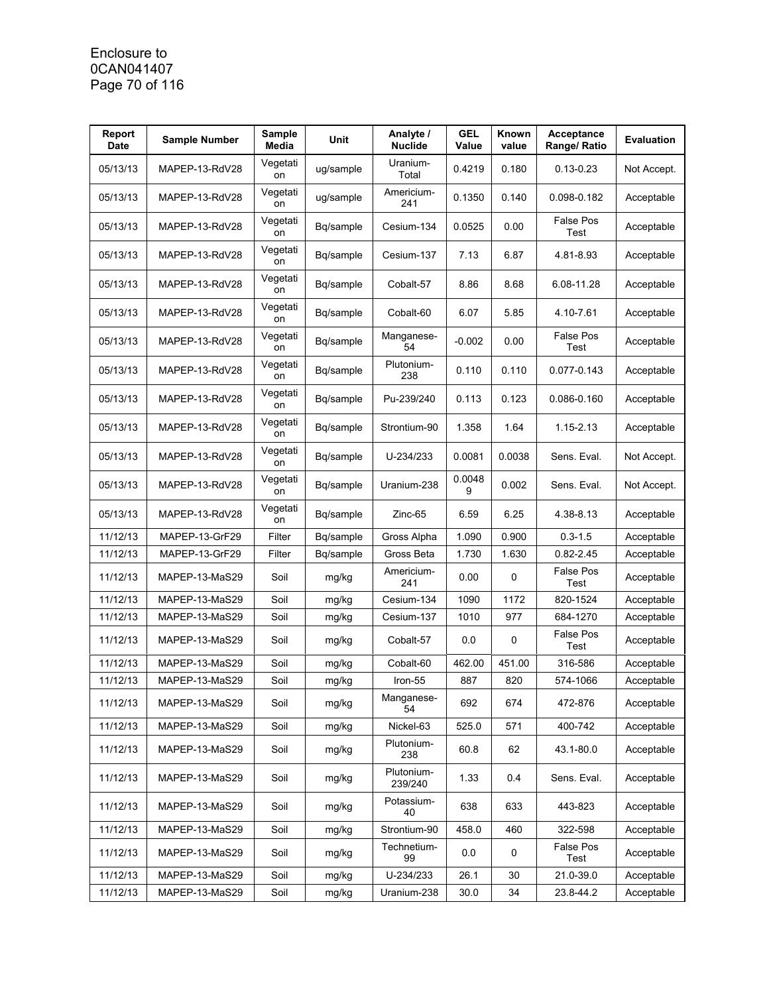### Enclosure to 0CAN041407 Page 70 of 116

| Report<br><b>Date</b> | <b>Sample Number</b> | <b>Sample</b><br>Media | Unit      | Analyte /<br><b>Nuclide</b> | <b>GEL</b><br>Value | Known<br>value | Acceptance<br>Range/ Ratio | <b>Evaluation</b> |
|-----------------------|----------------------|------------------------|-----------|-----------------------------|---------------------|----------------|----------------------------|-------------------|
| 05/13/13              | MAPEP-13-RdV28       | Vegetati<br>on         | ug/sample | Uranium-<br>Total           | 0.4219              | 0.180          | $0.13 - 0.23$              | Not Accept.       |
| 05/13/13              | MAPEP-13-RdV28       | Vegetati<br>on         | ug/sample | Americium-<br>241           | 0.1350              | 0.140          | 0.098-0.182                | Acceptable        |
| 05/13/13              | MAPEP-13-RdV28       | Vegetati<br>on         | Bq/sample | Cesium-134                  | 0.0525              | 0.00           | <b>False Pos</b><br>Test   | Acceptable        |
| 05/13/13              | MAPEP-13-RdV28       | Vegetati<br>on         | Bq/sample | Cesium-137                  | 7.13                | 6.87           | 4.81-8.93                  | Acceptable        |
| 05/13/13              | MAPEP-13-RdV28       | Vegetati<br>on         | Bq/sample | Cobalt-57                   | 8.86                | 8.68           | 6.08-11.28                 | Acceptable        |
| 05/13/13              | MAPEP-13-RdV28       | Vegetati<br>on         | Bq/sample | Cobalt-60                   | 6.07                | 5.85           | 4.10-7.61                  | Acceptable        |
| 05/13/13              | MAPEP-13-RdV28       | Vegetati<br>on         | Bq/sample | Manganese-<br>54            | $-0.002$            | 0.00           | False Pos<br>Test          | Acceptable        |
| 05/13/13              | MAPEP-13-RdV28       | Vegetati<br>on         | Bq/sample | Plutonium-<br>238           | 0.110               | 0.110          | 0.077-0.143                | Acceptable        |
| 05/13/13              | MAPEP-13-RdV28       | Vegetati<br>on         | Bq/sample | Pu-239/240                  | 0.113               | 0.123          | 0.086-0.160                | Acceptable        |
| 05/13/13              | MAPEP-13-RdV28       | Vegetati<br>on         | Bq/sample | Strontium-90                | 1.358               | 1.64           | 1.15-2.13                  | Acceptable        |
| 05/13/13              | MAPEP-13-RdV28       | Vegetati<br>on         | Bq/sample | U-234/233                   | 0.0081              | 0.0038         | Sens. Eval.                | Not Accept.       |
| 05/13/13              | MAPEP-13-RdV28       | Vegetati<br>on         | Bq/sample | Uranium-238                 | 0.0048<br>9         | 0.002          | Sens. Eval.                | Not Accept.       |
| 05/13/13              | MAPEP-13-RdV28       | Vegetati<br>on         | Bq/sample | Zinc-65                     | 6.59                | 6.25           | 4.38-8.13                  | Acceptable        |
| 11/12/13              | MAPEP-13-GrF29       | Filter                 | Bq/sample | Gross Alpha                 | 1.090               | 0.900          | $0.3 - 1.5$                | Acceptable        |
| 11/12/13              | MAPEP-13-GrF29       | Filter                 | Bq/sample | Gross Beta                  | 1.730               | 1.630          | $0.82 - 2.45$              | Acceptable        |
| 11/12/13              | MAPEP-13-MaS29       | Soil                   | mg/kg     | Americium-<br>241           | 0.00                | 0              | False Pos<br>Test          | Acceptable        |
| 11/12/13              | MAPEP-13-MaS29       | Soil                   | mg/kg     | Cesium-134                  | 1090                | 1172           | 820-1524                   | Acceptable        |
| 11/12/13              | MAPEP-13-MaS29       | Soil                   | mg/kg     | Cesium-137                  | 1010                | 977            | 684-1270                   | Acceptable        |
| 11/12/13              | MAPEP-13-MaS29       | Soil                   | mg/kg     | Cobalt-57                   | 0.0                 | 0              | False Pos<br>Test          | Acceptable        |
| 11/12/13              | MAPEP-13-MaS29       | Soil                   | mg/kg     | Cobalt-60                   | 462.00              | 451.00         | 316-586                    | Acceptable        |
| 11/12/13              | MAPEP-13-MaS29       | Soil                   | mg/kg     | Iron-55                     | 887                 | 820            | 574-1066                   | Acceptable        |
| 11/12/13              | MAPEP-13-MaS29       | Soil                   | mg/kg     | Manganese-<br>54            | 692                 | 674            | 472-876                    | Acceptable        |
| 11/12/13              | MAPEP-13-MaS29       | Soil                   | mg/kg     | Nickel-63                   | 525.0               | 571            | 400-742                    | Acceptable        |
| 11/12/13              | MAPEP-13-MaS29       | Soil                   | mg/kg     | Plutonium-<br>238           | 60.8                | 62             | 43.1-80.0                  | Acceptable        |
| 11/12/13              | MAPEP-13-MaS29       | Soil                   | mg/kg     | Plutonium-<br>239/240       | 1.33                | 0.4            | Sens. Eval.                | Acceptable        |
| 11/12/13              | MAPEP-13-MaS29       | Soil                   | mg/kg     | Potassium-<br>40            | 638                 | 633            | 443-823                    | Acceptable        |
| 11/12/13              | MAPEP-13-MaS29       | Soil                   | mg/kg     | Strontium-90                | 458.0               | 460            | 322-598                    | Acceptable        |
| 11/12/13              | MAPEP-13-MaS29       | Soil                   | mg/kg     | Technetium-<br>99           | 0.0                 | 0              | False Pos<br>Test          | Acceptable        |
| 11/12/13              | MAPEP-13-MaS29       | Soil                   | mg/kg     | U-234/233                   | 26.1                | 30             | 21.0-39.0                  | Acceptable        |
| 11/12/13              | MAPEP-13-MaS29       | Soil                   | mg/kg     | Uranium-238                 | 30.0                | 34             | 23.8-44.2                  | Acceptable        |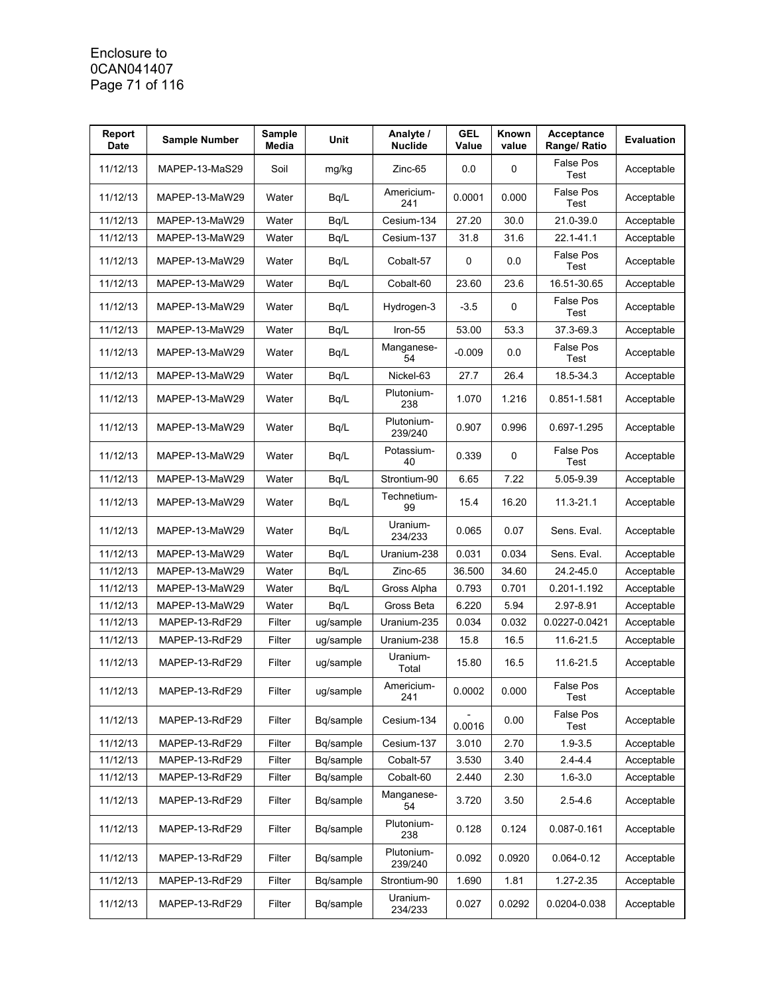### Enclosure to 0CAN041407 Page 71 of 116

| Report<br><b>Date</b> | <b>Sample Number</b> | Sample<br>Media | Unit      | Analyte /<br><b>Nuclide</b> | <b>GEL</b><br>Value | <b>Known</b><br>value | Acceptance<br>Range/ Ratio | <b>Evaluation</b> |
|-----------------------|----------------------|-----------------|-----------|-----------------------------|---------------------|-----------------------|----------------------------|-------------------|
| 11/12/13              | MAPEP-13-MaS29       | Soil            | mg/kg     | Zinc-65                     | 0.0                 | 0                     | <b>False Pos</b><br>Test   | Acceptable        |
| 11/12/13              | MAPEP-13-MaW29       | Water           | Bq/L      | Americium-<br>241           | 0.0001              | 0.000                 | <b>False Pos</b><br>Test   | Acceptable        |
| 11/12/13              | MAPEP-13-MaW29       | Water           | Bq/L      | Cesium-134                  | 27.20               | 30.0                  | 21.0-39.0                  | Acceptable        |
| 11/12/13              | MAPEP-13-MaW29       | Water           | Bq/L      | Cesium-137                  | 31.8                | 31.6                  | 22.1-41.1                  | Acceptable        |
| 11/12/13              | MAPEP-13-MaW29       | Water           | Bq/L      | Cobalt-57                   | 0                   | 0.0                   | <b>False Pos</b><br>Test   | Acceptable        |
| 11/12/13              | MAPEP-13-MaW29       | Water           | Bq/L      | Cobalt-60                   | 23.60               | 23.6                  | 16.51-30.65                | Acceptable        |
| 11/12/13              | MAPEP-13-MaW29       | Water           | Bq/L      | Hydrogen-3                  | $-3.5$              | 0                     | <b>False Pos</b><br>Test   | Acceptable        |
| 11/12/13              | MAPEP-13-MaW29       | Water           | Bq/L      | Iron-55                     | 53.00               | 53.3                  | 37.3-69.3                  | Acceptable        |
| 11/12/13              | MAPEP-13-MaW29       | Water           | Bq/L      | Manganese-<br>54            | $-0.009$            | 0.0                   | <b>False Pos</b><br>Test   | Acceptable        |
| 11/12/13              | MAPEP-13-MaW29       | Water           | Bq/L      | Nickel-63                   | 27.7                | 26.4                  | 18.5-34.3                  | Acceptable        |
| 11/12/13              | MAPEP-13-MaW29       | Water           | Bq/L      | Plutonium-<br>238           | 1.070               | 1.216                 | 0.851-1.581                | Acceptable        |
| 11/12/13              | MAPEP-13-MaW29       | Water           | Bq/L      | Plutonium-<br>239/240       | 0.907               | 0.996                 | 0.697-1.295                | Acceptable        |
| 11/12/13              | MAPEP-13-MaW29       | Water           | Bq/L      | Potassium-<br>40            | 0.339               | 0                     | <b>False Pos</b><br>Test   | Acceptable        |
| 11/12/13              | MAPEP-13-MaW29       | Water           | Bq/L      | Strontium-90                | 6.65                | 7.22                  | 5.05-9.39                  | Acceptable        |
| 11/12/13              | MAPEP-13-MaW29       | Water           | Bq/L      | Technetium-<br>99           | 15.4                | 16.20                 | 11.3-21.1                  | Acceptable        |
| 11/12/13              | MAPEP-13-MaW29       | Water           | Bq/L      | Uranium-<br>234/233         | 0.065               | 0.07                  | Sens. Eval.                | Acceptable        |
| 11/12/13              | MAPEP-13-MaW29       | Water           | Bq/L      | Uranium-238                 | 0.031               | 0.034                 | Sens. Eval.                | Acceptable        |
| 11/12/13              | MAPEP-13-MaW29       | Water           | Bq/L      | Zinc-65                     | 36.500              | 34.60                 | 24.2-45.0                  | Acceptable        |
| 11/12/13              | MAPEP-13-MaW29       | Water           | Bq/L      | Gross Alpha                 | 0.793               | 0.701                 | 0.201-1.192                | Acceptable        |
| 11/12/13              | MAPEP-13-MaW29       | Water           | Bq/L      | Gross Beta                  | 6.220               | 5.94                  | 2.97-8.91                  | Acceptable        |
| 11/12/13              | MAPEP-13-RdF29       | Filter          | ug/sample | Uranium-235                 | 0.034               | 0.032                 | 0.0227-0.0421              | Acceptable        |
| 11/12/13              | MAPEP-13-RdF29       | Filter          | ug/sample | Uranium-238                 | 15.8                | 16.5                  | 11.6-21.5                  | Acceptable        |
| 11/12/13              | MAPEP-13-RdF29       | Filter          | ug/sample | Uranium-<br>Total           | 15.80               | 16.5                  | 11.6-21.5                  | Acceptable        |
| 11/12/13              | MAPEP-13-RdF29       | Filter          | ug/sample | Americium-<br>241           | 0.0002              | 0.000                 | False Pos<br>Test          | Acceptable        |
| 11/12/13              | MAPEP-13-RdF29       | Filter          | Bq/sample | Cesium-134                  | 0.0016              | 0.00                  | False Pos<br>Test          | Acceptable        |
| 11/12/13              | MAPEP-13-RdF29       | Filter          | Bq/sample | Cesium-137                  | 3.010               | 2.70                  | $1.9 - 3.5$                | Acceptable        |
| 11/12/13              | MAPEP-13-RdF29       | Filter          | Bq/sample | Cobalt-57                   | 3.530               | 3.40                  | $2.4 - 4.4$                | Acceptable        |
| 11/12/13              | MAPEP-13-RdF29       | Filter          | Bq/sample | Cobalt-60                   | 2.440               | 2.30                  | $1.6 - 3.0$                | Acceptable        |
| 11/12/13              | MAPEP-13-RdF29       | Filter          | Bq/sample | Manganese-<br>54            | 3.720               | 3.50                  | $2.5 - 4.6$                | Acceptable        |
| 11/12/13              | MAPEP-13-RdF29       | Filter          | Bq/sample | Plutonium-<br>238           | 0.128               | 0.124                 | 0.087-0.161                | Acceptable        |
| 11/12/13              | MAPEP-13-RdF29       | Filter          | Bq/sample | Plutonium-<br>239/240       | 0.092               | 0.0920                | $0.064 - 0.12$             | Acceptable        |
| 11/12/13              | MAPEP-13-RdF29       | Filter          | Bq/sample | Strontium-90                | 1.690               | 1.81                  | 1.27-2.35                  | Acceptable        |
| 11/12/13              | MAPEP-13-RdF29       | Filter          | Bq/sample | Uranium-<br>234/233         | 0.027               | 0.0292                | 0.0204-0.038               | Acceptable        |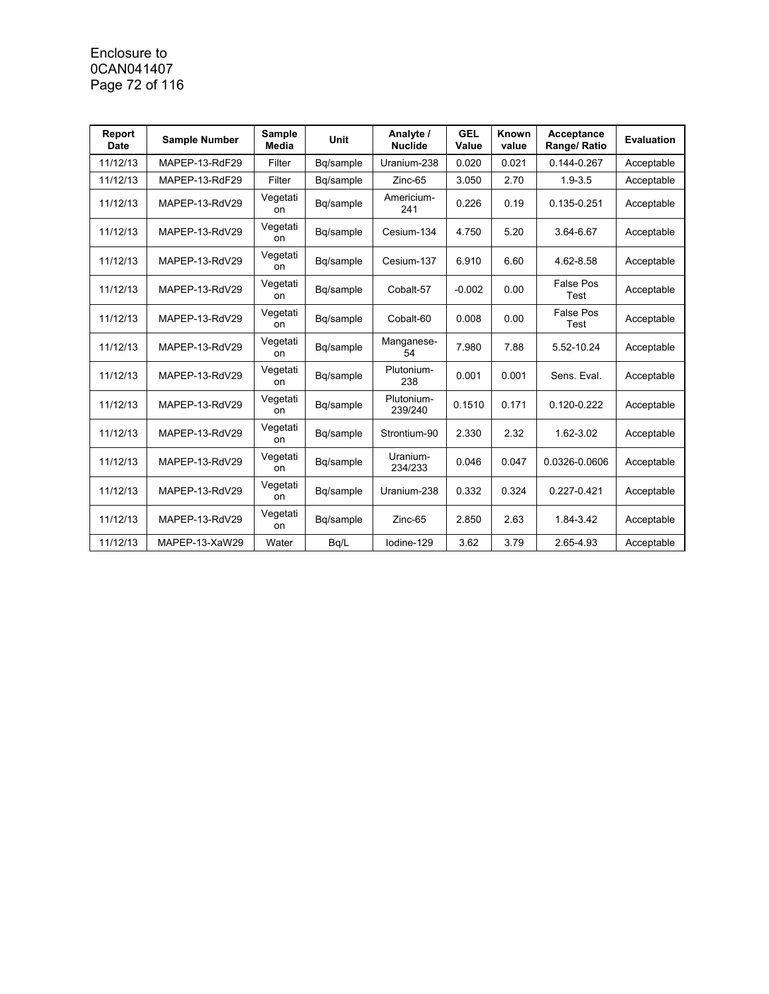### Enclosure to 0CAN041407 Page 72 of 116

| Report<br><b>Date</b> | <b>Sample Number</b> | Sample<br>Media | <b>Unit</b> | Analyte /<br><b>Nuclide</b> | <b>GEL</b><br>Value | Known<br>value | Acceptance<br>Range/ Ratio | <b>Evaluation</b> |
|-----------------------|----------------------|-----------------|-------------|-----------------------------|---------------------|----------------|----------------------------|-------------------|
| 11/12/13              | MAPEP-13-RdF29       | Filter          | Bq/sample   | Uranium-238                 | 0.020               | 0.021          | 0.144-0.267                | Acceptable        |
| 11/12/13              | MAPEP-13-RdF29       | Filter          | Bq/sample   | Zinc-65                     | 3.050               | 2.70           | $1.9 - 3.5$                | Acceptable        |
| 11/12/13              | MAPEP-13-RdV29       | Vegetati<br>on  | Bq/sample   | Americium-<br>241           | 0.226               | 0.19           | 0.135-0.251                | Acceptable        |
| 11/12/13              | MAPEP-13-RdV29       | Vegetati<br>on  | Bq/sample   | Cesium-134                  | 4.750               | 5.20           | 3.64-6.67                  | Acceptable        |
| 11/12/13              | MAPEP-13-RdV29       | Vegetati<br>on  | Bg/sample   | Cesium-137                  | 6.910               | 6.60           | 4.62-8.58                  | Acceptable        |
| 11/12/13              | MAPEP-13-RdV29       | Vegetati<br>on  | Bq/sample   | Cobalt-57                   | $-0.002$            | 0.00           | <b>False Pos</b><br>Test   | Acceptable        |
| 11/12/13              | MAPEP-13-RdV29       | Vegetati<br>on  | Bg/sample   | Cobalt-60                   | 0.008               | 0.00           | <b>False Pos</b><br>Test   | Acceptable        |
| 11/12/13              | MAPEP-13-RdV29       | Vegetati<br>on  | Bq/sample   | Manganese-<br>54            | 7.980               | 7.88           | 5.52-10.24                 | Acceptable        |
| 11/12/13              | MAPEP-13-RdV29       | Vegetati<br>on  | Bq/sample   | Plutonium-<br>238           | 0.001               | 0.001          | Sens. Eval.                | Acceptable        |
| 11/12/13              | MAPEP-13-RdV29       | Vegetati<br>on  | Bq/sample   | Plutonium-<br>239/240       | 0.1510              | 0.171          | 0.120-0.222                | Acceptable        |
| 11/12/13              | MAPEP-13-RdV29       | Vegetati<br>on  | Bq/sample   | Strontium-90                | 2.330               | 2.32           | 1.62-3.02                  | Acceptable        |
| 11/12/13              | MAPEP-13-RdV29       | Vegetati<br>on  | Bq/sample   | Uranium-<br>234/233         | 0.046               | 0.047          | 0.0326-0.0606              | Acceptable        |
| 11/12/13              | MAPEP-13-RdV29       | Vegetati<br>on  | Bg/sample   | Uranium-238                 | 0.332               | 0.324          | 0.227-0.421                | Acceptable        |
| 11/12/13              | MAPEP-13-RdV29       | Vegetati<br>on  | Bq/sample   | $Zinc-65$                   | 2.850               | 2.63           | 1.84-3.42                  | Acceptable        |
| 11/12/13              | MAPEP-13-XaW29       | Water           | Bq/L        | lodine-129                  | 3.62                | 3.79           | 2.65-4.93                  | Acceptable        |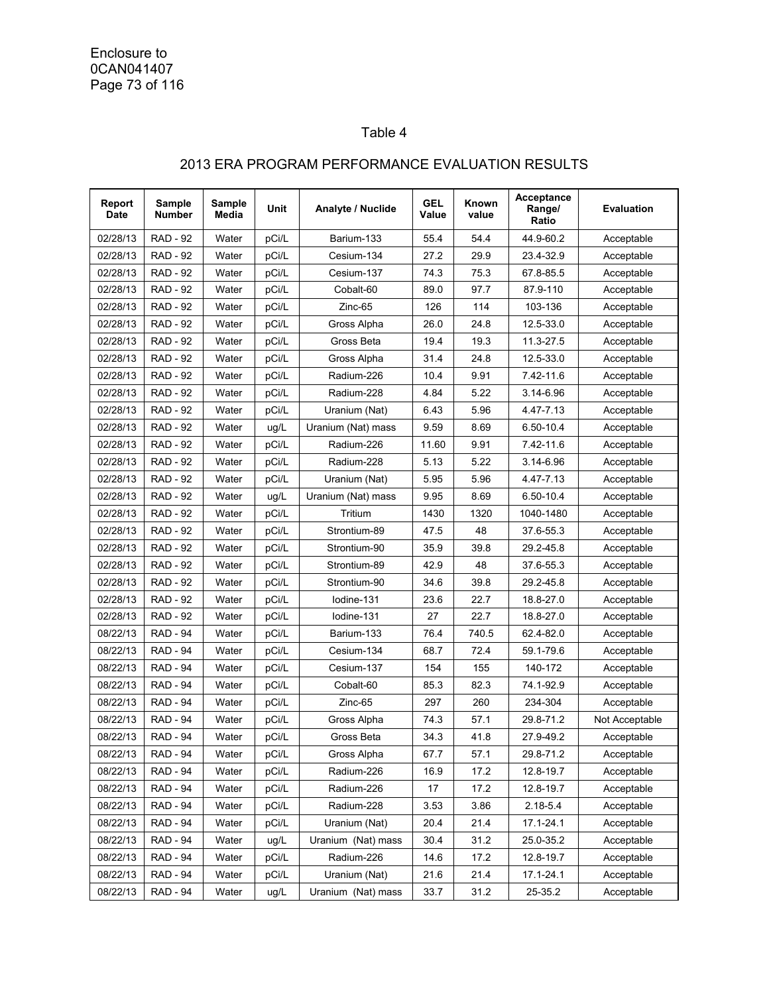Enclosure to 0CAN041407 Page 73 of 116

## Table 4

## 2013 ERA PROGRAM PERFORMANCE EVALUATION RESULTS

| Report<br>Date | Sample<br>Number | Sample<br>Media | Unit  | Analyte / Nuclide  | <b>GEL</b><br>Value | Known<br>value | <b>Acceptance</b><br>Range/<br>Ratio | <b>Evaluation</b> |
|----------------|------------------|-----------------|-------|--------------------|---------------------|----------------|--------------------------------------|-------------------|
| 02/28/13       | <b>RAD - 92</b>  | Water           | pCi/L | Barium-133         | 55.4                | 54.4           | 44.9-60.2                            | Acceptable        |
| 02/28/13       | <b>RAD - 92</b>  | Water           | pCi/L | Cesium-134         | 27.2                | 29.9           | 23.4-32.9                            | Acceptable        |
| 02/28/13       | <b>RAD - 92</b>  | Water           | pCi/L | Cesium-137         | 74.3                | 75.3           | 67.8-85.5                            | Acceptable        |
| 02/28/13       | <b>RAD - 92</b>  | Water           | pCi/L | Cobalt-60          | 89.0                | 97.7           | 87.9-110                             | Acceptable        |
| 02/28/13       | <b>RAD - 92</b>  | Water           | pCi/L | Zinc-65            | 126                 | 114            | 103-136                              | Acceptable        |
| 02/28/13       | <b>RAD - 92</b>  | Water           | pCi/L | Gross Alpha        | 26.0                | 24.8           | 12.5-33.0                            | Acceptable        |
| 02/28/13       | <b>RAD - 92</b>  | Water           | pCi/L | Gross Beta         | 19.4                | 19.3           | 11.3-27.5                            | Acceptable        |
| 02/28/13       | <b>RAD - 92</b>  | Water           | pCi/L | Gross Alpha        | 31.4                | 24.8           | 12.5-33.0                            | Acceptable        |
| 02/28/13       | <b>RAD - 92</b>  | Water           | pCi/L | Radium-226         | 10.4                | 9.91           | 7.42-11.6                            | Acceptable        |
| 02/28/13       | <b>RAD - 92</b>  | Water           | pCi/L | Radium-228         | 4.84                | 5.22           | 3.14-6.96                            | Acceptable        |
| 02/28/13       | <b>RAD - 92</b>  | Water           | pCi/L | Uranium (Nat)      | 6.43                | 5.96           | 4.47-7.13                            | Acceptable        |
| 02/28/13       | <b>RAD - 92</b>  | Water           | ug/L  | Uranium (Nat) mass | 9.59                | 8.69           | 6.50-10.4                            | Acceptable        |
| 02/28/13       | <b>RAD - 92</b>  | Water           | pCi/L | Radium-226         | 11.60               | 9.91           | 7.42-11.6                            | Acceptable        |
| 02/28/13       | <b>RAD - 92</b>  | Water           | pCi/L | Radium-228         | 5.13                | 5.22           | 3.14-6.96                            | Acceptable        |
| 02/28/13       | <b>RAD - 92</b>  | Water           | pCi/L | Uranium (Nat)      | 5.95                | 5.96           | 4.47-7.13                            | Acceptable        |
| 02/28/13       | <b>RAD - 92</b>  | Water           | ug/L  | Uranium (Nat) mass | 9.95                | 8.69           | 6.50-10.4                            | Acceptable        |
| 02/28/13       | <b>RAD - 92</b>  | Water           | pCi/L | Tritium            | 1430                | 1320           | 1040-1480                            | Acceptable        |
| 02/28/13       | <b>RAD - 92</b>  | Water           | pCi/L | Strontium-89       | 47.5                | 48             | 37.6-55.3                            | Acceptable        |
| 02/28/13       | <b>RAD - 92</b>  | Water           | pCi/L | Strontium-90       | 35.9                | 39.8           | 29.2-45.8                            | Acceptable        |
| 02/28/13       | <b>RAD - 92</b>  | Water           | pCi/L | Strontium-89       | 42.9                | 48             | 37.6-55.3                            | Acceptable        |
| 02/28/13       | <b>RAD - 92</b>  | Water           | pCi/L | Strontium-90       | 34.6                | 39.8           | 29.2-45.8                            | Acceptable        |
| 02/28/13       | <b>RAD - 92</b>  | Water           | pCi/L | lodine-131         | 23.6                | 22.7           | 18.8-27.0                            | Acceptable        |
| 02/28/13       | <b>RAD - 92</b>  | Water           | pCi/L | lodine-131         | 27                  | 22.7           | 18.8-27.0                            | Acceptable        |
| 08/22/13       | <b>RAD - 94</b>  | Water           | pCi/L | Barium-133         | 76.4                | 740.5          | 62.4-82.0                            | Acceptable        |
| 08/22/13       | <b>RAD - 94</b>  | Water           | pCi/L | Cesium-134         | 68.7                | 72.4           | 59.1-79.6                            | Acceptable        |
| 08/22/13       | <b>RAD - 94</b>  | Water           | pCi/L | Cesium-137         | 154                 | 155            | 140-172                              | Acceptable        |
| 08/22/13       | <b>RAD - 94</b>  | Water           | pCi/L | Cobalt-60          | 85.3                | 82.3           | 74.1-92.9                            | Acceptable        |
| 08/22/13       | RAD - 94         | Water           | pCi/L | Zinc-65            | 297                 | 260            | 234-304                              | Acceptable        |
| 08/22/13       | <b>RAD - 94</b>  | Water           | pCi/L | Gross Alpha        | 74.3                | 57.1           | 29.8-71.2                            | Not Acceptable    |
| 08/22/13       | <b>RAD - 94</b>  | Water           | pCi/L | Gross Beta         | 34.3                | 41.8           | 27.9-49.2                            | Acceptable        |
| 08/22/13       | <b>RAD - 94</b>  | Water           | pCi/L | Gross Alpha        | 67.7                | 57.1           | 29.8-71.2                            | Acceptable        |
| 08/22/13       | <b>RAD - 94</b>  | Water           | pCi/L | Radium-226         | 16.9                | 17.2           | 12.8-19.7                            | Acceptable        |
| 08/22/13       | <b>RAD - 94</b>  | Water           | pCi/L | Radium-226         | 17                  | 17.2           | 12.8-19.7                            | Acceptable        |
| 08/22/13       | <b>RAD - 94</b>  | Water           | pCi/L | Radium-228         | 3.53                | 3.86           | 2.18-5.4                             | Acceptable        |
| 08/22/13       | <b>RAD - 94</b>  | Water           | pCi/L | Uranium (Nat)      | 20.4                | 21.4           | 17.1-24.1                            | Acceptable        |
| 08/22/13       | <b>RAD - 94</b>  | Water           | ug/L  | Uranium (Nat) mass | 30.4                | 31.2           | 25.0-35.2                            | Acceptable        |
| 08/22/13       | <b>RAD - 94</b>  | Water           | pCi/L | Radium-226         | 14.6                | 17.2           | 12.8-19.7                            | Acceptable        |
| 08/22/13       | <b>RAD - 94</b>  | Water           | pCi/L | Uranium (Nat)      | 21.6                | 21.4           | 17.1-24.1                            | Acceptable        |
| 08/22/13       | <b>RAD - 94</b>  | Water           | ug/L  | Uranium (Nat) mass | 33.7                | 31.2           | 25-35.2                              | Acceptable        |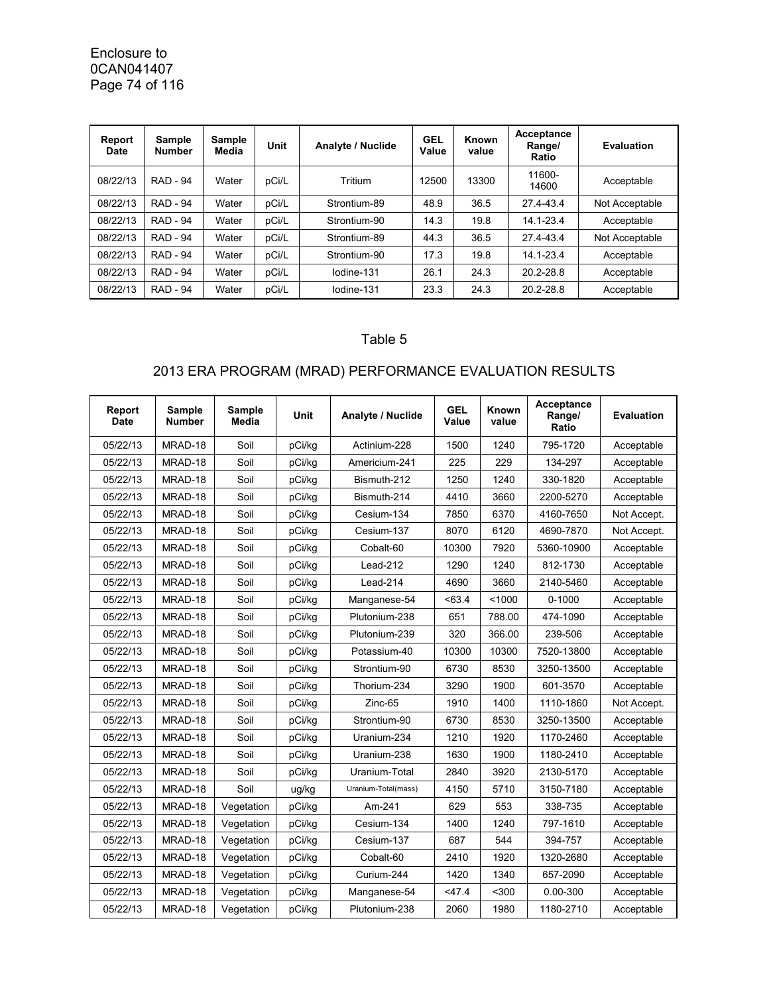Enclosure to 0CAN041407 Page 74 of 116

| Report<br>Date | Sample<br><b>Number</b> | Sample<br>Media | <b>Unit</b> | Analyte / Nuclide | <b>GEL</b><br>Value | Known<br>value | Acceptance<br>Range/<br>Ratio | <b>Evaluation</b> |
|----------------|-------------------------|-----------------|-------------|-------------------|---------------------|----------------|-------------------------------|-------------------|
| 08/22/13       | <b>RAD - 94</b>         | Water           | pCi/L       | Tritium           | 12500               | 13300          | 11600-<br>14600               | Acceptable        |
| 08/22/13       | <b>RAD - 94</b>         | Water           | pCi/L       | Strontium-89      | 48.9                | 36.5           | 27.4-43.4                     | Not Acceptable    |
| 08/22/13       | <b>RAD - 94</b>         | Water           | pCi/L       | Strontium-90      | 14.3                | 19.8           | 14.1-23.4                     | Acceptable        |
| 08/22/13       | <b>RAD - 94</b>         | Water           | pCi/L       | Strontium-89      | 44.3                | 36.5           | 27.4-43.4                     | Not Acceptable    |
| 08/22/13       | <b>RAD - 94</b>         | Water           | pCi/L       | Strontium-90      | 17.3                | 19.8           | 14.1-23.4                     | Acceptable        |
| 08/22/13       | <b>RAD - 94</b>         | Water           | pCi/L       | lodine-131        | 26.1                | 24.3           | 20.2-28.8                     | Acceptable        |
| 08/22/13       | <b>RAD - 94</b>         | Water           | pCi/L       | lodine-131        | 23.3                | 24.3           | 20.2-28.8                     | Acceptable        |

## Table 5

## 2013 ERA PROGRAM (MRAD) PERFORMANCE EVALUATION RESULTS

| Report<br><b>Date</b> | <b>Sample</b><br><b>Number</b> | <b>Sample</b><br>Media | <b>Unit</b> | Analyte / Nuclide   | <b>GEL</b><br>Value | Known<br>value | Acceptance<br>Range/<br>Ratio | <b>Evaluation</b> |
|-----------------------|--------------------------------|------------------------|-------------|---------------------|---------------------|----------------|-------------------------------|-------------------|
| 05/22/13              | MRAD-18                        | Soil                   | pCi/kg      | Actinium-228        | 1500                | 1240           | 795-1720                      | Acceptable        |
| 05/22/13              | MRAD-18                        | Soil                   | pCi/kg      | Americium-241       | 225                 | 229            | 134-297                       | Acceptable        |
| 05/22/13              | MRAD-18                        | Soil                   | pCi/kg      | Bismuth-212         | 1250                | 1240           | 330-1820                      | Acceptable        |
| 05/22/13              | MRAD-18                        | Soil                   | pCi/kg      | Bismuth-214         | 4410                | 3660           | 2200-5270                     | Acceptable        |
| 05/22/13              | MRAD-18                        | Soil                   | pCi/kg      | Cesium-134          | 7850                | 6370           | 4160-7650                     | Not Accept.       |
| 05/22/13              | MRAD-18                        | Soil                   | pCi/kg      | Cesium-137          | 8070                | 6120           | 4690-7870                     | Not Accept.       |
| 05/22/13              | MRAD-18                        | Soil                   | pCi/kg      | Cobalt-60           | 10300               | 7920           | 5360-10900                    | Acceptable        |
| 05/22/13              | MRAD-18                        | Soil                   | pCi/kq      | Lead-212            | 1290                | 1240           | 812-1730                      | Acceptable        |
| 05/22/13              | MRAD-18                        | Soil                   | pCi/kg      | Lead-214            | 4690                | 3660           | 2140-5460                     | Acceptable        |
| 05/22/13              | MRAD-18                        | Soil                   | pCi/kg      | Manganese-54        | < 63.4              | < 1000         | $0 - 1000$                    | Acceptable        |
| 05/22/13              | MRAD-18                        | Soil                   | pCi/kg      | Plutonium-238       | 651                 | 788.00         | 474-1090                      | Acceptable        |
| 05/22/13              | MRAD-18                        | Soil                   | pCi/kg      | Plutonium-239       | 320                 | 366.00         | 239-506                       | Acceptable        |
| 05/22/13              | MRAD-18                        | Soil                   | pCi/kg      | Potassium-40        | 10300               | 10300          | 7520-13800                    | Acceptable        |
| 05/22/13              | MRAD-18                        | Soil                   | pCi/kg      | Strontium-90        | 6730                | 8530           | 3250-13500                    | Acceptable        |
| 05/22/13              | MRAD-18                        | Soil                   | pCi/kg      | Thorium-234         | 3290                | 1900           | 601-3570                      | Acceptable        |
| 05/22/13              | MRAD-18                        | Soil                   | pCi/kg      | Zinc-65             | 1910                | 1400           | 1110-1860                     | Not Accept.       |
| 05/22/13              | MRAD-18                        | Soil                   | pCi/kg      | Strontium-90        | 6730                | 8530           | 3250-13500                    | Acceptable        |
| 05/22/13              | MRAD-18                        | Soil                   | pCi/kg      | Uranium-234         | 1210                | 1920           | 1170-2460                     | Acceptable        |
| 05/22/13              | MRAD-18                        | Soil                   | pCi/kg      | Uranium-238         | 1630                | 1900           | 1180-2410                     | Acceptable        |
| 05/22/13              | MRAD-18                        | Soil                   | pCi/kg      | Uranium-Total       | 2840                | 3920           | 2130-5170                     | Acceptable        |
| 05/22/13              | MRAD-18                        | Soil                   | ug/kg       | Uranium-Total(mass) | 4150                | 5710           | 3150-7180                     | Acceptable        |
| 05/22/13              | MRAD-18                        | Vegetation             | pCi/kg      | Am-241              | 629                 | 553            | 338-735                       | Acceptable        |
| 05/22/13              | MRAD-18                        | Vegetation             | pCi/kg      | Cesium-134          | 1400                | 1240           | 797-1610                      | Acceptable        |
| 05/22/13              | MRAD-18                        | Vegetation             | pCi/kg      | Cesium-137          | 687                 | 544            | 394-757                       | Acceptable        |
| 05/22/13              | MRAD-18                        | Vegetation             | pCi/kg      | Cobalt-60           | 2410                | 1920           | 1320-2680                     | Acceptable        |
| 05/22/13              | MRAD-18                        | Vegetation             | pCi/kg      | Curium-244          | 1420                | 1340           | 657-2090                      | Acceptable        |
| 05/22/13              | MRAD-18                        | Vegetation             | pCi/kg      | Manganese-54        | $<$ 47.4            | $300$          | 0.00-300                      | Acceptable        |
| 05/22/13              | MRAD-18                        | Vegetation             | pCi/kg      | Plutonium-238       | 2060                | 1980           | 1180-2710                     | Acceptable        |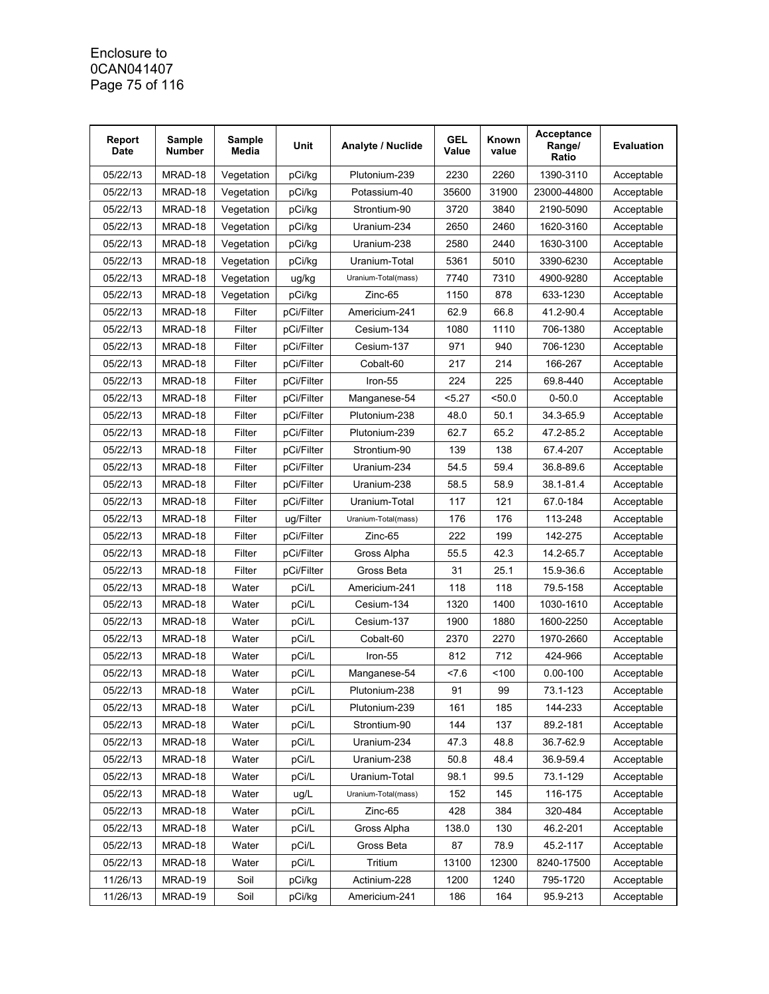### Enclosure to 0CAN041407 Page 75 of 116

| Report<br><b>Date</b> | <b>Sample</b><br><b>Number</b> | Sample<br>Media | Unit       | Analyte / Nuclide   | <b>GEL</b><br>Value | Known<br>value | Acceptance<br>Range/<br>Ratio | <b>Evaluation</b> |
|-----------------------|--------------------------------|-----------------|------------|---------------------|---------------------|----------------|-------------------------------|-------------------|
| 05/22/13              | MRAD-18                        | Vegetation      | pCi/kg     | Plutonium-239       | 2230                | 2260           | 1390-3110                     | Acceptable        |
| 05/22/13              | MRAD-18                        | Vegetation      | pCi/kg     | Potassium-40        | 35600               | 31900          | 23000-44800                   | Acceptable        |
| 05/22/13              | MRAD-18                        | Vegetation      | pCi/kg     | Strontium-90        | 3720                | 3840           | 2190-5090                     | Acceptable        |
| 05/22/13              | MRAD-18                        | Vegetation      | pCi/kg     | Uranium-234         | 2650                | 2460           | 1620-3160                     | Acceptable        |
| 05/22/13              | MRAD-18                        | Vegetation      | pCi/kg     | Uranium-238         | 2580                | 2440           | 1630-3100                     | Acceptable        |
| 05/22/13              | MRAD-18                        | Vegetation      | pCi/kg     | Uranium-Total       | 5361                | 5010           | 3390-6230                     | Acceptable        |
| 05/22/13              | MRAD-18                        | Vegetation      | ug/kg      | Uranium-Total(mass) | 7740                | 7310           | 4900-9280                     | Acceptable        |
| 05/22/13              | MRAD-18                        | Vegetation      | pCi/kg     | Zinc-65             | 1150                | 878            | 633-1230                      | Acceptable        |
| 05/22/13              | MRAD-18                        | Filter          | pCi/Filter | Americium-241       | 62.9                | 66.8           | 41.2-90.4                     | Acceptable        |
| 05/22/13              | MRAD-18                        | Filter          | pCi/Filter | Cesium-134          | 1080                | 1110           | 706-1380                      | Acceptable        |
| 05/22/13              | MRAD-18                        | Filter          | pCi/Filter | Cesium-137          | 971                 | 940            | 706-1230                      | Acceptable        |
| 05/22/13              | MRAD-18                        | Filter          | pCi/Filter | Cobalt-60           | 217                 | 214            | 166-267                       | Acceptable        |
| 05/22/13              | MRAD-18                        | Filter          | pCi/Filter | Iron-55             | 224                 | 225            | 69.8-440                      | Acceptable        |
| 05/22/13              | MRAD-18                        | Filter          | pCi/Filter | Manganese-54        | <5.27               | 50.0           | $0 - 50.0$                    | Acceptable        |
| 05/22/13              | MRAD-18                        | Filter          | pCi/Filter | Plutonium-238       | 48.0                | 50.1           | 34.3-65.9                     | Acceptable        |
| 05/22/13              | MRAD-18                        | Filter          | pCi/Filter | Plutonium-239       | 62.7                | 65.2           | 47.2-85.2                     | Acceptable        |
| 05/22/13              | MRAD-18                        | Filter          | pCi/Filter | Strontium-90        | 139                 | 138            | 67.4-207                      | Acceptable        |
| 05/22/13              | MRAD-18                        | Filter          | pCi/Filter | Uranium-234         | 54.5                | 59.4           | 36.8-89.6                     | Acceptable        |
| 05/22/13              | MRAD-18                        | Filter          | pCi/Filter | Uranium-238         | 58.5                | 58.9           | 38.1-81.4                     | Acceptable        |
| 05/22/13              | MRAD-18                        | Filter          | pCi/Filter | Uranium-Total       | 117                 | 121            | 67.0-184                      | Acceptable        |
| 05/22/13              | MRAD-18                        | Filter          | ug/Filter  | Uranium-Total(mass) | 176                 | 176            | 113-248                       | Acceptable        |
| 05/22/13              | MRAD-18                        | Filter          | pCi/Filter | Zinc-65             | 222                 | 199            | 142-275                       | Acceptable        |
| 05/22/13              | MRAD-18                        | Filter          | pCi/Filter | Gross Alpha         | 55.5                | 42.3           | 14.2-65.7                     | Acceptable        |
| 05/22/13              | MRAD-18                        | Filter          | pCi/Filter | Gross Beta          | 31                  | 25.1           | 15.9-36.6                     | Acceptable        |
| 05/22/13              | MRAD-18                        | Water           | pCi/L      | Americium-241       | 118                 | 118            | 79.5-158                      | Acceptable        |
| 05/22/13              | MRAD-18                        | Water           | pCi/L      | Cesium-134          | 1320                | 1400           | 1030-1610                     | Acceptable        |
| 05/22/13              | MRAD-18                        | Water           | pCi/L      | Cesium-137          | 1900                | 1880           | 1600-2250                     | Acceptable        |
| 05/22/13              | MRAD-18                        | Water           | pCi/L      | Cobalt-60           | 2370                | 2270           | 1970-2660                     | Acceptable        |
| 05/22/13              | MRAD-18                        | Water           | pCi/L      | Iron-55             | 812                 | 712            | 424-966                       | Acceptable        |
| 05/22/13              | MRAD-18                        | Water           | pCi/L      | Manganese-54        | 27.6                | 100            | $0.00 - 100$                  | Acceptable        |
| 05/22/13              | MRAD-18                        | Water           | pCi/L      | Plutonium-238       | 91                  | 99             | 73.1-123                      | Acceptable        |
| 05/22/13              | MRAD-18                        | Water           | pCi/L      | Plutonium-239       | 161                 | 185            | 144-233                       | Acceptable        |
| 05/22/13              | MRAD-18                        | Water           | pCi/L      | Strontium-90        | 144                 | 137            | 89.2-181                      | Acceptable        |
| 05/22/13              | MRAD-18                        | Water           | pCi/L      | Uranium-234         | 47.3                | 48.8           | 36.7-62.9                     | Acceptable        |
| 05/22/13              | MRAD-18                        | Water           | pCi/L      | Uranium-238         | 50.8                | 48.4           | 36.9-59.4                     | Acceptable        |
| 05/22/13              | MRAD-18                        | Water           | pCi/L      | Uranium-Total       | 98.1                | 99.5           | 73.1-129                      | Acceptable        |
| 05/22/13              | MRAD-18                        | Water           | ug/L       | Uranium-Total(mass) | 152                 | 145            | 116-175                       | Acceptable        |
| 05/22/13              | MRAD-18                        | Water           | pCi/L      | Zinc-65             | 428                 | 384            | 320-484                       | Acceptable        |
| 05/22/13              | MRAD-18                        | Water           | pCi/L      | Gross Alpha         | 138.0               | 130            | 46.2-201                      | Acceptable        |
| 05/22/13              | MRAD-18                        | Water           | pCi/L      | Gross Beta          | 87                  | 78.9           | 45.2-117                      | Acceptable        |
| 05/22/13              | MRAD-18                        | Water           | pCi/L      | Tritium             | 13100               | 12300          | 8240-17500                    | Acceptable        |
| 11/26/13              | MRAD-19                        | Soil            | pCi/kg     | Actinium-228        | 1200                | 1240           | 795-1720                      | Acceptable        |
| 11/26/13              | MRAD-19                        | Soil            | pCi/kg     | Americium-241       | 186                 | 164            | 95.9-213                      | Acceptable        |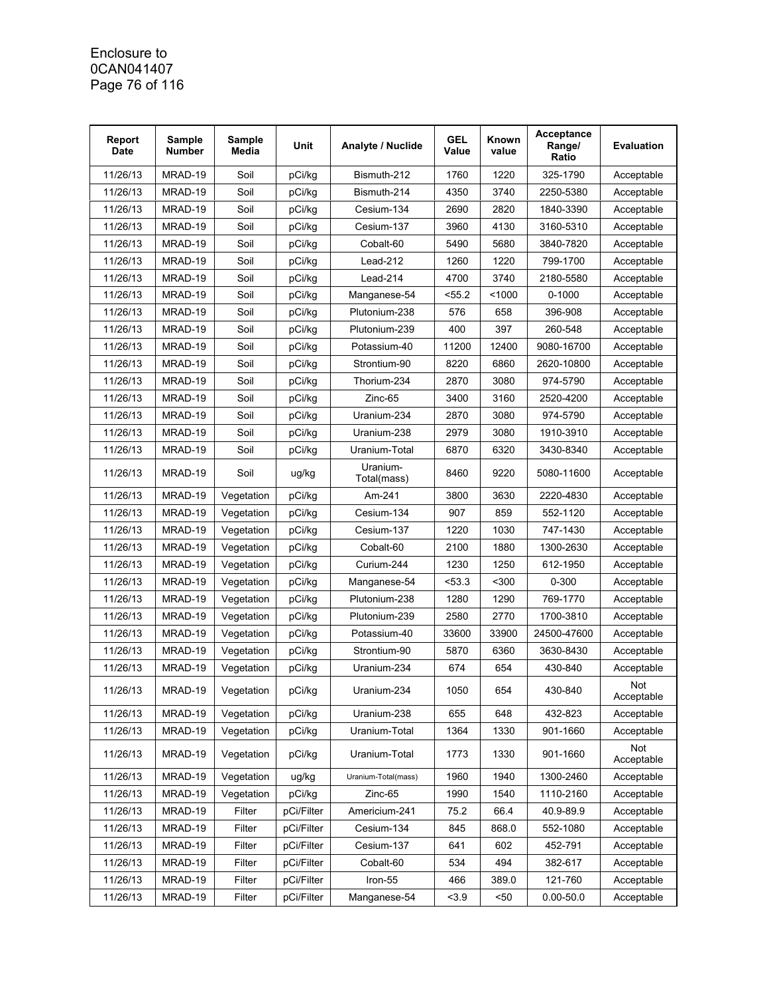### Enclosure to 0CAN041407 Page 76 of 116

| Report<br><b>Date</b> | Sample<br><b>Number</b> | Sample<br>Media | Unit       | Analyte / Nuclide       | <b>GEL</b><br>Value | Known<br>value | Acceptance<br>Range/<br>Ratio | <b>Evaluation</b> |
|-----------------------|-------------------------|-----------------|------------|-------------------------|---------------------|----------------|-------------------------------|-------------------|
| 11/26/13              | MRAD-19                 | Soil            | pCi/kg     | Bismuth-212             | 1760                | 1220           | 325-1790                      | Acceptable        |
| 11/26/13              | MRAD-19                 | Soil            | pCi/kg     | Bismuth-214             | 4350                | 3740           | 2250-5380                     | Acceptable        |
| 11/26/13              | MRAD-19                 | Soil            | pCi/kg     | Cesium-134              | 2690                | 2820           | 1840-3390                     | Acceptable        |
| 11/26/13              | MRAD-19                 | Soil            | pCi/kg     | Cesium-137              | 3960                | 4130           | 3160-5310                     | Acceptable        |
| 11/26/13              | MRAD-19                 | Soil            | pCi/kg     | Cobalt-60               | 5490                | 5680           | 3840-7820                     | Acceptable        |
| 11/26/13              | MRAD-19                 | Soil            | pCi/kg     | Lead-212                | 1260                | 1220           | 799-1700                      | Acceptable        |
| 11/26/13              | MRAD-19                 | Soil            | pCi/kg     | Lead-214                | 4700                | 3740           | 2180-5580                     | Acceptable        |
| 11/26/13              | MRAD-19                 | Soil            | pCi/kg     | Manganese-54            | 55.2                | < 1000         | $0 - 1000$                    | Acceptable        |
| 11/26/13              | MRAD-19                 | Soil            | pCi/kg     | Plutonium-238           | 576                 | 658            | 396-908                       | Acceptable        |
| 11/26/13              | MRAD-19                 | Soil            | pCi/kg     | Plutonium-239           | 400                 | 397            | 260-548                       | Acceptable        |
| 11/26/13              | MRAD-19                 | Soil            | pCi/kg     | Potassium-40            | 11200               | 12400          | 9080-16700                    | Acceptable        |
| 11/26/13              | MRAD-19                 | Soil            | pCi/kg     | Strontium-90            | 8220                | 6860           | 2620-10800                    | Acceptable        |
| 11/26/13              | MRAD-19                 | Soil            | pCi/kg     | Thorium-234             | 2870                | 3080           | 974-5790                      | Acceptable        |
| 11/26/13              | MRAD-19                 | Soil            | pCi/kg     | Zinc-65                 | 3400                | 3160           | 2520-4200                     | Acceptable        |
| 11/26/13              | MRAD-19                 | Soil            | pCi/kg     | Uranium-234             | 2870                | 3080           | 974-5790                      | Acceptable        |
| 11/26/13              | MRAD-19                 | Soil            | pCi/kg     | Uranium-238             | 2979                | 3080           | 1910-3910                     | Acceptable        |
| 11/26/13              | MRAD-19                 | Soil            | pCi/kg     | Uranium-Total           | 6870                | 6320           | 3430-8340                     | Acceptable        |
| 11/26/13              | MRAD-19                 | Soil            | ug/kg      | Uranium-<br>Total(mass) | 8460                | 9220           | 5080-11600                    | Acceptable        |
| 11/26/13              | MRAD-19                 | Vegetation      | pCi/kg     | Am-241                  | 3800                | 3630           | 2220-4830                     | Acceptable        |
| 11/26/13              | MRAD-19                 | Vegetation      | pCi/kg     | Cesium-134              | 907                 | 859            | 552-1120                      | Acceptable        |
| 11/26/13              | MRAD-19                 | Vegetation      | pCi/kg     | Cesium-137              | 1220                | 1030           | 747-1430                      | Acceptable        |
| 11/26/13              | MRAD-19                 | Vegetation      | pCi/kg     | Cobalt-60               | 2100                | 1880           | 1300-2630                     | Acceptable        |
| 11/26/13              | MRAD-19                 | Vegetation      | pCi/kg     | Curium-244              | 1230                | 1250           | 612-1950                      | Acceptable        |
| 11/26/13              | MRAD-19                 | Vegetation      | pCi/kg     | Manganese-54            | 53.3                | $300$          | $0 - 300$                     | Acceptable        |
| 11/26/13              | MRAD-19                 | Vegetation      | pCi/kg     | Plutonium-238           | 1280                | 1290           | 769-1770                      | Acceptable        |
| 11/26/13              | MRAD-19                 | Vegetation      | pCi/kg     | Plutonium-239           | 2580                | 2770           | 1700-3810                     | Acceptable        |
| 11/26/13              | MRAD-19                 | Vegetation      | pCi/kg     | Potassium-40            | 33600               | 33900          | 24500-47600                   | Acceptable        |
| 11/26/13              | MRAD-19                 | Vegetation      | pCi/kg     | Strontium-90            | 5870                | 6360           | 3630-8430                     | Acceptable        |
| 11/26/13              | MRAD-19                 | Vegetation      | pCi/kg     | Uranium-234             | 674                 | 654            | 430-840                       | Acceptable        |
| 11/26/13              | MRAD-19                 | Vegetation      | pCi/kg     | Uranium-234             | 1050                | 654            | 430-840                       | Not<br>Acceptable |
| 11/26/13              | MRAD-19                 | Vegetation      | pCi/kg     | Uranium-238             | 655                 | 648            | 432-823                       | Acceptable        |
| 11/26/13              | MRAD-19                 | Vegetation      | pCi/kg     | Uranium-Total           | 1364                | 1330           | 901-1660                      | Acceptable        |
| 11/26/13              | MRAD-19                 | Vegetation      | pCi/kg     | Uranium-Total           | 1773                | 1330           | 901-1660                      | Not<br>Acceptable |
| 11/26/13              | MRAD-19                 | Vegetation      | ug/kg      | Uranium-Total(mass)     | 1960                | 1940           | 1300-2460                     | Acceptable        |
| 11/26/13              | MRAD-19                 | Vegetation      | pCi/kg     | Zinc-65                 | 1990                | 1540           | 1110-2160                     | Acceptable        |
| 11/26/13              | MRAD-19                 | Filter          | pCi/Filter | Americium-241           | 75.2                | 66.4           | 40.9-89.9                     | Acceptable        |
| 11/26/13              | MRAD-19                 | Filter          | pCi/Filter | Cesium-134              | 845                 | 868.0          | 552-1080                      | Acceptable        |
| 11/26/13              | MRAD-19                 | Filter          | pCi/Filter | Cesium-137              | 641                 | 602            | 452-791                       | Acceptable        |
| 11/26/13              | MRAD-19                 | Filter          | pCi/Filter | Cobalt-60               | 534                 | 494            | 382-617                       | Acceptable        |
| 11/26/13              | MRAD-19                 | Filter          | pCi/Filter | Iron-55                 | 466                 | 389.0          | 121-760                       | Acceptable        |
| 11/26/13              | MRAD-19                 | Filter          | pCi/Filter | Manganese-54            | < 3.9               | $50$           | $0.00 - 50.0$                 | Acceptable        |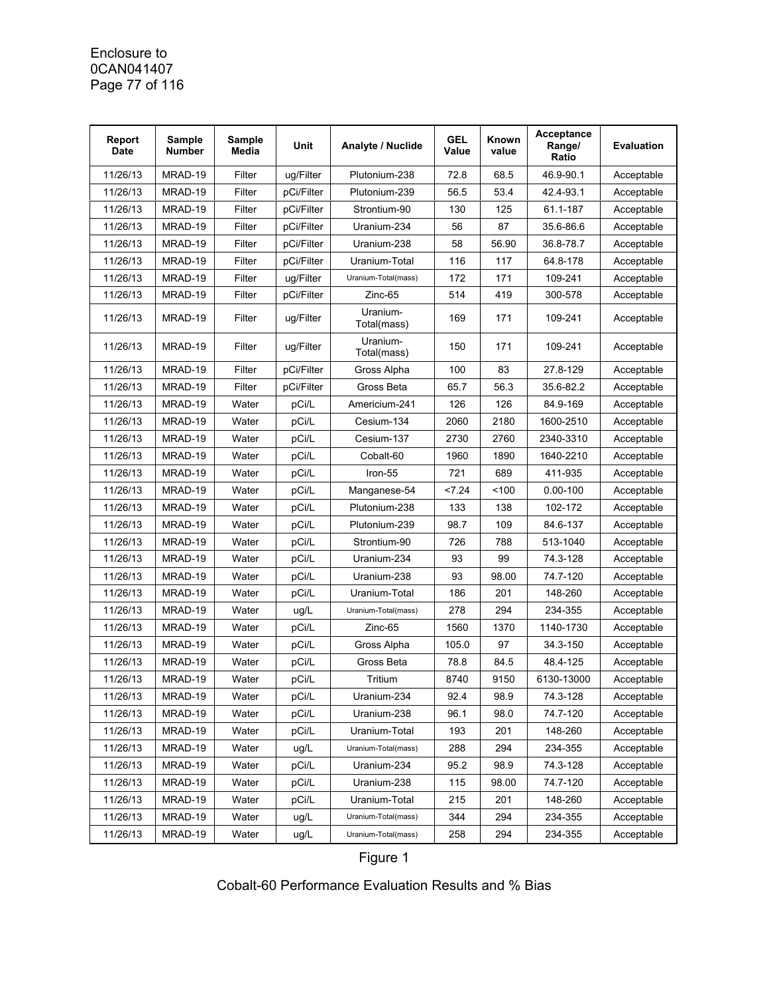### Enclosure to 0CAN041407 Page 77 of 116

| Report<br><b>Date</b> | Sample<br><b>Number</b> | Sample<br>Media | Unit       | <b>Analyte / Nuclide</b> | <b>GEL</b><br>Value | Known<br>value | Acceptance<br>Range/<br>Ratio | <b>Evaluation</b> |
|-----------------------|-------------------------|-----------------|------------|--------------------------|---------------------|----------------|-------------------------------|-------------------|
| 11/26/13              | MRAD-19                 | Filter          | ug/Filter  | Plutonium-238            | 72.8                | 68.5           | 46.9-90.1                     | Acceptable        |
| 11/26/13              | MRAD-19                 | Filter          | pCi/Filter | Plutonium-239            | 56.5                | 53.4           | 42.4-93.1                     | Acceptable        |
| 11/26/13              | MRAD-19                 | Filter          | pCi/Filter | Strontium-90             | 130                 | 125            | 61.1-187                      | Acceptable        |
| 11/26/13              | MRAD-19                 | Filter          | pCi/Filter | Uranium-234              | 56                  | 87             | 35.6-86.6                     | Acceptable        |
| 11/26/13              | MRAD-19                 | Filter          | pCi/Filter | Uranium-238              | 58                  | 56.90          | 36.8-78.7                     | Acceptable        |
| 11/26/13              | MRAD-19                 | Filter          | pCi/Filter | Uranium-Total            | 116                 | 117            | 64.8-178                      | Acceptable        |
| 11/26/13              | MRAD-19                 | Filter          | ug/Filter  | Uranium-Total(mass)      | 172                 | 171            | 109-241                       | Acceptable        |
| 11/26/13              | MRAD-19                 | Filter          | pCi/Filter | Zinc-65                  | 514                 | 419            | 300-578                       | Acceptable        |
| 11/26/13              | MRAD-19                 | Filter          | ug/Filter  | Uranium-<br>Total(mass)  | 169                 | 171            | 109-241                       | Acceptable        |
| 11/26/13              | MRAD-19                 | Filter          | ug/Filter  | Uranium-<br>Total(mass)  | 150                 | 171            | 109-241                       | Acceptable        |
| 11/26/13              | MRAD-19                 | Filter          | pCi/Filter | Gross Alpha              | 100                 | 83             | 27.8-129                      | Acceptable        |
| 11/26/13              | MRAD-19                 | Filter          | pCi/Filter | Gross Beta               | 65.7                | 56.3           | 35.6-82.2                     | Acceptable        |
| 11/26/13              | MRAD-19                 | Water           | pCi/L      | Americium-241            | 126                 | 126            | 84.9-169                      | Acceptable        |
| 11/26/13              | MRAD-19                 | Water           | pCi/L      | Cesium-134               | 2060                | 2180           | 1600-2510                     | Acceptable        |
| 11/26/13              | MRAD-19                 | Water           | pCi/L      | Cesium-137               | 2730                | 2760           | 2340-3310                     | Acceptable        |
| 11/26/13              | MRAD-19                 | Water           | pCi/L      | Cobalt-60                | 1960                | 1890           | 1640-2210                     | Acceptable        |
| 11/26/13              | MRAD-19                 | Water           | pCi/L      | Iron-55                  | 721                 | 689            | 411-935                       | Acceptable        |
| 11/26/13              | MRAD-19                 | Water           | pCi/L      | Manganese-54             | < 7.24              | 100            | $0.00 - 100$                  | Acceptable        |
| 11/26/13              | MRAD-19                 | Water           | pCi/L      | Plutonium-238            | 133                 | 138            | 102-172                       | Acceptable        |
| 11/26/13              | MRAD-19                 | Water           | pCi/L      | Plutonium-239            | 98.7                | 109            | 84.6-137                      | Acceptable        |
| 11/26/13              | MRAD-19                 | Water           | pCi/L      | Strontium-90             | 726                 | 788            | 513-1040                      | Acceptable        |
| 11/26/13              | MRAD-19                 | Water           | pCi/L      | Uranium-234              | 93                  | 99             | 74.3-128                      | Acceptable        |
| 11/26/13              | MRAD-19                 | Water           | pCi/L      | Uranium-238              | 93                  | 98.00          | 74.7-120                      | Acceptable        |
| 11/26/13              | MRAD-19                 | Water           | pCi/L      | Uranium-Total            | 186                 | 201            | 148-260                       | Acceptable        |
| 11/26/13              | MRAD-19                 | Water           | ug/L       | Uranium-Total(mass)      | 278                 | 294            | 234-355                       | Acceptable        |
| 11/26/13              | MRAD-19                 | Water           | pCi/L      | Zinc-65                  | 1560                | 1370           | 1140-1730                     | Acceptable        |
| 11/26/13              | MRAD-19                 | Water           | pCi/L      | Gross Alpha              | 105.0               | 97             | 34.3-150                      | Acceptable        |
| 11/26/13              | MRAD-19                 | Water           | pCi/L      | Gross Beta               | 78.8                | 84.5           | 48.4-125                      | Acceptable        |
| 11/26/13              | MRAD-19                 | Water           | pCi/L      | Tritium                  | 8740                | 9150           | 6130-13000                    | Acceptable        |
| 11/26/13              | MRAD-19                 | Water           | pCi/L      | Uranium-234              | 92.4                | 98.9           | 74.3-128                      | Acceptable        |
| 11/26/13              | MRAD-19                 | Water           | pCi/L      | Uranium-238              | 96.1                | 98.0           | 74.7-120                      | Acceptable        |
| 11/26/13              | MRAD-19                 | Water           | pCi/L      | Uranium-Total            | 193                 | 201            | 148-260                       | Acceptable        |
| 11/26/13              | MRAD-19                 | Water           | ug/L       | Uranium-Total(mass)      | 288                 | 294            | 234-355                       | Acceptable        |
| 11/26/13              | MRAD-19                 | Water           | pCi/L      | Uranium-234              | 95.2                | 98.9           | 74.3-128                      | Acceptable        |
| 11/26/13              | MRAD-19                 | Water           | pCi/L      | Uranium-238              | 115                 | 98.00          | 74.7-120                      | Acceptable        |
| 11/26/13              | MRAD-19                 | Water           | pCi/L      | Uranium-Total            | 215                 | 201            | 148-260                       | Acceptable        |
| 11/26/13              | MRAD-19                 | Water           | ug/L       | Uranium-Total(mass)      | 344                 | 294            | 234-355                       | Acceptable        |
| 11/26/13              | MRAD-19                 | Water           | ug/L       | Uranium-Total(mass)      | 258                 | 294            | 234-355                       | Acceptable        |

# Figure 1

Cobalt-60 Performance Evaluation Results and % Bias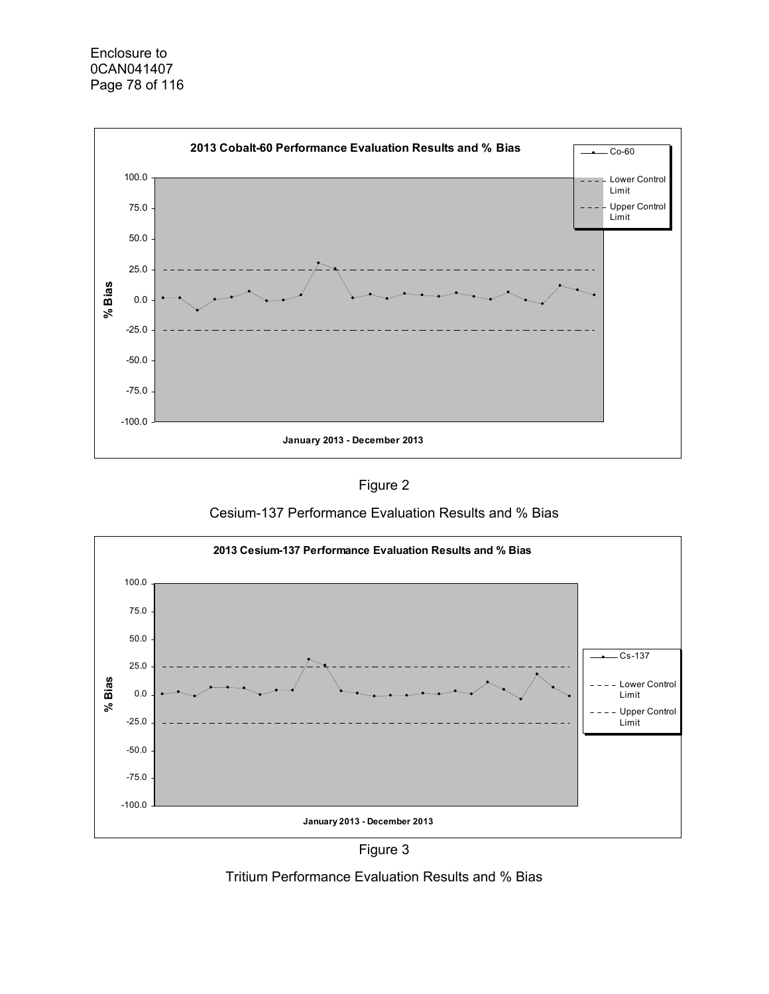

Figure 2





Figure 3

Tritium Performance Evaluation Results and % Bias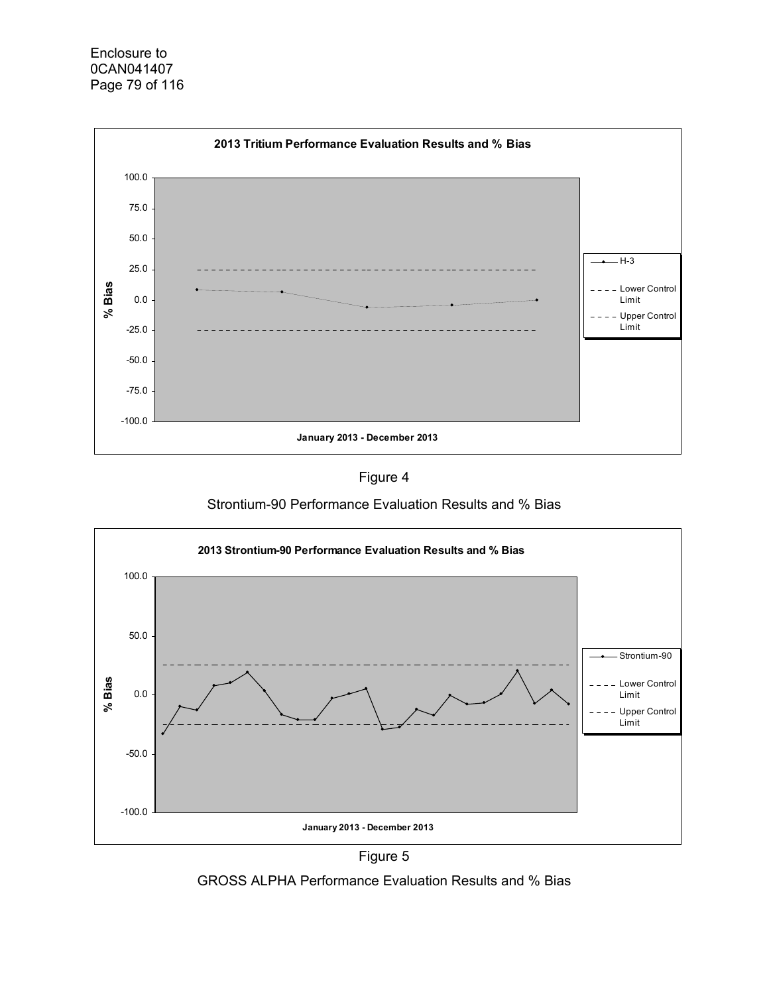



Strontium-90 Performance Evaluation Results and % Bias





GROSS ALPHA Performance Evaluation Results and % Bias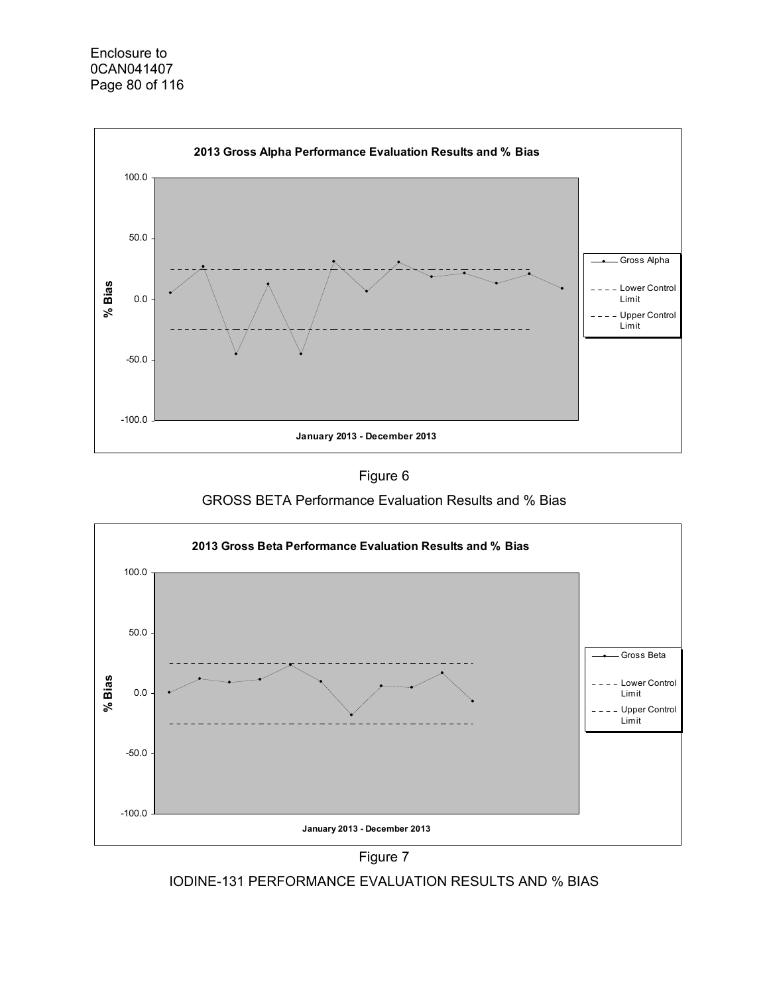



GROSS BETA Performance Evaluation Results and % Bias





IODINE-131 PERFORMANCE EVALUATION RESULTS AND % BIAS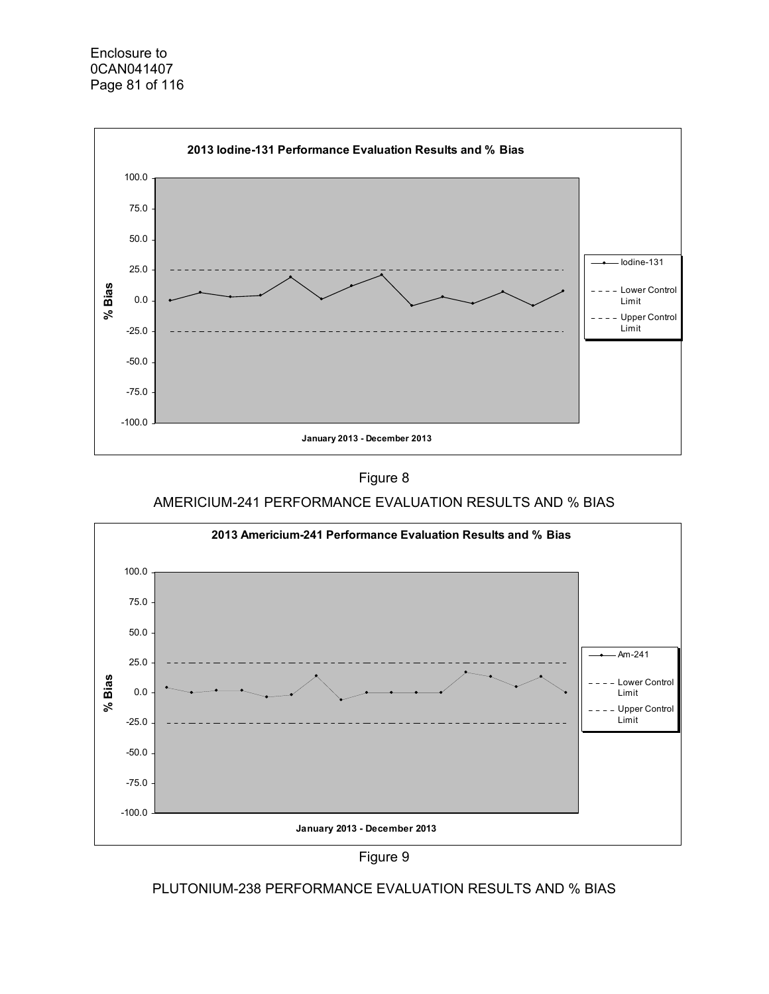



## AMERICIUM-241 PERFORMANCE EVALUATION RESULTS AND % BIAS





### PLUTONIUM-238 PERFORMANCE EVALUATION RESULTS AND % BIAS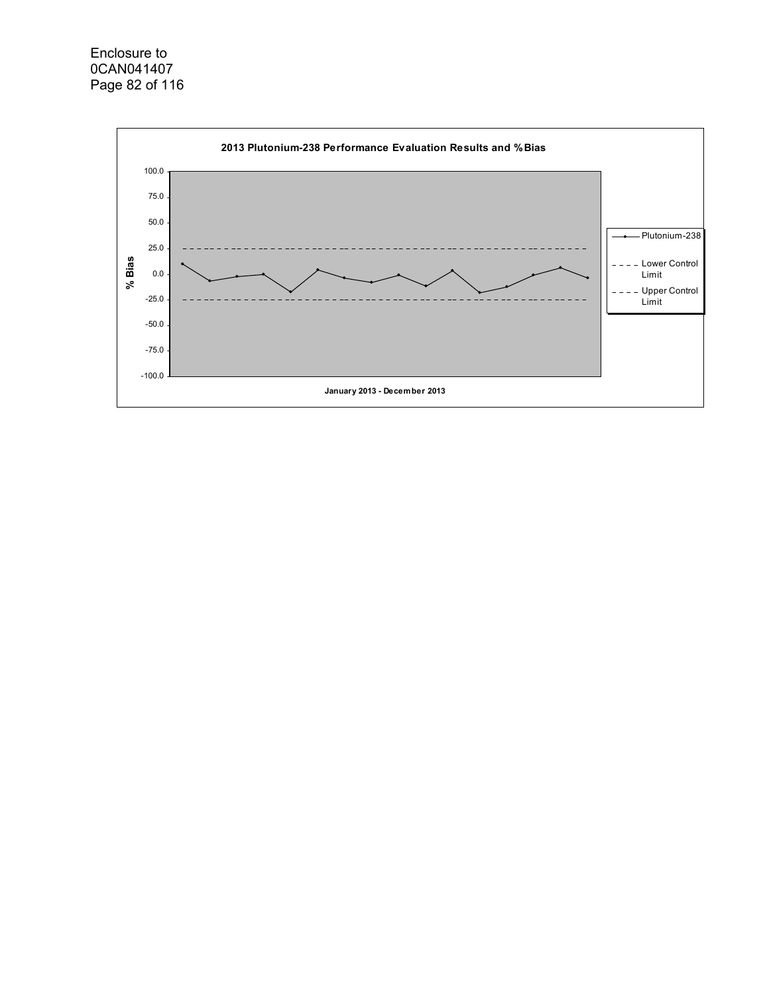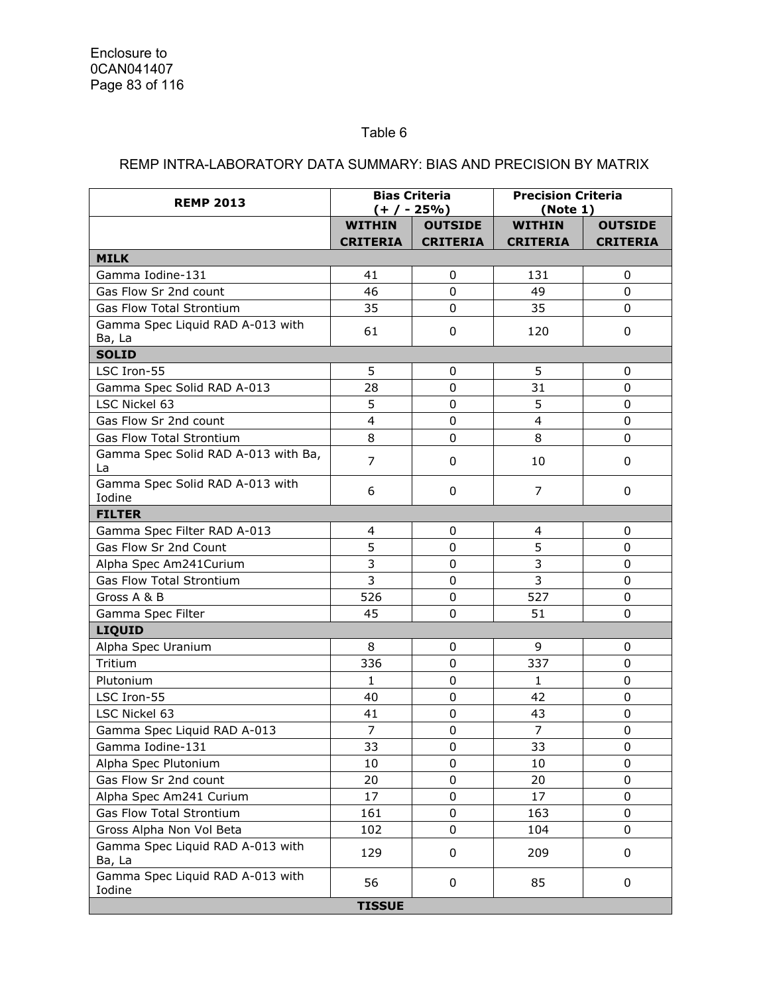## Table 6

## REMP INTRA-LABORATORY DATA SUMMARY: BIAS AND PRECISION BY MATRIX

| <b>REMP 2013</b>                           |                 | <b>Bias Criteria</b><br>$(+ / - 25\%)$ |                         | <b>Precision Criteria</b><br>(Note 1) |  |  |
|--------------------------------------------|-----------------|----------------------------------------|-------------------------|---------------------------------------|--|--|
|                                            | <b>WITHIN</b>   | <b>OUTSIDE</b>                         | <b>WITHIN</b>           | <b>OUTSIDE</b>                        |  |  |
|                                            | <b>CRITERIA</b> | <b>CRITERIA</b>                        | <b>CRITERIA</b>         | <b>CRITERIA</b>                       |  |  |
| <b>MILK</b>                                |                 |                                        |                         |                                       |  |  |
| Gamma Iodine-131                           | 41              | $\mathbf 0$                            | 131                     | 0                                     |  |  |
| Gas Flow Sr 2nd count                      | 46              | 0                                      | 49                      | 0                                     |  |  |
| Gas Flow Total Strontium                   | 35              | 0                                      | 35                      | 0                                     |  |  |
| Gamma Spec Liquid RAD A-013 with           | 61              | 0                                      | 120                     | 0                                     |  |  |
| Ba, La                                     |                 |                                        |                         |                                       |  |  |
| <b>SOLID</b>                               |                 |                                        |                         |                                       |  |  |
| LSC Iron-55                                | 5               | 0                                      | 5                       | 0                                     |  |  |
| Gamma Spec Solid RAD A-013                 | 28              | $\Omega$                               | 31                      | 0                                     |  |  |
| LSC Nickel 63                              | 5               | 0                                      | 5                       | $\mathbf 0$                           |  |  |
| Gas Flow Sr 2nd count                      | $\overline{4}$  | $\mathbf 0$                            | $\overline{\mathbf{4}}$ | 0                                     |  |  |
| <b>Gas Flow Total Strontium</b>            | 8               | 0                                      | 8                       | 0                                     |  |  |
| Gamma Spec Solid RAD A-013 with Ba,<br>La  | $\overline{7}$  | 0                                      | 10                      | 0                                     |  |  |
| Gamma Spec Solid RAD A-013 with<br>Iodine  | 6               | 0                                      | 7                       | 0                                     |  |  |
| <b>FILTER</b>                              |                 |                                        |                         |                                       |  |  |
| Gamma Spec Filter RAD A-013                | 4               | 0                                      | 4                       | 0                                     |  |  |
| Gas Flow Sr 2nd Count                      | 5               | 0                                      | 5                       | $\mathbf 0$                           |  |  |
| Alpha Spec Am241Curium                     | $\overline{3}$  | $\mathbf 0$                            | 3                       | $\overline{0}$                        |  |  |
| <b>Gas Flow Total Strontium</b>            | 3               | 0                                      | 3                       | 0                                     |  |  |
| Gross A & B                                | 526             | 0                                      | 527                     | 0                                     |  |  |
| Gamma Spec Filter                          | 45              | $\Omega$                               | 51                      | $\Omega$                              |  |  |
| LIQUID                                     |                 |                                        |                         |                                       |  |  |
| Alpha Spec Uranium                         | 8               | 0                                      | 9                       | 0                                     |  |  |
| Tritium                                    | 336             | 0                                      | 337                     | 0                                     |  |  |
| Plutonium                                  | 1               | 0                                      | $\mathbf{1}$            | 0                                     |  |  |
| LSC Iron-55                                | 40              | 0                                      | 42                      | 0                                     |  |  |
| LSC Nickel 63                              | 41              | $\mathbf 0$                            | 43                      | $\mathbf 0$                           |  |  |
| Gamma Spec Liquid RAD A-013                | $\overline{7}$  | 0                                      | $\overline{7}$          | $\mathbf 0$                           |  |  |
| Gamma Iodine-131                           | 33              | 0                                      | 33                      | 0                                     |  |  |
| Alpha Spec Plutonium                       | 10              | 0                                      | 10                      | 0                                     |  |  |
| Gas Flow Sr 2nd count                      | 20              | 0                                      | 20                      | $\Omega$                              |  |  |
| Alpha Spec Am241 Curium                    | 17              | 0                                      | 17                      | 0                                     |  |  |
| Gas Flow Total Strontium                   | 161             | 0                                      | 163                     | 0                                     |  |  |
| Gross Alpha Non Vol Beta                   | 102             | 0                                      | 104                     | 0                                     |  |  |
| Gamma Spec Liquid RAD A-013 with<br>Ba, La | 129             | 0                                      | 209                     | 0                                     |  |  |
| Gamma Spec Liquid RAD A-013 with<br>Iodine | 56              | 0                                      | 85                      | 0                                     |  |  |
|                                            | <b>TISSUE</b>   |                                        |                         |                                       |  |  |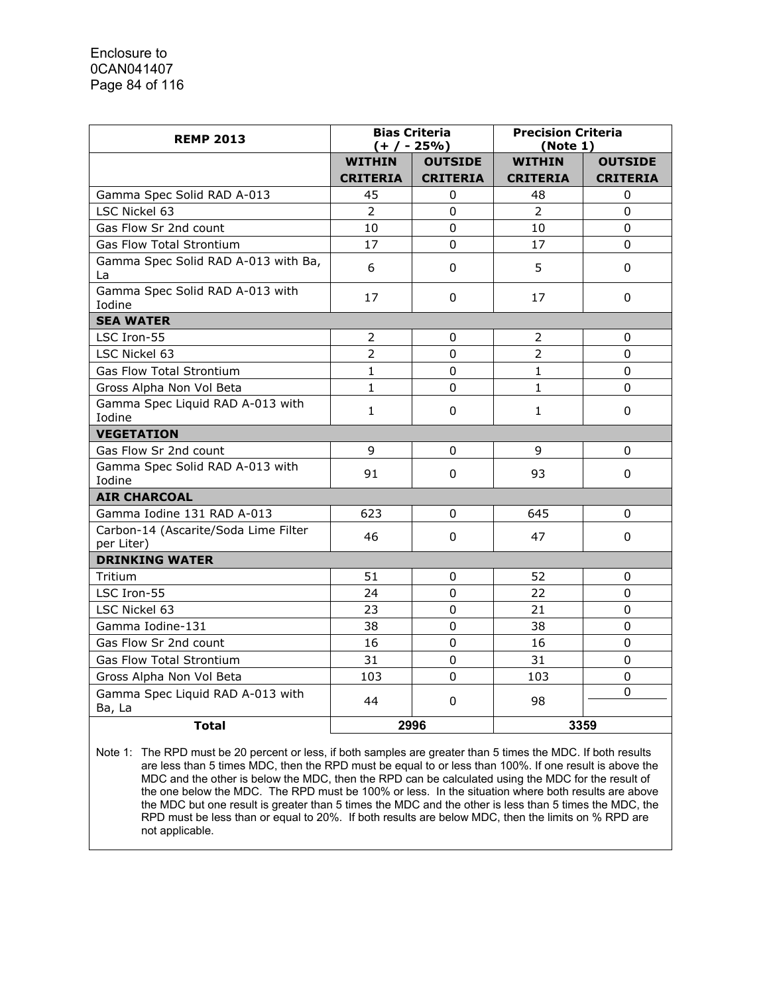| <b>REMP 2013</b>                                   |                 | <b>Bias Criteria</b><br>$(+ / - 25\%)$ | <b>Precision Criteria</b><br>(Note 1) |                 |  |  |
|----------------------------------------------------|-----------------|----------------------------------------|---------------------------------------|-----------------|--|--|
|                                                    | <b>WITHIN</b>   | <b>OUTSIDE</b>                         | <b>WITHIN</b>                         | <b>OUTSIDE</b>  |  |  |
|                                                    | <b>CRITERIA</b> | <b>CRITERIA</b>                        | <b>CRITERIA</b>                       | <b>CRITERIA</b> |  |  |
| Gamma Spec Solid RAD A-013                         | 45              | 0                                      | 48                                    | 0               |  |  |
| LSC Nickel 63                                      | $\overline{2}$  | $\Omega$                               | $\overline{2}$                        | $\overline{0}$  |  |  |
| Gas Flow Sr 2nd count                              | 10              | $\overline{0}$                         | 10                                    | $\Omega$        |  |  |
| Gas Flow Total Strontium                           | 17              | $\Omega$                               | 17                                    | $\Omega$        |  |  |
| Gamma Spec Solid RAD A-013 with Ba,<br>La          | 6               | 0                                      | 5                                     | 0               |  |  |
| Gamma Spec Solid RAD A-013 with<br>Iodine          | 17              | 0                                      | 17                                    | 0               |  |  |
| <b>SEA WATER</b>                                   |                 |                                        |                                       |                 |  |  |
| LSC Iron-55                                        | 2               | 0                                      | 2                                     | 0               |  |  |
| LSC Nickel 63                                      | $\overline{2}$  | 0                                      | $\overline{2}$                        | 0               |  |  |
| <b>Gas Flow Total Strontium</b>                    | $\mathbf{1}$    | $\mathbf 0$                            | $\mathbf{1}$                          | $\mathbf 0$     |  |  |
| Gross Alpha Non Vol Beta                           | $\mathbf{1}$    | $\mathbf 0$                            | $\mathbf{1}$                          | 0               |  |  |
| Gamma Spec Liquid RAD A-013 with<br>Iodine         | $\mathbf{1}$    | $\mathbf 0$                            | $\mathbf{1}$                          | $\mathbf 0$     |  |  |
| <b>VEGETATION</b>                                  |                 |                                        |                                       |                 |  |  |
| Gas Flow Sr 2nd count                              | 9               | 0                                      | 9                                     | 0               |  |  |
| Gamma Spec Solid RAD A-013 with<br>Iodine          | 91              | 0                                      | 93                                    | 0               |  |  |
| <b>AIR CHARCOAL</b>                                |                 |                                        |                                       |                 |  |  |
| Gamma Iodine 131 RAD A-013                         | 623             | 0                                      | 645                                   | 0               |  |  |
| Carbon-14 (Ascarite/Soda Lime Filter<br>per Liter) | 46              | 0                                      | 47                                    | 0               |  |  |
| <b>DRINKING WATER</b>                              |                 |                                        |                                       |                 |  |  |
| Tritium                                            | 51              | 0                                      | 52                                    | 0               |  |  |
| LSC Iron-55                                        | 24              | $\mathbf 0$                            | 22                                    | $\Omega$        |  |  |
| LSC Nickel 63                                      | 23              | 0                                      | 21                                    | 0               |  |  |
| Gamma Iodine-131                                   | 38              | 0                                      | 38                                    | 0               |  |  |
| Gas Flow Sr 2nd count                              | 16              | $\mathbf 0$                            | 16                                    | $\Omega$        |  |  |
| Gas Flow Total Strontium                           | 31              | $\mathbf 0$                            | 31                                    | $\mathbf 0$     |  |  |
| Gross Alpha Non Vol Beta                           | 103             | $\mathbf 0$                            | 103                                   | 0               |  |  |
| Gamma Spec Liquid RAD A-013 with<br>Ba, La         | 44              | 0                                      | 98                                    | 0               |  |  |
| <b>Total</b>                                       |                 | 2996                                   |                                       | 3359            |  |  |

Note 1: The RPD must be 20 percent or less, if both samples are greater than 5 times the MDC. If both results are less than 5 times MDC, then the RPD must be equal to or less than 100%. If one result is above the MDC and the other is below the MDC, then the RPD can be calculated using the MDC for the result of the one below the MDC. The RPD must be 100% or less. In the situation where both results are above the MDC but one result is greater than 5 times the MDC and the other is less than 5 times the MDC, the RPD must be less than or equal to 20%. If both results are below MDC, then the limits on % RPD are not applicable.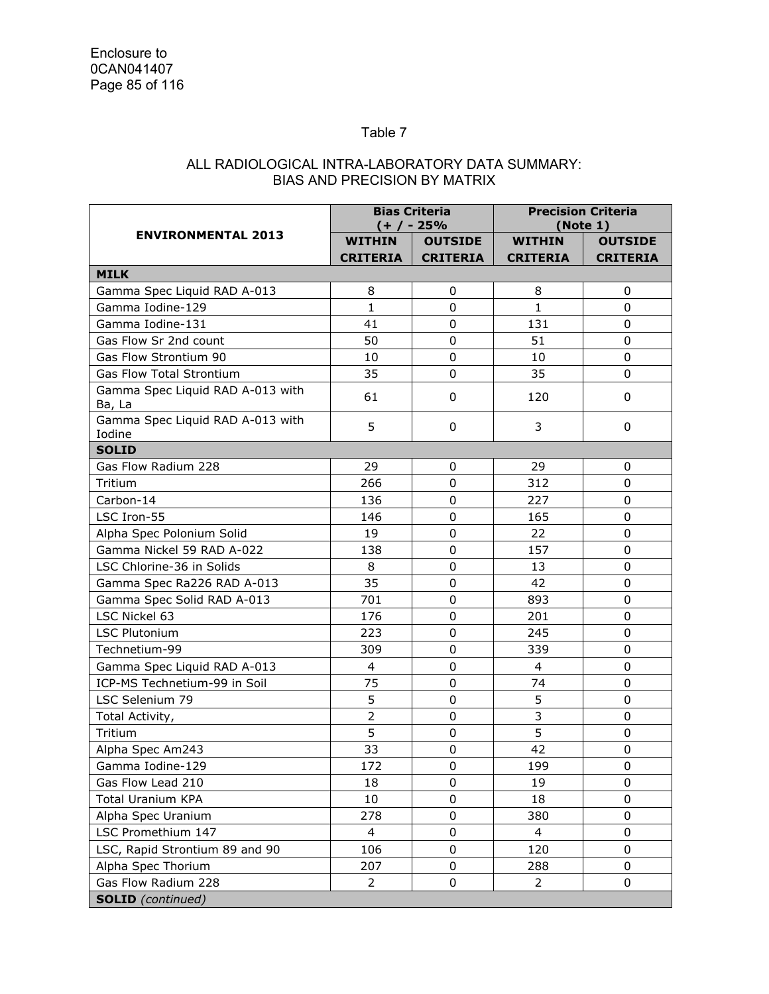## Table 7

## ALL RADIOLOGICAL INTRA-LABORATORY DATA SUMMARY: BIAS AND PRECISION BY MATRIX

|                                            |                 | <b>Bias Criteria</b><br>(+ / - 25% |                 | <b>Precision Criteria</b><br>(Note 1) |
|--------------------------------------------|-----------------|------------------------------------|-----------------|---------------------------------------|
| <b>ENVIRONMENTAL 2013</b>                  | <b>WITHIN</b>   | <b>OUTSIDE</b>                     | <b>WITHIN</b>   | <b>OUTSIDE</b>                        |
|                                            | <b>CRITERIA</b> | <b>CRITERIA</b>                    | <b>CRITERIA</b> | <b>CRITERIA</b>                       |
| <b>MILK</b>                                |                 |                                    |                 |                                       |
| Gamma Spec Liquid RAD A-013                | 8               | $\mathbf 0$                        | 8               | 0                                     |
| Gamma Iodine-129                           | $\mathbf{1}$    | $\mathbf 0$                        | $\mathbf{1}$    | 0                                     |
| Gamma Iodine-131                           | 41              | $\mathbf 0$                        | 131             | 0                                     |
| Gas Flow Sr 2nd count                      | 50              | $\mathbf 0$                        | 51              | 0                                     |
| Gas Flow Strontium 90                      | 10              | 0                                  | 10              | $\Omega$                              |
| <b>Gas Flow Total Strontium</b>            | 35              | $\mathbf 0$                        | 35              | 0                                     |
| Gamma Spec Liquid RAD A-013 with<br>Ba, La | 61              | 0                                  | 120             | 0                                     |
| Gamma Spec Liquid RAD A-013 with<br>Iodine | 5               | 0                                  | 3               | 0                                     |
| <b>SOLID</b>                               |                 |                                    |                 |                                       |
| Gas Flow Radium 228                        | 29              | $\mathbf 0$                        | 29              | 0                                     |
| Tritium                                    | 266             | $\Omega$                           | 312             | 0                                     |
| Carbon-14                                  | 136             | 0                                  | 227             | $\Omega$                              |
| LSC Iron-55                                | 146             | 0                                  | 165             | 0                                     |
| Alpha Spec Polonium Solid                  | 19              | 0                                  | 22              | 0                                     |
| Gamma Nickel 59 RAD A-022                  | 138             | $\mathbf 0$                        | 157             | 0                                     |
| LSC Chlorine-36 in Solids                  | 8               | $\mathbf 0$                        | 13              | 0                                     |
| Gamma Spec Ra226 RAD A-013                 | 35              | 0                                  | 42              | $\Omega$                              |
| Gamma Spec Solid RAD A-013                 | 701             | $\mathbf 0$                        | 893             | 0                                     |
| LSC Nickel 63                              | 176             | $\mathbf 0$                        | 201             | 0                                     |
| <b>LSC Plutonium</b>                       | 223             | 0                                  | 245             | 0                                     |
| Technetium-99                              | 309             | $\Omega$                           | 339             | $\Omega$                              |
| Gamma Spec Liquid RAD A-013                | 4               | 0                                  | $\overline{4}$  | $\Omega$                              |
| ICP-MS Technetium-99 in Soil               | 75              | 0                                  | 74              | 0                                     |
| LSC Selenium 79                            | 5               | $\mathbf 0$                        | 5               | 0                                     |
| Total Activity,                            | $\overline{2}$  | $\mathbf 0$                        | 3               | $\mathbf 0$                           |
| Tritium                                    | 5               | 0                                  | 5               | 0                                     |
| Alpha Spec Am243                           | 33              | 0                                  | 42              | 0                                     |
| Gamma Iodine-129                           | 172             | $\pmb{0}$                          | 199             | $\pmb{0}$                             |
| Gas Flow Lead 210                          | 18              | 0                                  | 19              | $\Omega$                              |
| <b>Total Uranium KPA</b>                   | 10              | 0                                  | 18              | 0                                     |
| Alpha Spec Uranium                         | 278             | $\mathbf 0$                        | 380             | 0                                     |
| LSC Promethium 147                         | 4               | 0                                  | 4               | 0                                     |
| LSC, Rapid Strontium 89 and 90             | 106             | 0                                  | 120             | 0                                     |
| Alpha Spec Thorium                         | 207             | 0                                  | 288             | 0                                     |
| Gas Flow Radium 228                        | 2               | 0                                  | 2               | 0                                     |
| <b>SOLID</b> (continued)                   |                 |                                    |                 |                                       |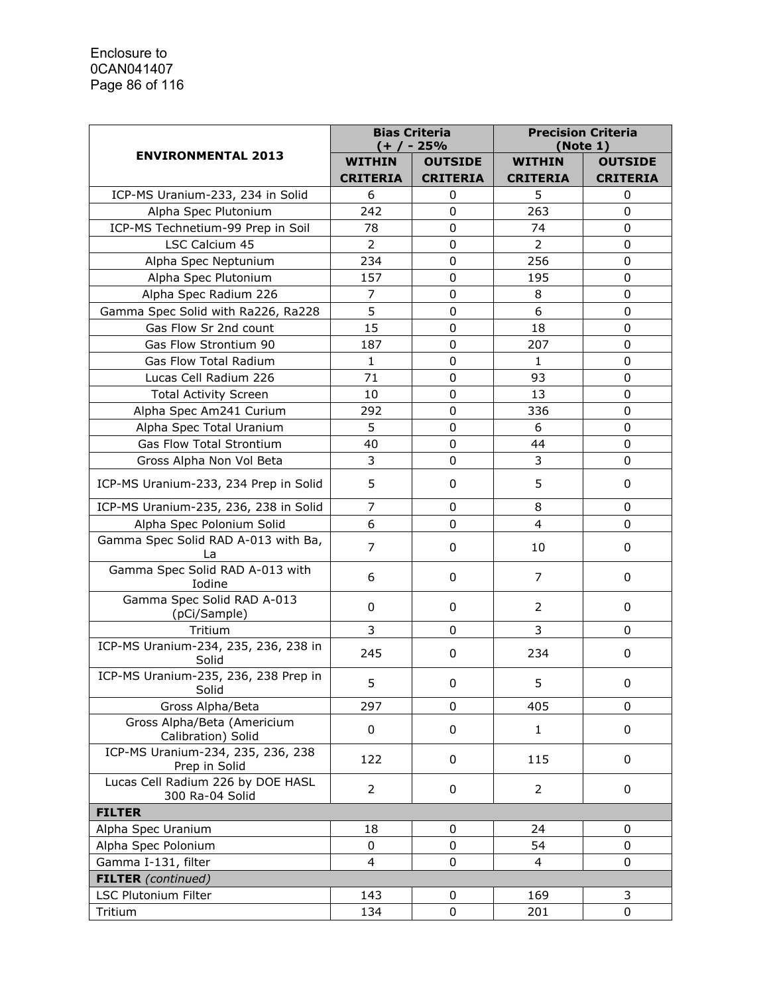|                                                      | <b>Bias Criteria</b><br>(+ / - 25% |                 | <b>Precision Criteria</b><br>(Note 1) |                 |
|------------------------------------------------------|------------------------------------|-----------------|---------------------------------------|-----------------|
| <b>ENVIRONMENTAL 2013</b>                            | <b>WITHIN</b>                      | <b>OUTSIDE</b>  | <b>WITHIN</b>                         | <b>OUTSIDE</b>  |
|                                                      | <b>CRITERIA</b>                    | <b>CRITERIA</b> | <b>CRITERIA</b>                       | <b>CRITERIA</b> |
| ICP-MS Uranium-233, 234 in Solid                     | 6                                  | 0               | 5                                     | 0               |
| Alpha Spec Plutonium                                 | 242                                | 0               | 263                                   | $\mathbf 0$     |
| ICP-MS Technetium-99 Prep in Soil                    | 78                                 | 0               | 74                                    | 0               |
| LSC Calcium 45                                       | $\overline{2}$                     | 0               | $\overline{2}$                        | 0               |
| Alpha Spec Neptunium                                 | 234                                | 0               | 256                                   | 0               |
| Alpha Spec Plutonium                                 | 157                                | 0               | 195                                   | 0               |
| Alpha Spec Radium 226                                | 7                                  | 0               | 8                                     | $\mathbf 0$     |
| Gamma Spec Solid with Ra226, Ra228                   | 5                                  | $\mathbf 0$     | 6                                     | 0               |
| Gas Flow Sr 2nd count                                | 15                                 | 0               | 18                                    | 0               |
| Gas Flow Strontium 90                                | 187                                | 0               | 207                                   | 0               |
| Gas Flow Total Radium                                | $\mathbf{1}$                       | 0               | $\mathbf{1}$                          | 0               |
| Lucas Cell Radium 226                                | 71                                 | 0               | 93                                    | 0               |
| <b>Total Activity Screen</b>                         | 10                                 | 0               | 13                                    | 0               |
| Alpha Spec Am241 Curium                              | 292                                | 0               | 336                                   | 0               |
| Alpha Spec Total Uranium                             | 5                                  | 0               | 6                                     | 0               |
| Gas Flow Total Strontium                             | 40                                 | 0               | 44                                    | $\mathbf 0$     |
| Gross Alpha Non Vol Beta                             | 3                                  | 0               | 3                                     | 0               |
| ICP-MS Uranium-233, 234 Prep in Solid                | 5                                  | 0               | 5                                     | 0               |
| ICP-MS Uranium-235, 236, 238 in Solid                | 7                                  | 0               | 8                                     | 0               |
| Alpha Spec Polonium Solid                            | 6                                  | 0               | 4                                     | 0               |
| Gamma Spec Solid RAD A-013 with Ba,<br>La            | $\overline{7}$                     | 0               | 10                                    | 0               |
| Gamma Spec Solid RAD A-013 with<br>Iodine            | 6                                  | 0               | 7                                     | 0               |
| Gamma Spec Solid RAD A-013<br>(pCi/Sample)           | 0                                  | 0               | $\overline{2}$                        | 0               |
| Tritium                                              | 3                                  | 0               | 3                                     | 0               |
| ICP-MS Uranium-234, 235, 236, 238 in<br>Solid        | 245                                | 0               | 234                                   | 0               |
| ICP-MS Uranium-235, 236, 238 Prep in<br>Solid        | 5                                  | 0               | 5                                     | 0               |
| Gross Alpha/Beta                                     | 297                                | 0               | 405                                   | 0               |
| Gross Alpha/Beta (Americium<br>Calibration) Solid    | 0                                  | 0               | $\mathbf{1}$                          | 0               |
| ICP-MS Uranium-234, 235, 236, 238<br>Prep in Solid   | 122                                | $\pmb{0}$       | 115                                   | 0               |
| Lucas Cell Radium 226 by DOE HASL<br>300 Ra-04 Solid | 2                                  | $\pmb{0}$       | $\overline{2}$                        | 0               |
| <b>FILTER</b>                                        |                                    |                 |                                       |                 |
| Alpha Spec Uranium                                   | 18                                 | $\mathbf 0$     | 24                                    | $\Omega$        |
| Alpha Spec Polonium                                  | 0                                  | 0               | 54                                    | 0               |
| Gamma I-131, filter                                  | 4                                  | 0               | 4                                     | 0               |
| <b>FILTER</b> (continued)                            |                                    |                 |                                       |                 |
| LSC Plutonium Filter                                 | 143                                | 0               | 169                                   | 3               |
| Tritium                                              | 134                                | 0               | 201                                   | 0               |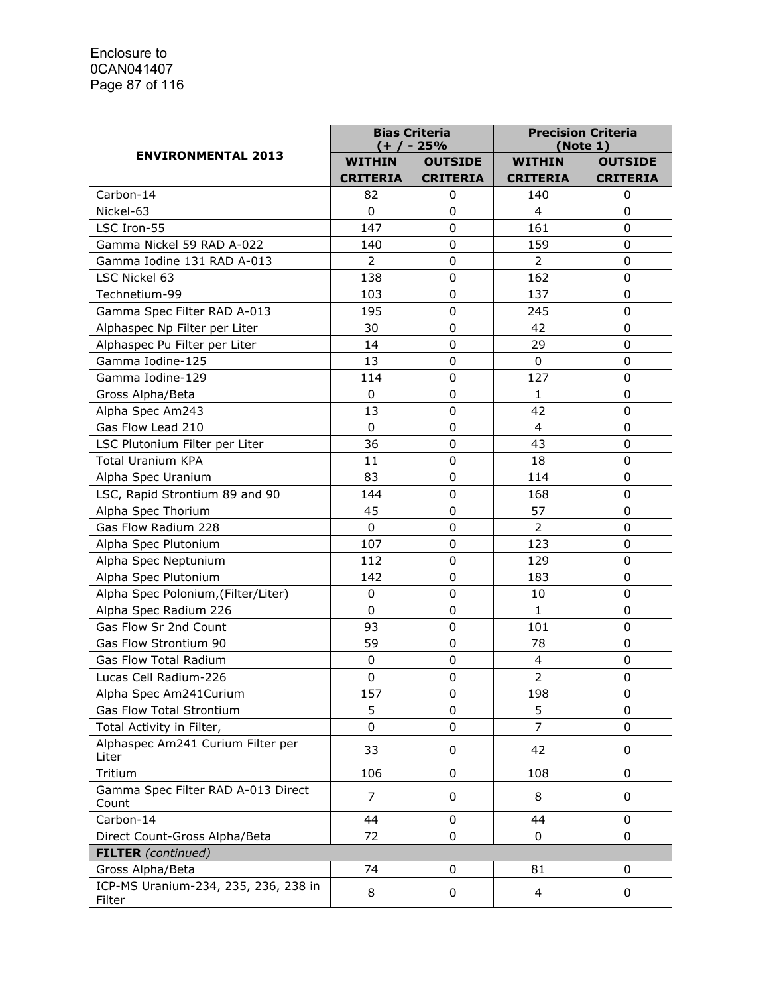|                                                | <b>Bias Criteria</b><br>(+ / - 25% |                  | <b>Precision Criteria</b><br>(Note 1) |                 |
|------------------------------------------------|------------------------------------|------------------|---------------------------------------|-----------------|
| <b>ENVIRONMENTAL 2013</b>                      | <b>WITHIN</b>                      | <b>OUTSIDE</b>   | <b>WITHIN</b>                         | <b>OUTSIDE</b>  |
|                                                | <b>CRITERIA</b>                    | <b>CRITERIA</b>  | <b>CRITERIA</b>                       | <b>CRITERIA</b> |
| Carbon-14                                      | 82                                 | $\boldsymbol{0}$ | 140                                   | 0               |
| Nickel-63                                      | $\Omega$                           | $\mathbf 0$      | $\overline{4}$                        | 0               |
| LSC Iron-55                                    | 147                                | $\mathbf 0$      | 161                                   | $\mathbf 0$     |
| Gamma Nickel 59 RAD A-022                      | 140                                | $\mathbf 0$      | 159                                   | $\mathbf 0$     |
| Gamma Iodine 131 RAD A-013                     | $\overline{2}$                     | $\pmb{0}$        | $\overline{2}$                        | $\mathbf 0$     |
| LSC Nickel 63                                  | 138                                | $\mathbf 0$      | 162                                   | $\mathbf 0$     |
| Technetium-99                                  | 103                                | $\mathbf 0$      | 137                                   | 0               |
| Gamma Spec Filter RAD A-013                    | 195                                | 0                | 245                                   | 0               |
| Alphaspec Np Filter per Liter                  | 30                                 | 0                | 42                                    | $\mathbf 0$     |
| Alphaspec Pu Filter per Liter                  | 14                                 | 0                | 29                                    | 0               |
| Gamma Iodine-125                               | 13                                 | 0                | 0                                     | $\mathbf 0$     |
| Gamma Iodine-129                               | 114                                | 0                | 127                                   | $\mathbf 0$     |
| Gross Alpha/Beta                               | 0                                  | $\pmb{0}$        | $\mathbf{1}$                          | $\mathbf 0$     |
| Alpha Spec Am243                               | 13                                 | 0                | 42                                    | 0               |
| Gas Flow Lead 210                              | 0                                  | $\pmb{0}$        | $\overline{4}$                        | $\mathbf 0$     |
| LSC Plutonium Filter per Liter                 | 36                                 | $\mathbf 0$      | 43                                    | 0               |
| <b>Total Uranium KPA</b>                       | 11                                 | 0                | 18                                    | $\mathbf 0$     |
| Alpha Spec Uranium                             | 83                                 | $\mathbf 0$      | 114                                   | $\mathbf 0$     |
| LSC, Rapid Strontium 89 and 90                 | 144                                | $\mathbf 0$      | 168                                   | $\mathbf 0$     |
| Alpha Spec Thorium                             | 45                                 | 0                | 57                                    | 0               |
| Gas Flow Radium 228                            | 0                                  | 0                | $\overline{2}$                        | $\mathbf 0$     |
| Alpha Spec Plutonium                           | 107                                | $\mathbf 0$      | 123                                   | $\mathbf 0$     |
| Alpha Spec Neptunium                           | 112                                | $\pmb{0}$        | 129                                   | $\mathbf 0$     |
| Alpha Spec Plutonium                           | 142                                | $\pmb{0}$        | 183                                   | $\mathbf 0$     |
| Alpha Spec Polonium, (Filter/Liter)            | 0                                  | $\pmb{0}$        | 10                                    | $\mathbf 0$     |
| Alpha Spec Radium 226                          | $\mathbf 0$                        | $\mathbf 0$      | $\mathbf{1}$                          | $\mathbf 0$     |
| Gas Flow Sr 2nd Count                          | 93                                 | $\pmb{0}$        | 101                                   | 0               |
| Gas Flow Strontium 90                          | 59                                 | $\mathbf 0$      | 78                                    | $\mathbf 0$     |
| <b>Gas Flow Total Radium</b>                   | 0                                  | 0                | 4                                     | 0               |
| Lucas Cell Radium-226                          | $\mathbf 0$                        | $\mathbf 0$      | $\overline{2}$                        | 0               |
| Alpha Spec Am241Curium                         | 157                                | 0                | 198                                   | 0               |
| Gas Flow Total Strontium                       | 5                                  | 0                | 5                                     | $\Omega$        |
| Total Activity in Filter,                      | 0                                  | 0                | $\overline{7}$                        | 0               |
| Alphaspec Am241 Curium Filter per<br>Liter     | 33                                 | 0                | 42                                    | 0               |
| Tritium                                        | 106                                | 0                | 108                                   | 0               |
| Gamma Spec Filter RAD A-013 Direct<br>Count    | 7                                  | 0                | 8                                     | 0               |
| Carbon-14                                      | 44                                 | 0                | 44                                    | 0               |
| Direct Count-Gross Alpha/Beta                  | 72                                 | 0                | 0                                     | 0               |
| <b>FILTER</b> (continued)                      |                                    |                  |                                       |                 |
| Gross Alpha/Beta                               | 74                                 | 0                | 81                                    | 0               |
| ICP-MS Uranium-234, 235, 236, 238 in<br>Filter | 8                                  | 0                | 4                                     | 0               |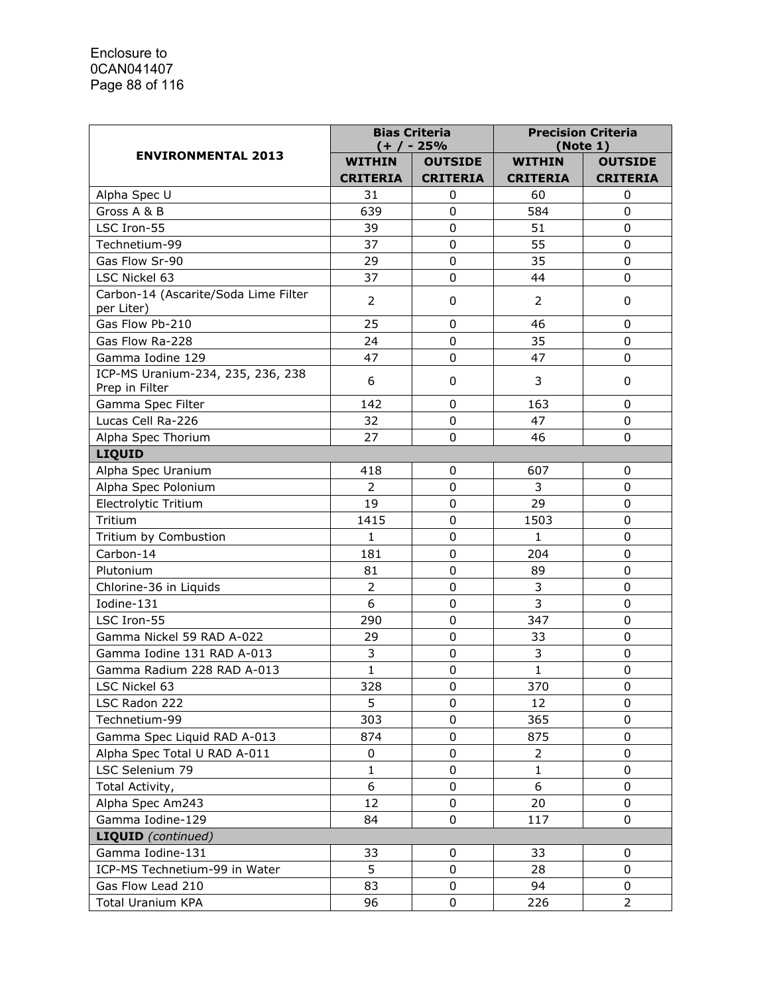|                                                     | <b>Bias Criteria</b><br>(+ / - 25% |                 | <b>Precision Criteria</b><br>(Note 1) |                 |
|-----------------------------------------------------|------------------------------------|-----------------|---------------------------------------|-----------------|
| <b>ENVIRONMENTAL 2013</b>                           | <b>WITHIN</b>                      | <b>OUTSIDE</b>  | <b>WITHIN</b>                         | <b>OUTSIDE</b>  |
|                                                     | <b>CRITERIA</b>                    | <b>CRITERIA</b> | <b>CRITERIA</b>                       | <b>CRITERIA</b> |
| Alpha Spec U                                        | 31                                 | 0               | 60                                    | 0               |
| Gross A & B                                         | 639                                | $\mathbf 0$     | 584                                   | $\overline{0}$  |
| LSC Iron-55                                         | 39                                 | 0               | 51                                    | 0               |
| Technetium-99                                       | 37                                 | $\mathbf 0$     | 55                                    | 0               |
| Gas Flow Sr-90                                      | 29                                 | 0               | 35                                    | $\mathbf 0$     |
| LSC Nickel 63                                       | 37                                 | $\mathbf 0$     | 44                                    | 0               |
| Carbon-14 (Ascarite/Soda Lime Filter<br>per Liter)  | $\overline{2}$                     | 0               | 2                                     | 0               |
| Gas Flow Pb-210                                     | 25                                 | $\mathbf 0$     | 46                                    | 0               |
| Gas Flow Ra-228                                     | 24                                 | $\mathbf 0$     | 35                                    | 0               |
| Gamma Iodine 129                                    | 47                                 | $\mathbf 0$     | 47                                    | $\overline{0}$  |
| ICP-MS Uranium-234, 235, 236, 238<br>Prep in Filter | 6                                  | 0               | 3                                     | 0               |
| Gamma Spec Filter                                   | 142                                | 0               | 163                                   | 0               |
| Lucas Cell Ra-226                                   | 32                                 | 0               | 47                                    | 0               |
| Alpha Spec Thorium                                  | 27                                 | $\Omega$        | 46                                    | 0               |
| LIQUID                                              |                                    |                 |                                       |                 |
| Alpha Spec Uranium                                  | 418                                | 0               | 607                                   | 0               |
| Alpha Spec Polonium                                 | $\overline{2}$                     | $\mathbf 0$     | 3                                     | $\mathbf 0$     |
| Electrolytic Tritium                                | 19                                 | $\mathbf 0$     | 29                                    | 0               |
| Tritium                                             | 1415                               | $\Omega$        | 1503                                  | 0               |
| Tritium by Combustion                               | 1                                  | 0               | $\mathbf{1}$                          | $\mathbf 0$     |
| Carbon-14                                           | 181                                | $\mathbf 0$     | 204                                   | 0               |
| Plutonium                                           | 81                                 | 0               | 89                                    | 0               |
| Chlorine-36 in Liquids                              | $\overline{2}$                     | 0               | 3                                     | 0               |
| Iodine-131                                          | 6                                  | 0               | $\overline{3}$                        | 0               |
| LSC Iron-55                                         | 290                                | $\mathbf 0$     | 347                                   | $\mathbf 0$     |
| Gamma Nickel 59 RAD A-022                           | 29                                 | $\mathbf 0$     | 33                                    | $\mathbf 0$     |
| Gamma Iodine 131 RAD A-013                          | 3                                  | $\pmb{0}$       | 3                                     | $\mathbf 0$     |
| Gamma Radium 228 RAD A-013                          | $\mathbf{1}$                       | 0               | 1                                     | 0               |
| LSC Nickel 63                                       | 328                                | 0               | 370                                   | 0               |
| LSC Radon 222                                       | 5                                  | 0               | 12                                    | $\Omega$        |
| Technetium-99                                       | 303                                | 0               | 365                                   | 0               |
| Gamma Spec Liquid RAD A-013                         | 874                                | 0               | 875                                   | 0               |
| Alpha Spec Total U RAD A-011                        | $\pmb{0}$                          | 0               | $\overline{2}$                        | 0               |
| LSC Selenium 79                                     | $\mathbf{1}$                       | 0               | $\mathbf{1}$                          | $\Omega$        |
| Total Activity,                                     | 6                                  | 0               | 6                                     | 0               |
| Alpha Spec Am243                                    | 12                                 | 0               | 20                                    | 0               |
| Gamma Iodine-129                                    | 84                                 | 0               | 117                                   | 0               |
| <b>LIQUID</b> (continued)                           |                                    |                 |                                       |                 |
| Gamma Iodine-131                                    | 33                                 | 0               | 33                                    | 0               |
| ICP-MS Technetium-99 in Water                       | 5                                  | $\mathbf 0$     | 28                                    | 0               |
| Gas Flow Lead 210                                   | 83                                 | 0               | 94                                    | 0               |
| Total Uranium KPA                                   | 96                                 | 0               | 226                                   | $\overline{2}$  |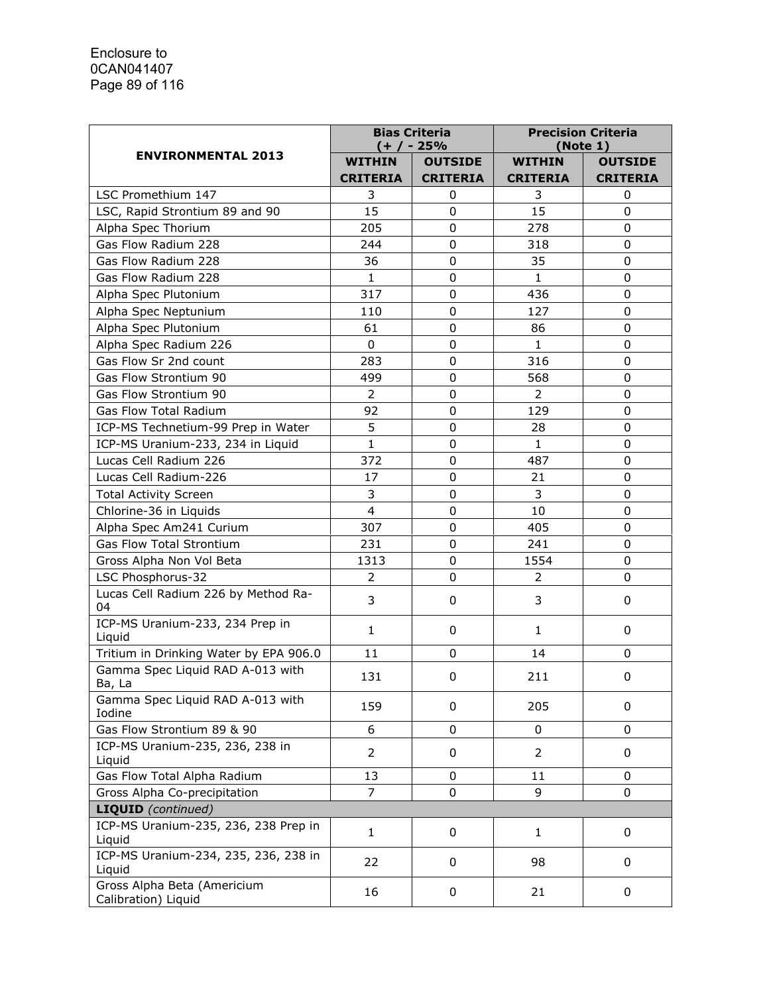|                                                    | <b>Bias Criteria</b><br>$(+ / - 25\%$ |                 | <b>Precision Criteria</b><br>(Note 1) |                 |
|----------------------------------------------------|---------------------------------------|-----------------|---------------------------------------|-----------------|
| <b>ENVIRONMENTAL 2013</b>                          | <b>WITHIN</b>                         | <b>OUTSIDE</b>  | <b>WITHIN</b>                         | <b>OUTSIDE</b>  |
|                                                    | <b>CRITERIA</b>                       | <b>CRITERIA</b> | <b>CRITERIA</b>                       | <b>CRITERIA</b> |
| LSC Promethium 147                                 | 3                                     | 0               | 3                                     | 0               |
| LSC, Rapid Strontium 89 and 90                     | 15                                    | 0               | 15                                    | 0               |
| Alpha Spec Thorium                                 | 205                                   | 0               | 278                                   | $\mathbf 0$     |
| Gas Flow Radium 228                                | 244                                   | 0               | 318                                   | $\mathbf 0$     |
| Gas Flow Radium 228                                | 36                                    | 0               | 35                                    | $\mathbf 0$     |
| Gas Flow Radium 228                                | $\mathbf{1}$                          | $\mathbf 0$     | $\mathbf{1}$                          | 0               |
| Alpha Spec Plutonium                               | 317                                   | $\mathbf 0$     | 436                                   | 0               |
| Alpha Spec Neptunium                               | 110                                   | 0               | 127                                   | 0               |
| Alpha Spec Plutonium                               | 61                                    | 0               | 86                                    | 0               |
| Alpha Spec Radium 226                              | $\Omega$                              | 0               | $\mathbf{1}$                          | 0               |
| Gas Flow Sr 2nd count                              | 283                                   | 0               | 316                                   | 0               |
| Gas Flow Strontium 90                              | 499                                   | 0               | 568                                   | $\mathbf 0$     |
| Gas Flow Strontium 90                              | $\overline{2}$                        | $\mathbf 0$     | $\overline{2}$                        | $\mathbf 0$     |
| Gas Flow Total Radium                              | 92                                    | 0               | 129                                   | 0               |
| ICP-MS Technetium-99 Prep in Water                 | 5                                     | $\pmb{0}$       | 28                                    | $\mathbf 0$     |
| ICP-MS Uranium-233, 234 in Liquid                  | 1                                     | 0               | $\mathbf{1}$                          | 0               |
| Lucas Cell Radium 226                              | 372                                   | 0               | 487                                   | $\mathbf 0$     |
| Lucas Cell Radium-226                              | 17                                    | $\mathbf 0$     | 21                                    | 0               |
| <b>Total Activity Screen</b>                       | 3                                     | $\mathbf 0$     | 3                                     | 0               |
| Chlorine-36 in Liquids                             | $\overline{\mathbf{4}}$               | 0               | 10                                    | 0               |
| Alpha Spec Am241 Curium                            | 307                                   | 0               | 405                                   | $\mathbf 0$     |
| <b>Gas Flow Total Strontium</b>                    | 231                                   | $\mathbf 0$     | 241                                   | $\mathbf 0$     |
| Gross Alpha Non Vol Beta                           | 1313                                  | $\pmb{0}$       | 1554                                  | 0               |
| LSC Phosphorus-32                                  | $\overline{2}$                        | 0               | 2                                     | 0               |
| Lucas Cell Radium 226 by Method Ra-<br>04          | 3                                     | 0               | 3                                     | 0               |
| ICP-MS Uranium-233, 234 Prep in<br>Liquid          | $\mathbf{1}$                          | 0               | $\mathbf{1}$                          | 0               |
| Tritium in Drinking Water by EPA 906.0             | 11                                    | 0               | 14                                    | 0               |
| Gamma Spec Liquid RAD A-013 with<br>Ba, La         | 131                                   | 0               | 211                                   | 0               |
| Gamma Spec Liquid RAD A-013 with<br>Iodine         | 159                                   | 0               | 205                                   | 0               |
| Gas Flow Strontium 89 & 90                         | 6                                     | 0               | 0                                     | 0               |
| ICP-MS Uranium-235, 236, 238 in                    | $\overline{2}$                        | 0               | $\overline{2}$                        | 0               |
| Liquid                                             |                                       |                 |                                       |                 |
| Gas Flow Total Alpha Radium                        | 13                                    | 0               | 11                                    | 0               |
| Gross Alpha Co-precipitation                       | 7                                     | 0               | 9                                     | 0               |
| <b>LIQUID</b> (continued)                          |                                       |                 |                                       |                 |
| ICP-MS Uranium-235, 236, 238 Prep in<br>Liquid     | 1                                     | 0               | 1                                     | 0               |
| ICP-MS Uranium-234, 235, 236, 238 in<br>Liquid     | 22                                    | 0               | 98                                    | 0               |
| Gross Alpha Beta (Americium<br>Calibration) Liquid | 16                                    | 0               | 21                                    | 0               |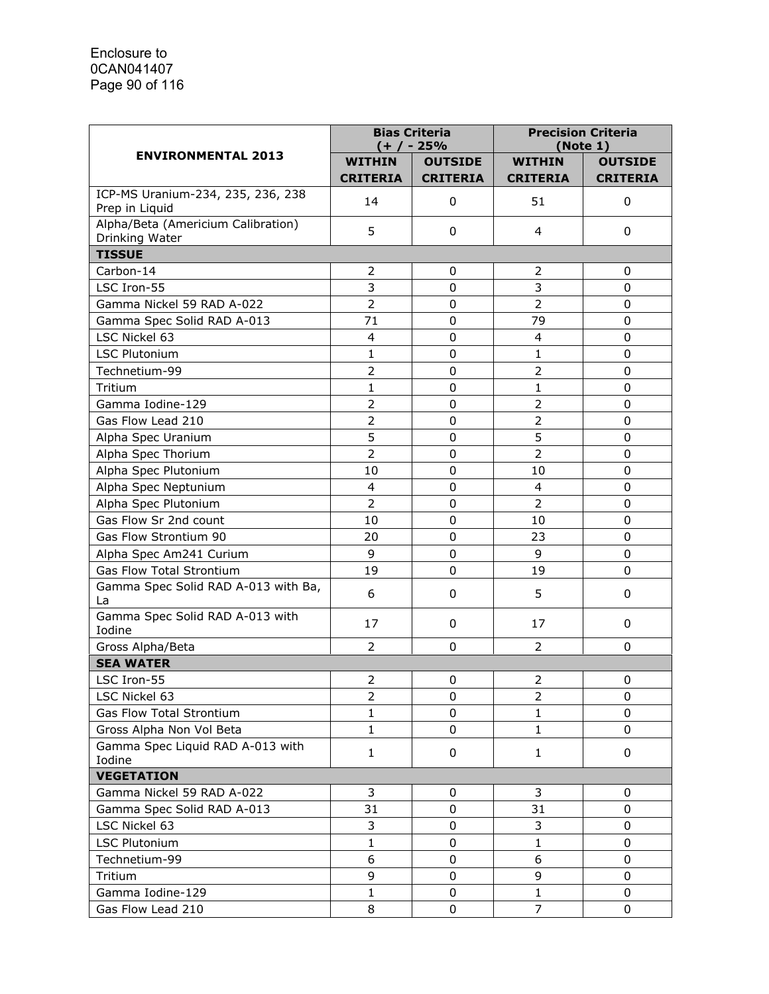|                                                      | <b>Bias Criteria</b><br>(+ / - 25% |                 | <b>Precision Criteria</b><br>(Note 1) |                 |
|------------------------------------------------------|------------------------------------|-----------------|---------------------------------------|-----------------|
| <b>ENVIRONMENTAL 2013</b>                            | <b>WITHIN</b>                      | <b>OUTSIDE</b>  | <b>WITHIN</b>                         | <b>OUTSIDE</b>  |
|                                                      | <b>CRITERIA</b>                    | <b>CRITERIA</b> | <b>CRITERIA</b>                       | <b>CRITERIA</b> |
| ICP-MS Uranium-234, 235, 236, 238<br>Prep in Liquid  | 14                                 | 0               | 51                                    | 0               |
| Alpha/Beta (Americium Calibration)<br>Drinking Water | 5                                  | 0               | 4                                     | 0               |
| <b>TISSUE</b>                                        |                                    |                 |                                       |                 |
| Carbon-14                                            | $\overline{2}$                     | 0               | 2                                     | 0               |
| LSC Iron-55                                          | 3                                  | $\mathbf 0$     | 3                                     | $\mathbf 0$     |
| Gamma Nickel 59 RAD A-022                            | $\overline{2}$                     | 0               | $\overline{2}$                        | $\mathbf 0$     |
| Gamma Spec Solid RAD A-013                           | 71                                 | 0               | 79                                    | 0               |
| LSC Nickel 63                                        | 4                                  | $\mathbf 0$     | $\overline{4}$                        | 0               |
| <b>LSC Plutonium</b>                                 | $\mathbf{1}$                       | 0               | $\mathbf{1}$                          | 0               |
| Technetium-99                                        | $\overline{2}$                     | 0               | $\overline{2}$                        | 0               |
| Tritium                                              | $\mathbf{1}$                       | 0               | $\mathbf{1}$                          | $\mathbf 0$     |
| Gamma Iodine-129                                     | $\overline{2}$                     | 0               | $\overline{2}$                        | 0               |
| Gas Flow Lead 210                                    | $\overline{2}$                     | 0               | $\overline{2}$                        | 0               |
| Alpha Spec Uranium                                   | 5                                  | $\Omega$        | 5                                     | 0               |
| Alpha Spec Thorium                                   | $\overline{2}$                     | $\pmb{0}$       | $\overline{2}$                        | 0               |
| Alpha Spec Plutonium                                 | 10                                 | 0               | 10                                    | $\mathbf 0$     |
| Alpha Spec Neptunium                                 | $\overline{\mathcal{L}}$           | 0               | 4                                     | 0               |
| Alpha Spec Plutonium                                 | $\overline{2}$                     | 0               | $\overline{2}$                        | 0               |
| Gas Flow Sr 2nd count                                | 10                                 | 0               | 10                                    | 0               |
| Gas Flow Strontium 90                                | 20                                 | $\mathbf 0$     | 23                                    | 0               |
| Alpha Spec Am241 Curium                              | 9                                  | 0               | 9                                     | 0               |
| <b>Gas Flow Total Strontium</b>                      | 19                                 | 0               | 19                                    | 0               |
| Gamma Spec Solid RAD A-013 with Ba,<br>La            | 6                                  | 0               | 5                                     | 0               |
| Gamma Spec Solid RAD A-013 with<br>Iodine            | 17                                 | 0               | 17                                    | 0               |
| Gross Alpha/Beta                                     | $\overline{2}$                     | 0               | $\overline{2}$                        | 0               |
| <b>SEA WATER</b>                                     |                                    |                 |                                       |                 |
| LSC Iron-55                                          | 2                                  | 0               | 2                                     | 0               |
| LSC Nickel 63                                        | 2                                  | 0               | $\overline{2}$                        | 0               |
| Gas Flow Total Strontium                             | $\mathbf{1}$                       | 0               | $\mathbf{1}$                          | 0               |
| Gross Alpha Non Vol Beta                             | $\mathbf{1}$                       | 0               | $\mathbf{1}$                          | 0               |
| Gamma Spec Liquid RAD A-013 with<br>Iodine           | $\mathbf{1}$                       | 0               | $\mathbf{1}$                          | 0               |
| <b>VEGETATION</b>                                    |                                    |                 |                                       |                 |
| Gamma Nickel 59 RAD A-022                            | 3                                  | 0               | 3                                     | 0               |
| Gamma Spec Solid RAD A-013                           | 31                                 | 0               | 31                                    | 0               |
| LSC Nickel 63                                        | 3                                  | 0               | 3                                     | 0               |
| <b>LSC Plutonium</b>                                 | $\mathbf{1}$                       | 0               | $\mathbf{1}$                          | 0               |
| Technetium-99                                        | 6                                  | 0               | 6                                     | 0               |
| Tritium                                              | 9                                  | $\mathbf 0$     | 9                                     | 0               |
| Gamma Iodine-129                                     | $\mathbf{1}$                       | 0               | $\mathbf{1}$                          | 0               |
| Gas Flow Lead 210                                    | 8                                  | 0               | 7                                     | 0               |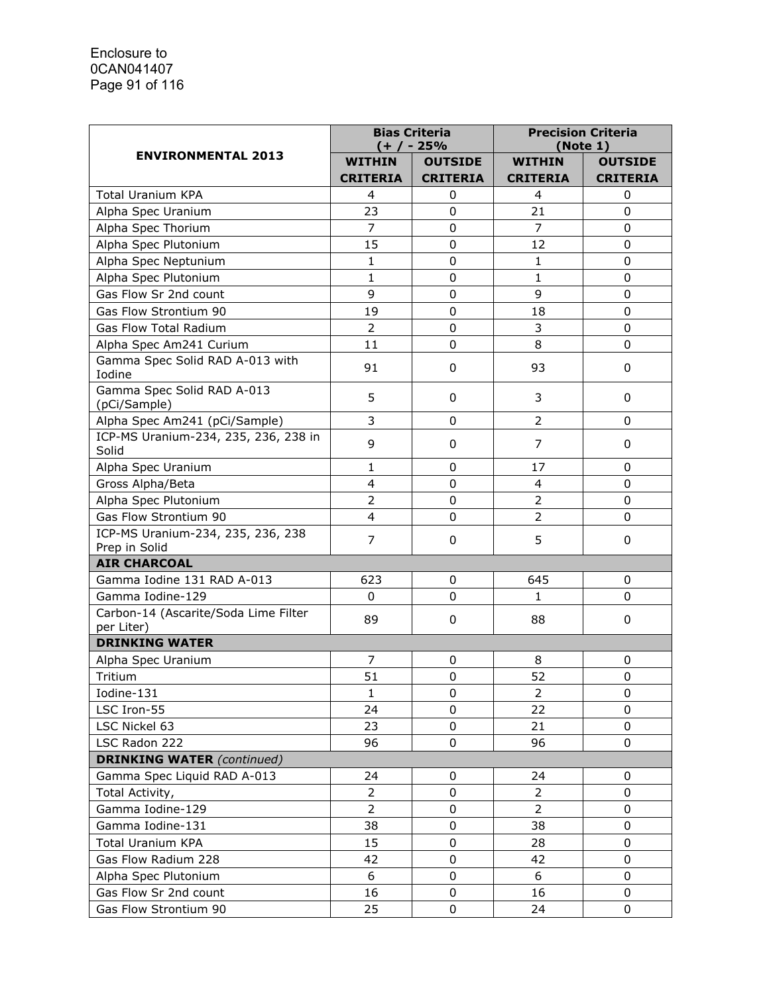|                                                    | <b>Bias Criteria</b><br>(+/-25% |                 | <b>Precision Criteria</b><br>(Note 1) |                 |
|----------------------------------------------------|---------------------------------|-----------------|---------------------------------------|-----------------|
| <b>ENVIRONMENTAL 2013</b>                          | <b>WITHIN</b>                   | <b>OUTSIDE</b>  | <b>WITHIN</b>                         | <b>OUTSIDE</b>  |
|                                                    | <b>CRITERIA</b>                 | <b>CRITERIA</b> | <b>CRITERIA</b>                       | <b>CRITERIA</b> |
| <b>Total Uranium KPA</b>                           | 4                               | 0               | 4                                     | 0               |
| Alpha Spec Uranium                                 | 23                              | $\mathbf 0$     | 21                                    | 0               |
| Alpha Spec Thorium                                 | $\overline{7}$                  | 0               | $\overline{7}$                        | 0               |
| Alpha Spec Plutonium                               | 15                              | 0               | 12                                    | $\mathbf 0$     |
| Alpha Spec Neptunium                               | $\mathbf{1}$                    | 0               | 1                                     | 0               |
| Alpha Spec Plutonium                               | 1                               | 0               | 1                                     | 0               |
| Gas Flow Sr 2nd count                              | 9                               | 0               | 9                                     | 0               |
| Gas Flow Strontium 90                              | 19                              | $\mathbf 0$     | 18                                    | $\mathbf 0$     |
| <b>Gas Flow Total Radium</b>                       | $\overline{2}$                  | $\mathbf 0$     | 3                                     | 0               |
| Alpha Spec Am241 Curium                            | 11                              | 0               | 8                                     | 0               |
| Gamma Spec Solid RAD A-013 with<br>Iodine          | 91                              | 0               | 93                                    | 0               |
| Gamma Spec Solid RAD A-013<br>(pCi/Sample)         | 5                               | 0               | 3                                     | 0               |
| Alpha Spec Am241 (pCi/Sample)                      | 3                               | 0               | 2                                     | 0               |
| ICP-MS Uranium-234, 235, 236, 238 in<br>Solid      | 9                               | 0               | $\overline{7}$                        | 0               |
| Alpha Spec Uranium                                 | 1                               | 0               | 17                                    | $\Omega$        |
| Gross Alpha/Beta                                   | 4                               | 0               | 4                                     | 0               |
| Alpha Spec Plutonium                               | $\overline{2}$                  | $\mathbf 0$     | $\overline{2}$                        | 0               |
| Gas Flow Strontium 90                              | 4                               | 0               | $\overline{2}$                        | 0               |
| ICP-MS Uranium-234, 235, 236, 238                  | 7                               | 0               | 5                                     | 0               |
| Prep in Solid                                      |                                 |                 |                                       |                 |
| <b>AIR CHARCOAL</b>                                |                                 |                 |                                       |                 |
| Gamma Iodine 131 RAD A-013                         | 623                             | 0               | 645                                   | 0               |
| Gamma Iodine-129                                   | 0                               | 0               | 1.                                    | $\Omega$        |
| Carbon-14 (Ascarite/Soda Lime Filter<br>per Liter) | 89                              | 0               | 88                                    | 0               |
| <b>DRINKING WATER</b>                              |                                 |                 |                                       |                 |
| Alpha Spec Uranium                                 | 7                               | 0               | 8                                     | 0               |
| Tritium                                            | 51                              | 0               | 52                                    | 0               |
| Iodine-131                                         | 1                               | 0               | 2                                     | 0               |
| LSC Iron-55                                        | 24                              | 0               | 22                                    | $\mathbf 0$     |
| LSC Nickel 63                                      | 23                              | $\mathbf 0$     | 21                                    | 0               |
| LSC Radon 222                                      | 96                              | 0               | 96                                    | 0               |
| <b>DRINKING WATER (continued)</b>                  |                                 |                 |                                       |                 |
| Gamma Spec Liquid RAD A-013                        | 24                              | 0               | 24                                    | 0               |
| Total Activity,                                    | $\overline{2}$                  | 0               | $\overline{2}$                        | 0               |
| Gamma Iodine-129                                   | $\overline{2}$                  | 0               | $\overline{2}$                        | $\mathbf 0$     |
| Gamma Iodine-131                                   | 38                              | 0               | 38                                    | 0               |
| <b>Total Uranium KPA</b>                           | 15                              | 0               | 28                                    | 0               |
| Gas Flow Radium 228                                | 42                              | 0               | 42                                    | 0               |
| Alpha Spec Plutonium                               | 6                               | $\mathbf 0$     | 6                                     | 0               |
| Gas Flow Sr 2nd count                              | 16                              | 0               | 16                                    | 0               |
| Gas Flow Strontium 90                              | 25                              | 0               | 24                                    | 0               |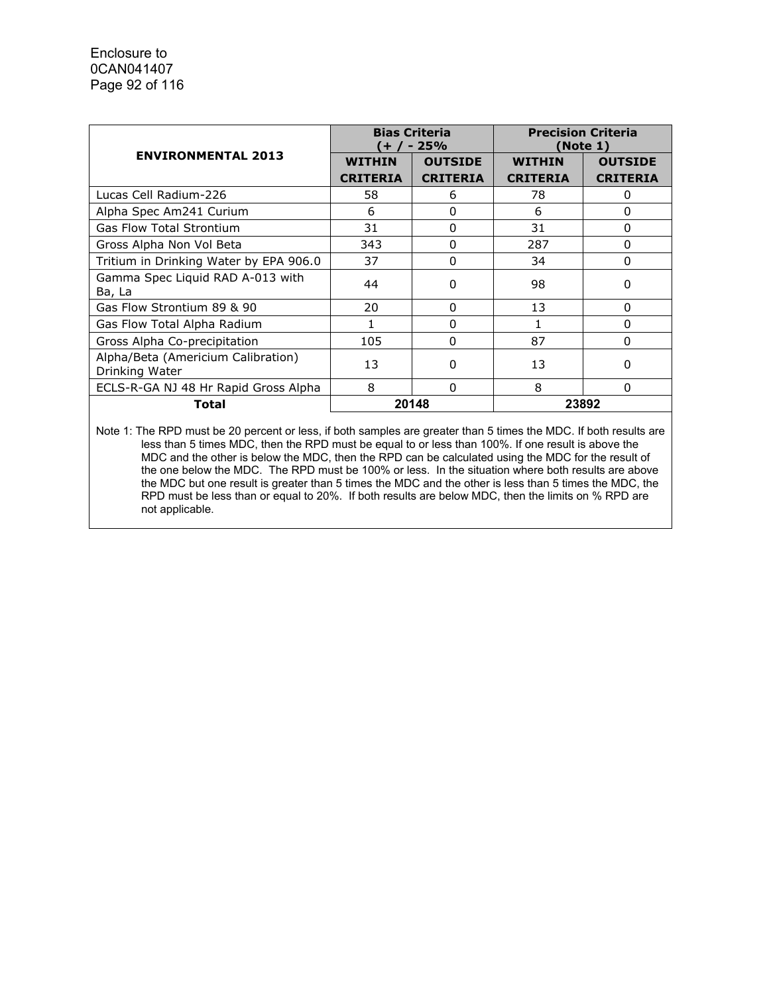|                                                      |                 | <b>Bias Criteria</b><br>$+ / - 25%$ |                 | <b>Precision Criteria</b><br>(Note 1) |  |
|------------------------------------------------------|-----------------|-------------------------------------|-----------------|---------------------------------------|--|
| <b>ENVIRONMENTAL 2013</b>                            | <b>WITHIN</b>   | <b>OUTSIDE</b>                      | <b>WITHIN</b>   | <b>OUTSIDE</b>                        |  |
|                                                      | <b>CRITERIA</b> | <b>CRITERIA</b>                     | <b>CRITERIA</b> | <b>CRITERIA</b>                       |  |
| Lucas Cell Radium-226                                | 58              | 6                                   | 78              | 0                                     |  |
| Alpha Spec Am241 Curium                              | 6               | $\Omega$                            | 6               | 0                                     |  |
| <b>Gas Flow Total Strontium</b>                      | 31              | $\Omega$                            | 31              | 0                                     |  |
| Gross Alpha Non Vol Beta                             | 343             | 0                                   | 287             | 0                                     |  |
| Tritium in Drinking Water by EPA 906.0               | 37              | 0                                   | 34              | 0                                     |  |
| Gamma Spec Liquid RAD A-013 with<br>Ba, La           | 44              | 0                                   | 98              | 0                                     |  |
| Gas Flow Strontium 89 & 90                           | 20              | $\Omega$                            | 13              | 0                                     |  |
| Gas Flow Total Alpha Radium                          |                 | 0                                   |                 | n                                     |  |
| Gross Alpha Co-precipitation                         | 105             | 0                                   | 87              | 0                                     |  |
| Alpha/Beta (Americium Calibration)<br>Drinking Water | 13              | O                                   | 13              | ŋ                                     |  |
| ECLS-R-GA NJ 48 Hr Rapid Gross Alpha                 | 8               | $\Omega$                            | 8               | O                                     |  |
| Total                                                |                 | 20148                               |                 | 23892                                 |  |

Note 1: The RPD must be 20 percent or less, if both samples are greater than 5 times the MDC. If both results are less than 5 times MDC, then the RPD must be equal to or less than 100%. If one result is above the MDC and the other is below the MDC, then the RPD can be calculated using the MDC for the result of the one below the MDC. The RPD must be 100% or less. In the situation where both results are above the MDC but one result is greater than 5 times the MDC and the other is less than 5 times the MDC, the RPD must be less than or equal to 20%. If both results are below MDC, then the limits on % RPD are not applicable.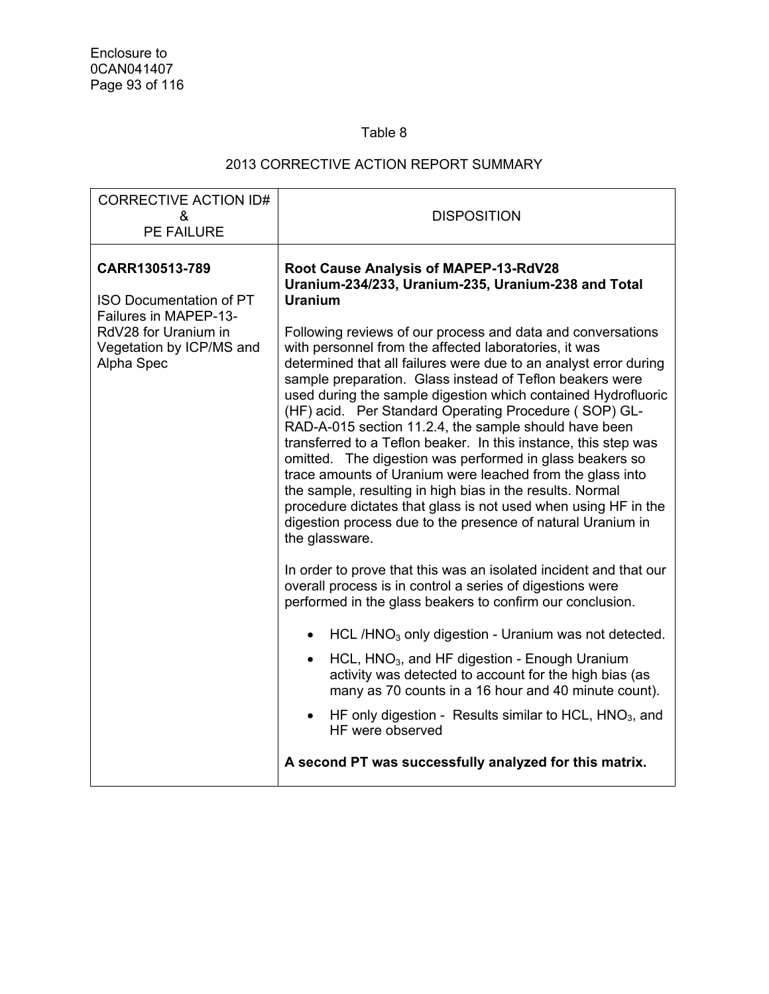## Table 8

## 2013 CORRECTIVE ACTION REPORT SUMMARY

| <b>CORRECTIVE ACTION ID#</b><br>&                                                                                                                  | <b>DISPOSITION</b>                                                                                                                                                                                                                                                                                                                                                                                                                                                                                                                                                                                                                                                                                                                                                                                                                                                                                                                                                                                                                                                                                                                                                                                                                                                                                                                                                                                                                                                                                                                                                                                |
|----------------------------------------------------------------------------------------------------------------------------------------------------|---------------------------------------------------------------------------------------------------------------------------------------------------------------------------------------------------------------------------------------------------------------------------------------------------------------------------------------------------------------------------------------------------------------------------------------------------------------------------------------------------------------------------------------------------------------------------------------------------------------------------------------------------------------------------------------------------------------------------------------------------------------------------------------------------------------------------------------------------------------------------------------------------------------------------------------------------------------------------------------------------------------------------------------------------------------------------------------------------------------------------------------------------------------------------------------------------------------------------------------------------------------------------------------------------------------------------------------------------------------------------------------------------------------------------------------------------------------------------------------------------------------------------------------------------------------------------------------------------|
| <b>PE FAILURE</b>                                                                                                                                  |                                                                                                                                                                                                                                                                                                                                                                                                                                                                                                                                                                                                                                                                                                                                                                                                                                                                                                                                                                                                                                                                                                                                                                                                                                                                                                                                                                                                                                                                                                                                                                                                   |
| CARR130513-789<br><b>ISO Documentation of PT</b><br><b>Failures in MAPEP-13-</b><br>RdV28 for Uranium in<br>Vegetation by ICP/MS and<br>Alpha Spec | <b>Root Cause Analysis of MAPEP-13-RdV28</b><br>Uranium-234/233, Uranium-235, Uranium-238 and Total<br><b>Uranium</b><br>Following reviews of our process and data and conversations<br>with personnel from the affected laboratories, it was<br>determined that all failures were due to an analyst error during<br>sample preparation. Glass instead of Teflon beakers were<br>used during the sample digestion which contained Hydrofluoric<br>(HF) acid. Per Standard Operating Procedure (SOP) GL-<br>RAD-A-015 section 11.2.4, the sample should have been<br>transferred to a Teflon beaker. In this instance, this step was<br>omitted. The digestion was performed in glass beakers so<br>trace amounts of Uranium were leached from the glass into<br>the sample, resulting in high bias in the results. Normal<br>procedure dictates that glass is not used when using HF in the<br>digestion process due to the presence of natural Uranium in<br>the glassware.<br>In order to prove that this was an isolated incident and that our<br>overall process is in control a series of digestions were<br>performed in the glass beakers to confirm our conclusion.<br>HCL/HNO <sub>3</sub> only digestion - Uranium was not detected.<br>$\bullet$<br>HCL, HNO <sub>3</sub> , and HF digestion - Enough Uranium<br>$\bullet$<br>activity was detected to account for the high bias (as<br>many as 70 counts in a 16 hour and 40 minute count).<br>HF only digestion - Results similar to HCL, $HNO3$ , and<br>HF were observed<br>A second PT was successfully analyzed for this matrix. |
|                                                                                                                                                    |                                                                                                                                                                                                                                                                                                                                                                                                                                                                                                                                                                                                                                                                                                                                                                                                                                                                                                                                                                                                                                                                                                                                                                                                                                                                                                                                                                                                                                                                                                                                                                                                   |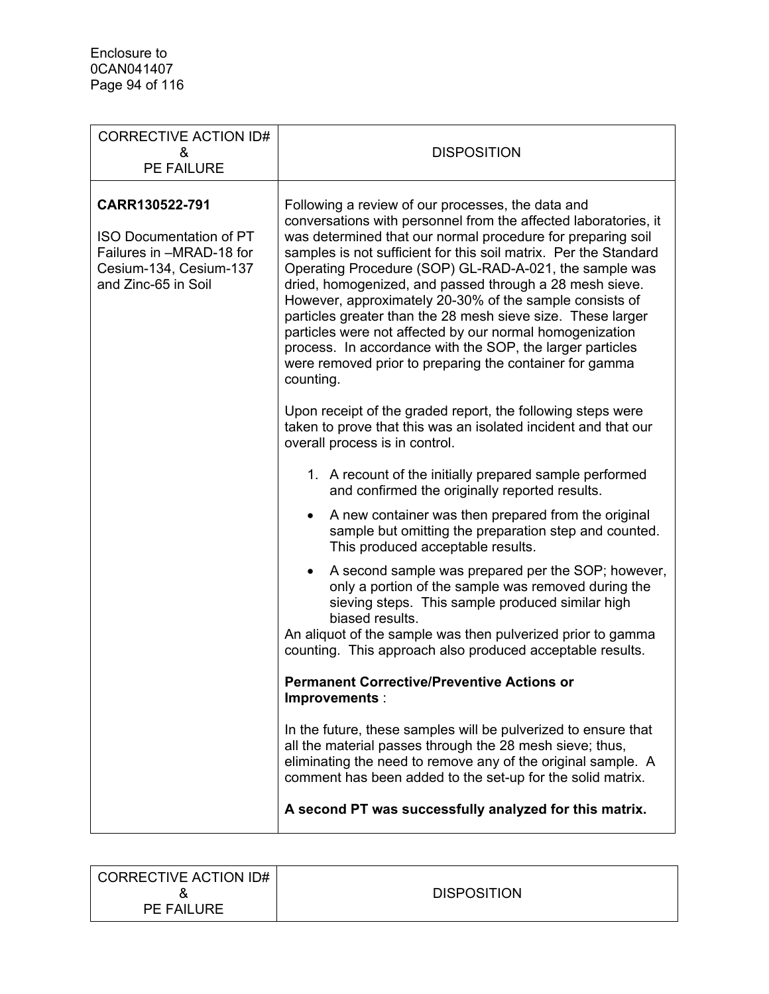| <b>CORRECTIVE ACTION ID#</b><br>&<br>PE FAILURE                                                                               | <b>DISPOSITION</b>                                                                                                                                                                                                                                                                                                                                                                                                                                                                                                                                                                                                                                                                                                                                                                                                                                                                                                                                                                                                         |
|-------------------------------------------------------------------------------------------------------------------------------|----------------------------------------------------------------------------------------------------------------------------------------------------------------------------------------------------------------------------------------------------------------------------------------------------------------------------------------------------------------------------------------------------------------------------------------------------------------------------------------------------------------------------------------------------------------------------------------------------------------------------------------------------------------------------------------------------------------------------------------------------------------------------------------------------------------------------------------------------------------------------------------------------------------------------------------------------------------------------------------------------------------------------|
| CARR130522-791<br><b>ISO Documentation of PT</b><br>Failures in -MRAD-18 for<br>Cesium-134, Cesium-137<br>and Zinc-65 in Soil | Following a review of our processes, the data and<br>conversations with personnel from the affected laboratories, it<br>was determined that our normal procedure for preparing soil<br>samples is not sufficient for this soil matrix. Per the Standard<br>Operating Procedure (SOP) GL-RAD-A-021, the sample was<br>dried, homogenized, and passed through a 28 mesh sieve.<br>However, approximately 20-30% of the sample consists of<br>particles greater than the 28 mesh sieve size. These larger<br>particles were not affected by our normal homogenization<br>process. In accordance with the SOP, the larger particles<br>were removed prior to preparing the container for gamma<br>counting.<br>Upon receipt of the graded report, the following steps were<br>taken to prove that this was an isolated incident and that our                                                                                                                                                                                   |
|                                                                                                                               | overall process is in control.<br>1. A recount of the initially prepared sample performed<br>and confirmed the originally reported results.<br>A new container was then prepared from the original<br>$\bullet$<br>sample but omitting the preparation step and counted.<br>This produced acceptable results.<br>A second sample was prepared per the SOP; however,<br>only a portion of the sample was removed during the<br>sieving steps. This sample produced similar high<br>biased results.<br>An aliquot of the sample was then pulverized prior to gamma<br>counting. This approach also produced acceptable results.<br><b>Permanent Corrective/Preventive Actions or</b><br>Improvements :<br>In the future, these samples will be pulverized to ensure that<br>all the material passes through the 28 mesh sieve; thus,<br>eliminating the need to remove any of the original sample. A<br>comment has been added to the set-up for the solid matrix.<br>A second PT was successfully analyzed for this matrix. |

| <b>CORRECTIVE ACTION ID#</b> |                    |
|------------------------------|--------------------|
|                              | <b>DISPOSITION</b> |
| <b>PE FAILURE</b>            |                    |
|                              |                    |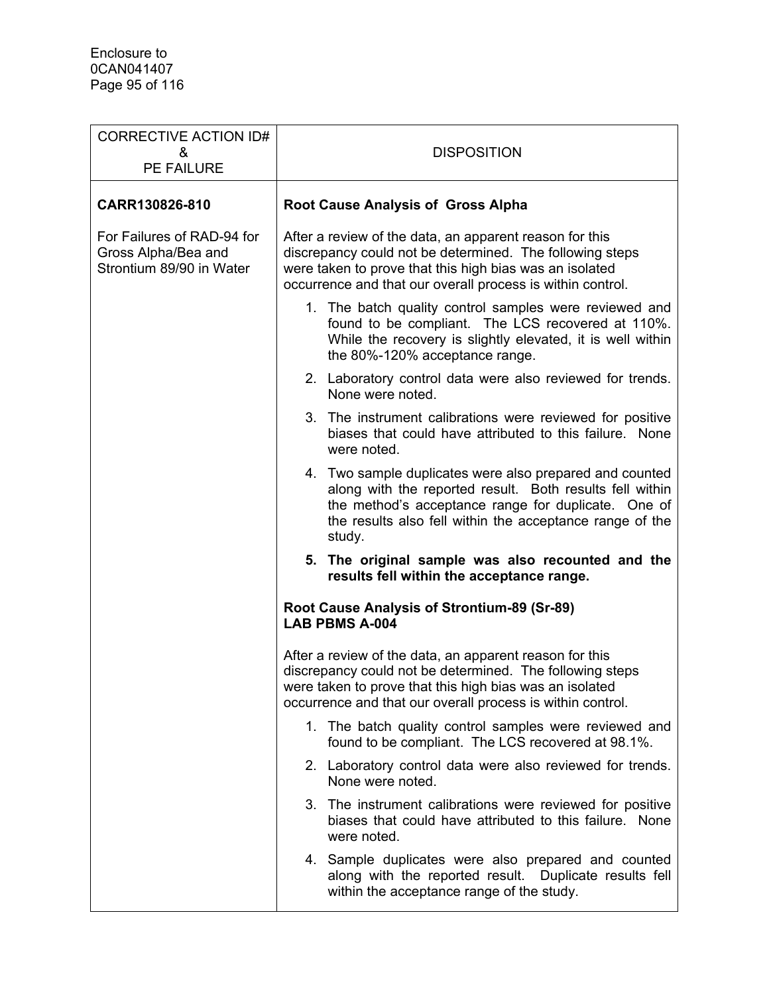| <b>CORRECTIVE ACTION ID#</b><br>&<br>PE FAILURE                               | <b>DISPOSITION</b>                                                                                                                                                                                                                               |
|-------------------------------------------------------------------------------|--------------------------------------------------------------------------------------------------------------------------------------------------------------------------------------------------------------------------------------------------|
| CARR130826-810                                                                | <b>Root Cause Analysis of Gross Alpha</b>                                                                                                                                                                                                        |
| For Failures of RAD-94 for<br>Gross Alpha/Bea and<br>Strontium 89/90 in Water | After a review of the data, an apparent reason for this<br>discrepancy could not be determined. The following steps<br>were taken to prove that this high bias was an isolated<br>occurrence and that our overall process is within control.     |
|                                                                               | 1. The batch quality control samples were reviewed and<br>found to be compliant. The LCS recovered at 110%.<br>While the recovery is slightly elevated, it is well within<br>the 80%-120% acceptance range.                                      |
|                                                                               | 2. Laboratory control data were also reviewed for trends.<br>None were noted.                                                                                                                                                                    |
|                                                                               | 3. The instrument calibrations were reviewed for positive<br>biases that could have attributed to this failure. None<br>were noted.                                                                                                              |
|                                                                               | 4. Two sample duplicates were also prepared and counted<br>along with the reported result. Both results fell within<br>the method's acceptance range for duplicate. One of<br>the results also fell within the acceptance range of the<br>study. |
|                                                                               | 5. The original sample was also recounted and the<br>results fell within the acceptance range.                                                                                                                                                   |
|                                                                               | Root Cause Analysis of Strontium-89 (Sr-89)<br><b>LAB PBMS A-004</b>                                                                                                                                                                             |
|                                                                               | After a review of the data, an apparent reason for this<br>discrepancy could not be determined. The following steps<br>were taken to prove that this high bias was an isolated<br>occurrence and that our overall process is within control.     |
|                                                                               | 1. The batch quality control samples were reviewed and<br>found to be compliant. The LCS recovered at 98.1%.                                                                                                                                     |
|                                                                               | 2. Laboratory control data were also reviewed for trends.<br>None were noted.                                                                                                                                                                    |
|                                                                               | 3. The instrument calibrations were reviewed for positive<br>biases that could have attributed to this failure. None<br>were noted.                                                                                                              |
|                                                                               | 4. Sample duplicates were also prepared and counted<br>along with the reported result. Duplicate results fell<br>within the acceptance range of the study.                                                                                       |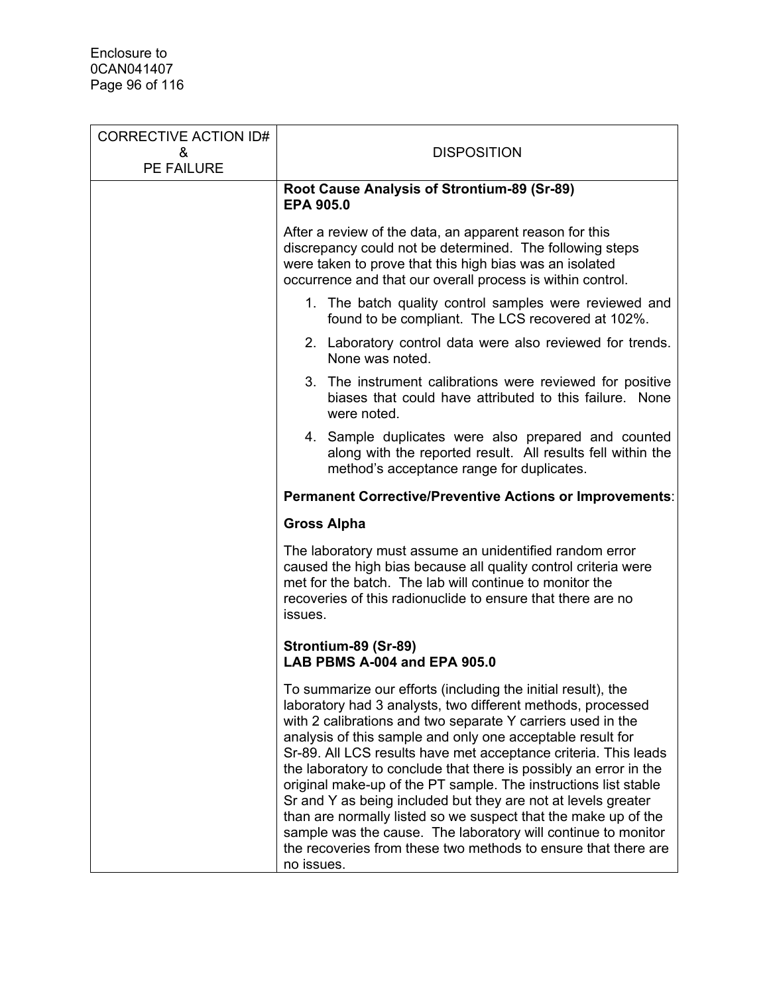| <b>CORRECTIVE ACTION ID#</b> |                                                                                                                                                                                                                                                                                                                                                                                                                                                                                                                                                                                                                                                                                                                                                         |
|------------------------------|---------------------------------------------------------------------------------------------------------------------------------------------------------------------------------------------------------------------------------------------------------------------------------------------------------------------------------------------------------------------------------------------------------------------------------------------------------------------------------------------------------------------------------------------------------------------------------------------------------------------------------------------------------------------------------------------------------------------------------------------------------|
| &<br>PE FAILURE              | <b>DISPOSITION</b>                                                                                                                                                                                                                                                                                                                                                                                                                                                                                                                                                                                                                                                                                                                                      |
|                              | Root Cause Analysis of Strontium-89 (Sr-89)<br><b>EPA 905.0</b>                                                                                                                                                                                                                                                                                                                                                                                                                                                                                                                                                                                                                                                                                         |
|                              | After a review of the data, an apparent reason for this<br>discrepancy could not be determined. The following steps<br>were taken to prove that this high bias was an isolated<br>occurrence and that our overall process is within control.                                                                                                                                                                                                                                                                                                                                                                                                                                                                                                            |
|                              | 1. The batch quality control samples were reviewed and<br>found to be compliant. The LCS recovered at 102%.                                                                                                                                                                                                                                                                                                                                                                                                                                                                                                                                                                                                                                             |
|                              | 2. Laboratory control data were also reviewed for trends.<br>None was noted.                                                                                                                                                                                                                                                                                                                                                                                                                                                                                                                                                                                                                                                                            |
|                              | 3. The instrument calibrations were reviewed for positive<br>biases that could have attributed to this failure. None<br>were noted.                                                                                                                                                                                                                                                                                                                                                                                                                                                                                                                                                                                                                     |
|                              | 4. Sample duplicates were also prepared and counted<br>along with the reported result. All results fell within the<br>method's acceptance range for duplicates.                                                                                                                                                                                                                                                                                                                                                                                                                                                                                                                                                                                         |
|                              | <b>Permanent Corrective/Preventive Actions or Improvements:</b>                                                                                                                                                                                                                                                                                                                                                                                                                                                                                                                                                                                                                                                                                         |
|                              | <b>Gross Alpha</b>                                                                                                                                                                                                                                                                                                                                                                                                                                                                                                                                                                                                                                                                                                                                      |
|                              | The laboratory must assume an unidentified random error<br>caused the high bias because all quality control criteria were<br>met for the batch. The lab will continue to monitor the<br>recoveries of this radionuclide to ensure that there are no<br>issues.                                                                                                                                                                                                                                                                                                                                                                                                                                                                                          |
|                              | Strontium-89 (Sr-89)<br>LAB PBMS A-004 and EPA 905.0                                                                                                                                                                                                                                                                                                                                                                                                                                                                                                                                                                                                                                                                                                    |
|                              | To summarize our efforts (including the initial result), the<br>laboratory had 3 analysts, two different methods, processed<br>with 2 calibrations and two separate Y carriers used in the<br>analysis of this sample and only one acceptable result for<br>Sr-89. All LCS results have met acceptance criteria. This leads<br>the laboratory to conclude that there is possibly an error in the<br>original make-up of the PT sample. The instructions list stable<br>Sr and Y as being included but they are not at levels greater<br>than are normally listed so we suspect that the make up of the<br>sample was the cause. The laboratory will continue to monitor<br>the recoveries from these two methods to ensure that there are<br>no issues. |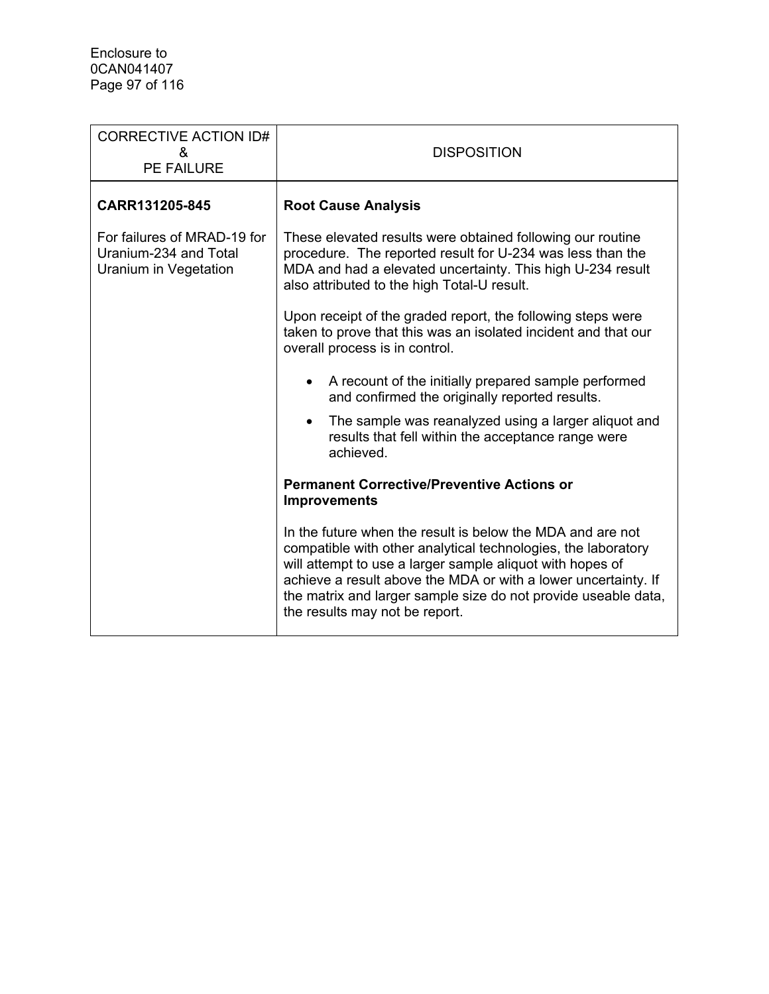| <b>CORRECTIVE ACTION ID#</b><br>&<br><b>PE FAILURE</b>                        | <b>DISPOSITION</b>                                                                                                                                                                                                                                                                                                                                             |  |  |
|-------------------------------------------------------------------------------|----------------------------------------------------------------------------------------------------------------------------------------------------------------------------------------------------------------------------------------------------------------------------------------------------------------------------------------------------------------|--|--|
| CARR131205-845                                                                | <b>Root Cause Analysis</b>                                                                                                                                                                                                                                                                                                                                     |  |  |
| For failures of MRAD-19 for<br>Uranium-234 and Total<br>Uranium in Vegetation | These elevated results were obtained following our routine<br>procedure. The reported result for U-234 was less than the<br>MDA and had a elevated uncertainty. This high U-234 result<br>also attributed to the high Total-U result.                                                                                                                          |  |  |
|                                                                               | Upon receipt of the graded report, the following steps were<br>taken to prove that this was an isolated incident and that our<br>overall process is in control.                                                                                                                                                                                                |  |  |
|                                                                               | A recount of the initially prepared sample performed<br>and confirmed the originally reported results.                                                                                                                                                                                                                                                         |  |  |
|                                                                               | The sample was reanalyzed using a larger aliquot and<br>$\bullet$<br>results that fell within the acceptance range were<br>achieved.                                                                                                                                                                                                                           |  |  |
|                                                                               | <b>Permanent Corrective/Preventive Actions or</b><br><b>Improvements</b>                                                                                                                                                                                                                                                                                       |  |  |
|                                                                               | In the future when the result is below the MDA and are not<br>compatible with other analytical technologies, the laboratory<br>will attempt to use a larger sample aliquot with hopes of<br>achieve a result above the MDA or with a lower uncertainty. If<br>the matrix and larger sample size do not provide useable data,<br>the results may not be report. |  |  |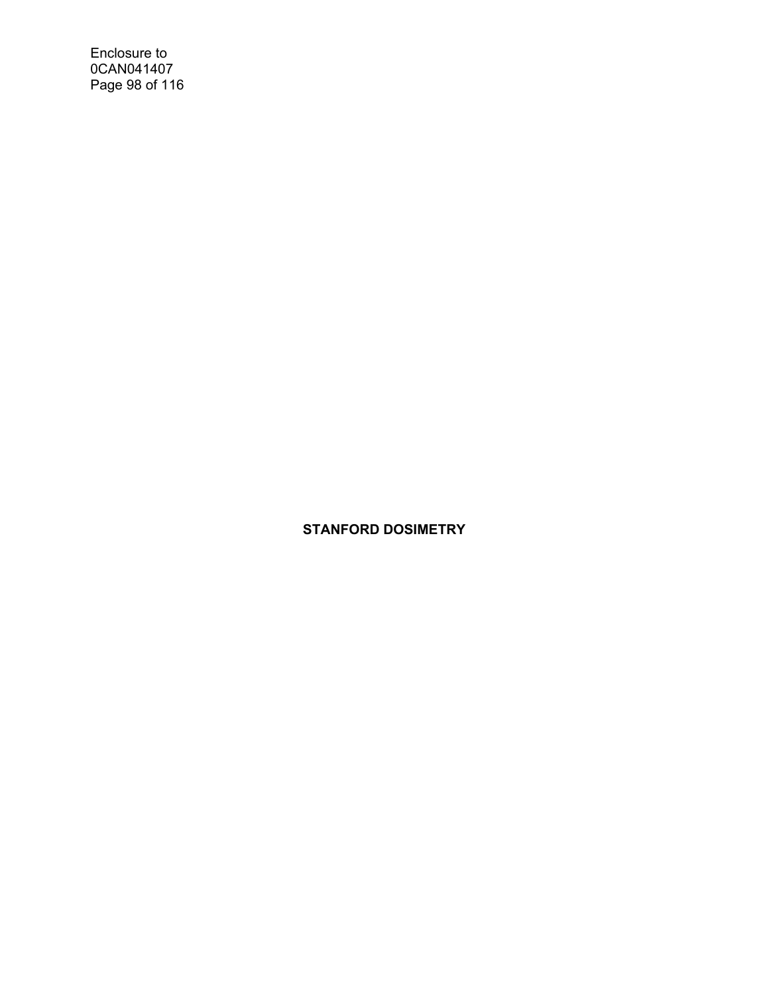Enclosure to 0CAN041407 Page 98 of 116

**STANFORD DOSIMETRY**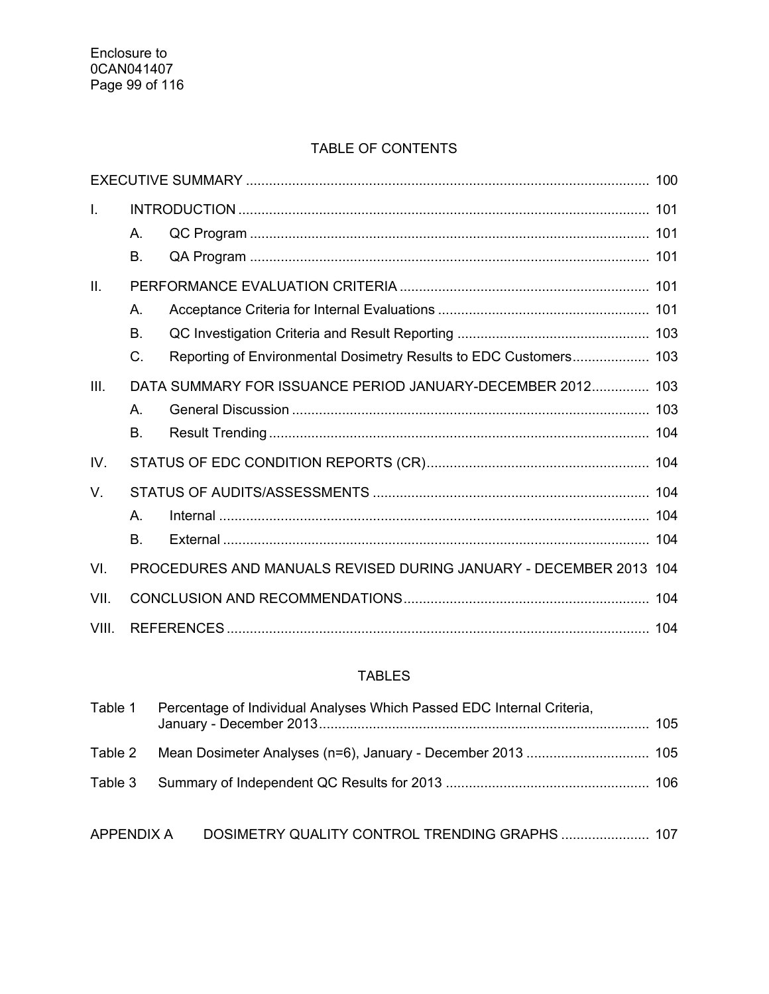# TABLE OF CONTENTS

| I.    | Α. |                                                                   |     |
|-------|----|-------------------------------------------------------------------|-----|
|       | Β. |                                                                   |     |
| II.   |    |                                                                   |     |
|       | А. |                                                                   |     |
|       | Β. |                                                                   |     |
|       | C. | Reporting of Environmental Dosimetry Results to EDC Customers 103 |     |
| III.  |    | DATA SUMMARY FOR ISSUANCE PERIOD JANUARY-DECEMBER 2012 103        |     |
|       | А. |                                                                   |     |
|       | Β. |                                                                   |     |
| IV.   |    |                                                                   |     |
| V.    |    |                                                                   |     |
|       | А. |                                                                   |     |
|       | Β. |                                                                   |     |
| VI.   |    | PROCEDURES AND MANUALS REVISED DURING JANUARY - DECEMBER 2013 104 |     |
| VII.  |    |                                                                   | 104 |
| VIII. |    |                                                                   |     |

## TABLES

| Table 1 | Percentage of Individual Analyses Which Passed EDC Internal Criteria, |  |
|---------|-----------------------------------------------------------------------|--|
|         |                                                                       |  |
|         |                                                                       |  |
|         |                                                                       |  |

APPENDIX A DOSIMETRY QUALITY CONTROL TRENDING GRAPHS ....................... 107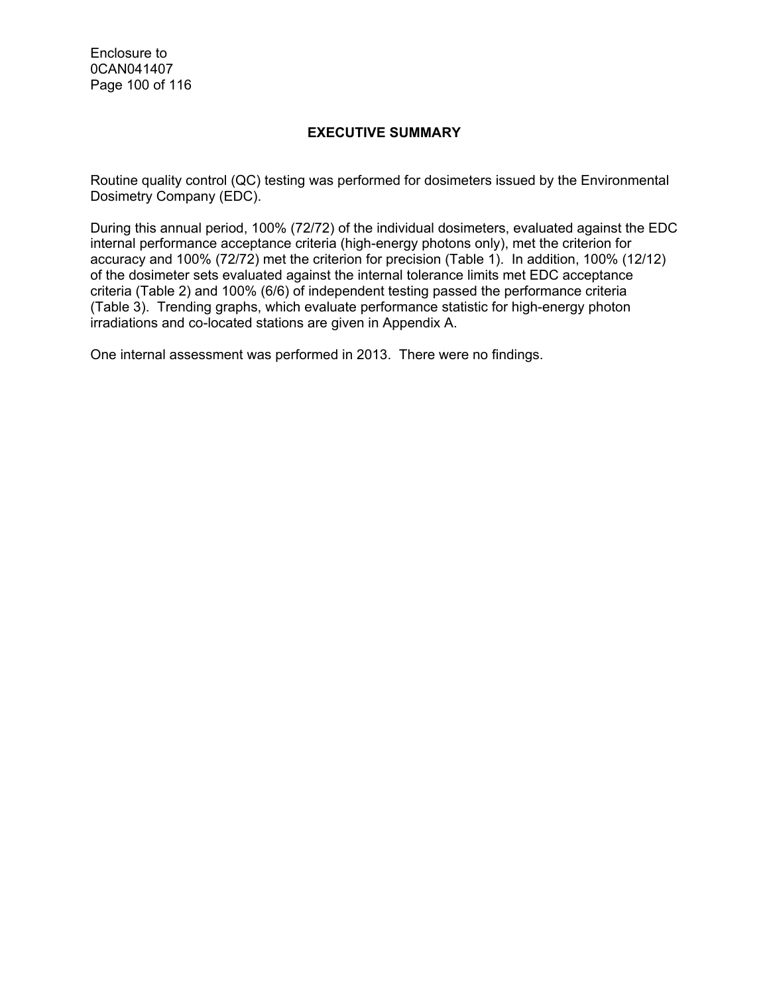Enclosure to 0CAN041407 Page 100 of 116

### **EXECUTIVE SUMMARY**

Routine quality control (QC) testing was performed for dosimeters issued by the Environmental Dosimetry Company (EDC).

During this annual period, 100% (72/72) of the individual dosimeters, evaluated against the EDC internal performance acceptance criteria (high-energy photons only), met the criterion for accuracy and 100% (72/72) met the criterion for precision (Table 1). In addition, 100% (12/12) of the dosimeter sets evaluated against the internal tolerance limits met EDC acceptance criteria (Table 2) and 100% (6/6) of independent testing passed the performance criteria (Table 3). Trending graphs, which evaluate performance statistic for high-energy photon irradiations and co-located stations are given in Appendix A.

One internal assessment was performed in 2013. There were no findings.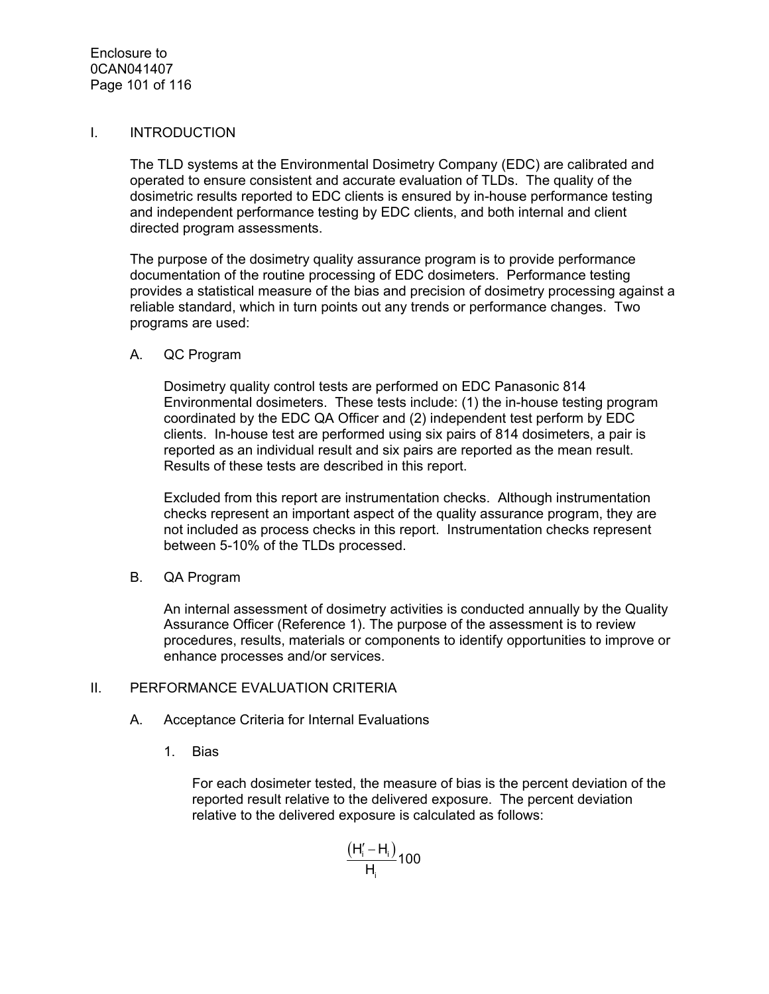#### I. INTRODUCTION

The TLD systems at the Environmental Dosimetry Company (EDC) are calibrated and operated to ensure consistent and accurate evaluation of TLDs. The quality of the dosimetric results reported to EDC clients is ensured by in-house performance testing and independent performance testing by EDC clients, and both internal and client directed program assessments.

The purpose of the dosimetry quality assurance program is to provide performance documentation of the routine processing of EDC dosimeters. Performance testing provides a statistical measure of the bias and precision of dosimetry processing against a reliable standard, which in turn points out any trends or performance changes. Two programs are used:

#### A. QC Program

Dosimetry quality control tests are performed on EDC Panasonic 814 Environmental dosimeters. These tests include: (1) the in-house testing program coordinated by the EDC QA Officer and (2) independent test perform by EDC clients. In-house test are performed using six pairs of 814 dosimeters, a pair is reported as an individual result and six pairs are reported as the mean result. Results of these tests are described in this report.

Excluded from this report are instrumentation checks. Although instrumentation checks represent an important aspect of the quality assurance program, they are not included as process checks in this report. Instrumentation checks represent between 5-10% of the TLDs processed.

B. QA Program

An internal assessment of dosimetry activities is conducted annually by the Quality Assurance Officer (Reference 1). The purpose of the assessment is to review procedures, results, materials or components to identify opportunities to improve or enhance processes and/or services.

#### II. PERFORMANCE EVALUATION CRITERIA

- A. Acceptance Criteria for Internal Evaluations
	- 1. Bias

For each dosimeter tested, the measure of bias is the percent deviation of the reported result relative to the delivered exposure. The percent deviation relative to the delivered exposure is calculated as follows:

$$
\frac{\left(H_i^{\prime}-H_i\right)}{H_i}100
$$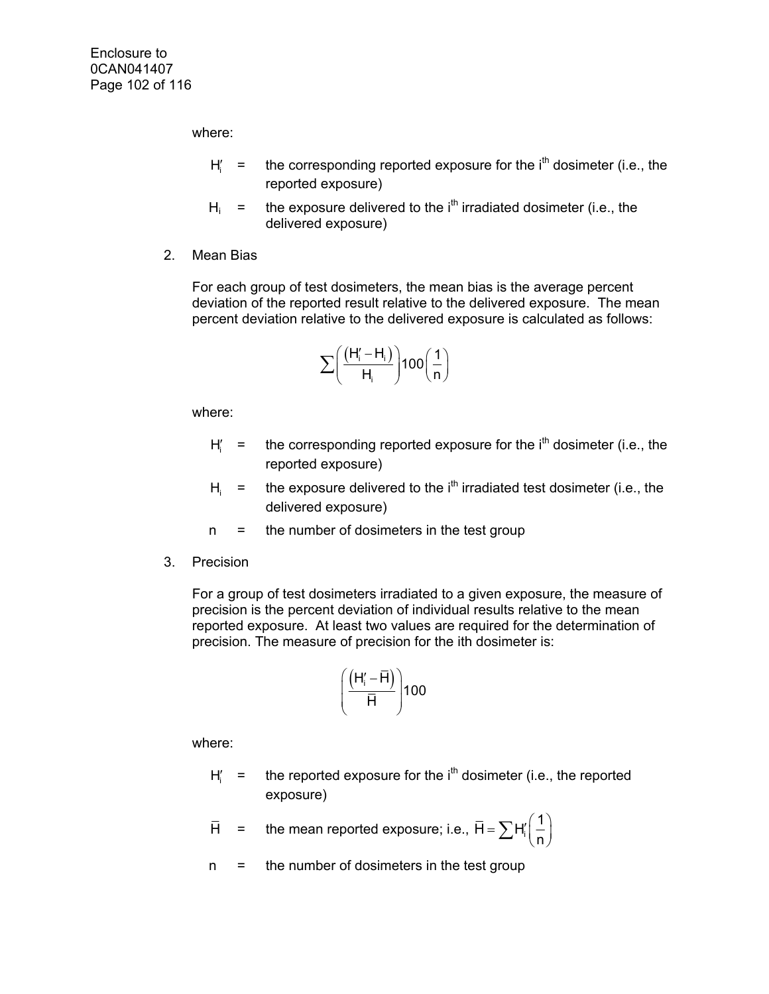where:

- $H' =$  the corresponding reported exposure for the  $i<sup>th</sup>$  dosimeter (i.e., the reported exposure)
- $H_i$  = the exposure delivered to the i<sup>th</sup> irradiated dosimeter (i.e., the delivered exposure)
- 2. Mean Bias

For each group of test dosimeters, the mean bias is the average percent deviation of the reported result relative to the delivered exposure. The mean percent deviation relative to the delivered exposure is calculated as follows:

$$
\sum \!\!\left(\frac{\left(H_{i}^{\prime}-H_{i}\right)}{H_{i}}\!\right)\!100\!\left(\frac{1}{n}\right)
$$

where:

- $H_i' =$  the corresponding reported exposure for the i<sup>th</sup> dosimeter (i.e., the reported exposure)
- $H_i$  = the exposure delivered to the i<sup>th</sup> irradiated test dosimeter (i.e., the delivered exposure)
- n = the number of dosimeters in the test group
- 3. Precision

For a group of test dosimeters irradiated to a given exposure, the measure of precision is the percent deviation of individual results relative to the mean reported exposure. At least two values are required for the determination of precision. The measure of precision for the ith dosimeter is:

$$
\left(\frac{\left(H_i^{\prime}-\overline{H}\right)}{\overline{H}}\right)100
$$

where:

 $H_i' =$  the reported exposure for the i<sup>th</sup> dosimeter (i.e., the reported exposure)

$$
\overline{H}
$$
 = the mean reported exposure; i.e.,  $\overline{H} = \sum H'_i \left(\frac{1}{n}\right)$ 

n = the number of dosimeters in the test group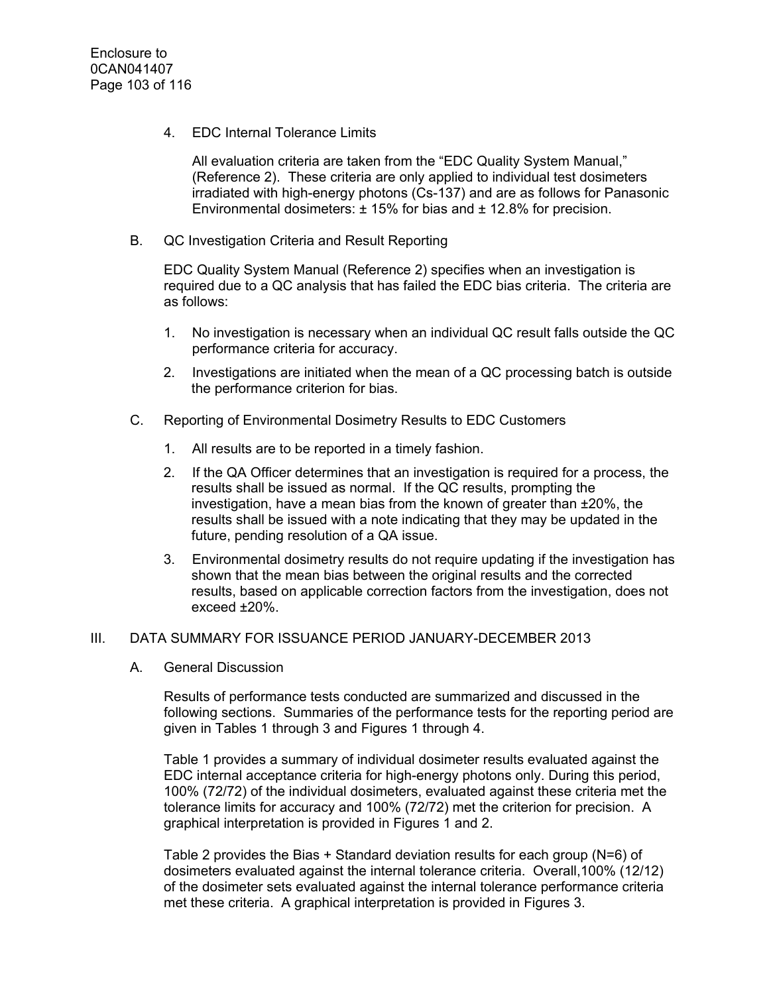4. EDC Internal Tolerance Limits

All evaluation criteria are taken from the "EDC Quality System Manual," (Reference 2). These criteria are only applied to individual test dosimeters irradiated with high-energy photons (Cs-137) and are as follows for Panasonic Environmental dosimeters:  $\pm$  15% for bias and  $\pm$  12.8% for precision.

B. QC Investigation Criteria and Result Reporting

EDC Quality System Manual (Reference 2) specifies when an investigation is required due to a QC analysis that has failed the EDC bias criteria. The criteria are as follows:

- 1. No investigation is necessary when an individual QC result falls outside the QC performance criteria for accuracy.
- 2. Investigations are initiated when the mean of a QC processing batch is outside the performance criterion for bias.
- C. Reporting of Environmental Dosimetry Results to EDC Customers
	- 1. All results are to be reported in a timely fashion.
	- 2. If the QA Officer determines that an investigation is required for a process, the results shall be issued as normal. If the QC results, prompting the investigation, have a mean bias from the known of greater than ±20%, the results shall be issued with a note indicating that they may be updated in the future, pending resolution of a QA issue.
	- 3. Environmental dosimetry results do not require updating if the investigation has shown that the mean bias between the original results and the corrected results, based on applicable correction factors from the investigation, does not exceed ±20%.

#### III. DATA SUMMARY FOR ISSUANCE PERIOD JANUARY-DECEMBER 2013

A. General Discussion

Results of performance tests conducted are summarized and discussed in the following sections. Summaries of the performance tests for the reporting period are given in Tables 1 through 3 and Figures 1 through 4.

Table 1 provides a summary of individual dosimeter results evaluated against the EDC internal acceptance criteria for high-energy photons only. During this period, 100% (72/72) of the individual dosimeters, evaluated against these criteria met the tolerance limits for accuracy and 100% (72/72) met the criterion for precision. A graphical interpretation is provided in Figures 1 and 2.

Table 2 provides the Bias + Standard deviation results for each group (N=6) of dosimeters evaluated against the internal tolerance criteria. Overall,100% (12/12) of the dosimeter sets evaluated against the internal tolerance performance criteria met these criteria. A graphical interpretation is provided in Figures 3.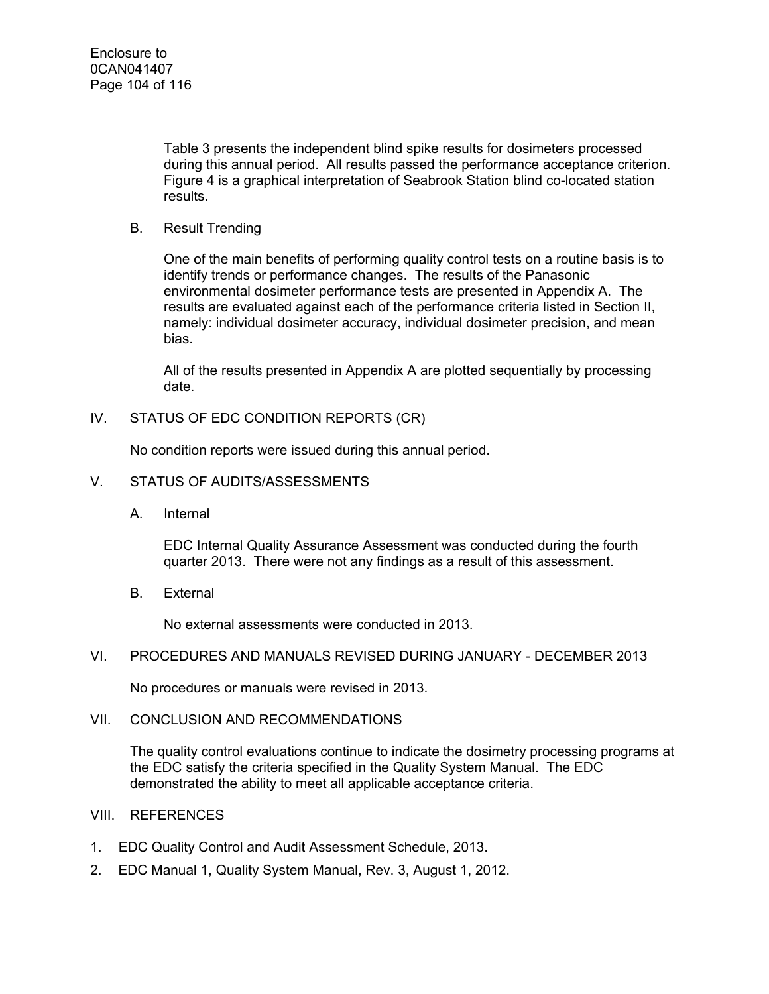Table 3 presents the independent blind spike results for dosimeters processed during this annual period. All results passed the performance acceptance criterion. Figure 4 is a graphical interpretation of Seabrook Station blind co-located station results.

B. Result Trending

One of the main benefits of performing quality control tests on a routine basis is to identify trends or performance changes. The results of the Panasonic environmental dosimeter performance tests are presented in Appendix A. The results are evaluated against each of the performance criteria listed in Section II, namely: individual dosimeter accuracy, individual dosimeter precision, and mean bias.

All of the results presented in Appendix A are plotted sequentially by processing date.

IV. STATUS OF EDC CONDITION REPORTS (CR)

No condition reports were issued during this annual period.

- V. STATUS OF AUDITS/ASSESSMENTS
	- A. Internal

EDC Internal Quality Assurance Assessment was conducted during the fourth quarter 2013. There were not any findings as a result of this assessment.

B. External

No external assessments were conducted in 2013.

VI. PROCEDURES AND MANUALS REVISED DURING JANUARY - DECEMBER 2013

No procedures or manuals were revised in 2013.

#### VII. CONCLUSION AND RECOMMENDATIONS

The quality control evaluations continue to indicate the dosimetry processing programs at the EDC satisfy the criteria specified in the Quality System Manual. The EDC demonstrated the ability to meet all applicable acceptance criteria.

- VIII. REFERENCES
- 1. EDC Quality Control and Audit Assessment Schedule, 2013.
- 2. EDC Manual 1, Quality System Manual, Rev. 3, August 1, 2012.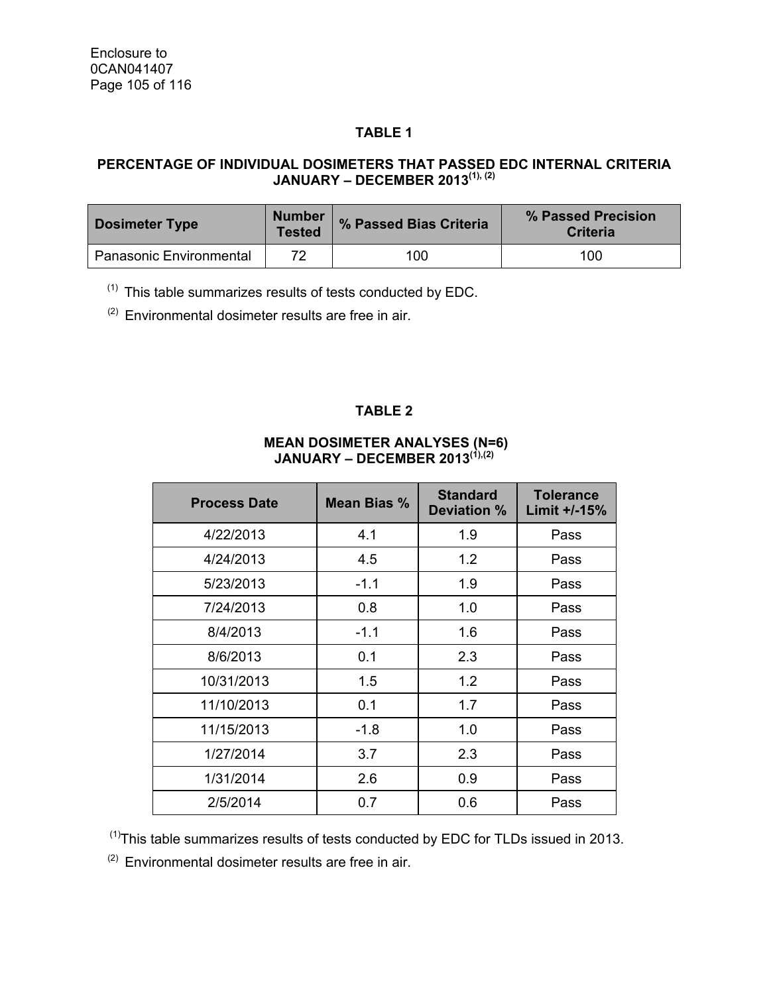## **TABLE 1**

## **PERCENTAGE OF INDIVIDUAL DOSIMETERS THAT PASSED EDC INTERNAL CRITERIA JANUARY – DECEMBER 2013(1), (2)**

| <b>Dosimeter Type</b>          | <b>Number</b><br><b>Tested</b> | % Passed Bias Criteria | % Passed Precision<br><b>Criteria</b> |
|--------------------------------|--------------------------------|------------------------|---------------------------------------|
| <b>Panasonic Environmental</b> | 72                             | 100                    | 100                                   |

 $(1)$  This table summarizes results of tests conducted by EDC.

 $(2)$  Environmental dosimeter results are free in air.

#### **TABLE 2**

#### **MEAN DOSIMETER ANALYSES (N=6) JANUARY – DECEMBER 2013(1),(2)**

| <b>Process Date</b> | Mean Bias % | <b>Standard</b><br>Deviation % | <b>Tolerance</b><br>Limit +/-15% |
|---------------------|-------------|--------------------------------|----------------------------------|
| 4/22/2013           | 4.1         | 1.9                            | Pass                             |
| 4/24/2013           | 4.5         | 1.2                            | Pass                             |
| 5/23/2013           | $-1.1$      | 1.9                            | Pass                             |
| 7/24/2013           | 0.8         | 1.0                            | Pass                             |
| 8/4/2013            | $-1.1$      | 1.6                            | Pass                             |
| 8/6/2013            | 0.1         | 2.3                            | Pass                             |
| 10/31/2013          | 1.5         | 1.2                            | Pass                             |
| 11/10/2013          | 0.1         | 1.7                            | Pass                             |
| 11/15/2013          | $-1.8$      | 1.0                            | Pass                             |
| 1/27/2014           | 3.7         | 2.3                            | Pass                             |
| 1/31/2014           | 2.6         | 0.9                            | Pass                             |
| 2/5/2014            | 0.7         | 0.6                            | Pass                             |

 $<sup>(1)</sup>$ This table summarizes results of tests conducted by EDC for TLDs issued in 2013.</sup>

 $(2)$  Environmental dosimeter results are free in air.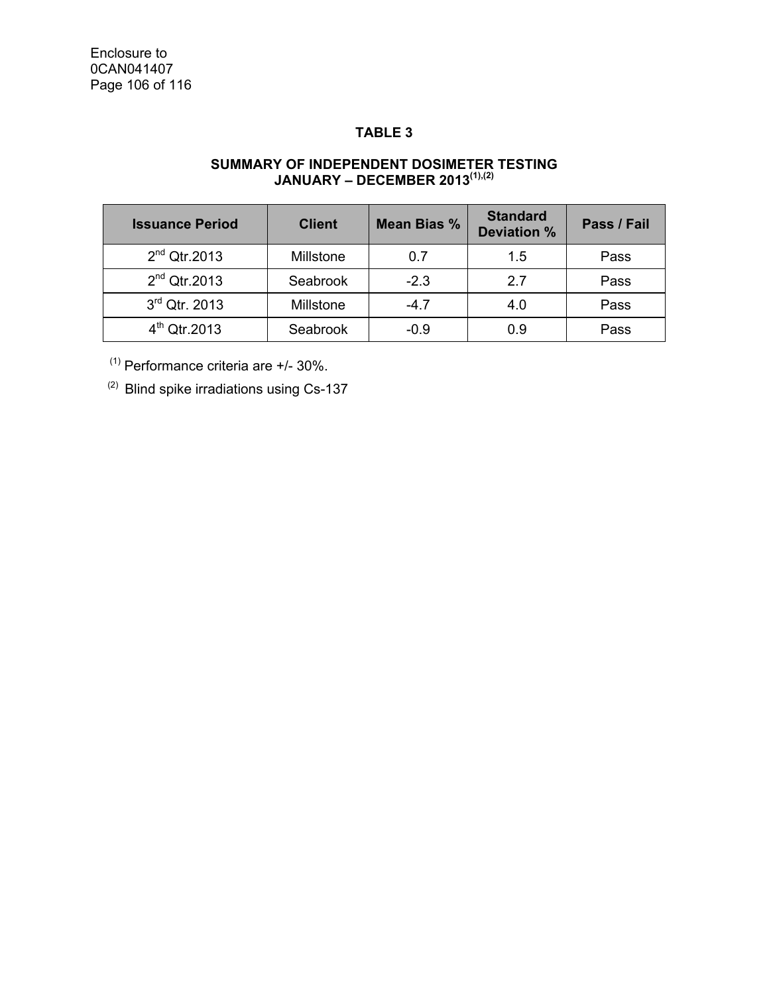## **TABLE 3**

#### **SUMMARY OF INDEPENDENT DOSIMETER TESTING JANUARY – DECEMBER 2013(1),(2)**

| <b>Issuance Period</b> | <b>Client</b> | Mean Bias % | <b>Standard</b><br><b>Deviation %</b> | Pass / Fail |
|------------------------|---------------|-------------|---------------------------------------|-------------|
| $2nd$ Qtr.2013         | Millstone     | 0.7         | 1.5                                   | Pass        |
| $2nd$ Qtr.2013         | Seabrook      | $-2.3$      | 27                                    | Pass        |
| $3rd$ Qtr. 2013        | Millstone     | $-4.7$      | 4.0                                   | Pass        |
| $4^{th}$ Qtr.2013      | Seabrook      | $-0.9$      | 0 ዓ                                   | Pass        |

 $(1)$  Performance criteria are  $+/- 30\%$ .

(2) Blind spike irradiations using Cs-137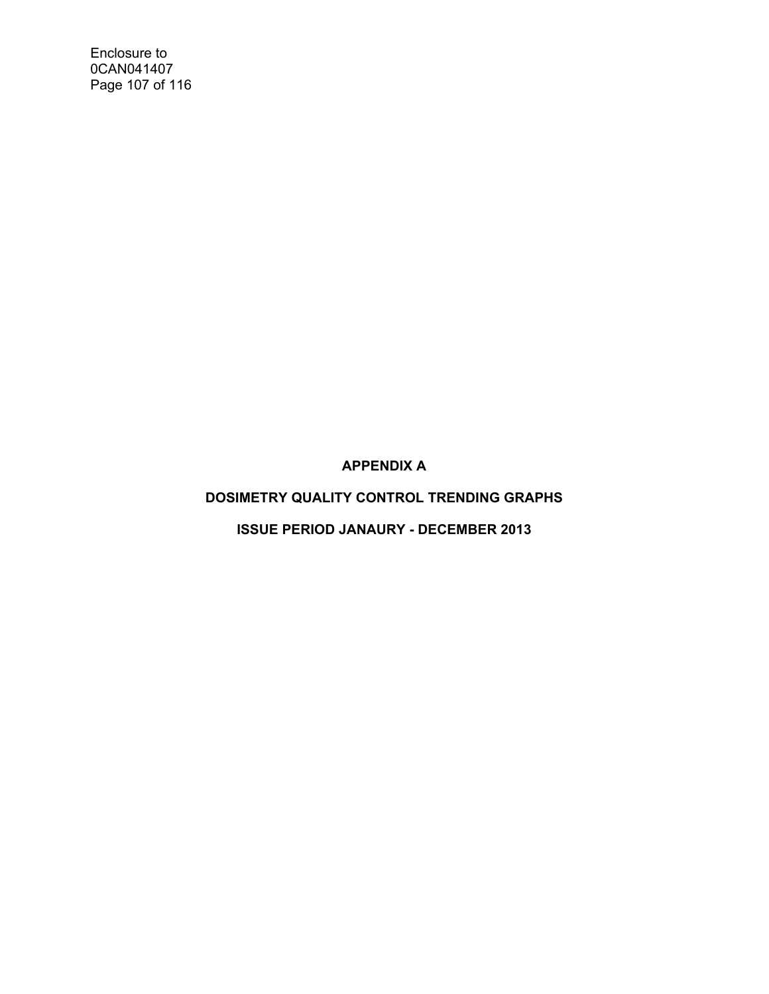Enclosure to 0CAN041407 Page 107 of 116

**APPENDIX A** 

# **DOSIMETRY QUALITY CONTROL TRENDING GRAPHS**

**ISSUE PERIOD JANAURY - DECEMBER 2013**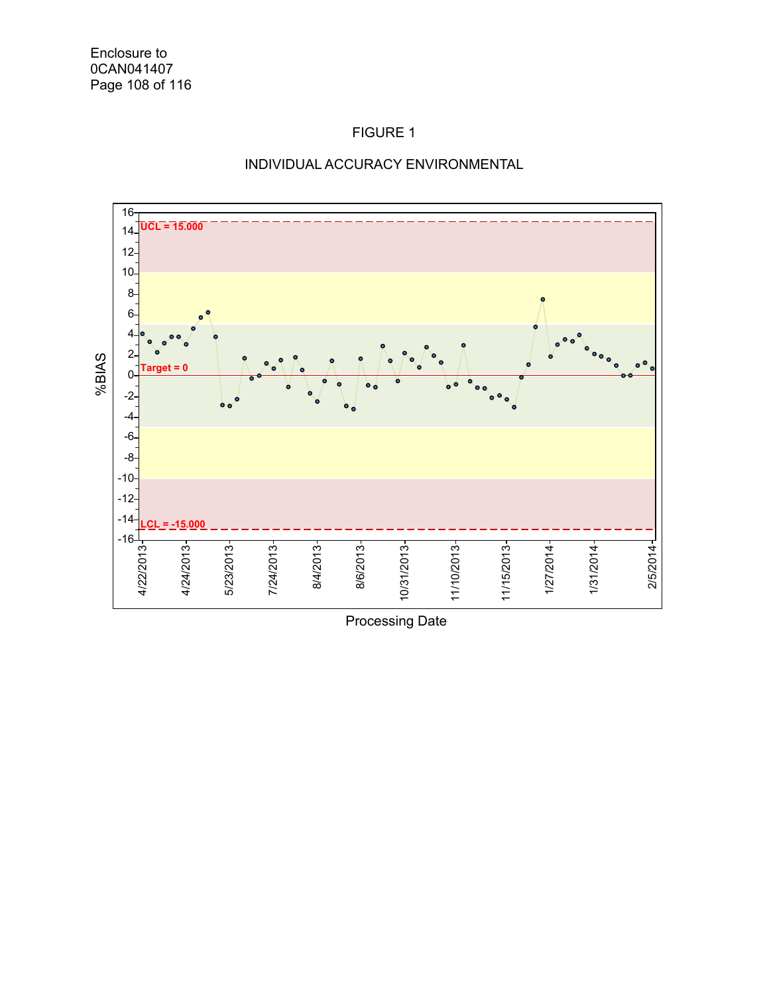

#### INDIVIDUAL ACCURACY ENVIRONMENTAL

Processing Date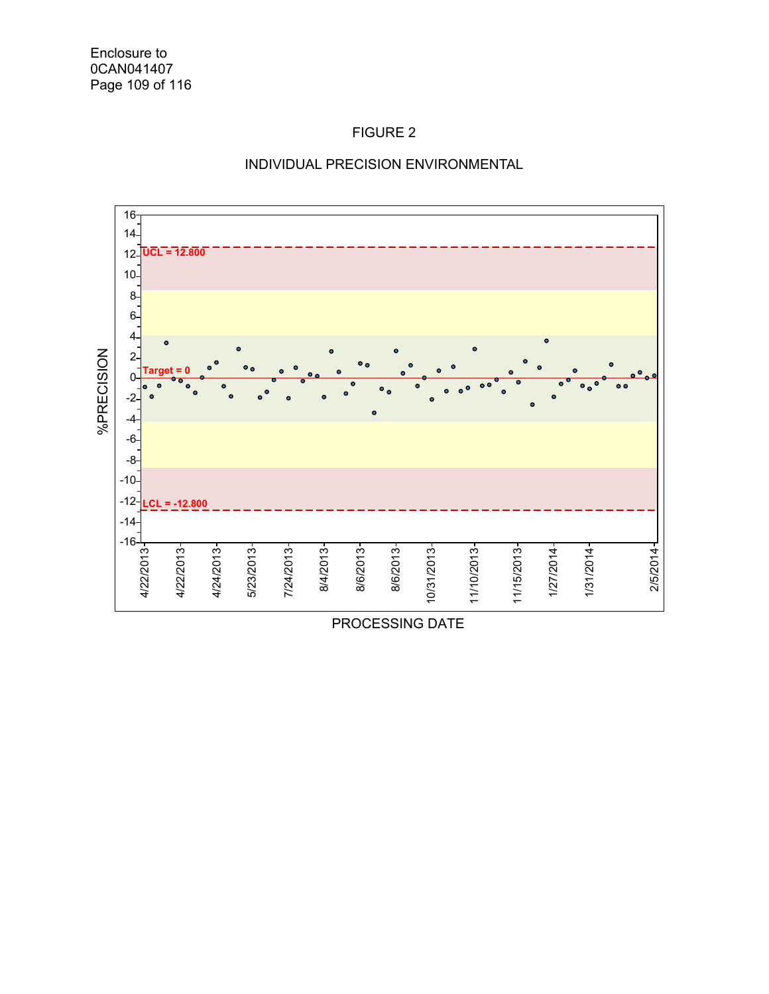



PROCESSING DATE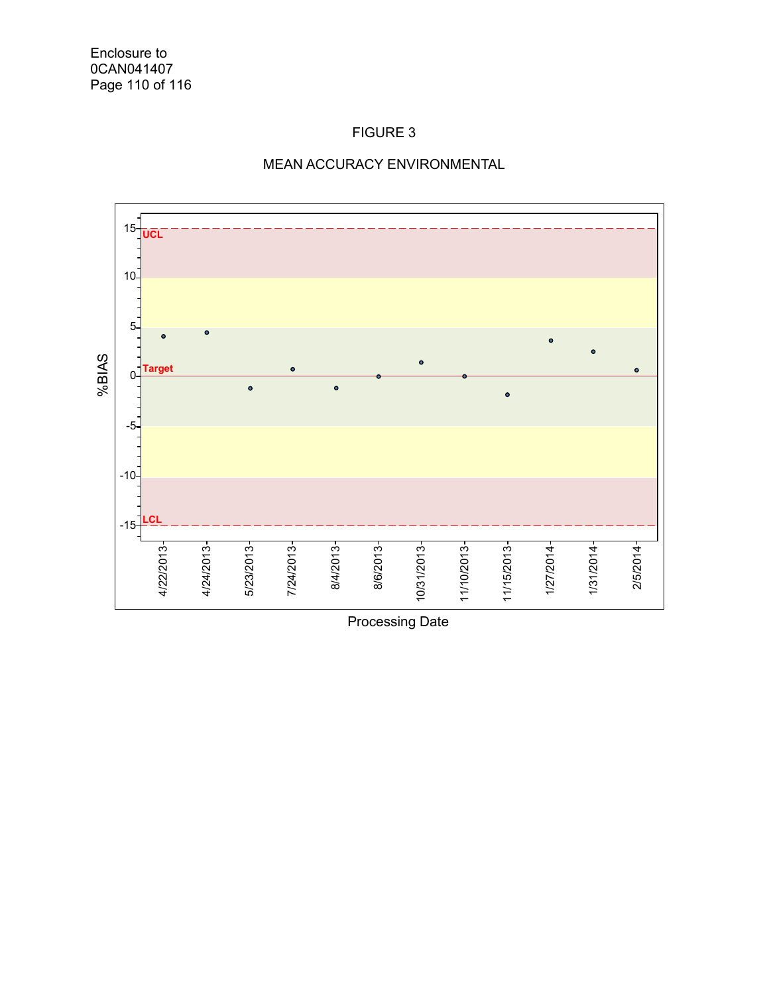

## MEAN ACCURACY ENVIRONMENTAL

Processing Date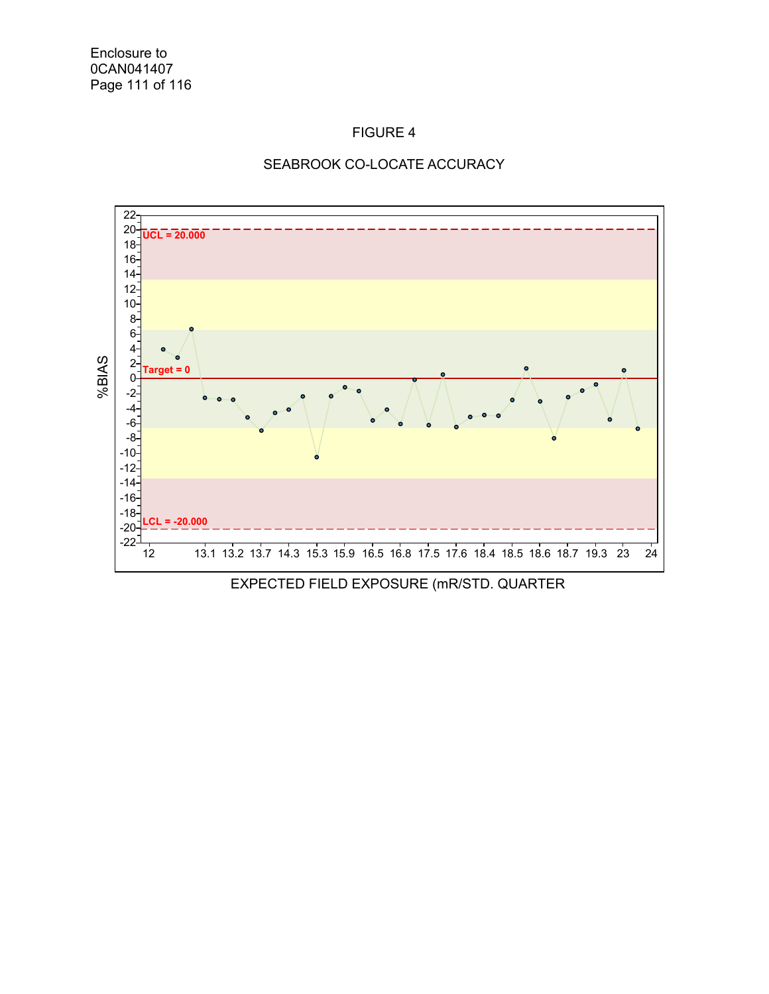



EXPECTED FIELD EXPOSURE (mR/STD. QUARTER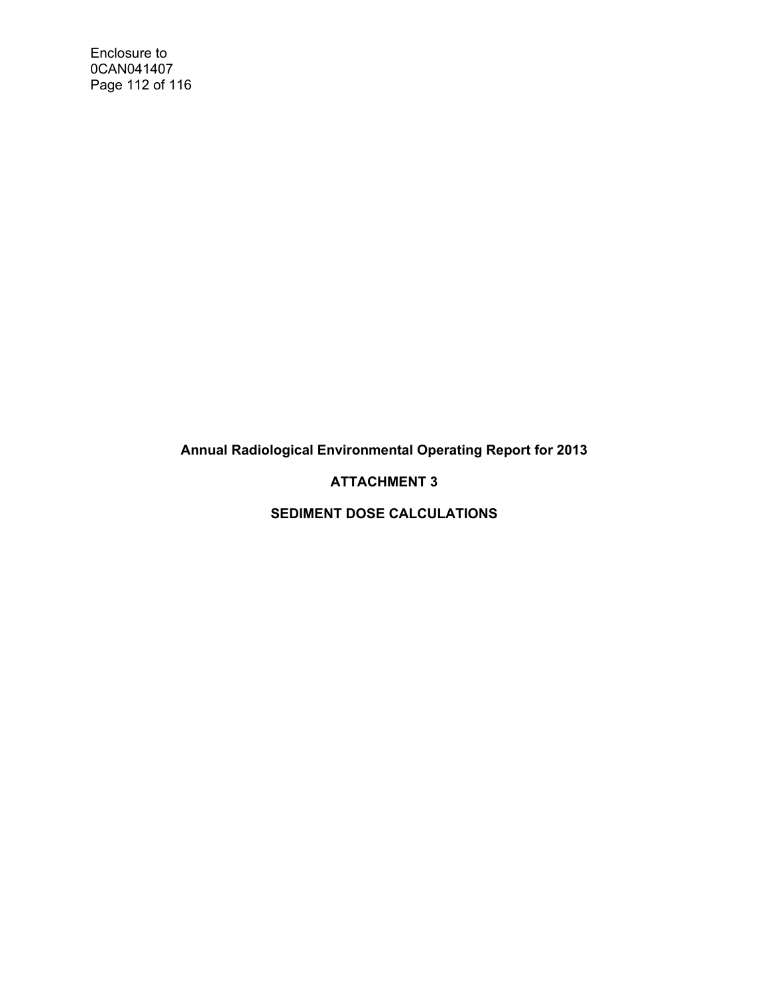Enclosure to 0CAN041407 Page 112 of 116

**Annual Radiological Environmental Operating Report for 2013** 

## **ATTACHMENT 3**

**SEDIMENT DOSE CALCULATIONS**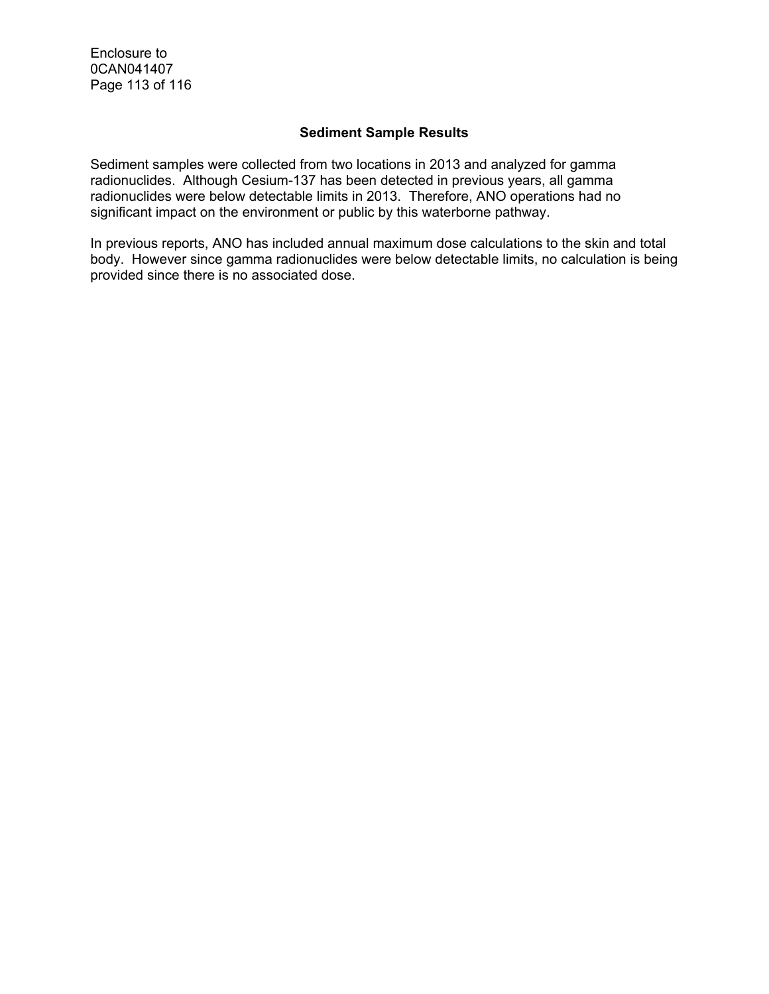Enclosure to 0CAN041407 Page 113 of 116

#### **Sediment Sample Results**

Sediment samples were collected from two locations in 2013 and analyzed for gamma radionuclides. Although Cesium-137 has been detected in previous years, all gamma radionuclides were below detectable limits in 2013. Therefore, ANO operations had no significant impact on the environment or public by this waterborne pathway.

In previous reports, ANO has included annual maximum dose calculations to the skin and total body. However since gamma radionuclides were below detectable limits, no calculation is being provided since there is no associated dose.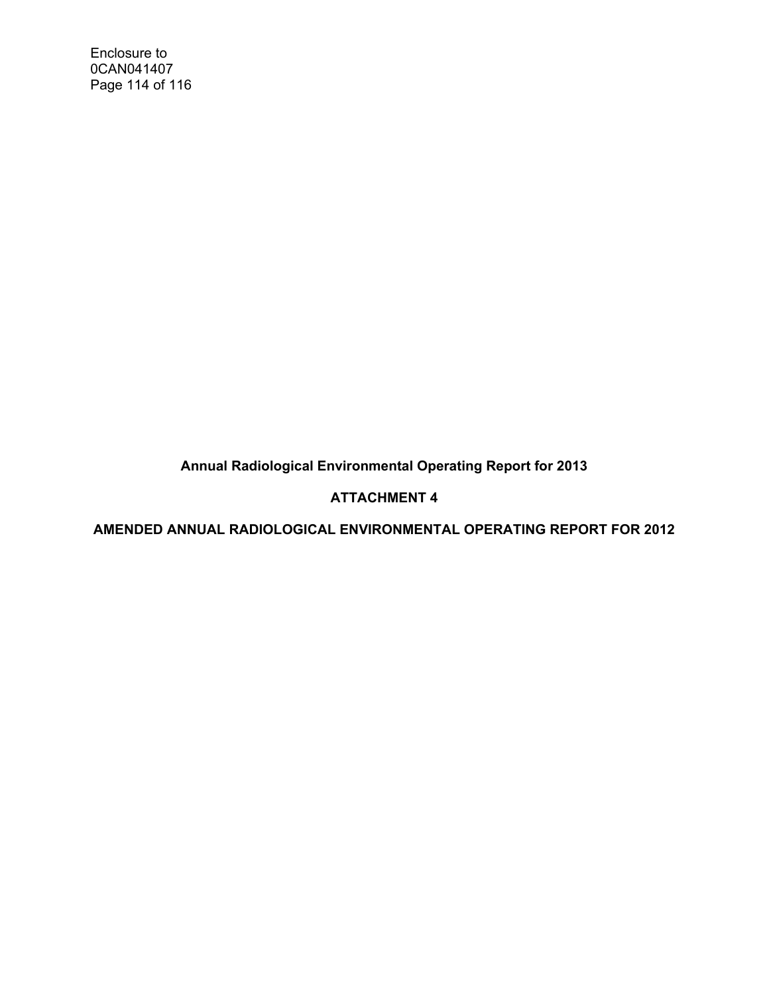Enclosure to 0CAN041407 Page 114 of 116

**Annual Radiological Environmental Operating Report for 2013** 

# **ATTACHMENT 4**

**AMENDED ANNUAL RADIOLOGICAL ENVIRONMENTAL OPERATING REPORT FOR 2012**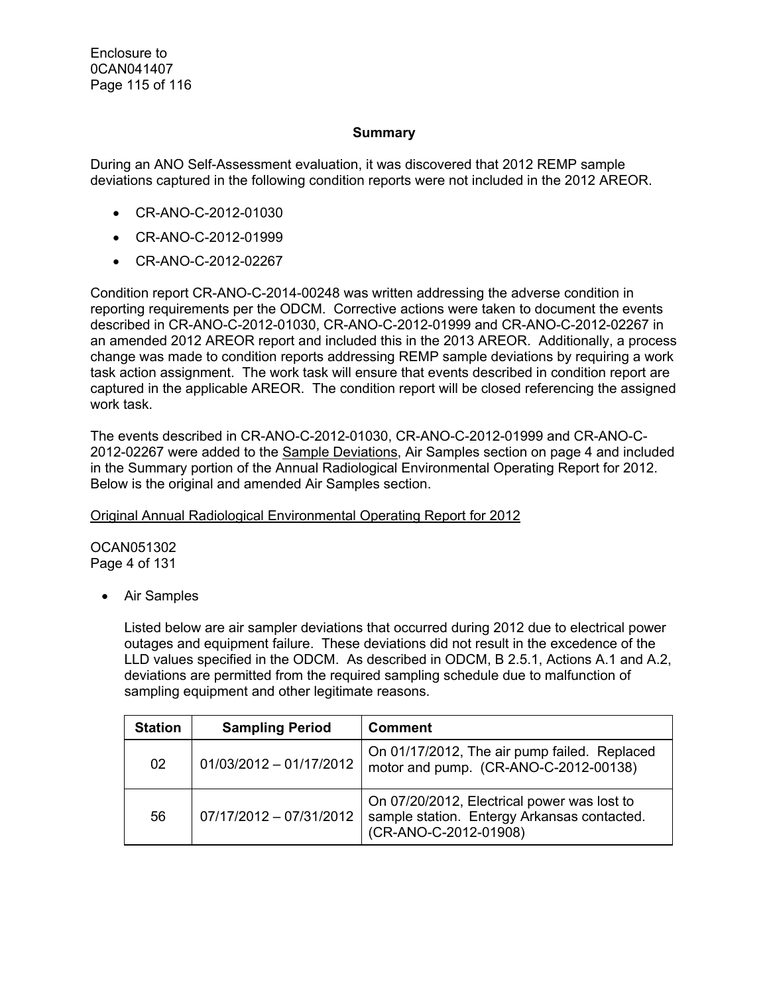#### **Summary**

During an ANO Self-Assessment evaluation, it was discovered that 2012 REMP sample deviations captured in the following condition reports were not included in the 2012 AREOR.

- CR-ANO-C-2012-01030
- CR-ANO-C-2012-01999
- CR-ANO-C-2012-02267

Condition report CR-ANO-C-2014-00248 was written addressing the adverse condition in reporting requirements per the ODCM. Corrective actions were taken to document the events described in CR-ANO-C-2012-01030, CR-ANO-C-2012-01999 and CR-ANO-C-2012-02267 in an amended 2012 AREOR report and included this in the 2013 AREOR. Additionally, a process change was made to condition reports addressing REMP sample deviations by requiring a work task action assignment. The work task will ensure that events described in condition report are captured in the applicable AREOR. The condition report will be closed referencing the assigned work task.

The events described in CR-ANO-C-2012-01030, CR-ANO-C-2012-01999 and CR-ANO-C-2012-02267 were added to the Sample Deviations, Air Samples section on page 4 and included in the Summary portion of the Annual Radiological Environmental Operating Report for 2012. Below is the original and amended Air Samples section.

Original Annual Radiological Environmental Operating Report for 2012

OCAN051302 Page 4 of 131

Air Samples

Listed below are air sampler deviations that occurred during 2012 due to electrical power outages and equipment failure. These deviations did not result in the excedence of the LLD values specified in the ODCM. As described in ODCM, B 2.5.1, Actions A.1 and A.2, deviations are permitted from the required sampling schedule due to malfunction of sampling equipment and other legitimate reasons.

| <b>Station</b> | <b>Sampling Period</b>    | <b>Comment</b>                                                                                                      |
|----------------|---------------------------|---------------------------------------------------------------------------------------------------------------------|
| 02             | $01/03/2012 - 01/17/2012$ | On 01/17/2012, The air pump failed. Replaced<br>motor and pump. (CR-ANO-C-2012-00138)                               |
| 56             | 07/17/2012 - 07/31/2012   | On 07/20/2012, Electrical power was lost to<br>sample station. Entergy Arkansas contacted.<br>(CR-ANO-C-2012-01908) |